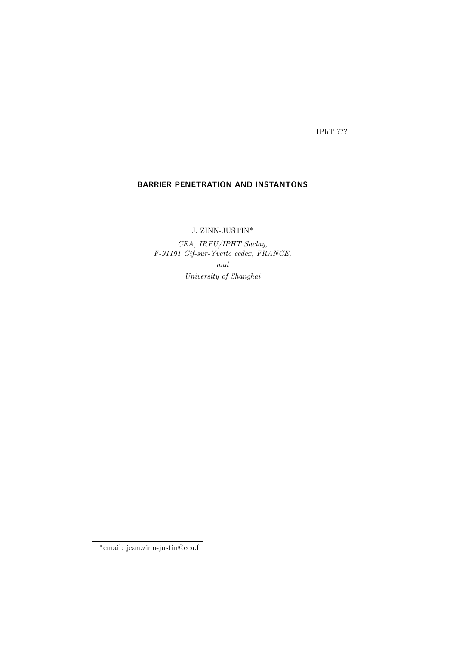IPhT ???

## BARRIER PENETRATION AND INSTANTONS

J. ZINN-JUSTIN\*

CEA, IRFU/IPHT Saclay, F-91191 Gif-sur-Yvette cedex, FRANCE, and University of Shanghai

<sup>∗</sup> email: jean.zinn-justin@cea.fr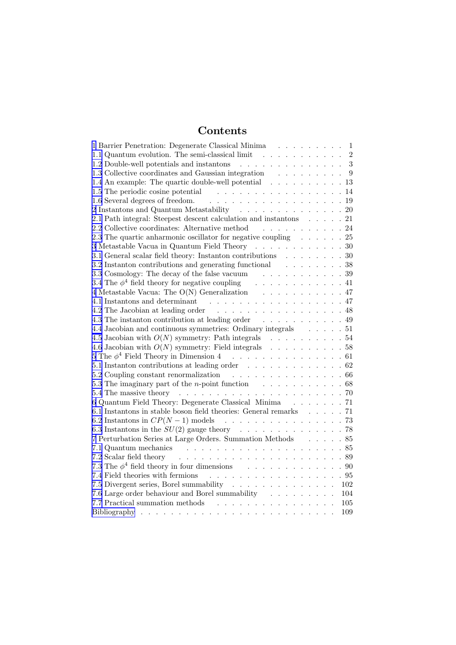# Contents

| 1 Barrier Penetration: Degenerate Classical Minima<br>1                                                                                                                                                                        |
|--------------------------------------------------------------------------------------------------------------------------------------------------------------------------------------------------------------------------------|
| 1.1 Quantum evolution. The semi-classical limit<br>$\overline{2}$                                                                                                                                                              |
| 3<br>1.2 Double-well potentials and instantons<br>. The second contract is a second contract of $\mathcal{L}^{\mathcal{A}}$                                                                                                    |
| 1.3 Collective coordinates and Gaussian integration $\quad \quad . \quad . \quad . \quad . \quad . \quad . \quad .$<br>9                                                                                                       |
| 1.4 An example: The quartic double-well potential 13                                                                                                                                                                           |
| . 14<br>1.5 The periodic cosine potential                                                                                                                                                                                      |
| . 19<br>1.6 Several degrees of freedom.                                                                                                                                                                                        |
| 2 Instantons and Quantum Metastability 20                                                                                                                                                                                      |
| 2.1 Path integral: Steepest descent calculation and instantons 21                                                                                                                                                              |
| 2.2 Collective coordinates: Alternative method $\cdots \cdots \cdots$ 24                                                                                                                                                       |
| 2.3 The quartic anharmonic oscillator for negative coupling $\ldots \ldots$ 25                                                                                                                                                 |
| 3 Metastable Vacua in Quantum Field Theory $\ldots \ldots \ldots \ldots \ldots 30$                                                                                                                                             |
| 3.1 General scalar field theory: Instanton contributions $\ldots \ldots \ldots$ 30                                                                                                                                             |
| 3.2 Instanton contributions and generating functional 38                                                                                                                                                                       |
| 3.3 Cosmology: The decay of the false vacuum $\hfill\ldots\ldots\ldots\ldots\ldots\ldots\;$ 39                                                                                                                                 |
|                                                                                                                                                                                                                                |
| 4 Metastable Vacua: The O(N) Generalization $\hfill\ldots\ldots\ldots\ldots\ldots\ldots\,47$                                                                                                                                   |
|                                                                                                                                                                                                                                |
| 4.2 The Jacobian at leading order 48                                                                                                                                                                                           |
| 4.3 The instanton contribution at leading order 49                                                                                                                                                                             |
| 4.4 Jacobian and continuous symmetries: Ordinary integrals 51                                                                                                                                                                  |
| 4.5 Jacobian with $O(N)$ symmetry: Path integrals $\quad \ldots \; \ldots \; \ldots \; \ldots \; .54$                                                                                                                          |
| 4.6 Jacobian with $O(N)$ symmetry: Field integrals 58                                                                                                                                                                          |
| 5 The $\phi^4$ Field Theory in Dimension 4 61                                                                                                                                                                                  |
| 5.1 Instanton contributions at leading order $\ldots \ldots \ldots \ldots \ldots 62$                                                                                                                                           |
| 5.2 Coupling constant renormalization 66                                                                                                                                                                                       |
| 5.3 The imaginary part of the <i>n</i> -point function $\ldots \ldots \ldots \ldots \ldots$                                                                                                                                    |
| 5.4 The massive theory                                                                                                                                                                                                         |
| 6 Quantum Field Theory: Degenerate Classical Minima 71                                                                                                                                                                         |
| 6.1 Instantons in stable boson field theories: General remarks 71                                                                                                                                                              |
| 6.2 Instantons in $CP(N-1)$ models<br>. 73                                                                                                                                                                                     |
| 6.3 Instantons in the $SU(2)$ gauge theory 78                                                                                                                                                                                  |
| 7 Perturbation Series at Large Orders. Summation Methods $\ldots \ldots$ 85                                                                                                                                                    |
| 7.1 Quantum mechanics resources in the contract of the contract of the contract of the contract of the contract of the contract of the contract of the contract of the contract of the contract of the contract of the contrac |
| 7.2 Scalar field theory                                                                                                                                                                                                        |
| 7.3 The $\phi^4$ field theory in four dimensions 90                                                                                                                                                                            |
| 7.4 Field theories with fermions<br>. 95                                                                                                                                                                                       |
| 7.5 Divergent series, Borel summability 102                                                                                                                                                                                    |
| 7.6 Large order behaviour and Borel summability<br>104                                                                                                                                                                         |
| 7.7 Practical summation methods<br>and the contract of the contract of the contract of<br>105                                                                                                                                  |
| 109<br>and a series of the<br>$\sim 100$ km s $^{-1}$                                                                                                                                                                          |
|                                                                                                                                                                                                                                |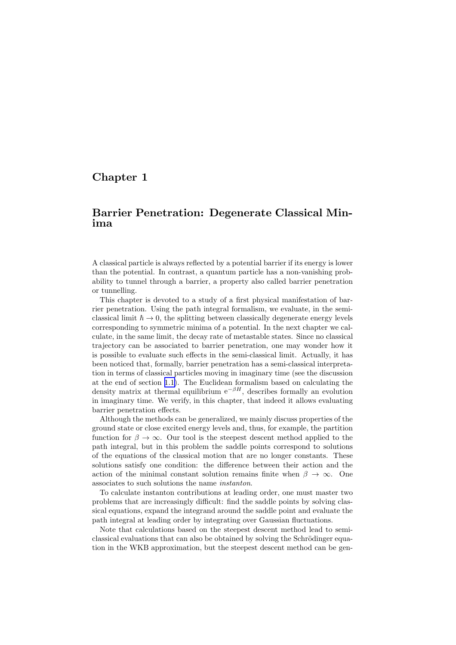## <span id="page-2-0"></span>Chapter 1

## Barrier Penetration: Degenerate Classical Minima

A classical particle is always reflected by a potential barrier if its energy is lower than the potential. In contrast, a quantum particle has a non-vanishing probability to tunnel through a barrier, a property also called barrier penetration or tunnelling.

This chapter is devoted to a study of a first physical manifestation of barrier penetration. Using the path integral formalism, we evaluate, in the semiclassical limit  $\hbar \rightarrow 0$ , the splitting between classically degenerate energy levels corresponding to symmetric minima of a potential. In the next chapter we calculate, in the same limit, the decay rate of metastable states. Since no classical trajectory can be associated to barrier penetration, one may wonder how it is possible to evaluate such effects in the semi-classical limit. Actually, it has been noticed that, formally, barrier penetration has a semi-classical interpretation in terms of classical particles moving in imaginary time (see the discussion at the end of section [1.1\)](#page-3-0). The Euclidean formalism based on calculating the density matrix at thermal equilibrium  $e^{-\beta H}$ , describes formally an evolution in imaginary time. We verify, in this chapter, that indeed it allows evaluating barrier penetration effects.

Although the methods can be generalized, we mainly discuss properties of the ground state or close excited energy levels and, thus, for example, the partition function for  $\beta \to \infty$ . Our tool is the steepest descent method applied to the path integral, but in this problem the saddle points correspond to solutions of the equations of the classical motion that are no longer constants. These solutions satisfy one condition: the difference between their action and the action of the minimal constant solution remains finite when  $\beta \to \infty$ . One associates to such solutions the name instanton.

To calculate instanton contributions at leading order, one must master two problems that are increasingly difficult: find the saddle points by solving classical equations, expand the integrand around the saddle point and evaluate the path integral at leading order by integrating over Gaussian fluctuations.

Note that calculations based on the steepest descent method lead to semiclassical evaluations that can also be obtained by solving the Schrödinger equation in the WKB approximation, but the steepest descent method can be gen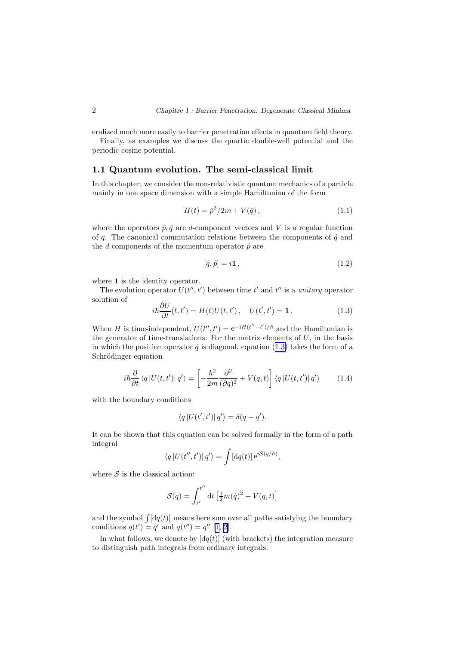<span id="page-3-0"></span>eralized much more easily to barrier penetration effects in quantum field theory.

Finally, as examples we discuss the quartic double-well potential and the periodic cosine potential.

## 1.1 Quantum evolution. The semi-classical limit

In this chapter, we consider the non-relativistic quantum mechanics of a particle mainly in one space dimension with a simple Hamiltonian of the form

$$
H(t) = \hat{p}^2 / 2m + V(\hat{q}), \qquad (1.1)
$$

where the operators  $\hat{p}, \hat{q}$  are d-component vectors and V is a regular function of q. The canonical commutation relations between the components of  $\hat{q}$  and the  $d$  components of the momentum operator  $\hat{p}$  are

$$
[\hat{q}, \hat{p}] = i\mathbf{1},\tag{1.2}
$$

where 1 is the identity operator.

The evolution operator  $U(t'', t')$  between time t' and t'' is a unitary operator solution of  $\theta$ 

$$
i\hbar \frac{\partial U}{\partial t}(t, t') = H(t)U(t, t'), \quad U(t', t') = 1.
$$
 (1.3)

When H is time-independent,  $U(t'', t') = e^{-iH(t'' - t')/\hbar}$  and the Hamiltonian is the generator of time-translations. For the matrix elements of  $U$ , in the basis in which the position operator  $\hat{q}$  is diagonal, equation (1.3) takes the form of a Schrödinger equation

$$
i\hbar \frac{\partial}{\partial t} \langle q | U(t, t') | q' \rangle = \left[ -\frac{\hbar^2}{2m} \frac{\partial^2}{(\partial q)^2} + V(q, t) \right] \langle q | U(t, t') | q' \rangle \tag{1.4}
$$

with the boundary conditions

$$
\langle q | U(t',t') | q' \rangle = \delta(q-q').
$$

It can be shown that this equation can be solved formally in the form of a path integral

$$
\langle q | U(t'',t') | q' \rangle = \int [dq(t)] e^{iS(q/\hbar)},
$$

where  $S$  is the classical action:

$$
\mathcal{S}(q) = \int_{t'}^{t''} \mathrm{d}t \left[ \frac{1}{2} m(\dot{q})^2 - V(q, t) \right]
$$

and the symbol  $\int [dq(t)]$  means here sum over all paths satisfying the boundary conditions  $q(t') = q'$  and  $q(t'') = q''$  [[1, 2\]](#page-110-0).

In what follows, we denote by  $\left[ dq(t) \right]$  (with brackets) the integration measure to distinguish path integrals from ordinary integrals.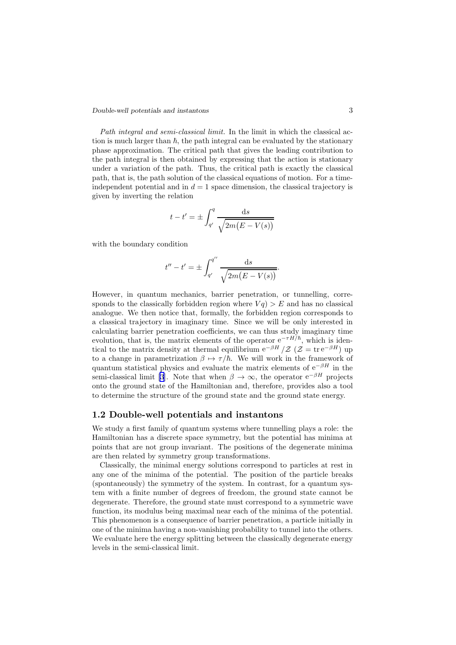#### <span id="page-4-0"></span>*Double-well potentials and instantons* 3

Path integral and semi-classical limit. In the limit in which the classical action is much larger than  $\hbar$ , the path integral can be evaluated by the stationary phase approximation. The critical path that gives the leading contribution to the path integral is then obtained by expressing that the action is stationary under a variation of the path. Thus, the critical path is exactly the classical path, that is, the path solution of the classical equations of motion. For a timeindependent potential and in  $d = 1$  space dimension, the classical trajectory is given by inverting the relation

$$
t - t' = \pm \int_{q'}^{q} \frac{\mathrm{d}s}{\sqrt{2m(E - V(s))}}
$$

with the boundary condition

$$
t'' - t' = \pm \int_{q'}^{q''} \frac{ds}{\sqrt{2m(E - V(s))}}.
$$

However, in quantum mechanics, barrier penetration, or tunnelling, corresponds to the classically forbidden region where  $Vq$ )  $>E$  and has no classical analogue. We then notice that, formally, the forbidden region corresponds to a classical trajectory in imaginary time. Since we will be only interested in calculating barrier penetration coefficients, we can thus study imaginary time evolution, that is, the matrix elements of the operator  $e^{-\tau H/\hbar}$ , which is identical to the matrix density at thermal equilibrium  $e^{-\beta H}/\mathcal{Z}$  ( $\mathcal{Z} = \text{tr } e^{-\beta H}$ ) up to a change in parametrization  $\beta \mapsto \tau/\hbar$ . We will work in the framework of quantum statistical physics and evaluate the matrix elements of  $e^{-\beta H}$  in the semi-classical limit [\[3](#page-110-0)]. Note that when  $\beta \to \infty$ , the operator  $e^{-\beta H}$  projects onto the ground state of the Hamiltonian and, therefore, provides also a tool to determine the structure of the ground state and the ground state energy.

### 1.2 Double-well potentials and instantons

We study a first family of quantum systems where tunnelling plays a role: the Hamiltonian has a discrete space symmetry, but the potential has minima at points that are not group invariant. The positions of the degenerate minima are then related by symmetry group transformations.

Classically, the minimal energy solutions correspond to particles at rest in any one of the minima of the potential. The position of the particle breaks (spontaneously) the symmetry of the system. In contrast, for a quantum system with a finite number of degrees of freedom, the ground state cannot be degenerate. Therefore, the ground state must correspond to a symmetric wave function, its modulus being maximal near each of the minima of the potential. This phenomenon is a consequence of barrier penetration, a particle initially in one of the minima having a non-vanishing probability to tunnel into the others. We evaluate here the energy splitting between the classically degenerate energy levels in the semi-classical limit.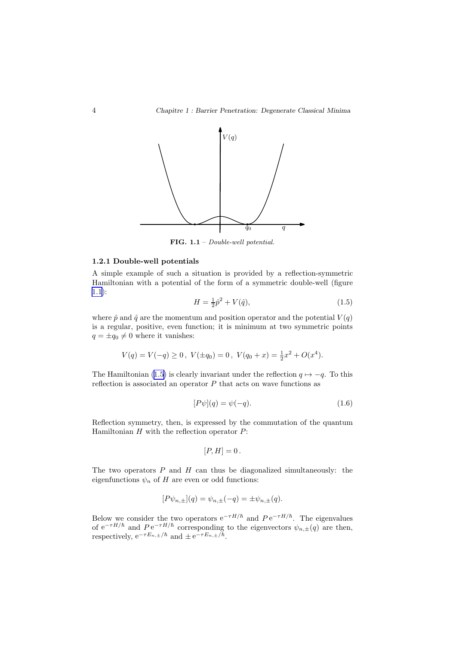<span id="page-5-0"></span>

FIG. 1.1 – Double-well potential.

#### 1.2.1 Double-well potentials

A simple example of such a situation is provided by a reflection-symmetric Hamiltonian with a potential of the form of a symmetric double-well (figure 1.1):

$$
H = \frac{1}{2}\hat{p}^2 + V(\hat{q}),\tag{1.5}
$$

where  $\hat{p}$  and  $\hat{q}$  are the momentum and position operator and the potential  $V(q)$ is a regular, positive, even function; it is minimum at two symmetric points  $q=\pm q_0\neq 0$  where it vanishes:

$$
V(q) = V(-q) \ge 0
$$
,  $V(\pm q_0) = 0$ ,  $V(q_0 + x) = \frac{1}{2}x^2 + O(x^4)$ .

The Hamiltonian (1.5) is clearly invariant under the reflection  $q \mapsto -q$ . To this reflection is associated an operator  $P$  that acts on wave functions as

$$
[P\psi](q) = \psi(-q). \tag{1.6}
$$

Reflection symmetry, then, is expressed by the commutation of the quantum Hamiltonian  $H$  with the reflection operator  $P$ :

$$
[P,H]=0.
$$

The two operators  $P$  and  $H$  can thus be diagonalized simultaneously: the eigenfunctions  $\psi_n$  of H are even or odd functions:

$$
[P\psi_{n,\pm}](q) = \psi_{n,\pm}(-q) = \pm \psi_{n,\pm}(q).
$$

Below we consider the two operators  $e^{-\tau H/\hbar}$  and  $Pe^{-\tau H/\hbar}$ . The eigenvalues of  $e^{-\tau H/\hbar}$  and  $Pe^{-\tau H/\hbar}$  corresponding to the eigenvectors  $\psi_{n,\pm}(q)$  are then, respectively,  $e^{-\tau E_{n,\pm}/\hbar}$  and  $\pm e^{-\tau E_{n,\pm}/\hbar}$ .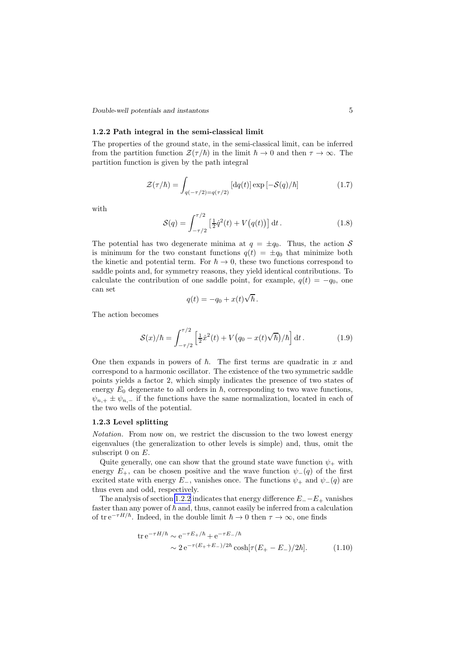<span id="page-6-0"></span>*Double-well potentials and instantons* 5

#### 1.2.2 Path integral in the semi-classical limit

The properties of the ground state, in the semi-classical limit, can be inferred from the partition function  $\mathcal{Z}(\tau/\hbar)$  in the limit  $\hbar \to 0$  and then  $\tau \to \infty$ . The partition function is given by the path integral

$$
\mathcal{Z}(\tau/\hbar) = \int_{q(-\tau/2) = q(\tau/2)} \left[ \mathrm{d}q(t) \right] \exp\left[-\mathcal{S}(q)/\hbar\right] \tag{1.7}
$$

with

$$
S(q) = \int_{-\tau/2}^{\tau/2} \left[\frac{1}{2}\dot{q}^2(t) + V(q(t))\right] dt.
$$
 (1.8)

The potential has two degenerate minima at  $q = \pm q_0$ . Thus, the action S is minimum for the two constant functions  $q(t) = \pm q_0$  that minimize both the kinetic and potential term. For  $\hbar \to 0$ , these two functions correspond to saddle points and, for symmetry reasons, they yield identical contributions. To calculate the contribution of one saddle point, for example,  $q(t) = -q_0$ , one can set

$$
q(t) = -q_0 + x(t)\sqrt{\hbar}.
$$

The action becomes

$$
S(x)/\hbar = \int_{-\tau/2}^{\tau/2} \left[ \frac{1}{2} \dot{x}^2(t) + V(q_0 - x(t)\sqrt{\hbar})/\hbar \right] dt.
$$
 (1.9)

One then expands in powers of  $\hbar$ . The first terms are quadratic in x and correspond to a harmonic oscillator. The existence of the two symmetric saddle points yields a factor 2, which simply indicates the presence of two states of energy  $E_0$  degenerate to all orders in  $\hbar$ , corresponding to two wave functions,  $\psi_{n,+} \pm \psi_{n,-}$  if the functions have the same normalization, located in each of the two wells of the potential.

#### 1.2.3 Level splitting

Notation. From now on, we restrict the discussion to the two lowest energy eigenvalues (the generalization to other levels is simple) and, thus, omit the subscript  $0$  on  $E$ .

Quite generally, one can show that the ground state wave function  $\psi_+$  with energy  $E_+$ , can be chosen positive and the wave function  $\psi_-(q)$  of the first excited state with energy  $E_$ , vanishes once. The functions  $\psi_+$  and  $\psi_-(q)$  are thus even and odd, respectively.

The analysis of section 1.2.2 indicates that energy difference  $E_--E_+$  vanishes faster than any power of  $\hbar$  and, thus, cannot easily be inferred from a calculation of tr e<sup> $-\tau H/\hbar$ </sup>. Indeed, in the double limit  $\hbar \to 0$  then  $\tau \to \infty$ , one finds

$$
\text{tr} \, e^{-\tau H/\hbar} \sim e^{-\tau E_+/\hbar} + e^{-\tau E_-/\hbar} \n\sim 2 \, e^{-\tau (E_+ + E_-)/2\hbar} \cosh[\tau (E_+ - E_-)/2\hbar].
$$
\n(1.10)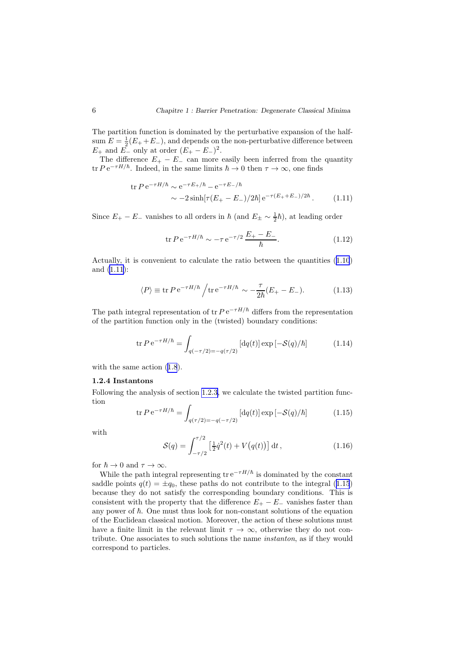<span id="page-7-0"></span>The partition function is dominated by the perturbative expansion of the halfsum  $E = \frac{1}{2}(E_+ + E_-)$ , and depends on the non-perturbative difference between  $E_+$  and  $E_-$  only at order  $(E_+ - E_-)^2$ .

The difference  $E_+ - E_-$  can more easily been inferred from the quantity tr  $P e^{-\tau H/\hbar}$ . Indeed, in the same limits  $\hbar \to 0$  then  $\tau \to \infty$ , one finds

$$
\begin{aligned} \text{tr}\,P\,\text{e}^{-\tau H/\hbar} &\sim \text{e}^{-\tau E_{+}/\hbar} - \text{e}^{-\tau E_{-}/\hbar} \\ &\sim -2\sinh[\tau (E_{+} - E_{-})/2\hbar] \,\text{e}^{-\tau (E_{+} + E_{-})/2\hbar} \,. \end{aligned} \tag{1.11}
$$

Since  $E_+ - E_-$  vanishes to all orders in  $\hbar$  (and  $E_\pm \sim \frac{1}{2}\hbar$ ), at leading order

$$
\text{tr}\,P\,\text{e}^{-\tau H/\hbar} \sim -\tau\,\text{e}^{-\tau/2}\,\frac{E_{+}-E_{-}}{\hbar}.\tag{1.12}
$$

Actually, it is convenient to calculate the ratio between the quantities (1.[10](#page-6-0)) and (1.11):

$$
\langle P \rangle \equiv \text{tr} \, P \, \text{e}^{-\tau H/\hbar} \bigg/ \text{tr} \, \text{e}^{-\tau H/\hbar} \sim -\frac{\tau}{2\hbar} (E_+ - E_-). \tag{1.13}
$$

The path integral representation of tr  $P e^{-\tau H/\hbar}$  differs from the representation of the partition function only in the (twisted) boundary conditions:

$$
\operatorname{tr} P e^{-\tau H/\hbar} = \int_{q(-\tau/2) = -q(\tau/2)} \left[ \mathrm{d}q(t) \right] \exp \left[ -\mathcal{S}(q)/\hbar \right] \tag{1.14}
$$

withthe same action  $(1.8)$  $(1.8)$  $(1.8)$ .

#### 1.2.4 Instantons

Following the analysis of section [1.2.3,](#page-6-0) we calculate the twisted partition function

$$
\text{tr}\,P\,\text{e}^{-\tau H/\hbar} = \int_{q(\tau/2) = -q(-\tau/2)} \left[ \text{d}q(t) \right] \exp\left[-\mathcal{S}(q)/\hbar\right] \tag{1.15}
$$

with

$$
S(q) = \int_{-\tau/2}^{\tau/2} \left[\frac{1}{2}\dot{q}^2(t) + V(q(t))\right] dt,
$$
\n(1.16)

for  $\hbar \to 0$  and  $\tau \to \infty$ .

While the path integral representing  $\text{tr} e^{-\tau H/\hbar}$  is dominated by the constant saddle points  $q(t) = \pm q_0$ , these paths do not contribute to the integral (1.15) because they do not satisfy the corresponding boundary conditions. This is consistent with the property that the difference  $E_{+} - E_{-}$  vanishes faster than any power of  $\hbar$ . One must thus look for non-constant solutions of the equation of the Euclidean classical motion. Moreover, the action of these solutions must have a finite limit in the relevant limit  $\tau \to \infty$ , otherwise they do not contribute. One associates to such solutions the name instanton, as if they would correspond to particles.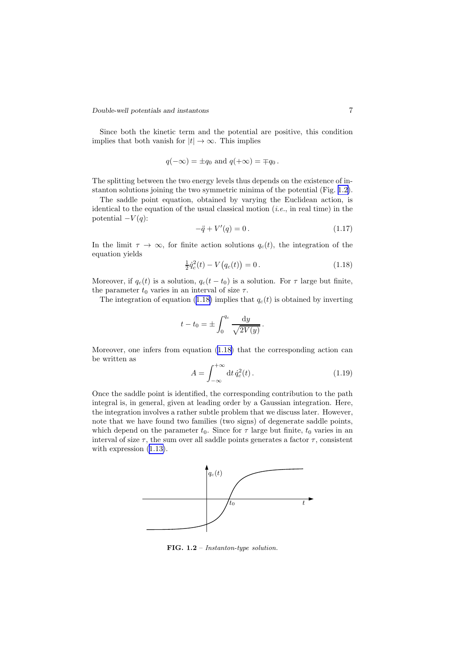#### <span id="page-8-0"></span>*Double-well potentials and instantons* 7

Since both the kinetic term and the potential are positive, this condition implies that both vanish for  $|t| \to \infty$ . This implies

$$
q(-\infty) = \pm q_0
$$
 and  $q(+\infty) = \mp q_0$ .

The splitting between the two energy levels thus depends on the existence of instanton solutions joining the two symmetric minima of the potential (Fig. 1.2).

The saddle point equation, obtained by varying the Euclidean action, is identical to the equation of the usual classical motion  $(i.e.,$  in real time) in the potential  $-V(q)$ :

$$
-\ddot{q} + V'(q) = 0.
$$
\n(1.17)

In the limit  $\tau \to \infty$ , for finite action solutions  $q_c(t)$ , the integration of the equation yields

$$
\frac{1}{2}\dot{q}_c^2(t) - V(q_c(t)) = 0.
$$
\n(1.18)

Moreover, if  $q_c(t)$  is a solution,  $q_c(t - t_0)$  is a solution. For  $\tau$  large but finite, the parameter  $t_0$  varies in an interval of size  $\tau$ .

The integration of equation (1.18) implies that  $q_c(t)$  is obtained by inverting

$$
t - t_0 = \pm \int_0^{q_c} \frac{\mathrm{d}y}{\sqrt{2V(y)}}.
$$

Moreover, one infers from equation (1.18) that the corresponding action can be written as

$$
A = \int_{-\infty}^{+\infty} dt \, \dot{q}_c^2(t) \,. \tag{1.19}
$$

Once the saddle point is identified, the corresponding contribution to the path integral is, in general, given at leading order by a Gaussian integration. Here, the integration involves a rather subtle problem that we discuss later. However, note that we have found two families (two signs) of degenerate saddle points, which depend on the parameter  $t_0$ . Since for  $\tau$  large but finite,  $t_0$  varies in an interval of size  $\tau$ , the sum over all saddle points generates a factor  $\tau$ , consistent with expression  $(1.13)$  $(1.13)$ .



FIG.  $1.2$  – Instanton-type solution.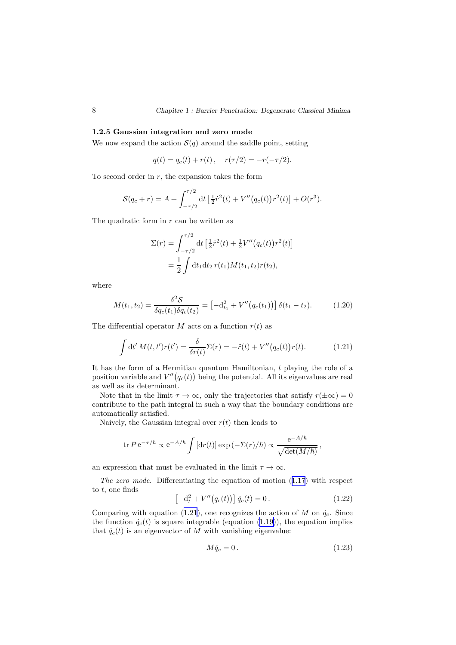#### 1.2.5 Gaussian integration and zero mode

We now expand the action  $S(q)$  around the saddle point, setting

$$
q(t) = q_c(t) + r(t), \quad r(\tau/2) = -r(-\tau/2).
$$

To second order in  $r$ , the expansion takes the form

$$
S(q_c+r) = A + \int_{-\tau/2}^{\tau/2} dt \left[ \frac{1}{2} \dot{r}^2(t) + V''(q_c(t)) r^2(t) \right] + O(r^3).
$$

The quadratic form in  $r$  can be written as

$$
\Sigma(r) = \int_{-\tau/2}^{\tau/2} dt \left[ \frac{1}{2} \dot{r}^2(t) + \frac{1}{2} V''(q_c(t)) r^2(t) \right]
$$
  
= 
$$
\frac{1}{2} \int dt_1 dt_2 r(t_1) M(t_1, t_2) r(t_2),
$$

where

$$
M(t_1, t_2) = \frac{\delta^2 \mathcal{S}}{\delta q_c(t_1) \delta q_c(t_2)} = \left[ -d_{t_1}^2 + V''(q_c(t_1)) \right] \delta(t_1 - t_2).
$$
 (1.20)

The differential operator M acts on a function  $r(t)$  as

$$
\int dt' M(t, t')r(t') = \frac{\delta}{\delta r(t)} \Sigma(r) = -\ddot{r}(t) + V''(q_c(t))r(t).
$$
 (1.21)

It has the form of a Hermitian quantum Hamiltonian, t playing the role of a position variable and  $V''(q_c(t))$  being the potential. All its eigenvalues are real as well as its determinant.

Note that in the limit  $\tau \to \infty$ , only the trajectories that satisfy  $r(\pm \infty) = 0$ contribute to the path integral in such a way that the boundary conditions are automatically satisfied.

Naively, the Gaussian integral over  $r(t)$  then leads to

$$
\text{tr } P \, \mathrm{e}^{-\tau/\hbar} \propto \mathrm{e}^{-A/\hbar} \int \left[ \mathrm{d}r(t) \right] \exp \left( -\Sigma(r)/\hbar \right) \propto \frac{\mathrm{e}^{-A/\hbar}}{\sqrt{\mathrm{det}(M/\hbar)}},
$$

an expression that must be evaluated in the limit  $\tau \to \infty$ .

The zero mode. Differentiating the equation of motion (1.[17](#page-8-0)) with respect to  $t$ , one finds

$$
\[ -d_t^2 + V''(q_c(t)) \] \dot{q}_c(t) = 0. \tag{1.22}
$$

Comparing with equation (1.21), one recognizes the action of M on  $\dot{q}_c$ . Since the function  $\dot{q}_c(t)$  is square integrable (equation (1.[19\)](#page-8-0)), the equation implies that  $\dot{q}_c(t)$  is an eigenvector of M with vanishing eigenvalue:

$$
M\dot{q}_c = 0.\t\t(1.23)
$$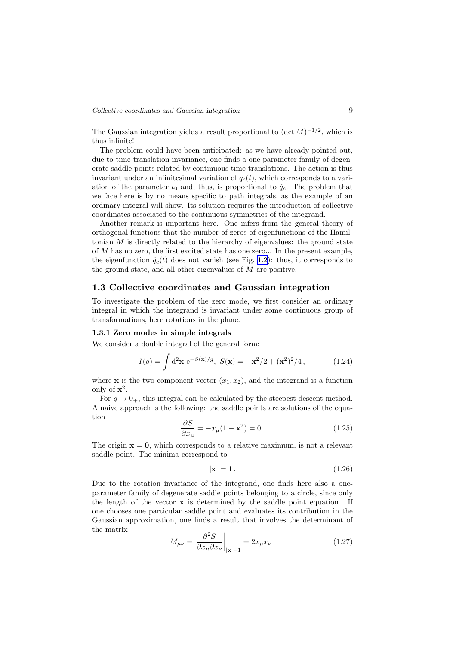<span id="page-10-0"></span>The Gaussian integration yields a result proportional to  $(\det M)^{-1/2}$ , which is thus infinite!

The problem could have been anticipated: as we have already pointed out, due to time-translation invariance, one finds a one-parameter family of degenerate saddle points related by continuous time-translations. The action is thus invariant under an infinitesimal variation of  $q_c(t)$ , which corresponds to a variation of the parameter  $t_0$  and, thus, is proportional to  $\dot{q}_c$ . The problem that we face here is by no means specific to path integrals, as the example of an ordinary integral will show. Its solution requires the introduction of collective coordinates associated to the continuous symmetries of the integrand.

Another remark is important here. One infers from the general theory of orthogonal functions that the number of zeros of eigenfunctions of the Hamiltonian  $M$  is directly related to the hierarchy of eigenvalues: the ground state of M has no zero, the first excited state has one zero... In the present example, the eigenfunction  $\dot{q}_c(t)$  does not vanish (see Fig. [1.2](#page-8-0)): thus, it corresponds to the ground state, and all other eigenvalues of M are positive.

### 1.3 Collective coordinates and Gaussian integration

To investigate the problem of the zero mode, we first consider an ordinary integral in which the integrand is invariant under some continuous group of transformations, here rotations in the plane.

#### 1.3.1 Zero modes in simple integrals

We consider a double integral of the general form:

$$
I(g) = \int d^2 \mathbf{x} e^{-S(\mathbf{x})/g}, \ S(\mathbf{x}) = -\mathbf{x}^2/2 + (\mathbf{x}^2)^2/4, \tag{1.24}
$$

where **x** is the two-component vector  $(x_1, x_2)$ , and the integrand is a function only of  $x^2$ .

For  $q \to 0_+$ , this integral can be calculated by the steepest descent method. A naive approach is the following: the saddle points are solutions of the equation

$$
\frac{\partial S}{\partial x_{\mu}} = -x_{\mu}(1 - \mathbf{x}^2) = 0.
$$
\n(1.25)

The origin  $x = 0$ , which corresponds to a relative maximum, is not a relevant saddle point. The minima correspond to

$$
|\mathbf{x}| = 1. \tag{1.26}
$$

Due to the rotation invariance of the integrand, one finds here also a oneparameter family of degenerate saddle points belonging to a circle, since only the length of the vector x is determined by the saddle point equation. If one chooses one particular saddle point and evaluates its contribution in the Gaussian approximation, one finds a result that involves the determinant of the matrix

$$
M_{\mu\nu} = \left. \frac{\partial^2 S}{\partial x_{\mu} \partial x_{\nu}} \right|_{|\mathbf{x}|=1} = 2x_{\mu} x_{\nu} . \tag{1.27}
$$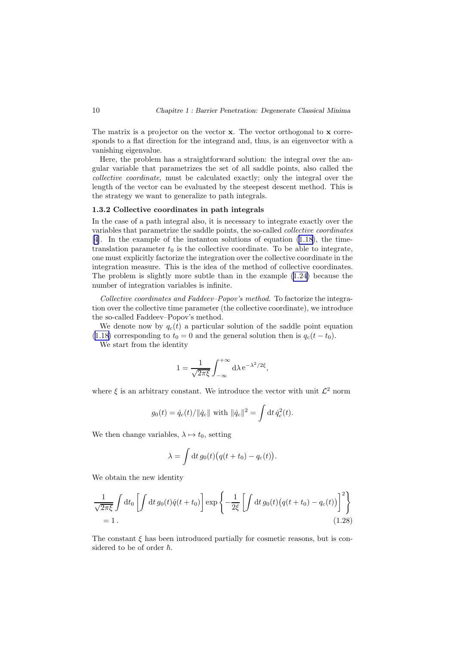<span id="page-11-0"></span>The matrix is a projector on the vector x. The vector orthogonal to x corresponds to a flat direction for the integrand and, thus, is an eigenvector with a vanishing eigenvalue.

Here, the problem has a straightforward solution: the integral over the angular variable that parametrizes the set of all saddle points, also called the collective coordinate, must be calculated exactly; only the integral over the length of the vector can be evaluated by the steepest descent method. This is the strategy we want to generalize to path integrals.

#### 1.3.2 Collective coordinates in path integrals

In the case of a path integral also, it is necessary to integrate exactly over the variables that parametrize the saddle points, the so-called collective coordinates [[4](#page-110-0)]. In the example of the instanton solutions of equation (1.[18](#page-8-0)), the timetranslation parameter  $t_0$  is the collective coordinate. To be able to integrate, one must explicitly factorize the integration over the collective coordinate in the integration measure. This is the idea of the method of collective coordinates. The problem is slightly more subtle than in the example (1.[24\)](#page-10-0) because the number of integration variables is infinite.

Collective coordinates and Faddeev–Popov's method. To factorize the integration over the collective time parameter (the collective coordinate), we introduce the so-called Faddeev–Popov's method.

We denote now by  $q_c(t)$  a particular solution of the saddle point equation (1.[18\)](#page-8-0) corresponding to  $t_0 = 0$  and the general solution then is  $q_c(t - t_0)$ .

We start from the identity

$$
1 = \frac{1}{\sqrt{2\pi\xi}} \int_{-\infty}^{+\infty} d\lambda \, e^{-\lambda^2/2\xi},
$$

where  $\xi$  is an arbitrary constant. We introduce the vector with unit  $\mathcal{L}^2$  norm

$$
g_0(t) = \dot{q}_c(t)/||\dot{q}_c||
$$
 with  $||\dot{q}_c||^2 = \int dt \, \dot{q}_c^2(t)$ .

We then change variables,  $\lambda \mapsto t_0$ , setting

$$
\lambda = \int dt g_0(t) \big( q(t+t_0) - q_c(t) \big).
$$

We obtain the new identity

$$
\frac{1}{\sqrt{2\pi\xi}}\int dt_0 \left[\int dt g_0(t)\dot{q}(t+t_0)\right] \exp\left\{-\frac{1}{2\xi}\left[\int dt g_0(t)\big(q(t+t_0) - q_c(t)\big)\right]^2\right\}
$$
\n
$$
= 1.
$$
\n(1.28)

The constant  $\xi$  has been introduced partially for cosmetic reasons, but is considered to be of order  $\hbar$ .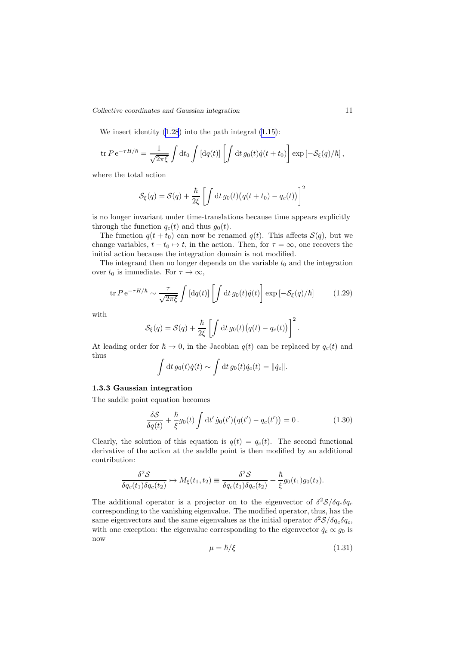*Collective coordinates and Gaussian integration* 11

We insert identity  $(1.28)$  $(1.28)$  $(1.28)$  into the path integral  $(1.15)$  $(1.15)$  $(1.15)$ :

$$
\operatorname{tr} P e^{-\tau H/\hbar} = \frac{1}{\sqrt{2\pi\xi}} \int \mathrm{d}t_0 \int \left[ \mathrm{d}q(t) \right] \left[ \int \mathrm{d}t \, g_0(t) \dot{q}(t+t_0) \right] \exp \left[ -\mathcal{S}_\xi(q)/\hbar \right],
$$

where the total action

$$
S_{\xi}(q) = S(q) + \frac{\hbar}{2\xi} \left[ \int dt \, g_0(t) \big( q(t + t_0) - q_c(t) \big) \right]^2
$$

is no longer invariant under time-translations because time appears explicitly through the function  $q_c(t)$  and thus  $g_0(t)$ .

The function  $q(t + t_0)$  can now be renamed  $q(t)$ . This affects  $\mathcal{S}(q)$ , but we change variables,  $t - t_0 \mapsto t$ , in the action. Then, for  $\tau = \infty$ , one recovers the initial action because the integration domain is not modified.

The integrand then no longer depends on the variable  $t_0$  and the integration over  $t_0$  is immediate. For  $\tau \to \infty$ ,

$$
\text{tr}\,P\,\text{e}^{-\tau H/\hbar} \sim \frac{\tau}{\sqrt{2\pi\xi}} \int \left[\text{d}q(t)\right] \left[\int \text{d}t\,g_0(t)\dot{q}(t)\right] \exp\left[-\mathcal{S}_\xi(q)/\hbar\right] \tag{1.29}
$$

with

$$
\mathcal{S}_{\xi}(q) = \mathcal{S}(q) + \frac{\hbar}{2\xi} \left[ \int dt \, g_0(t) \big( q(t) - q_c(t) \big) \right]^2.
$$

At leading order for  $\hbar \to 0$ , in the Jacobian  $q(t)$  can be replaced by  $q_c(t)$  and thus

$$
\int dt g_0(t)\dot{q}(t) \sim \int dt g_0(t)\dot{q}_c(t) = ||\dot{q}_c||.
$$

### 1.3.3 Gaussian integration

The saddle point equation becomes

$$
\frac{\delta S}{\delta q(t)} + \frac{\hbar}{\xi} g_0(t) \int dt' \dot{g}_0(t') \big( q(t') - q_c(t') \big) = 0. \tag{1.30}
$$

Clearly, the solution of this equation is  $q(t) = q_c(t)$ . The second functional derivative of the action at the saddle point is then modified by an additional contribution:

$$
\frac{\delta^2 \mathcal{S}}{\delta q_c(t_1)\delta q_c(t_2)} \mapsto M_{\xi}(t_1,t_2) \equiv \frac{\delta^2 \mathcal{S}}{\delta q_c(t_1)\delta q_c(t_2)} + \frac{\hbar}{\xi}g_0(t_1)g_0(t_2).
$$

The additional operator is a projector on to the eigenvector of  $\delta^2 S / \delta q_c \delta q_c$ corresponding to the vanishing eigenvalue. The modified operator, thus, has the same eigenvectors and the same eigenvalues as the initial operator  $\delta^2 S / \delta q_c \delta q_c$ , with one exception: the eigenvalue corresponding to the eigenvector  $\dot{q}_c \propto g_0$  is now

$$
\mu = \hbar/\xi \tag{1.31}
$$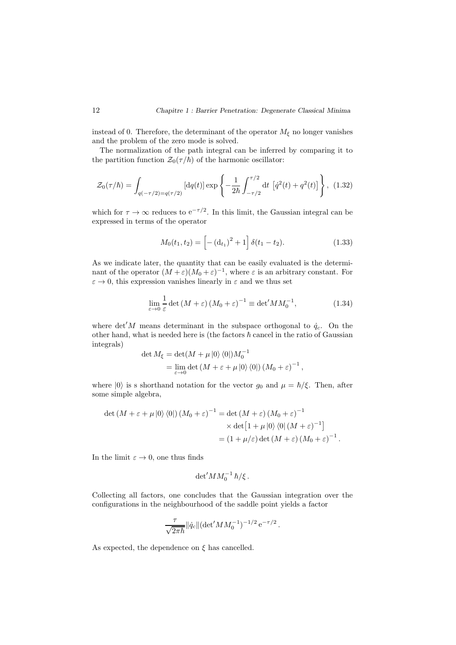instead of 0. Therefore, the determinant of the operator  $M_{\xi}$  no longer vanishes and the problem of the zero mode is solved.

The normalization of the path integral can be inferred by comparing it to the partition function  $\mathcal{Z}_0(\tau/\hbar)$  of the harmonic oscillator:

$$
\mathcal{Z}_0(\tau/\hbar) = \int_{q(-\tau/2) = q(\tau/2)} \left[ dq(t) \right] \exp \left\{ -\frac{1}{2\hbar} \int_{-\tau/2}^{\tau/2} dt \left[ \dot{q}^2(t) + q^2(t) \right] \right\}, (1.32)
$$

which for  $\tau \to \infty$  reduces to  $e^{-\tau/2}$ . In this limit, the Gaussian integral can be expressed in terms of the operator

$$
M_0(t_1, t_2) = \left[ -(\mathbf{d}_{t_1})^2 + 1 \right] \delta(t_1 - t_2). \tag{1.33}
$$

As we indicate later, the quantity that can be easily evaluated is the determinant of the operator  $(M + \varepsilon)(M_0 + \varepsilon)^{-1}$ , where  $\varepsilon$  is an arbitrary constant. For  $\varepsilon \to 0$ , this expression vanishes linearly in  $\varepsilon$  and we thus set

$$
\lim_{\varepsilon \to 0} \frac{1}{\varepsilon} \det \left( M + \varepsilon \right) \left( M_0 + \varepsilon \right)^{-1} \equiv \det' M M_0^{-1},\tag{1.34}
$$

where det'M means determinant in the subspace orthogonal to  $\dot{q}_c$ . On the other hand, what is needed here is (the factors  $\hbar$  cancel in the ratio of Gaussian integrals)

$$
\det M_{\xi} = \det(M + \mu |0\rangle \langle 0|) M_0^{-1}
$$
  
= 
$$
\lim_{\varepsilon \to 0} \det(M + \varepsilon + \mu |0\rangle \langle 0|) (M_0 + \varepsilon)^{-1},
$$

where  $|0\rangle$  is s shorthand notation for the vector  $g_0$  and  $\mu = \hbar/\xi$ . Then, after some simple algebra,

$$
\det (M + \varepsilon + \mu |0\rangle \langle 0|) (M_0 + \varepsilon)^{-1} = \det (M + \varepsilon) (M_0 + \varepsilon)^{-1}
$$

$$
\times \det [1 + \mu |0\rangle \langle 0| (M + \varepsilon)^{-1}]
$$

$$
= (1 + \mu/\varepsilon) \det (M + \varepsilon) (M_0 + \varepsilon)^{-1}.
$$

In the limit  $\varepsilon \to 0$ , one thus finds

$$
\det^\prime\!M M_0^{-1}\,\hbar/\xi\,.
$$

Collecting all factors, one concludes that the Gaussian integration over the configurations in the neighbourhood of the saddle point yields a factor

$$
\frac{\tau}{\sqrt{2\pi\hbar}}\|\dot{q}_c\| (\det'MM_0^{-1})^{-1/2} e^{-\tau/2}.
$$

As expected, the dependence on  $\xi$  has cancelled.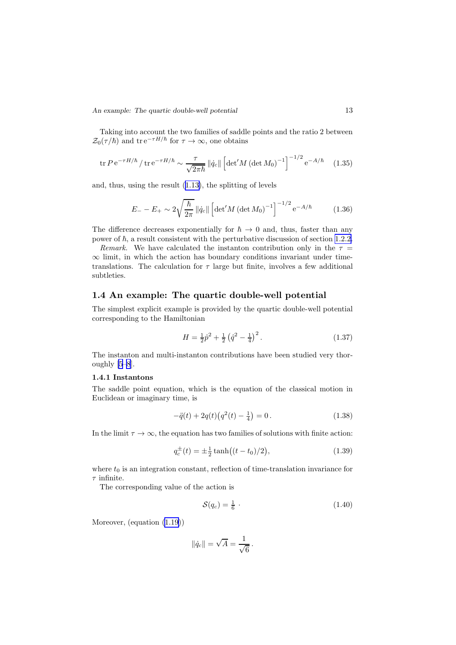<span id="page-14-0"></span>Taking into account the two families of saddle points and the ratio 2 between  $\mathcal{Z}_0(\tau/\hbar)$  and tre<sup>- $\tau H/\hbar$ </sup> for  $\tau \to \infty$ , one obtains

$$
\text{tr}\,P\,\text{e}^{-\tau H/\hbar}\,/\,\text{tr}\,\text{e}^{-\tau H/\hbar}\sim\frac{\tau}{\sqrt{2\pi\hbar}}\,\|\dot{q}_c\|\left[\det'M\,(\det M_0)^{-1}\right]^{-1/2}\,\text{e}^{-A/\hbar}\tag{1.35}
$$

and, thus, using the result (1.[13\)](#page-7-0), the splitting of levels

$$
E_{-} - E_{+} \sim 2\sqrt{\frac{\hbar}{2\pi}} ||\dot{q}_{c}|| \left[ \det' M \left( \det M_{0} \right)^{-1} \right]^{-1/2} e^{-A/\hbar}
$$
 (1.36)

The difference decreases exponentially for  $\hbar \rightarrow 0$  and, thus, faster than any power of  $\hbar$ , a result consistent with the perturbative discussion of section [1.2.2.](#page-6-0)

Remark. We have calculated the instanton contribution only in the  $\tau =$  $\infty$  limit, in which the action has boundary conditions invariant under timetranslations. The calculation for  $\tau$  large but finite, involves a few additional subtleties.

## 1.4 An example: The quartic double-well potential

The simplest explicit example is provided by the quartic double-well potential corresponding to the Hamiltonian

$$
H = \frac{1}{2}\hat{p}^2 + \frac{1}{2}\left(\hat{q}^2 - \frac{1}{4}\right)^2.
$$
 (1.37)

The instanton and multi-instanton contributions have been studied very thoroughly [\[5–8](#page-110-0)].

#### 1.4.1 Instantons

The saddle point equation, which is the equation of the classical motion in Euclidean or imaginary time, is

$$
-\ddot{q}(t) + 2q(t)\left(q^2(t) - \frac{1}{4}\right) = 0.
$$
\n(1.38)

In the limit  $\tau \to \infty$ , the equation has two families of solutions with finite action:

$$
q_c^{\pm}(t) = \pm \frac{1}{2} \tanh\bigl((t - t_0)/2\bigr),\tag{1.39}
$$

where  $t_0$  is an integration constant, reflection of time-translation invariance for  $\tau$  infinite.

The corresponding value of the action is

$$
\mathcal{S}(q_c) = \frac{1}{6} \tag{1.40}
$$

Moreover, (equation (1.[19\)](#page-8-0))

$$
\|\dot{q}_c\| = \sqrt{A} = \frac{1}{\sqrt{6}}.
$$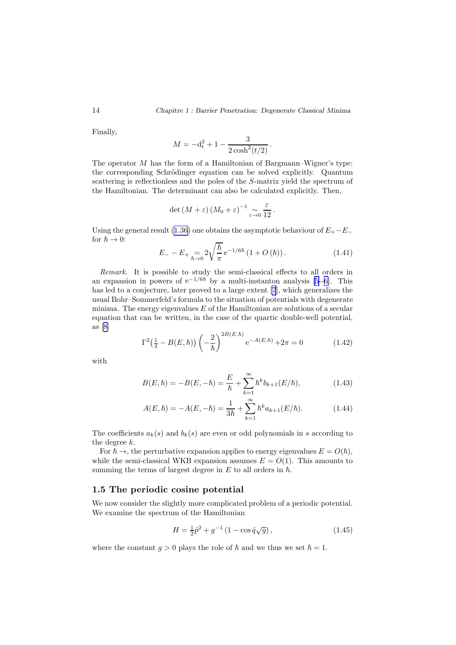<span id="page-15-0"></span>Finally,

$$
M = -\mathrm{d}_{t}^{2} + 1 - \frac{3}{2\cosh^{2}(t/2)}.
$$

The operator M has the form of a Hamiltonian of Bargmann–Wigner's type: the corresponding Schrödinger equation can be solved explicitly. Quantum scattering is reflectionless and the poles of the S-matrix yield the spectrum of the Hamiltonian. The determinant can also be calculated explicitly. Then,

$$
\det\left(M+\varepsilon\right)\left(M_0+\varepsilon\right)^{-1}\underset{\varepsilon\to 0}{\sim}\frac{\varepsilon}{12}.
$$

Using the general result (1.[36\)](#page-14-0) one obtains the asymptotic behaviour of  $E_{+}$ − $E_{-}$ for  $\hbar \to 0$ :

$$
E_{-} - E_{+} = 2\sqrt{\frac{\hbar}{\pi}} e^{-1/6\hbar} (1 + O(\hbar)). \qquad (1.41)
$$

Remark. It is possible to study the semi-classical effects to all orders in anexpansion in powers of  $e^{-1/6\hbar}$  by a multi-instanton analysis [[5](#page-110-0)--[6\]](#page-110-0). This has led to a conjecture, later proved to a large extent [\[7](#page-110-0)], which generalizes the usual Bohr–Sommerfeld's formula to the situation of potentials with degenerate minima. The energy eigenvalues  $E$  of the Hamiltonian are solutions of a secular equation that can be written, in the case of the quartic double-well potential, as [\[8](#page-110-0)]

$$
\Gamma^{2}(\frac{1}{2} - B(E,\hbar)) \left( -\frac{2}{\hbar} \right)^{2B(E,\hbar)} e^{-A(E,\hbar)} + 2\pi = 0 \qquad (1.42)
$$

with

$$
B(E,\hbar) = -B(E,-\hbar) = \frac{E}{\hbar} + \sum_{k=1}^{\infty} \hbar^k b_{k+1}(E/\hbar), \qquad (1.43)
$$

$$
A(E,\hbar) = -A(E,-\hbar) = \frac{1}{3\hbar} + \sum_{k=1}^{\infty} \hbar^k a_{k+1}(E/\hbar).
$$
 (1.44)

The coefficients  $a_k(s)$  and  $b_k(s)$  are even or odd polynomials in s according to the degree k.

For  $\hbar \rightarrow$ , the perturbative expansion applies to energy eigenvalues  $E = O(\hbar)$ . while the semi-classical WKB expansion assumes  $E = O(1)$ . This amounts to summing the terms of largest degree in  $E$  to all orders in  $\hbar$ .

### 1.5 The periodic cosine potential

We now consider the slightly more complicated problem of a periodic potential. We examine the spectrum of the Hamiltonian

$$
H = \frac{1}{2}\hat{p}^2 + g^{-1}\left(1 - \cos\hat{q}\sqrt{g}\right),\tag{1.45}
$$

where the constant  $q > 0$  plays the role of  $\hbar$  and we thus we set  $\hbar = 1$ .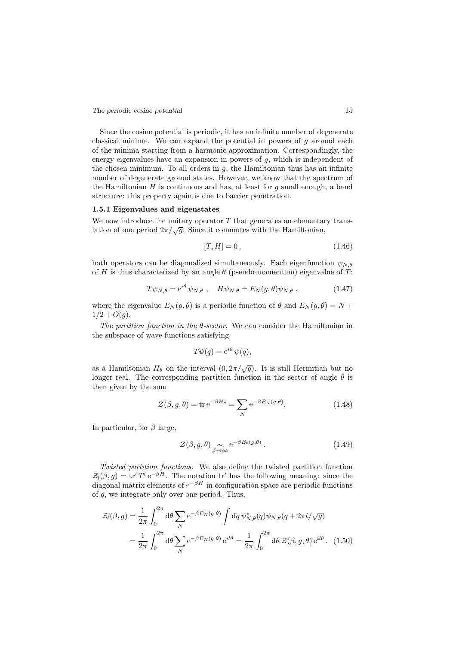Since the cosine potential is periodic, it has an infinite number of degenerate classical minima. We can expand the potential in powers of  $g$  around each of the minima starting from a harmonic approximation. Correspondingly, the energy eigenvalues have an expansion in powers of  $g$ , which is independent of the chosen minimum. To all orders in  $g$ , the Hamiltonian thus has an infinite number of degenerate ground states. However, we know that the spectrum of the Hamiltonian  $H$  is continuous and has, at least for  $g$  small enough, a band structure: this property again is due to barrier penetration.

#### 1.5.1 Eigenvalues and eigenstates

We now introduce the unitary operator  $T$  that generates an elementary translation of one period  $2\pi/\sqrt{g}$ . Since it commutes with the Hamiltonian,

$$
[T, H] = 0, \t(1.46)
$$

both operators can be diagonalized simultaneously. Each eigenfunction  $\psi_{N,\theta}$ of H is thus characterized by an angle  $\theta$  (pseudo-momentum) eigenvalue of T:

$$
T\psi_{N,\theta} = e^{i\theta} \psi_{N,\theta} , \quad H\psi_{N,\theta} = E_N(g,\theta)\psi_{N,\theta} , \qquad (1.47)
$$

where the eigenvalue  $E_N(g, \theta)$  is a periodic function of  $\theta$  and  $E_N(g, \theta) = N +$  $1/2 + O(g)$ .

The partition function in the  $\theta$ -sector. We can consider the Hamiltonian in the subspace of wave functions satisfying

$$
T\psi(q) = e^{i\theta} \psi(q),
$$

as a Hamiltonian  $H_{\theta}$  on the interval  $(0, 2\pi/\sqrt{g})$ . It is still Hermitian but no longer real. The corresponding partition function in the sector of angle  $\theta$  is then given by the sum

$$
\mathcal{Z}(\beta, g, \theta) = \text{tr} \, \mathrm{e}^{-\beta H_{\theta}} = \sum_{N} \mathrm{e}^{-\beta E_{N}(g, \theta)},\tag{1.48}
$$

In particular, for  $\beta$  large,

$$
\mathcal{Z}(\beta, g, \theta) \underset{\beta \to \infty}{\sim} e^{-\beta E_0(g, \theta)}.
$$
 (1.49)

Twisted partition functions. We also define the twisted partition function  $\mathcal{Z}_l(\beta, g) = \text{tr}' T^l e^{-\beta H}$ . The notation  $\text{tr}'$  has the following meaning: since the diagonal matrix elements of  $e^{-\beta H}$  in configuration space are periodic functions of q, we integrate only over one period. Thus,

$$
\mathcal{Z}_l(\beta, g) = \frac{1}{2\pi} \int_0^{2\pi} d\theta \sum_N e^{-\beta E_N(g, \theta)} \int dq \, \psi_{N, \theta}^*(q) \psi_{N, \theta}(q + 2\pi l/\sqrt{g})
$$

$$
= \frac{1}{2\pi} \int_0^{2\pi} d\theta \sum_N e^{-\beta E_N(g, \theta)} e^{il\theta} = \frac{1}{2\pi} \int_0^{2\pi} d\theta \, \mathcal{Z}(\beta, g, \theta) e^{il\theta}. \tag{1.50}
$$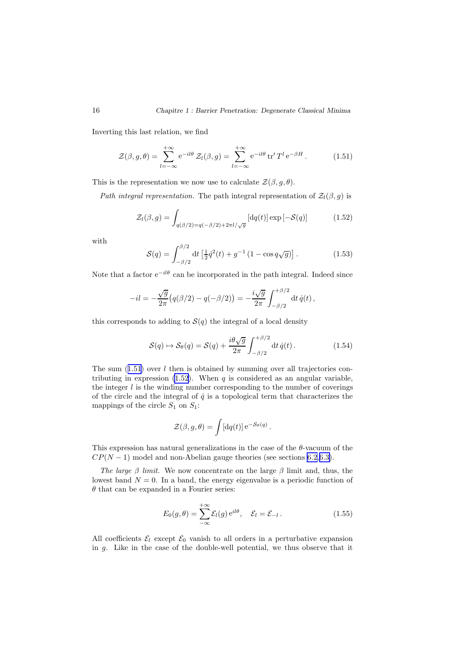<span id="page-17-0"></span>Inverting this last relation, we find

$$
\mathcal{Z}(\beta, g, \theta) = \sum_{l=-\infty}^{+\infty} e^{-il\theta} \mathcal{Z}_l(\beta, g) = \sum_{l=-\infty}^{+\infty} e^{-il\theta} \operatorname{tr}' T^l e^{-\beta H}.
$$
 (1.51)

This is the representation we now use to calculate  $\mathcal{Z}(\beta, g, \theta)$ .

Path integral representation. The path integral representation of  $\mathcal{Z}_l(\beta, g)$  is

$$
\mathcal{Z}_l(\beta, g) = \int_{q(\beta/2) = q(-\beta/2) + 2\pi l/\sqrt{g}} \left[ \mathrm{d}q(t) \right] \exp\left[ -\mathcal{S}(q) \right] \tag{1.52}
$$

with

$$
S(q) = \int_{-\beta/2}^{\beta/2} dt \left[ \frac{1}{2} \dot{q}^2(t) + g^{-1} \left( 1 - \cos q \sqrt{g} \right) \right]. \tag{1.53}
$$

Note that a factor  $e^{-il\theta}$  can be incorporated in the path integral. Indeed since

$$
-il = -\frac{\sqrt{g}}{2\pi} \big( q(\beta/2) - q(-\beta/2) \big) = -\frac{i\sqrt{g}}{2\pi} \int_{-\beta/2}^{+\beta/2} \mathrm{d}t \, \dot{q}(t) \, ,
$$

this corresponds to adding to  $S(q)$  the integral of a local density

$$
S(q) \mapsto S_{\theta}(q) = S(q) + \frac{i\theta\sqrt{g}}{2\pi} \int_{-\beta/2}^{+\beta/2} dt \, \dot{q}(t) \,. \tag{1.54}
$$

The sum  $(1.51)$  over l then is obtained by summing over all trajectories contributing in expression  $(1.52)$ . When q is considered as an angular variable, the integer  $l$  is the winding number corresponding to the number of coverings of the circle and the integral of  $\dot{q}$  is a topological term that characterizes the mappings of the circle  $S_1$  on  $S_1$ :

$$
\mathcal{Z}(\beta, g, \theta) = \int [\mathrm{d}q(t)] \,\mathrm{e}^{-\mathcal{S}_{\theta}(q)}.
$$

This expression has natural generalizations in the case of the  $\theta$ -vacuum of the  $CP(N-1)$  model and non-Abelian gauge theories (see sections [6.2,](#page-74-0)[6.3\)](#page-79-0).

The large  $\beta$  limit. We now concentrate on the large  $\beta$  limit and, thus, the lowest band  $N = 0$ . In a band, the energy eigenvalue is a periodic function of  $\theta$  that can be expanded in a Fourier series:

$$
E_0(g,\theta) = \sum_{-\infty}^{+\infty} \mathcal{E}_l(g) e^{il\theta}, \quad \mathcal{E}_l = \mathcal{E}_{-l}.
$$
 (1.55)

All coefficients  $\mathcal{E}_l$  except  $\mathcal{E}_0$  vanish to all orders in a perturbative expansion in g. Like in the case of the double-well potential, we thus observe that it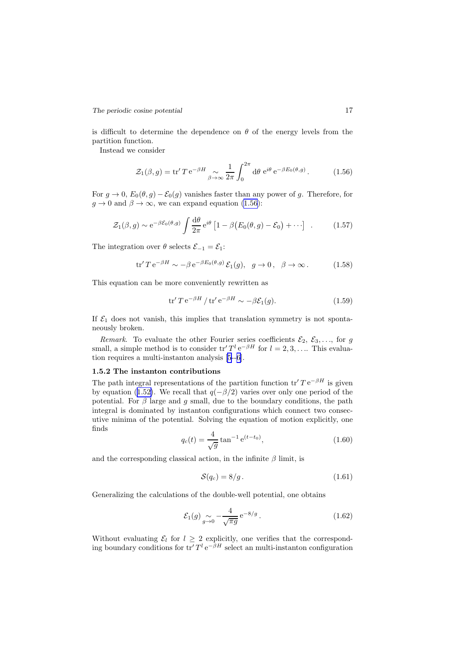is difficult to determine the dependence on  $\theta$  of the energy levels from the partition function.

Instead we consider

$$
\mathcal{Z}_1(\beta, g) = \text{tr}' \, T \, \text{e}^{-\beta H} \underset{\beta \to \infty}{\sim} \frac{1}{2\pi} \int_0^{2\pi} \text{d}\theta \, \text{e}^{i\theta} \, \text{e}^{-\beta E_0(\theta, g)} \,. \tag{1.56}
$$

For  $g \to 0$ ,  $E_0(\theta, g) - \mathcal{E}_0(g)$  vanishes faster than any power of g. Therefore, for  $g \to 0$  and  $\beta \to \infty$ , we can expand equation (1.56):

$$
\mathcal{Z}_1(\beta, g) \sim e^{-\beta \mathcal{E}_0(\theta, g)} \int \frac{d\theta}{2\pi} e^{i\theta} \left[ 1 - \beta \big( E_0(\theta, g) - \mathcal{E}_0 \big) + \cdots \right] \quad . \tag{1.57}
$$

The integration over  $\theta$  selects  $\mathcal{E}_{-1} = \mathcal{E}_1$ :

$$
\text{tr}' \, T \, \text{e}^{-\beta H} \sim -\beta \, \text{e}^{-\beta E_0(\theta, g)} \, \mathcal{E}_1(g), \quad g \to 0 \,, \quad \beta \to \infty \,. \tag{1.58}
$$

This equation can be more conveniently rewritten as

$$
\text{tr}' \, T \, \text{e}^{-\beta H} / \, \text{tr}' \, \text{e}^{-\beta H} \sim -\beta \mathcal{E}_1(g). \tag{1.59}
$$

If  $\mathcal{E}_1$  does not vanish, this implies that translation symmetry is not spontaneously broken.

Remark. To evaluate the other Fourier series coefficients  $\mathcal{E}_2, \mathcal{E}_3, \ldots$ , for g small, a simple method is to consider  $\mathrm{tr}' T^l e^{-\beta H}$  for  $l = 2, 3, \ldots$  This evaluation requires a multi-instanton analysis[[5](#page-110-0)--[6\]](#page-110-0).

#### 1.5.2 The instanton contributions

The path integral representations of the partition function  $\operatorname{tr}' T e^{-\beta H}$  is given by equation (1.[52\)](#page-17-0). We recall that  $q(-\beta/2)$  varies over only one period of the potential. For  $\beta$  large and g small, due to the boundary conditions, the path integral is dominated by instanton configurations which connect two consecutive minima of the potential. Solving the equation of motion explicitly, one finds

$$
q_c(t) = \frac{4}{\sqrt{g}} \tan^{-1} e^{(t - t_0)},
$$
\n(1.60)

and the corresponding classical action, in the infinite  $\beta$  limit, is

$$
\mathcal{S}(q_c) = 8/g. \tag{1.61}
$$

Generalizing the calculations of the double-well potential, one obtains

$$
\mathcal{E}_1(g) \underset{g \to 0}{\sim} -\frac{4}{\sqrt{\pi g}} e^{-8/g} . \tag{1.62}
$$

Without evaluating  $\mathcal{E}_l$  for  $l \geq 2$  explicitly, one verifies that the corresponding boundary conditions for  $\operatorname{tr}' T^l e^{-\beta H}$  select an multi-instanton configuration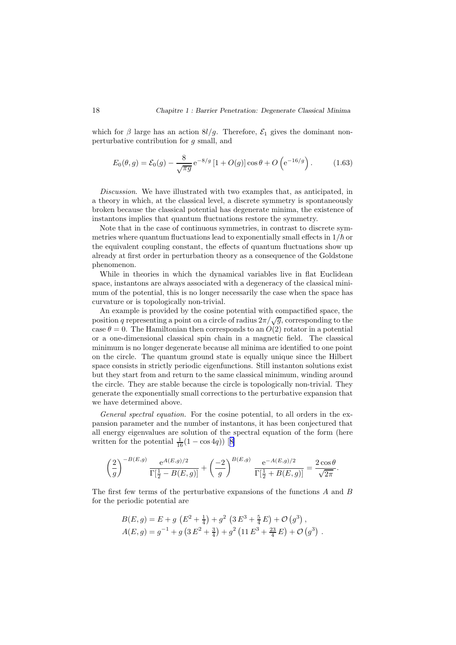which for  $\beta$  large has an action  $8l/g$ . Therefore,  $\mathcal{E}_1$  gives the dominant nonperturbative contribution for g small, and

$$
E_0(\theta, g) = \mathcal{E}_0(g) - \frac{8}{\sqrt{\pi g}} e^{-8/g} \left[ 1 + O(g) \right] \cos \theta + O\left(e^{-16/g}\right). \tag{1.63}
$$

Discussion. We have illustrated with two examples that, as anticipated, in a theory in which, at the classical level, a discrete symmetry is spontaneously broken because the classical potential has degenerate minima, the existence of instantons implies that quantum fluctuations restore the symmetry.

Note that in the case of continuous symmetries, in contrast to discrete symmetries where quantum fluctuations lead to exponentially small effects in  $1/\hbar$  or the equivalent coupling constant, the effects of quantum fluctuations show up already at first order in perturbation theory as a consequence of the Goldstone phenomenon.

While in theories in which the dynamical variables live in flat Euclidean space, instantons are always associated with a degeneracy of the classical minimum of the potential, this is no longer necessarily the case when the space has curvature or is topologically non-trivial.

An example is provided by the cosine potential with compactified space, the position q representing a point on a circle of radius  $2\pi/\sqrt{g}$ , corresponding to the case  $\theta = 0$ . The Hamiltonian then corresponds to an  $O(2)$  rotator in a potential or a one-dimensional classical spin chain in a magnetic field. The classical minimum is no longer degenerate because all minima are identified to one point on the circle. The quantum ground state is equally unique since the Hilbert space consists in strictly periodic eigenfunctions. Still instanton solutions exist but they start from and return to the same classical minimum, winding around the circle. They are stable because the circle is topologically non-trivial. They generate the exponentially small corrections to the perturbative expansion that we have determined above.

General spectral equation. For the cosine potential, to all orders in the expansion parameter and the number of instantons, it has been conjectured that all energy eigenvalues are solution of the spectral equation of the form (here writtenfor the potential  $\frac{1}{16}(1 - \cos 4q)$  [[8\]](#page-110-0)

$$
\left(\frac{2}{g}\right)^{-B(E,g)} \frac{e^{A(E,g)/2}}{\Gamma[\frac{1}{2} - B(E,g)]} + \left(\frac{-2}{g}\right)^{B(E,g)} \frac{e^{-A(E,g)/2}}{\Gamma[\frac{1}{2} + B(E,g)]} = \frac{2\cos\theta}{\sqrt{2\pi}}.
$$

The first few terms of the perturbative expansions of the functions A and B for the periodic potential are

$$
B(E,g) = E + g \left( E^2 + \frac{1}{4} \right) + g^2 \left( 3 E^3 + \frac{5}{4} E \right) + \mathcal{O} \left( g^3 \right),
$$
  
 
$$
A(E,g) = g^{-1} + g \left( 3 E^2 + \frac{3}{4} \right) + g^2 \left( 11 E^3 + \frac{23}{4} E \right) + \mathcal{O} \left( g^3 \right).
$$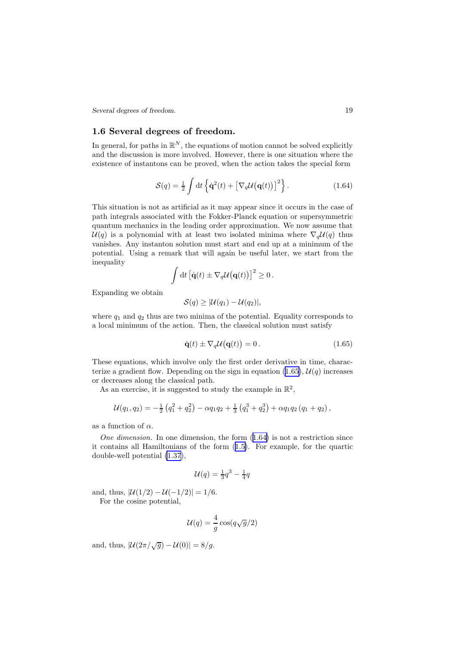<span id="page-20-0"></span>*Several degrees of freedom.* 19

## 1.6 Several degrees of freedom.

 $\cdot$ 

In general, for paths in  $\mathbb{R}^N$ , the equations of motion cannot be solved explicitly and the discussion is more involved. However, there is one situation where the existence of instantons can be proved, when the action takes the special form

$$
S(q) = \frac{1}{2} \int dt \left\{ \dot{\mathbf{q}}^2(t) + \left[ \nabla_q \mathcal{U}(\mathbf{q}(t)) \right]^2 \right\}.
$$
 (1.64)

This situation is not as artificial as it may appear since it occurs in the case of path integrals associated with the Fokker-Planck equation or supersymmetric quantum mechanics in the leading order approximation. We now assume that  $U(q)$  is a polynomial with at least two isolated minima where  $\nabla_q U(q)$  thus vanishes. Any instanton solution must start and end up at a minimum of the potential. Using a remark that will again be useful later, we start from the inequality

$$
\int dt \left[\dot{\mathbf{q}}(t) \pm \nabla_q \mathcal{U}(\mathbf{q}(t))\right]^2 \geq 0.
$$

Expanding we obtain

$$
\mathcal{S}(q) \geq |\mathcal{U}(q_1) - \mathcal{U}(q_2)|,
$$

where  $q_1$  and  $q_2$  thus are two minima of the potential. Equality corresponds to a local minimum of the action. Then, the classical solution must satisfy

$$
\dot{\mathbf{q}}(t) \pm \nabla_q \mathcal{U}(\mathbf{q}(t)) = 0. \qquad (1.65)
$$

These equations, which involve only the first order derivative in time, characterize a gradient flow. Depending on the sign in equation  $(1.65)$ ,  $\mathcal{U}(q)$  increases or decreases along the classical path.

As an exercise, it is suggested to study the example in  $\mathbb{R}^2$ ,

$$
\mathcal{U}(q_1,q_2) = -\frac{1}{2} \left( q_1^2 + q_2^2 \right) - \alpha q_1 q_2 + \frac{1}{3} \left( q_1^3 + q_2^3 \right) + \alpha q_1 q_2 \left( q_1 + q_2 \right),
$$

as a function of  $\alpha$ .

One dimension. In one dimension, the form  $(1.64)$  is not a restriction since it contains all Hamiltonians of the form (1.[5\)](#page-5-0). For example, for the quartic double-well potential (1.[37](#page-14-0)),

$$
\mathcal{U}(q) = \frac{1}{3}q^3 - \frac{1}{4}q
$$

and, thus,  $|\mathcal{U}(1/2) - \mathcal{U}(-1/2)| = 1/6$ . For the cosine potential,

$$
\mathcal{U}(q) = \frac{4}{g}\cos(q\sqrt{g}/2)
$$

and, thus,  $|\mathcal{U}(2\pi/\sqrt{g}) - \mathcal{U}(0)| = 8/g$ .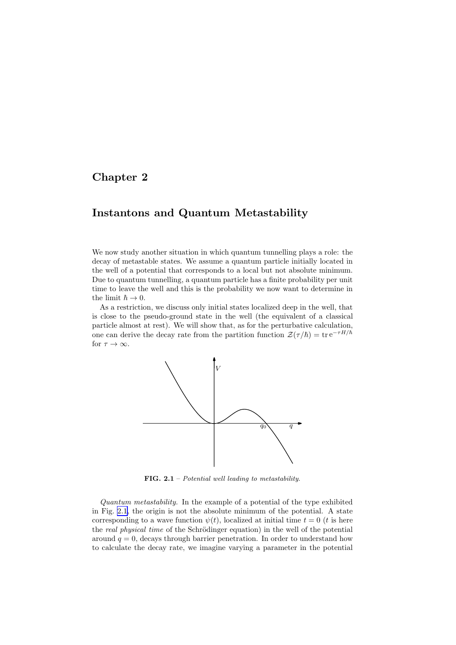## <span id="page-21-0"></span>Chapter 2

## Instantons and Quantum Metastability

We now study another situation in which quantum tunnelling plays a role: the decay of metastable states. We assume a quantum particle initially located in the well of a potential that corresponds to a local but not absolute minimum. Due to quantum tunnelling, a quantum particle has a finite probability per unit time to leave the well and this is the probability we now want to determine in the limit  $\hbar \to 0$ .

As a restriction, we discuss only initial states localized deep in the well, that is close to the pseudo-ground state in the well (the equivalent of a classical particle almost at rest). We will show that, as for the perturbative calculation, one can derive the decay rate from the partition function  $\mathcal{Z}(\tau/\hbar) = \text{tr} e^{-\tau H/\hbar}$ for  $\tau \to \infty$ .



FIG.  $2.1$  – Potential well leading to metastability.

Quantum metastability. In the example of a potential of the type exhibited in Fig. 2.1, the origin is not the absolute minimum of the potential. A state corresponding to a wave function  $\psi(t)$ , localized at initial time  $t = 0$  (t is here the real physical time of the Schrödinger equation) in the well of the potential around  $q = 0$ , decays through barrier penetration. In order to understand how to calculate the decay rate, we imagine varying a parameter in the potential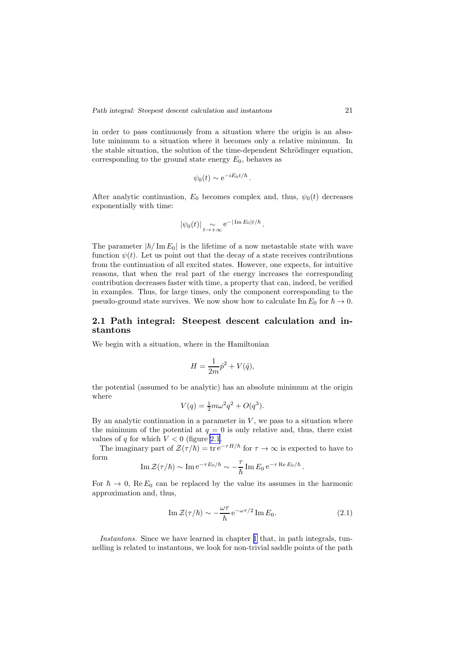<span id="page-22-0"></span>in order to pass continuously from a situation where the origin is an absolute minimum to a situation where it becomes only a relative minimum. In the stable situation, the solution of the time-dependent Schrödinger equation, corresponding to the ground state energy  $E_0$ , behaves as

$$
\psi_0(t) \sim e^{-iE_0t/\hbar}.
$$

After analytic continuation,  $E_0$  becomes complex and, thus,  $\psi_0(t)$  decreases exponentially with time:

$$
|\psi_0(t)| \underset{t \to +\infty}{\sim} e^{-|\operatorname{Im} E_0|t/\hbar}
$$
.

The parameter  $|\hbar / \text{Im} E_0|$  is the lifetime of a now metastable state with wave function  $\psi(t)$ . Let us point out that the decay of a state receives contributions from the continuation of all excited states. However, one expects, for intuitive reasons, that when the real part of the energy increases the corresponding contribution decreases faster with time, a property that can, indeed, be verified in examples. Thus, for large times, only the component corresponding to the pseudo-ground state survives. We now show how to calculate Im  $E_0$  for  $\hbar \to 0$ .

## 2.1 Path integral: Steepest descent calculation and instantons

We begin with a situation, where in the Hamiltonian

$$
H = \frac{1}{2m}\hat{p}^2 + V(\hat{q}),
$$

the potential (assumed to be analytic) has an absolute minimum at the origin where

$$
V(q) = \frac{1}{2}m\omega^2 q^2 + O(q^3).
$$

By an analytic continuation in a parameter in  $V$ , we pass to a situation where the minimum of the potential at  $q = 0$  is only relative and, thus, there exist values of  $q$  for which  $V < 0$  (figure [2.1](#page-21-0).

The imaginary part of  $\mathcal{Z}(\tau/\hbar) = \text{tr} e^{-\tau H/\hbar}$  for  $\tau \to \infty$  is expected to have to form

Im 
$$
\mathcal{Z}(\tau/\hbar) \sim \text{Im} \, e^{-\tau E_0/\hbar} \sim -\frac{\tau}{\hbar} \text{Im} \, E_0 \, e^{-\tau \text{Re} E_0/\hbar}
$$
.

For  $\hbar \to 0$ , Re  $E_0$  can be replaced by the value its assumes in the harmonic approximation and, thus,

Im 
$$
\mathcal{Z}(\tau/\hbar) \sim -\frac{\omega \tau}{\hbar} e^{-\omega \tau/2} \text{Im} E_0.
$$
 (2.1)

Instantons. Since we have learned in chapter [1](#page-2-0) that, in path integrals, tunnelling is related to instantons, we look for non-trivial saddle points of the path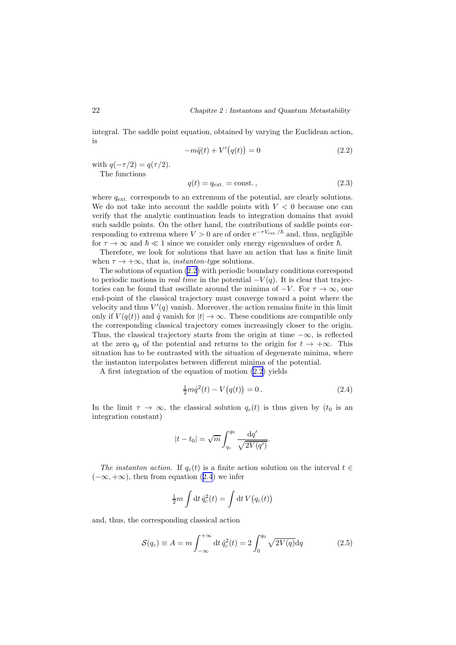<span id="page-23-0"></span>integral. The saddle point equation, obtained by varying the Euclidean action, is

$$
-m\ddot{q}(t) + V'(q(t)) = 0 \t\t(2.2)
$$

with  $q(-\tau/2) = q(\tau/2)$ .

The functions

$$
q(t) = q_{\text{ext.}} = \text{const.},\tag{2.3}
$$

where  $q_{\text{ext}}$  corresponds to an extremum of the potential, are clearly solutions. We do not take into account the saddle points with  $V < 0$  because one can verify that the analytic continuation leads to integration domains that avoid such saddle points. On the other hand, the contributions of saddle points corresponding to extrema where  $V > 0$  are of order  $e^{-\tau V_{\text{ext.}}/\hbar}$  and, thus, negligible for  $\tau \to \infty$  and  $\hbar \ll 1$  since we consider only energy eigenvalues of order  $\hbar$ .

Therefore, we look for solutions that have an action that has a finite limit when  $\tau \to +\infty$ , that is, *instanton-type* solutions.

The solutions of equation (2.2) with periodic boundary conditions correspond to periodic motions in *real time* in the potential  $-V(q)$ . It is clear that trajectories can be found that oscillate around the minima of  $-V$ . For  $\tau \to \infty$ , one end-point of the classical trajectory must converge toward a point where the velocity and thus  $V'(q)$  vanish. Moreover, the action remains finite in this limit only if  $V(q(t))$  and  $\dot{q}$  vanish for  $|t| \to \infty$ . These conditions are compatible only the corresponding classical trajectory comes increasingly closer to the origin. Thus, the classical trajectory starts from the origin at time  $-\infty$ , is reflected at the zero  $q_0$  of the potential and returns to the origin for  $t \to +\infty$ . This situation has to be contrasted with the situation of degenerate minima, where the instanton interpolates between different minima of the potential.

A first integration of the equation of motion (2.2) yields

$$
\frac{1}{2}m\dot{q}^{2}(t) - V(q(t)) = 0.
$$
\n(2.4)

In the limit  $\tau \to \infty$ , the classical solution  $q_c(t)$  is thus given by  $(t_0$  is an integration constant)

$$
|t - t_0| = \sqrt{m} \int_{q_c}^{q_0} \frac{\mathrm{d}q'}{\sqrt{2V(q')}}.
$$

The instanton action. If  $q_c(t)$  is a finite action solution on the interval  $t \in$  $(-\infty, +\infty)$ , then from equation (2.4) we infer

$$
\frac{1}{2}m \int dt \, \dot{q}_c^2(t) = \int dt \, V(q_c(t))
$$

and, thus, the corresponding classical action

$$
\mathcal{S}(q_c) \equiv A = m \int_{-\infty}^{+\infty} dt \, \dot{q}_c^2(t) = 2 \int_0^{q_0} \sqrt{2V(q)} dq \qquad (2.5)
$$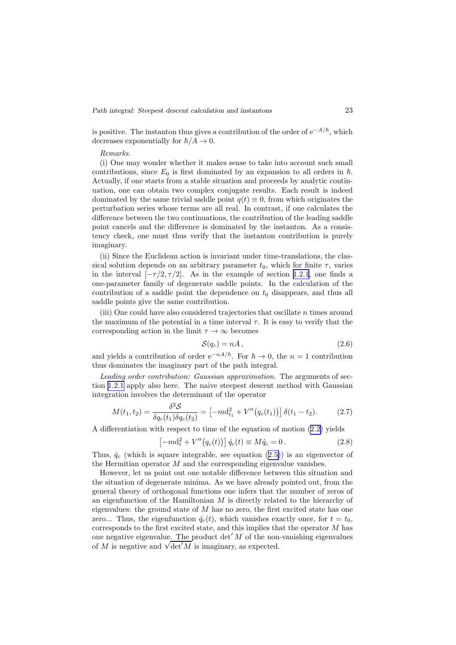*Path integral: Steepest descent calculation and instantons* 23

is positive. The instanton thus gives a contribution of the order of  $e^{-A/\hbar}$ , which decreases exponentially for  $\hbar/A \rightarrow 0$ .

#### Remarks.

(i) One may wonder whether it makes sense to take into account such small contributions, since  $E_0$  is first dominated by an expansion to all orders in  $\hbar$ . Actually, if one starts from a stable situation and proceeds by analytic continuation, one can obtain two complex conjugate results. Each result is indeed dominated by the same trivial saddle point  $q(t) \equiv 0$ , from which originates the perturbation series whose terms are all real. In contrast, if one calculates the difference between the two continuations, the contribution of the leading saddle point cancels and the difference is dominated by the instanton. As a consistency check, one must thus verify that the instanton contribution is purely imaginary.

(ii) Since the Euclidean action is invariant under time-translations, the classical solution depends on an arbitrary parameter  $t_0$ , which for finite  $\tau$ , varies in the interval  $[-\tau/2, \tau/2]$ . As in the example of section [1.2.1](#page-5-0), one finds a one-parameter family of degenerate saddle points. In the calculation of the contribution of a saddle point the dependence on  $t_0$  disappears, and thus all saddle points give the same contribution.

(iii) One could have also considered trajectories that oscillate  $n$  times around the maximum of the potential in a time interval  $\tau$ . It is easy to verify that the corresponding action in the limit  $\tau \to \infty$  becomes

$$
S(q_c) = nA, \t\t(2.6)
$$

and yields a contribution of order  $e^{-nA/\hbar}$ . For  $\hbar \to 0$ , the  $n = 1$  contribution thus dominates the imaginary part of the path integral.

Leading order contribution: Gaussian approximation. The arguments of section [1.2.1](#page-5-0) apply also here. The naive steepest descent method with Gaussian integration involves the determinant of the operator

$$
M(t_1, t_2) = \frac{\delta^2 \mathcal{S}}{\delta q_c(t_1) \delta q_c(t_2)} = \left[ -m \mathrm{d}_{t_1}^2 + V''(q_c(t_1)) \right] \delta(t_1 - t_2). \tag{2.7}
$$

A differentiation with respect to time of the equation of motion (2.[2\)](#page-23-0) yields

$$
[-md_t^2 + V''(q_c(t))] \dot{q}_c(t) \equiv M \dot{q}_c = 0.
$$
 (2.8)

Thus,  $\dot{q}_c$  (which is square integrable, see equation (2.[5\)](#page-23-0)) is an eigenvector of the Hermitian operator  $M$  and the corresponding eigenvalue vanishes.

However, let us point out one notable difference between this situation and the situation of degenerate minima. As we have already pointed out, from the general theory of orthogonal functions one infers that the number of zeros of an eigenfunction of the Hamiltonian  $M$  is directly related to the hierarchy of eigenvalues: the ground state of  $M$  has no zero, the first excited state has one zero... Thus, the eigenfunction  $\dot{q}_c(t)$ , which vanishes exactly once, for  $t = t_0$ , corresponds to the first excited state, and this implies that the operator M has one negative eigenvalue. The product det  $'M$  of the non-vanishing eigenvalues of M is negative and  $\sqrt{\det M}$  is imaginary, as expected.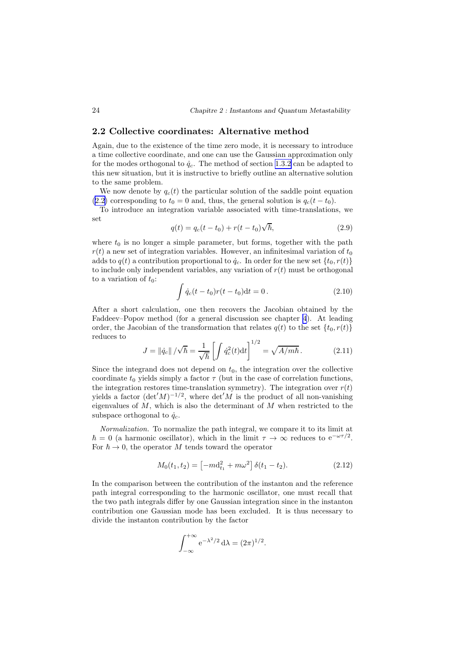### <span id="page-25-0"></span>2.2 Collective coordinates: Alternative method

Again, due to the existence of the time zero mode, it is necessary to introduce a time collective coordinate, and one can use the Gaussian approximation only for the modes orthogonal to  $\dot{q}_c$ . The method of section [1.3.2](#page-11-0) can be adapted to this new situation, but it is instructive to briefly outline an alternative solution to the same problem.

We now denote by  $q_c(t)$  the particular solution of the saddle point equation (2.[2\)](#page-23-0) corresponding to  $t_0 = 0$  and, thus, the general solution is  $q_c(t - t_0)$ .

To introduce an integration variable associated with time-translations, we set

$$
q(t) = q_c(t - t_0) + r(t - t_0)\sqrt{\hbar},
$$
\n(2.9)

where  $t_0$  is no longer a simple parameter, but forms, together with the path  $r(t)$  a new set of integration variables. However, an infinitesimal variation of  $t_0$ adds to  $q(t)$  a contribution proportional to  $\dot{q}_c$ . In order for the new set  $\{t_0, r(t)\}$ to include only independent variables, any variation of  $r(t)$  must be orthogonal to a variation of  $t_0$ :

$$
\int \dot{q}_c(t - t_0)r(t - t_0)dt = 0.
$$
\n(2.10)

After a short calculation, one then recovers the Jacobian obtained by the Faddeev–Popov method (for a general discussion see chapter [4](#page-48-0)). At leading order, the Jacobian of the transformation that relates  $q(t)$  to the set  $\{t_0, r(t)\}$ reduces to

$$
J = ||\dot{q}_c|| / \sqrt{\hbar} = \frac{1}{\sqrt{\hbar}} \left[ \int \dot{q}_c^2(t) dt \right]^{1/2} = \sqrt{A/m\hbar}.
$$
 (2.11)

Since the integrand does not depend on  $t_0$ , the integration over the collective coordinate  $t_0$  yields simply a factor  $\tau$  (but in the case of correlation functions, the integration restores time-translation symmetry). The integration over  $r(t)$ yields a factor  $(\det' M)^{-1/2}$ , where  $\det' M$  is the product of all non-vanishing eigenvalues of  $M$ , which is also the determinant of  $M$  when restricted to the subspace orthogonal to  $\dot{q}_c$ .

Normalization. To normalize the path integral, we compare it to its limit at  $\hbar = 0$  (a harmonic oscillator), which in the limit  $\tau \to \infty$  reduces to  $e^{-\omega \tau/2}$ . For  $\hbar \to 0$ , the operator M tends toward the operator

$$
M_0(t_1, t_2) = \left[ -m \mathrm{d}_{t_1}^2 + m \omega^2 \right] \delta(t_1 - t_2). \tag{2.12}
$$

In the comparison between the contribution of the instanton and the reference path integral corresponding to the harmonic oscillator, one must recall that the two path integrals differ by one Gaussian integration since in the instanton contribution one Gaussian mode has been excluded. It is thus necessary to divide the instanton contribution by the factor

$$
\int_{-\infty}^{+\infty} e^{-\lambda^2/2} d\lambda = (2\pi)^{1/2}.
$$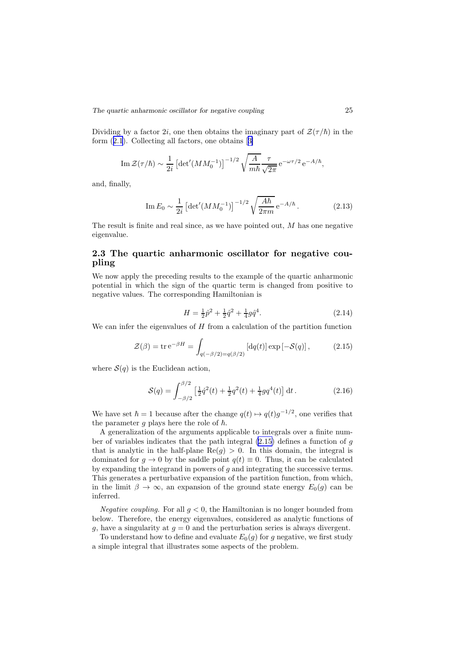<span id="page-26-0"></span>Dividing by a factor 2i, one then obtains the imaginary part of  $\mathcal{Z}(\tau/\hbar)$  in the form (2.[1](#page-22-0)). Collecting all factors, one obtains[[3\]](#page-110-0)

$$
\operatorname{Im} \mathcal{Z}(\tau/\hbar) \sim \frac{1}{2i} \left[ \det'(M M_0^{-1}) \right]^{-1/2} \sqrt{\frac{A}{m\hbar}} \frac{\tau}{\sqrt{2\pi}} e^{-\omega \tau/2} e^{-A/\hbar},
$$

and, finally,

$$
\operatorname{Im} E_0 \sim \frac{1}{2i} \left[ \det'(M M_0^{-1}) \right]^{-1/2} \sqrt{\frac{A\hbar}{2\pi m}} \,\mathrm{e}^{-A/\hbar} \,. \tag{2.13}
$$

The result is finite and real since, as we have pointed out,  $M$  has one negative eigenvalue.

## 2.3 The quartic anharmonic oscillator for negative coupling

We now apply the preceding results to the example of the quartic anharmonic potential in which the sign of the quartic term is changed from positive to negative values. The corresponding Hamiltonian is

$$
H = \frac{1}{2}\hat{p}^2 + \frac{1}{2}\hat{q}^2 + \frac{1}{4}g\hat{q}^4.
$$
\n(2.14)

We can infer the eigenvalues of  $H$  from a calculation of the partition function

$$
\mathcal{Z}(\beta) = \text{tr}\,\mathrm{e}^{-\beta H} = \int_{q(-\beta/2) = q(\beta/2)} \left[ \text{d}q(t) \right] \exp\left[-\mathcal{S}(q)\right],\tag{2.15}
$$

where  $S(q)$  is the Euclidean action,

$$
S(q) = \int_{-\beta/2}^{\beta/2} \left[ \frac{1}{2} \dot{q}^2(t) + \frac{1}{2} q^2(t) + \frac{1}{4} g q^4(t) \right] dt.
$$
 (2.16)

We have set  $\hbar = 1$  because after the change  $q(t) \mapsto q(t)g^{-1/2}$ , one verifies that the parameter g plays here the role of  $\hbar$ .

A generalization of the arguments applicable to integrals over a finite number of variables indicates that the path integral  $(2.15)$  defines a function of g that is analytic in the half-plane  $\text{Re}(g) > 0$ . In this domain, the integral is dominated for  $q \to 0$  by the saddle point  $q(t) \equiv 0$ . Thus, it can be calculated by expanding the integrand in powers of  $g$  and integrating the successive terms. This generates a perturbative expansion of the partition function, from which, in the limit  $\beta \to \infty$ , an expansion of the ground state energy  $E_0(g)$  can be inferred.

Negative coupling. For all  $g < 0$ , the Hamiltonian is no longer bounded from below. Therefore, the energy eigenvalues, considered as analytic functions of g, have a singularity at  $g = 0$  and the perturbation series is always divergent.

To understand how to define and evaluate  $E_0(q)$  for q negative, we first study a simple integral that illustrates some aspects of the problem.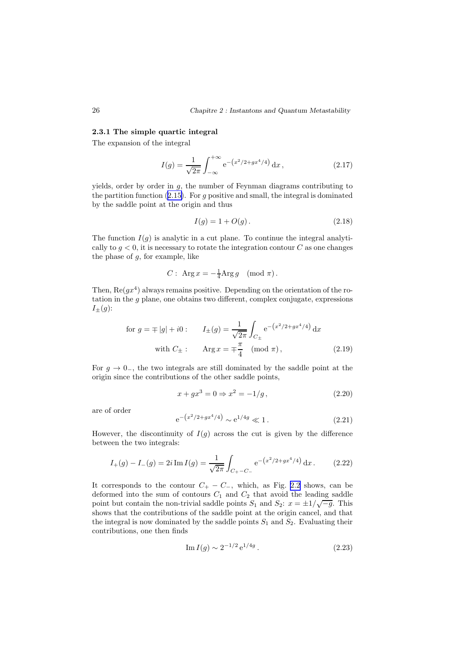#### 2.3.1 The simple quartic integral

The expansion of the integral

$$
I(g) = \frac{1}{\sqrt{2\pi}} \int_{-\infty}^{+\infty} e^{-(x^2/2 + gx^4/4)} dx,
$$
\n(2.17)

yields, order by order in g, the number of Feynman diagrams contributing to the partition function  $(2.15)$  $(2.15)$ . For g positive and small, the integral is dominated by the saddle point at the origin and thus

$$
I(g) = 1 + O(g). \tag{2.18}
$$

The function  $I(q)$  is analytic in a cut plane. To continue the integral analytically to  $g < 0$ , it is necessary to rotate the integration contour C as one changes the phase of  $q$ , for example, like

$$
C: \ \operatorname{Arg} x = -\frac{1}{4} \operatorname{Arg} g \pmod{\pi}.
$$

Then,  $\text{Re}(gx^4)$  always remains positive. Depending on the orientation of the rotation in the  $q$  plane, one obtains two different, complex conjugate, expressions  $I_{\pm}(g)$ :

for 
$$
g = \mp |g| + i0
$$
:  $I_{\pm}(g) = \frac{1}{\sqrt{2\pi}} \int_{C_{\pm}} e^{-(x^2/2 + gx^4/4)} dx$   
with  $C_{\pm}$ :  $\operatorname{Arg} x = \mp \frac{\pi}{4} \pmod{\pi}$ , (2.19)

For  $g \to 0^-$ , the two integrals are still dominated by the saddle point at the origin since the contributions of the other saddle points,

$$
x + gx3 = 0 \Rightarrow x2 = -1/g, \qquad (2.20)
$$

are of order

$$
e^{-(x^2/2+gx^4/4)} \sim e^{1/4g} \ll 1. \tag{2.21}
$$

However, the discontinuity of  $I(q)$  across the cut is given by the difference between the two integrals:

$$
I_{+}(g) - I_{-}(g) = 2i \operatorname{Im} I(g) = \frac{1}{\sqrt{2\pi}} \int_{C_{+} - C_{-}} e^{-\left(x^{2}/2 + gx^{4}/4\right)} dx.
$$
 (2.22)

It corresponds to the contour  $C_+ - C_-,$  which, as Fig. [2.2](#page-28-0) shows, can be deformed into the sum of contours  $C_1$  and  $C_2$  that avoid the leading saddle point but contain the non-trivial saddle points  $S_1$  and  $S_2$ :  $x = \pm 1/\sqrt{-g}$ . This shows that the contributions of the saddle point at the origin cancel, and that the integral is now dominated by the saddle points  $S_1$  and  $S_2$ . Evaluating their contributions, one then finds

Im 
$$
I(g) \sim 2^{-1/2} e^{1/4g}
$$
. (2.23)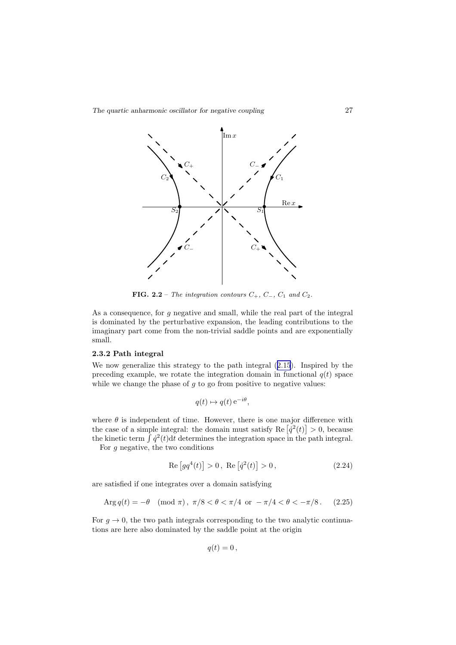<span id="page-28-0"></span>*The quartic anharmonic oscillator for negative coupling* 27



FIG. 2.2 – The integration contours  $C_+$ ,  $C_-$ ,  $C_1$  and  $C_2$ .

As a consequence, for g negative and small, while the real part of the integral is dominated by the perturbative expansion, the leading contributions to the imaginary part come from the non-trivial saddle points and are exponentially small.

#### 2.3.2 Path integral

We now generalize this strategy to the path integral (2.[15](#page-26-0)). Inspired by the preceding example, we rotate the integration domain in functional  $q(t)$  space while we change the phase of  $g$  to go from positive to negative values:

$$
q(t) \mapsto q(t) e^{-i\theta},
$$

where  $\theta$  is independent of time. However, there is one major difference with the case of a simple integral: the domain must satisfy Re  $\left[\dot{q}^2(t)\right] > 0$ , because the kinetic term  $\int \dot{q}^2(t) dt$  determines the integration space in the path integral.

For  $g$  negative, the two conditions

$$
Re[gq^{4}(t)] > 0, Re[\dot{q}^{2}(t)] > 0,
$$
\n(2.24)

are satisfied if one integrates over a domain satisfying

$$
Arg q(t) = -\theta \pmod{\pi}, \ \pi/8 < \theta < \pi/4 \ \text{or} \ -\pi/4 < \theta < -\pi/8. \tag{2.25}
$$

For  $q \to 0$ , the two path integrals corresponding to the two analytic continuations are here also dominated by the saddle point at the origin

$$
q(t)=0\,,
$$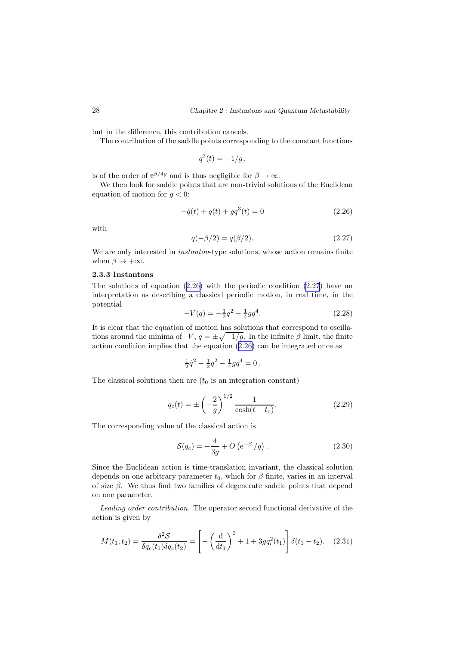but in the difference, this contribution cancels.

The contribution of the saddle points corresponding to the constant functions

$$
q^2(t) = -1/g,
$$

is of the order of  $e^{\beta/4g}$  and is thus negligible for  $\beta \to \infty$ .

We then look for saddle points that are non-trivial solutions of the Euclidean equation of motion for  $g < 0$ :

$$
-\ddot{q}(t) + q(t) + g q^{3}(t) = 0
$$
\n(2.26)

with

$$
q(-\beta/2) = q(\beta/2). \tag{2.27}
$$

We are only interested in *instanton*-type solutions, whose action remains finite when  $\beta \to +\infty$ .

#### 2.3.3 Instantons

The solutions of equation  $(2.26)$  with the periodic condition  $(2.27)$  have an interpretation as describing a classical periodic motion, in real time, in the potential

$$
-V(q) = -\frac{1}{2}q^2 - \frac{1}{4}gq^4.
$$
\n(2.28)

It is clear that the equation of motion has solutions that correspond to oscillations around the minima of–V,  $q = \pm \sqrt{-1/g}$ . In the infinite  $\beta$  limit, the finite action condition implies that the equation (2.26) can be integrated once as

$$
\frac{1}{2}\dot{q}^2 - \frac{1}{2}q^2 - \frac{1}{4}gq^4 = 0.
$$

The classical solutions then are  $(t_0$  is an integration constant)

$$
q_c(t) = \pm \left(-\frac{2}{g}\right)^{1/2} \frac{1}{\cosh(t - t_0)}.\tag{2.29}
$$

The corresponding value of the classical action is

$$
S(q_c) = -\frac{4}{3g} + O\left(e^{-\beta}/g\right). \tag{2.30}
$$

Since the Euclidean action is time-translation invariant, the classical solution depends on one arbitrary parameter  $t_0$ , which for  $\beta$  finite, varies in an interval of size  $\beta$ . We thus find two families of degenerate saddle points that depend on one parameter.

Leading order contribution. The operator second functional derivative of the action is given by

$$
M(t_1, t_2) = \frac{\delta^2 \mathcal{S}}{\delta q_c(t_1) \delta q_c(t_2)} = \left[ -\left(\frac{\mathrm{d}}{\mathrm{d}t_1}\right)^2 + 1 + 3g q_c^2(t_1) \right] \delta(t_1 - t_2). \quad (2.31)
$$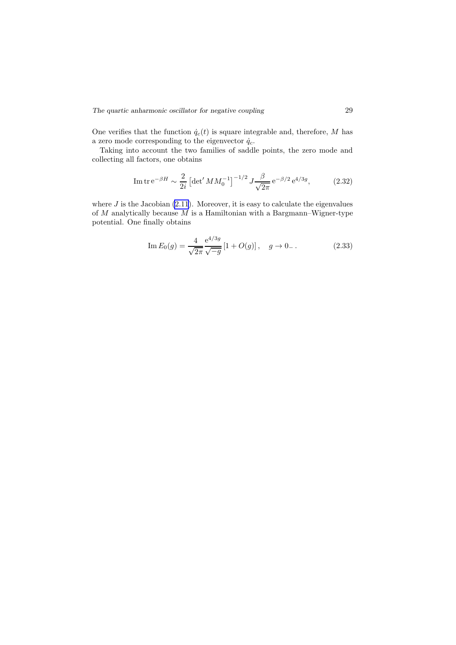One verifies that the function  $\dot{q}_c(t)$  is square integrable and, therefore, M has a zero mode corresponding to the eigenvector  $\dot{q}_c$ .

Taking into account the two families of saddle points, the zero mode and collecting all factors, one obtains

$$
\text{Im}\,\text{tr}\,\text{e}^{-\beta H} \sim \frac{2}{2i} \left[ \det' M M_0^{-1} \right]^{-1/2} J \frac{\beta}{\sqrt{2\pi}} \,\text{e}^{-\beta/2} \,\text{e}^{4/3g},\tag{2.32}
$$

where  $J$  is the Jacobian  $(2.11)$  $(2.11)$  $(2.11)$ . Moreover, it is easy to calculate the eigenvalues of  $M$  analytically because  $M$  is a Hamiltonian with a Bargmann–Wigner-type potential. One finally obtains

Im 
$$
E_0(g) = \frac{4}{\sqrt{2\pi}} \frac{e^{4/3g}}{\sqrt{-g}} [1 + O(g)], \quad g \to 0_-.
$$
 (2.33)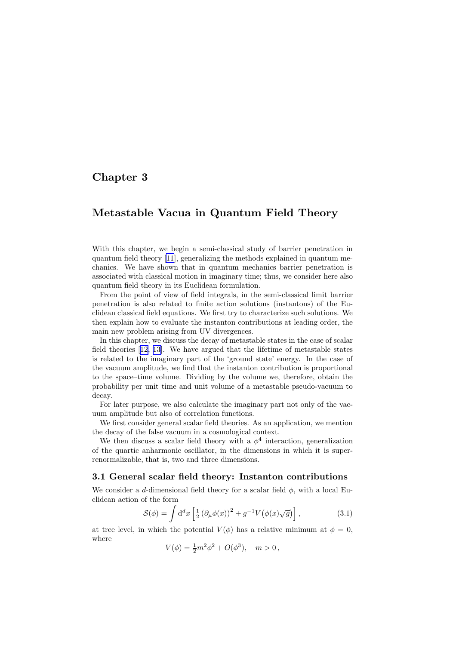## <span id="page-31-0"></span>Chapter 3

## Metastable Vacua in Quantum Field Theory

With this chapter, we begin a semi-classical study of barrier penetration in quantum field theory [\[11](#page-110-0)], generalizing the methods explained in quantum mechanics. We have shown that in quantum mechanics barrier penetration is associated with classical motion in imaginary time; thus, we consider here also quantum field theory in its Euclidean formulation.

From the point of view of field integrals, in the semi-classical limit barrier penetration is also related to finite action solutions (instantons) of the Euclidean classical field equations. We first try to characterize such solutions. We then explain how to evaluate the instanton contributions at leading order, the main new problem arising from UV divergences.

In this chapter, we discuss the decay of metastable states in the case of scalar field theories[[12, 13\]](#page-110-0). We have argued that the lifetime of metastable states is related to the imaginary part of the 'ground state' energy. In the case of the vacuum amplitude, we find that the instanton contribution is proportional to the space–time volume. Dividing by the volume we, therefore, obtain the probability per unit time and unit volume of a metastable pseudo-vacuum to decay.

For later purpose, we also calculate the imaginary part not only of the vacuum amplitude but also of correlation functions.

We first consider general scalar field theories. As an application, we mention the decay of the false vacuum in a cosmological context.

We then discuss a scalar field theory with a  $\phi^4$  interaction, generalization of the quartic anharmonic oscillator, in the dimensions in which it is superrenormalizable, that is, two and three dimensions.

## 3.1 General scalar field theory: Instanton contributions

We consider a d-dimensional field theory for a scalar field  $\phi$ , with a local Euclidean action of the form

$$
S(\phi) = \int d^d x \left[ \frac{1}{2} \left( \partial_\mu \phi(x) \right)^2 + g^{-1} V \left( \phi(x) \sqrt{g} \right) \right],\tag{3.1}
$$

at tree level, in which the potential  $V(\phi)$  has a relative minimum at  $\phi = 0$ , where

$$
V(\phi) = \frac{1}{2}m^2\phi^2 + O(\phi^3), \quad m > 0,
$$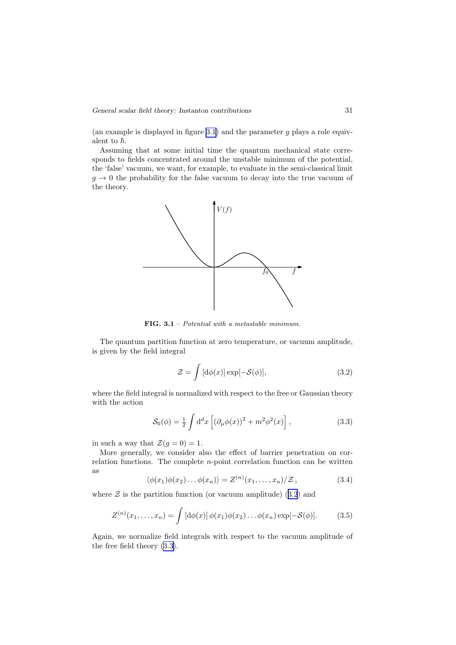<span id="page-32-0"></span>(an example is displayed in figure 3.1) and the parameter  $g$  plays a role equivalent to  $\hbar$ .

Assuming that at some initial time the quantum mechanical state corresponds to fields concentrated around the unstable minimum of the potential, the 'false' vacuum, we want, for example, to evaluate in the semi-classical limit  $g \to 0$  the probability for the false vacuum to decay into the true vacuum of the theory.



FIG. 3.1 – Potential with a metastable minimum.

The quantum partition function at zero temperature, or vacuum amplitude, is given by the field integral

$$
\mathcal{Z} = \int [\mathrm{d}\phi(x)] \exp[-\mathcal{S}(\phi)],\tag{3.2}
$$

where the field integral is normalized with respect to the free or Gaussian theory with the action

$$
S_0(\phi) = \frac{1}{2} \int d^d x \left[ \left( \partial_\mu \phi(x) \right)^2 + m^2 \phi^2(x) \right], \tag{3.3}
$$

in such a way that  $\mathcal{Z}(g=0) = 1$ .

More generally, we consider also the effect of barrier penetration on correlation functions. The complete n-point correlation function can be written as

$$
\langle \phi(x_1)\phi(x_2)\dots\phi(x_n)\rangle = Z^{(n)}(x_1,\dots,x_n)/\mathcal{Z},\qquad (3.4)
$$

where  $\mathcal Z$  is the partition function (or vacuum amplitude) (3.2) and

$$
Z^{(n)}(x_1,\ldots,x_n) = \int \left[\mathrm{d}\phi(x)\right] \phi(x_1)\phi(x_2)\ldots\phi(x_n)\exp[-\mathcal{S}(\phi)].\tag{3.5}
$$

Again, we normalize field integrals with respect to the vacuum amplitude of the free field theory (3.3).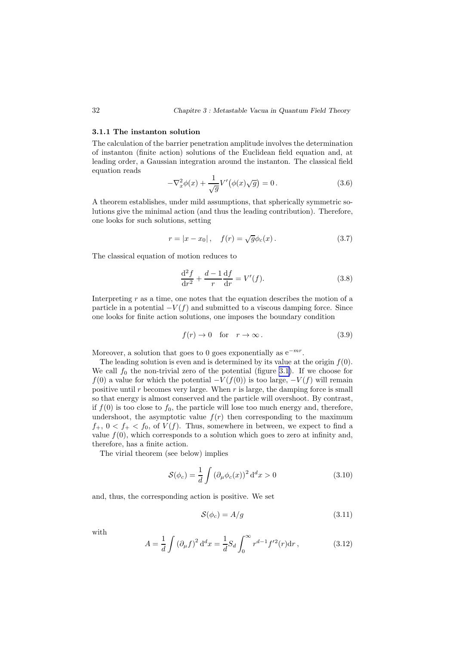#### <span id="page-33-0"></span>3.1.1 The instanton solution

The calculation of the barrier penetration amplitude involves the determination of instanton (finite action) solutions of the Euclidean field equation and, at leading order, a Gaussian integration around the instanton. The classical field equation reads

$$
-\nabla_x^2 \phi(x) + \frac{1}{\sqrt{g}} V'(\phi(x)\sqrt{g}) = 0.
$$
\n(3.6)

A theorem establishes, under mild assumptions, that spherically symmetric solutions give the minimal action (and thus the leading contribution). Therefore, one looks for such solutions, setting

$$
r = |x - x_0|, \quad f(r) = \sqrt{g}\phi_c(x).
$$
 (3.7)

The classical equation of motion reduces to

$$
\frac{\mathrm{d}^2 f}{\mathrm{d}r^2} + \frac{d-1}{r} \frac{\mathrm{d}f}{\mathrm{d}r} = V'(f). \tag{3.8}
$$

Interpreting  $r$  as a time, one notes that the equation describes the motion of a particle in a potential  $-V(f)$  and submitted to a viscous damping force. Since one looks for finite action solutions, one imposes the boundary condition

$$
f(r) \to 0 \quad \text{for} \quad r \to \infty \,. \tag{3.9}
$$

Moreover, a solution that goes to 0 goes exponentially as  $e^{-mr}$ .

The leading solution is even and is determined by its value at the origin  $f(0)$ . We call  $f_0$  the non-trivial zero of the potential (figure [3.1](#page-32-0)). If we choose for  $f(0)$  a value for which the potential  $-V(f(0))$  is too large,  $-V(f)$  will remain positive until  $r$  becomes very large. When  $r$  is large, the damping force is small so that energy is almost conserved and the particle will overshoot. By contrast, if  $f(0)$  is too close to  $f_0$ , the particle will lose too much energy and, therefore, undershoot, the asymptotic value  $f(r)$  then corresponding to the maximum  $f_+$ ,  $0 < f_+ < f_0$ , of  $V(f)$ . Thus, somewhere in between, we expect to find a value  $f(0)$ , which corresponds to a solution which goes to zero at infinity and, therefore, has a finite action.

The virial theorem (see below) implies

$$
S(\phi_c) = \frac{1}{d} \int \left(\partial_\mu \phi_c(x)\right)^2 d^d x > 0 \tag{3.10}
$$

and, thus, the corresponding action is positive. We set

$$
\mathcal{S}(\phi_c) = A/g \tag{3.11}
$$

with

$$
A = \frac{1}{d} \int (\partial_{\mu} f)^2 d^d x = \frac{1}{d} S_d \int_0^{\infty} r^{d-1} f'^2(r) dr , \qquad (3.12)
$$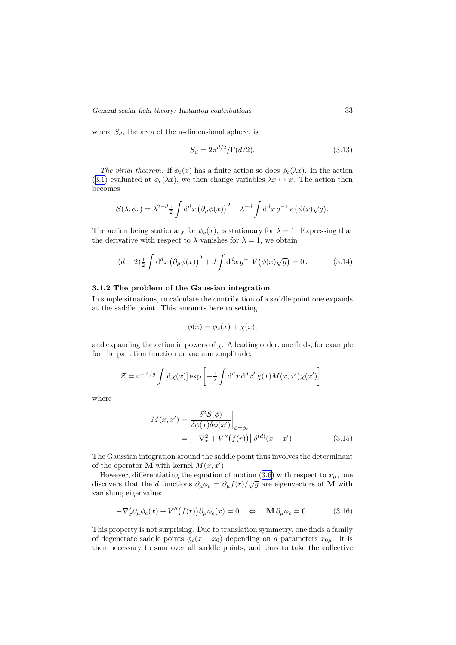*General scalar field theory: Instanton contributions* 33

where  $S_d$ , the area of the d-dimensional sphere, is

$$
S_d = 2\pi^{d/2} / \Gamma(d/2). \tag{3.13}
$$

The virial theorem. If  $\phi_c(x)$  has a finite action so does  $\phi_c(\lambda x)$ . In the action (3.[1\)](#page-31-0) evaluated at  $\phi_c(\lambda x)$ , we then change variables  $\lambda x \mapsto x$ . The action then becomes

$$
\mathcal{S}(\lambda, \phi_c) = \lambda^{2-d} \frac{1}{2} \int d^d x \left( \partial_\mu \phi(x) \right)^2 + \lambda^{-d} \int d^d x \, g^{-1} V(\phi(x) \sqrt{g}).
$$

The action being stationary for  $\phi_c(x)$ , is stationary for  $\lambda = 1$ . Expressing that the derivative with respect to  $\lambda$  vanishes for  $\lambda = 1$ , we obtain

$$
(d-2)\frac{1}{2}\int d^d x \left(\partial_\mu \phi(x)\right)^2 + d \int d^d x \, g^{-1} V\big(\phi(x)\sqrt{g}\big) = 0. \tag{3.14}
$$

### 3.1.2 The problem of the Gaussian integration

In simple situations, to calculate the contribution of a saddle point one expands at the saddle point. This amounts here to setting

$$
\phi(x) = \phi_c(x) + \chi(x),
$$

and expanding the action in powers of  $\chi$ . A leading order, one finds, for example for the partition function or vacuum amplitude,

$$
\mathcal{Z} = e^{-A/g} \int [\mathrm{d}\chi(x)] \exp \left[ -\frac{1}{2} \int \mathrm{d}^d x \, \mathrm{d}^d x' \, \chi(x) M(x, x') \chi(x') \right],
$$

where

$$
M(x, x') = \frac{\delta^2 \mathcal{S}(\phi)}{\delta \phi(x) \delta \phi(x')} \Big|_{\phi = \phi_c}
$$
  
= 
$$
[-\nabla_x^2 + V''(f(r))] \delta^{(d)}(x - x').
$$
 (3.15)

The Gaussian integration around the saddle point thus involves the determinant of the operator **M** with kernel  $M(x, x')$ .

However, differentiating the equation of motion (3.[6](#page-33-0)) with respect to  $x_{\mu}$ , one discovers that the d functions  $\partial_{\mu}\phi_c = \partial_{\mu}f(r)/\sqrt{g}$  are eigenvectors of M with vanishing eigenvalue:

$$
-\nabla_x^2 \partial_\mu \phi_c(x) + V''(f(r)) \partial_\mu \phi_c(x) = 0 \quad \Leftrightarrow \quad \mathbf{M} \partial_\mu \phi_c = 0. \tag{3.16}
$$

This property is not surprising. Due to translation symmetry, one finds a family of degenerate saddle points  $\phi_c(x-x_0)$  depending on d parameters  $x_{0\mu}$ . It is then necessary to sum over all saddle points, and thus to take the collective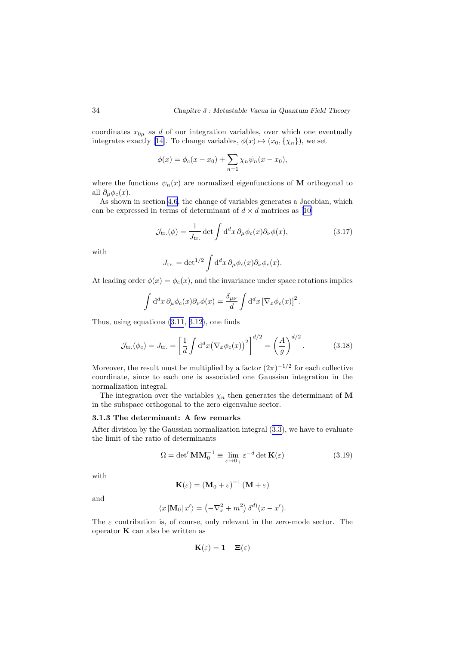coordinates  $x_{0\mu}$  as d of our integration variables, over which one eventually integrates exactly [\[14](#page-110-0)]. To change variables,  $\phi(x) \mapsto (x_0, \{\chi_n\})$ , we set

$$
\phi(x) = \phi_c(x - x_0) + \sum_{n=1} \chi_n \psi_n(x - x_0),
$$

where the functions  $\psi_n(x)$  are normalized eigenfunctions of M orthogonal to all  $\partial_{\mu}\phi_c(x)$ .

As shown in section [4.6,](#page-59-0) the change of variables generates a Jacobian, which canbe expressed in terms of determinant of  $d \times d$  matrices as [[10\]](#page-110-0)

$$
\mathcal{J}_{\text{tr.}}(\phi) = \frac{1}{J_{\text{tr.}}} \det \int d^d x \, \partial_\mu \phi_c(x) \partial_\nu \phi(x), \tag{3.17}
$$

with

$$
J_{\rm tr.} = \det^{1/2} \int d^d x \, \partial_\mu \phi_c(x) \partial_\nu \phi_c(x).
$$

At leading order  $\phi(x) = \phi_c(x)$ , and the invariance under space rotations implies

$$
\int d^d x \,\partial_\mu \phi_c(x) \partial_\nu \phi(x) = \frac{\delta_{\mu\nu}}{d} \int d^d x \left[ \nabla_x \phi_c(x) \right]^2.
$$

Thus, using equations (3.[11](#page-33-0), 3.[12](#page-33-0)), one finds

$$
\mathcal{J}_{\text{tr.}}(\phi_c) = J_{\text{tr.}} = \left[\frac{1}{d} \int d^d x \left(\nabla_x \phi_c(x)\right)^2\right]^{d/2} = \left(\frac{A}{g}\right)^{d/2}.
$$
 (3.18)

Moreover, the result must be multiplied by a factor  $(2\pi)^{-1/2}$  for each collective coordinate, since to each one is associated one Gaussian integration in the normalization integral.

The integration over the variables  $\chi_n$  then generates the determinant of M in the subspace orthogonal to the zero eigenvalue sector.

## 3.1.3 The determinant: A few remarks

After division by the Gaussian normalization integral (3.[3\)](#page-32-0), we have to evaluate the limit of the ratio of determinants

$$
\Omega = \det' \mathbf{M} \mathbf{M}_0^{-1} \equiv \lim_{\varepsilon \to 0_+} \varepsilon^{-d} \det \mathbf{K}(\varepsilon)
$$
\n(3.19)

with

$$
\mathbf{K}(\varepsilon) = (\mathbf{M}_0 + \varepsilon)^{-1} (\mathbf{M} + \varepsilon)
$$

and

$$
\langle x \left| \mathbf{M}_0 \right| x' \rangle = \left( -\nabla_x^2 + m^2 \right) \delta^{d)}(x - x').
$$

The  $\varepsilon$  contribution is, of course, only relevant in the zero-mode sector. The operator  $\bf{K}$  can also be written as

$$
\mathbf{K}(\varepsilon) = \mathbf{1} - \mathbf{\Xi}(\varepsilon)
$$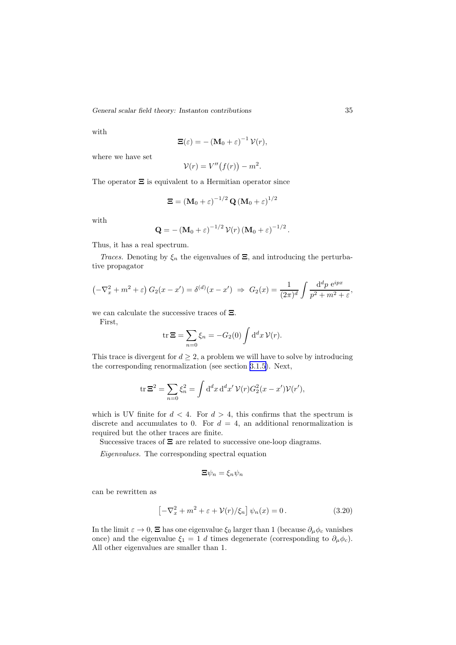<span id="page-36-0"></span>*General scalar field theory: Instanton contributions* 35

with

$$
\mathbf{\Xi}(\varepsilon) = -(\mathbf{M}_0 + \varepsilon)^{-1} \mathcal{V}(r),
$$

where we have set

$$
\mathcal{V}(r) = V''(f(r)) - m^2.
$$

The operator  $\Xi$  is equivalent to a Hermitian operator since

$$
\boldsymbol{\Xi}=\left(\mathbf{M}_{0}+\boldsymbol{\varepsilon}\right)^{-1/2}\mathbf{Q}\left(\mathbf{M}_{0}+\boldsymbol{\varepsilon}\right)^{1/2}
$$

with

$$
\mathbf{Q} = -(\mathbf{M}_0 + \varepsilon)^{-1/2} \mathcal{V}(r) (\mathbf{M}_0 + \varepsilon)^{-1/2}.
$$

Thus, it has a real spectrum.

Traces. Denoting by  $\xi_n$  the eigenvalues of  $\Xi$ , and introducing the perturbative propagator

$$
\left(-\nabla_x^2 + m^2 + \varepsilon\right) G_2(x - x') = \delta^{(d)}(x - x') \implies G_2(x) = \frac{1}{(2\pi)^d} \int \frac{d^d p \, e^{ipx}}{p^2 + m^2 + \varepsilon},
$$

we can calculate the successive traces of Ξ.

First,

$$
\operatorname{tr} \Xi = \sum_{n=0} \xi_n = -G_2(0) \int d^d x \, \mathcal{V}(r).
$$

This trace is divergent for  $d \geq 2$ , a problem we will have to solve by introducing the corresponding renormalization (see section [3.1.5\)](#page-38-0). Next,

$$
\operatorname{tr} \Xi^2 = \sum_{n=0} \xi_n^2 = \int \mathrm{d}^d x \, \mathrm{d}^d x' \, \mathcal{V}(r) G_2^2(x - x') \mathcal{V}(r'),
$$

which is UV finite for  $d < 4$ . For  $d > 4$ , this confirms that the spectrum is discrete and accumulates to 0. For  $d = 4$ , an additional renormalization is required but the other traces are finite.

Successive traces of Ξ are related to successive one-loop diagrams.

Eigenvalues. The corresponding spectral equation

$$
\Xi\psi_n=\xi_n\psi_n
$$

can be rewritten as

$$
\left[-\nabla_x^2 + m^2 + \varepsilon + \mathcal{V}(r)/\xi_n\right]\psi_n(x) = 0.
$$
\n(3.20)

In the limit  $\varepsilon \to 0$ ,  $\Xi$  has one eigenvalue  $\xi_0$  larger than 1 (because  $\partial_\mu \phi_c$  vanishes once) and the eigenvalue  $\xi_1 = 1$  d times degenerate (corresponding to  $\partial_\mu \phi_c$ ). All other eigenvalues are smaller than 1.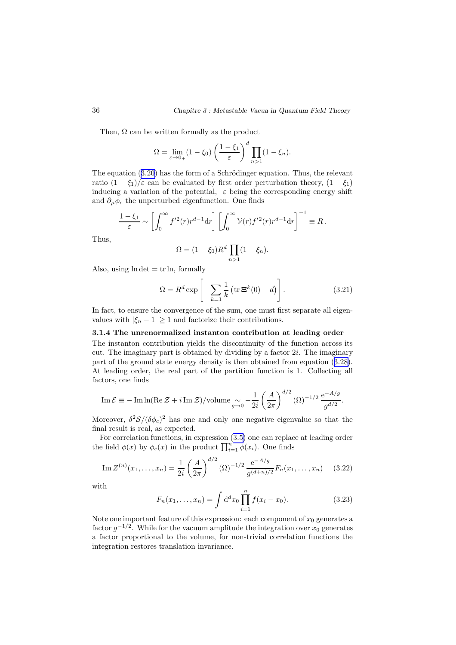<span id="page-37-0"></span>Then,  $\Omega$  can be written formally as the product

$$
\Omega = \lim_{\varepsilon \to 0+} (1 - \xi_0) \left( \frac{1 - \xi_1}{\varepsilon} \right)^d \prod_{n > 1} (1 - \xi_n).
$$

The equation  $(3.20)$  $(3.20)$  has the form of a Schrödinger equation. Thus, the relevant ratio  $(1 - \xi_1)/\varepsilon$  can be evaluated by first order perturbation theory,  $(1 - \xi_1)$ inducing a variation of the potential, $-\varepsilon$  being the corresponding energy shift and  $\partial_{\mu}\phi_c$  the unperturbed eigenfunction. One finds

$$
\frac{1-\xi_1}{\varepsilon} \sim \left[ \int_0^\infty f'^2(r) r^{d-1} dr \right] \left[ \int_0^\infty \mathcal{V}(r) f'^2(r) r^{d-1} dr \right]^{-1} \equiv R \, .
$$

Thus,

$$
\Omega = (1 - \xi_0) R^d \prod_{n > 1} (1 - \xi_n).
$$

Also, using  $\ln \det = \text{tr} \ln$ , formally

$$
\Omega = R^d \exp\left[-\sum_{k=1}^{\infty} \frac{1}{k} \left(\text{tr}\,\mathbf{\Xi}^k(0) - d\right)\right].\tag{3.21}
$$

In fact, to ensure the convergence of the sum, one must first separate all eigenvalues with  $|\xi_n - 1| \geq 1$  and factorize their contributions.

#### 3.1.4 The unrenormalized instanton contribution at leading order

The instanton contribution yields the discontinuity of the function across its cut. The imaginary part is obtained by dividing by a factor  $2i$ . The imaginary part of the ground state energy density is then obtained from equation (3.[28\)](#page-39-0). At leading order, the real part of the partition function is 1. Collecting all factors, one finds

Im 
$$
\mathcal{E} \equiv -\text{Im}\ln(\text{Re}\,\mathcal{Z} + i\,\text{Im}\,\mathcal{Z})/\text{volume}_{g\to 0} - \frac{1}{2i} \left(\frac{A}{2\pi}\right)^{d/2} (\Omega)^{-1/2} \frac{e^{-A/g}}{g^{d/2}}.
$$

Moreover,  $\delta^2 \mathcal{S} / (\delta \phi_c)^2$  has one and only one negative eigenvalue so that the final result is real, as expected.

For correlation functions, in expression [\(3](#page-32-0).5) one can replace at leading order the field  $\phi(x)$  by  $\phi_c(x)$  in the product  $\prod_{i=1}^n \phi(x_i)$ . One finds

Im 
$$
Z^{(n)}(x_1,...,x_n) = \frac{1}{2i} \left(\frac{A}{2\pi}\right)^{d/2} (\Omega)^{-1/2} \frac{e^{-A/g}}{g^{(d+n)/2}} F_n(x_1,...,x_n)
$$
 (3.22)

with

$$
F_n(x_1, \dots, x_n) = \int d^d x_0 \prod_{i=1}^n f(x_i - x_0).
$$
 (3.23)

Note one important feature of this expression: each component of  $x_0$  generates a factor  $g^{-1/2}$ . While for the vacuum amplitude the integration over  $x_0$  generates a factor proportional to the volume, for non-trivial correlation functions the integration restores translation invariance.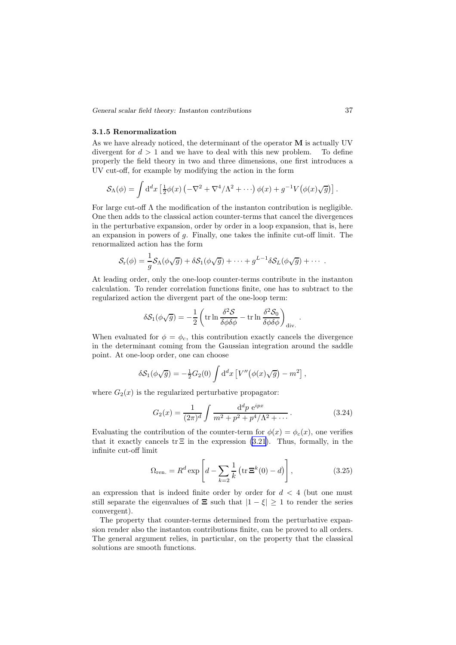<span id="page-38-0"></span>*General scalar field theory: Instanton contributions* 37

#### 3.1.5 Renormalization

As we have already noticed, the determinant of the operator M is actually UV divergent for  $d > 1$  and we have to deal with this new problem. To define properly the field theory in two and three dimensions, one first introduces a UV cut-off, for example by modifying the action in the form

$$
\mathcal{S}_{\Lambda}(\phi) = \int d^d x \left[ \frac{1}{2} \phi(x) \left( -\nabla^2 + \nabla^4 / \Lambda^2 + \cdots \right) \phi(x) + g^{-1} V \big( \phi(x) \sqrt{g} \big) \right].
$$

For large cut-off  $\Lambda$  the modification of the instanton contribution is negligible. One then adds to the classical action counter-terms that cancel the divergences in the perturbative expansion, order by order in a loop expansion, that is, here an expansion in powers of g. Finally, one takes the infinite cut-off limit. The renormalized action has the form

$$
\mathcal{S}_{\rm r}(\phi) = \frac{1}{g} \mathcal{S}_{\Lambda}(\phi \sqrt{g}) + \delta \mathcal{S}_{1}(\phi \sqrt{g}) + \cdots + g^{L-1} \delta \mathcal{S}_{L}(\phi \sqrt{g}) + \cdots
$$

At leading order, only the one-loop counter-terms contribute in the instanton calculation. To render correlation functions finite, one has to subtract to the regularized action the divergent part of the one-loop term:

$$
\delta S_1(\phi\sqrt{g}) = -\frac{1}{2} \left( \operatorname{tr} \ln \frac{\delta^2 S}{\delta \phi \delta \phi} - \operatorname{tr} \ln \frac{\delta^2 S_0}{\delta \phi \delta \phi} \right)_{\operatorname{div}}.
$$

When evaluated for  $\phi = \phi_c$ , this contribution exactly cancels the divergence in the determinant coming from the Gaussian integration around the saddle point. At one-loop order, one can choose

$$
\delta S_1(\phi\sqrt{g}) = -\frac{1}{2}G_2(0)\int d^dx \left[V''(\phi(x)\sqrt{g}) - m^2\right],
$$

where  $G_2(x)$  is the regularized perturbative propagator:

$$
G_2(x) = \frac{1}{(2\pi)^d} \int \frac{\mathrm{d}^d p \, \mathrm{e}^{ipx}}{m^2 + p^2 + p^4/\Lambda^2 + \cdots} \,. \tag{3.24}
$$

.

Evaluating the contribution of the counter-term for  $\phi(x) = \phi_c(x)$ , one verifies that it exactly cancels tr  $\Xi$  in the expression (3.[21\)](#page-37-0). Thus, formally, in the infinite cut-off limit

$$
\Omega_{\text{ren.}} = R^d \exp\left[d - \sum_{k=2}^{\infty} \frac{1}{k} \left(\text{tr}\,\mathbf{\Xi}^k(0) - d\right)\right],\tag{3.25}
$$

an expression that is indeed finite order by order for  $d < 4$  (but one must still separate the eigenvalues of  $\Xi$  such that  $|1 - \xi| \geq 1$  to render the series convergent).

The property that counter-terms determined from the perturbative expansion render also the instanton contributions finite, can be proved to all orders. The general argument relies, in particular, on the property that the classical solutions are smooth functions.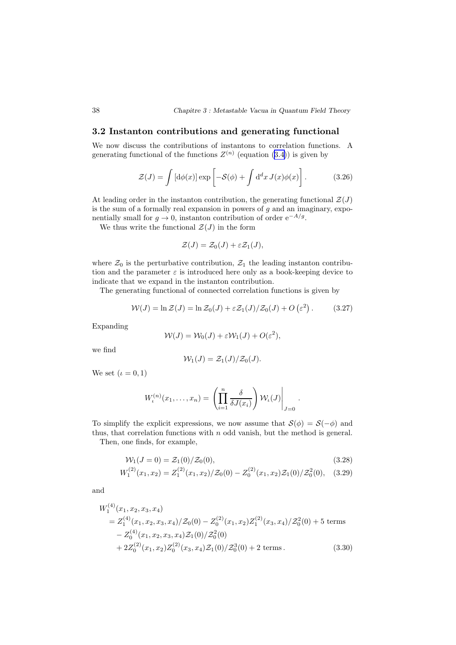## <span id="page-39-0"></span>3.2 Instanton contributions and generating functional

We now discuss the contributions of instantons to correlation functions. A generating functional of the functions  $Z^{(n)}$  (equation (3.[4\)](#page-32-0)) is given by

$$
\mathcal{Z}(J) = \int \left[ d\phi(x) \right] \exp\left[ -\mathcal{S}(\phi) + \int d^d x \, J(x) \phi(x) \right]. \tag{3.26}
$$

At leading order in the instanton contribution, the generating functional  $\mathcal{Z}(J)$ is the sum of a formally real expansion in powers of  $g$  and an imaginary, exponentially small for  $g \to 0$ , instanton contribution of order  $e^{-A/g}$ .

We thus write the functional  $\mathcal{Z}(J)$  in the form

$$
\mathcal{Z}(J) = \mathcal{Z}_0(J) + \varepsilon \mathcal{Z}_1(J),
$$

where  $\mathcal{Z}_0$  is the perturbative contribution,  $\mathcal{Z}_1$  the leading instanton contribution and the parameter  $\varepsilon$  is introduced here only as a book-keeping device to indicate that we expand in the instanton contribution.

The generating functional of connected correlation functions is given by

$$
\mathcal{W}(J) = \ln \mathcal{Z}(J) = \ln \mathcal{Z}_0(J) + \varepsilon \mathcal{Z}_1(J)/\mathcal{Z}_0(J) + O\left(\varepsilon^2\right). \tag{3.27}
$$

Expanding

$$
W(J) = W_0(J) + \varepsilon W_1(J) + O(\varepsilon^2),
$$

we find

$$
\mathcal{W}_1(J)=\mathcal{Z}_1(J)/\mathcal{Z}_0(J).
$$

We set  $(\iota = 0, 1)$ 

$$
W_{\iota}^{(n)}(x_1,\ldots,x_n) = \left(\prod_{i=1}^n \frac{\delta}{\delta J(x_i)}\right) \mathcal{W}_{\iota}(J)\Big|_{J=0}
$$

To simplify the explicit expressions, we now assume that  $\mathcal{S}(\phi) = \mathcal{S}(-\phi)$  and thus, that correlation functions with  $n$  odd vanish, but the method is general.

Then, one finds, for example,

$$
\mathcal{W}_1(J=0) = \mathcal{Z}_1(0)/\mathcal{Z}_0(0),\tag{3.28}
$$

.

$$
W_1^{(2)}(x_1, x_2) = Z_1^{(2)}(x_1, x_2) / \mathcal{Z}_0(0) - Z_0^{(2)}(x_1, x_2) \mathcal{Z}_1(0) / \mathcal{Z}_0^2(0), \quad (3.29)
$$

and

 $(4)$ 

$$
W_1^{(4)}(x_1, x_2, x_3, x_4)
$$
  
=  $Z_1^{(4)}(x_1, x_2, x_3, x_4)/Z_0(0) - Z_0^{(2)}(x_1, x_2)Z_1^{(2)}(x_3, x_4)/Z_0^2(0) + 5$  terms  
-  $Z_0^{(4)}(x_1, x_2, x_3, x_4)Z_1(0)/Z_0^2(0)$   
+  $2Z_0^{(2)}(x_1, x_2)Z_0^{(2)}(x_3, x_4)Z_1(0)/Z_0^3(0) + 2$  terms. (3.30)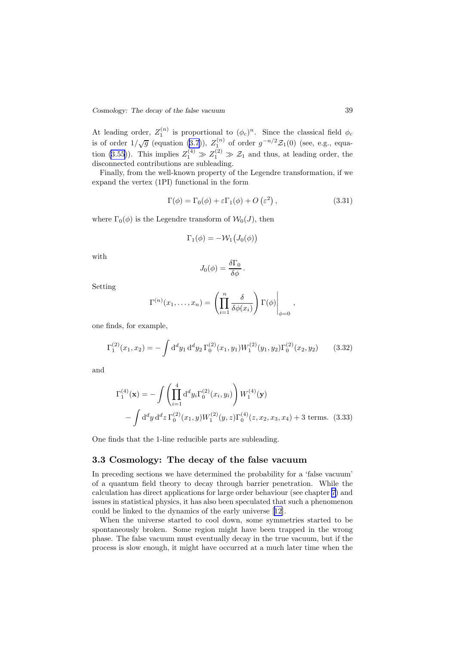At leading order,  $Z_1^{(n)}$  is proportional to  $(\phi_c)^n$ . Since the classical field  $\phi_c$ is of order  $1/\sqrt{g}$  (equation (3.[7\)](#page-33-0)),  $Z_1^{(n)}$  of order  $g^{-n/2} \mathcal{Z}_1(0)$  (see, e.g., equa-tion (3.[55\)](#page-45-0)). This implies  $Z_1^{(4)} \gg Z_1^{(2)} \gg \mathcal{Z}_1$  and thus, at leading order, the disconnected contributions are subleading.

Finally, from the well-known property of the Legendre transformation, if we expand the vertex (1PI) functional in the form

$$
\Gamma(\phi) = \Gamma_0(\phi) + \varepsilon \Gamma_1(\phi) + O\left(\varepsilon^2\right),\tag{3.31}
$$

where  $\Gamma_0(\phi)$  is the Legendre transform of  $\mathcal{W}_0(J)$ , then

$$
\Gamma_1(\phi) = -\mathcal{W}_1\big(J_0(\phi)\big)
$$

with

$$
J_0(\phi) = \frac{\delta \Gamma_0}{\delta \phi}.
$$

Setting

$$
\Gamma^{(n)}(x_1,\ldots,x_n) = \left(\prod_{i=1}^n \frac{\delta}{\delta \phi(x_i)}\right) \Gamma(\phi)\Big|_{\phi=0},
$$

one finds, for example,

$$
\Gamma_1^{(2)}(x_1, x_2) = -\int d^d y_1 d^d y_2 \Gamma_0^{(2)}(x_1, y_1) W_1^{(2)}(y_1, y_2) \Gamma_0^{(2)}(x_2, y_2)
$$
 (3.32)

and

$$
\Gamma_1^{(4)}(\mathbf{x}) = -\int \left(\prod_{i=1}^4 \mathrm{d}^d y_i \Gamma_0^{(2)}(x_i, y_i)\right) W_1^{(4)}(\mathbf{y})
$$

$$
-\int \mathrm{d}^d y \, \mathrm{d}^d z \, \Gamma_0^{(2)}(x_1, y) W_1^{(2)}(y, z) \Gamma_0^{(4)}(z, x_2, x_3, x_4) + 3 \text{ terms.} \tag{3.33}
$$

One finds that the 1-line reducible parts are subleading.

### 3.3 Cosmology: The decay of the false vacuum

In preceding sections we have determined the probability for a 'false vacuum' of a quantum field theory to decay through barrier penetration. While the calculation has direct applications for large order behaviour (see chapter [7\)](#page-86-0) and issues in statistical physics, it has also been speculated that such a phenomenon could be linked to the dynamics of the early universe[[12\]](#page-110-0).

When the universe started to cool down, some symmetries started to be spontaneously broken. Some region might have been trapped in the wrong phase. The false vacuum must eventually decay in the true vacuum, but if the process is slow enough, it might have occurred at a much later time when the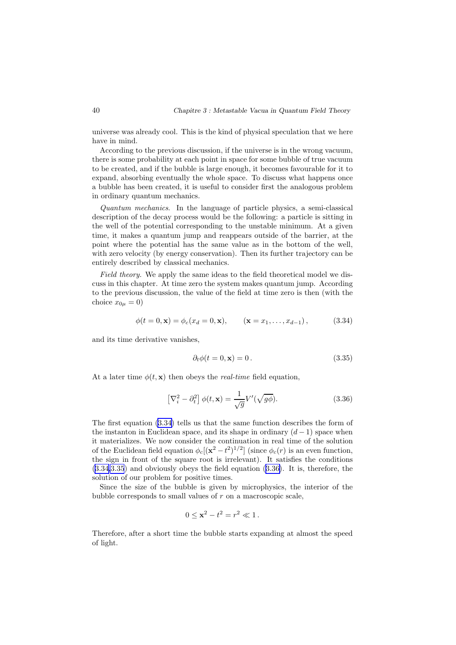universe was already cool. This is the kind of physical speculation that we here have in mind.

According to the previous discussion, if the universe is in the wrong vacuum, there is some probability at each point in space for some bubble of true vacuum to be created, and if the bubble is large enough, it becomes favourable for it to expand, absorbing eventually the whole space. To discuss what happens once a bubble has been created, it is useful to consider first the analogous problem in ordinary quantum mechanics.

Quantum mechanics. In the language of particle physics, a semi-classical description of the decay process would be the following: a particle is sitting in the well of the potential corresponding to the unstable minimum. At a given time, it makes a quantum jump and reappears outside of the barrier, at the point where the potential has the same value as in the bottom of the well, with zero velocity (by energy conservation). Then its further trajectory can be entirely described by classical mechanics.

Field theory. We apply the same ideas to the field theoretical model we discuss in this chapter. At time zero the system makes quantum jump. According to the previous discussion, the value of the field at time zero is then (with the choice  $x_{0\mu} = 0$ )

$$
\phi(t = 0, \mathbf{x}) = \phi_c(x_d = 0, \mathbf{x}), \qquad (\mathbf{x} = x_1, \dots, x_{d-1}), \tag{3.34}
$$

and its time derivative vanishes,

$$
\partial_t \phi(t=0, \mathbf{x}) = 0. \tag{3.35}
$$

At a later time  $\phi(t, \mathbf{x})$  then obeys the *real-time* field equation,

$$
\left[\nabla_i^2 - \partial_t^2\right]\phi(t, \mathbf{x}) = \frac{1}{\sqrt{g}}V'(\sqrt{g\phi}).\tag{3.36}
$$

The first equation (3.34) tells us that the same function describes the form of the instanton in Euclidean space, and its shape in ordinary  $(d-1)$  space when it materializes. We now consider the continuation in real time of the solution of the Euclidean field equation  $\phi_c[(\mathbf{x}^2 - t^2)^{1/2}]$  (since  $\phi_c(r)$  is an even function, the sign in front of the square root is irrelevant). It satisfies the conditions (3.34,3.35) and obviously obeys the field equation (3.36). It is, therefore, the solution of our problem for positive times.

Since the size of the bubble is given by microphysics, the interior of the bubble corresponds to small values of r on a macroscopic scale,

$$
0 \le x^2 - t^2 = r^2 \ll 1 \, .
$$

Therefore, after a short time the bubble starts expanding at almost the speed of light.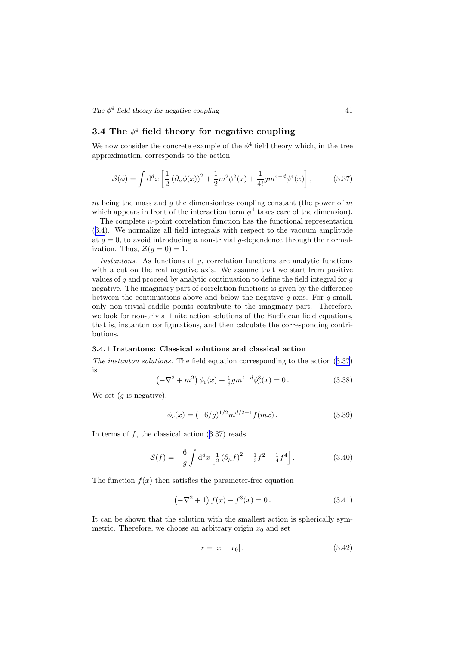<span id="page-42-0"></span>*The*  $\phi^4$  *field theory for negative coupling* 41

# $3.4$  The  $\phi^4$  field theory for negative coupling

We now consider the concrete example of the  $\phi^4$  field theory which, in the tree approximation, corresponds to the action

$$
S(\phi) = \int d^d x \left[ \frac{1}{2} \left( \partial_\mu \phi(x) \right)^2 + \frac{1}{2} m^2 \phi^2(x) + \frac{1}{4!} g m^{4-d} \phi^4(x) \right],\tag{3.37}
$$

m being the mass and g the dimensionless coupling constant (the power of  $m$ which appears in front of the interaction term  $\phi^4$  takes care of the dimension).

The complete  $n$ -point correlation function has the functional representation (3.[4\)](#page-32-0). We normalize all field integrals with respect to the vacuum amplitude at  $g = 0$ , to avoid introducing a non-trivial g-dependence through the normalization. Thus,  $\mathcal{Z}(q=0) = 1$ .

Instantons. As functions of g, correlation functions are analytic functions with a cut on the real negative axis. We assume that we start from positive values of g and proceed by analytic continuation to define the field integral for g negative. The imaginary part of correlation functions is given by the difference between the continuations above and below the negative  $g$ -axis. For  $g$  small, only non-trivial saddle points contribute to the imaginary part. Therefore, we look for non-trivial finite action solutions of the Euclidean field equations, that is, instanton configurations, and then calculate the corresponding contributions.

### 3.4.1 Instantons: Classical solutions and classical action

The instanton solutions. The field equation corresponding to the action (3.37) is

$$
\left(-\nabla^2 + m^2\right)\phi_c(x) + \frac{1}{6}gm^{4-d}\phi_c^3(x) = 0.
$$
 (3.38)

We set  $(g \text{ is negative})$ ,

$$
\phi_c(x) = (-6/g)^{1/2} m^{d/2 - 1} f(mx).
$$
\n(3.39)

In terms of  $f$ , the classical action  $(3.37)$  reads

$$
S(f) = -\frac{6}{g} \int d^d x \left[ \frac{1}{2} \left( \partial_\mu f \right)^2 + \frac{1}{2} f^2 - \frac{1}{4} f^4 \right]. \tag{3.40}
$$

The function  $f(x)$  then satisfies the parameter-free equation

$$
\left(-\nabla^2 + 1\right)f(x) - f^3(x) = 0.
$$
\n(3.41)

It can be shown that the solution with the smallest action is spherically symmetric. Therefore, we choose an arbitrary origin  $x_0$  and set

$$
r = |x - x_0|.
$$
 (3.42)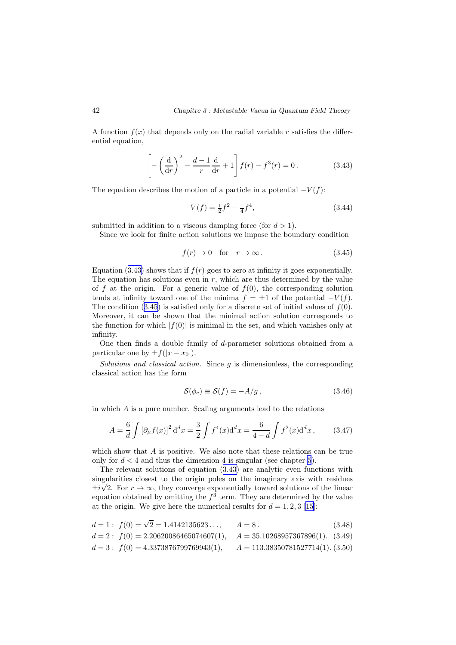<span id="page-43-0"></span>A function  $f(x)$  that depends only on the radial variable r satisfies the differential equation,

$$
\left[-\left(\frac{\mathrm{d}}{\mathrm{d}r}\right)^2 - \frac{d-1}{r}\frac{\mathrm{d}}{\mathrm{d}r} + 1\right]f(r) - f^3(r) = 0.\tag{3.43}
$$

The equation describes the motion of a particle in a potential  $-V(f)$ :

$$
V(f) = \frac{1}{2}f^2 - \frac{1}{4}f^4,\tag{3.44}
$$

submitted in addition to a viscous damping force (for  $d > 1$ ).

Since we look for finite action solutions we impose the boundary condition

$$
f(r) \to 0 \quad \text{for} \quad r \to \infty \,. \tag{3.45}
$$

Equation (3.43) shows that if  $f(r)$  goes to zero at infinity it goes exponentially. The equation has solutions even in  $r$ , which are thus determined by the value of f at the origin. For a generic value of  $f(0)$ , the corresponding solution tends at infinity toward one of the minima  $f = \pm 1$  of the potential  $-V(f)$ . The condition  $(3.45)$  is satisfied only for a discrete set of initial values of  $f(0)$ . Moreover, it can be shown that the minimal action solution corresponds to the function for which  $|f(0)|$  is minimal in the set, and which vanishes only at infinity.

One then finds a double family of d-parameter solutions obtained from a particular one by  $\pm f(|x-x_0|)$ .

Solutions and classical action. Since  $g$  is dimensionless, the corresponding classical action has the form

$$
S(\phi_c) \equiv S(f) = -A/g, \qquad (3.46)
$$

in which A is a pure number. Scaling arguments lead to the relations

$$
A = \frac{6}{d} \int \left[\partial_{\mu} f(x)\right]^2 \mathrm{d}^d x = \frac{3}{2} \int f^4(x) \mathrm{d}^d x = \frac{6}{4 - d} \int f^2(x) \mathrm{d}^d x \,,\tag{3.47}
$$

which show that A is positive. We also note that these relations can be true only for  $d < 4$  and thus the dimension 4 is singular (see chapter [5](#page-62-0)).

The relevant solutions of equation (3.43) are analytic even functions with singularities closest to the origin poles on the imaginary axis with residues  $\pm i\sqrt{2}$ . For  $r \to \infty$ , they converge exponentially toward solutions of the linear equation obtained by omitting the  $f^3$  term. They are determined by the value atthe origin. We give here the numerical results for  $d = 1, 2, 3$  [[15](#page-111-0)]:

$$
d = 1: f(0) = \sqrt{2} = 1.4142135623..., \qquad A = 8.
$$
 (3.48)

$$
d = 2: f(0) = 2.20620086465074607(1), \quad A = 35.10268957367896(1). \tag{3.49}
$$

$$
d = 3: f(0) = 4.3373876799769943(1), \qquad A = 113.38350781527714(1). (3.50)
$$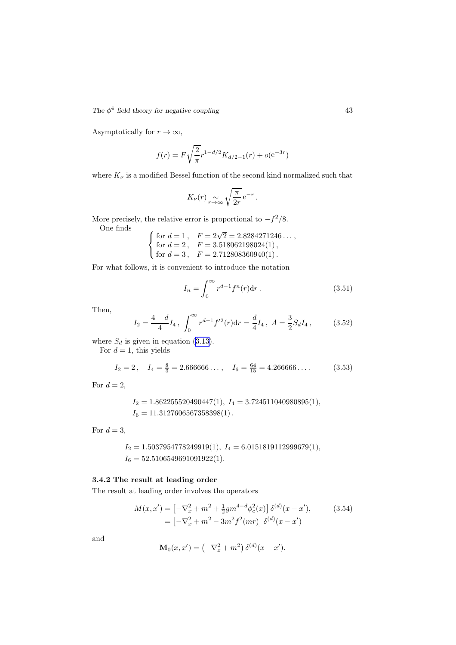<span id="page-44-0"></span>The  $\phi^4$  field theory for negative coupling 43

Asymptotically for  $r \to \infty$ ,

$$
f(r) = F\sqrt{\frac{2}{\pi}}r^{1-d/2}K_{d/2-1}(r) + o(e^{-3r})
$$

where  $K_{\nu}$  is a modified Bessel function of the second kind normalized such that

$$
K_{\nu}(r) \underset{r \to \infty}{\sim} \sqrt{\frac{\pi}{2r}} e^{-r}.
$$

More precisely, the relative error is proportional to  $-f^2/8$ . One finds

 $\sqrt{ }$ J  $\mathcal{L}$ for  $d = 1$ ,  $F = 2\sqrt{2} = 2.8284271246...$ , for  $d = 2$ ,  $F = 3.518062198024(1)$ , for  $d = 3$ ,  $F = 2.712808360940(1)$ .

For what follows, it is convenient to introduce the notation

$$
I_n = \int_0^\infty r^{d-1} f^n(r) dr.
$$
 (3.51)

Then,

$$
I_2 = \frac{4-d}{4} I_4 \, , \, \int_0^\infty r^{d-1} f'^2(r) \mathrm{d}r = \frac{d}{4} I_4 \, , \, A = \frac{3}{2} S_d I_4 \, , \tag{3.52}
$$

where  $S_d$  is given in equation (3.[13](#page-34-0)).

For  $d = 1$ , this yields

$$
I_2 = 2
$$
,  $I_4 = \frac{8}{3} = 2.666666...$ ,  $I_6 = \frac{64}{15} = 4.266666...$  (3.53)

For  $d=2$ ,

$$
I_2 = 1.862255520490447(1), I_4 = 3.724511040980895(1),
$$
  

$$
I_6 = 11.3127606567358398(1).
$$

For  $d=3$ ,

$$
I_2 = 1.5037954778249919(1), I_4 = 6.0151819112999679(1),
$$
  
 $I_6 = 52.5106549691091922(1).$ 

### 3.4.2 The result at leading order

The result at leading order involves the operators

$$
M(x, x') = \left[ -\nabla_x^2 + m^2 + \frac{1}{2}gm^{4-d}\phi_c^2(x) \right] \delta^{(d)}(x - x'), \qquad (3.54)
$$

$$
= \left[ -\nabla_x^2 + m^2 - 3m^2 f^2(mr) \right] \delta^{(d)}(x - x')
$$

and

$$
\mathbf{M}_0(x, x') = \left(-\nabla_x^2 + m^2\right) \delta^{(d)}(x - x').
$$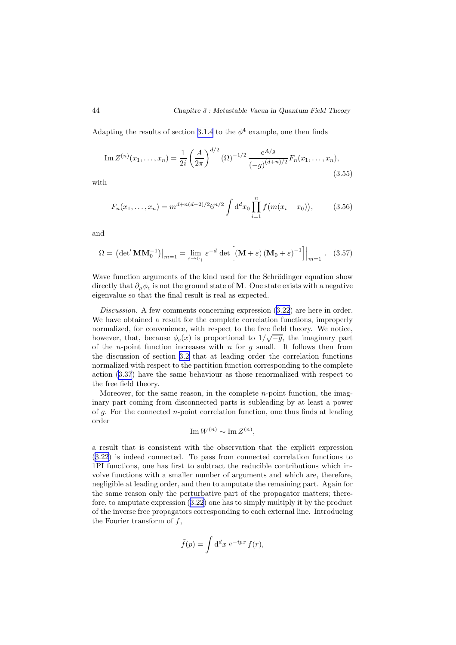<span id="page-45-0"></span>Adapting the results of section [3.1.4](#page-37-0) to the  $\phi^4$  example, one then finds

Im 
$$
Z^{(n)}(x_1,...,x_n) = \frac{1}{2i} \left(\frac{A}{2\pi}\right)^{d/2} (\Omega)^{-1/2} \frac{e^{A/g}}{(-g)^{(d+n)/2}} F_n(x_1,...,x_n),
$$
 (3.55)

with

$$
F_n(x_1,\ldots,x_n) = m^{d+n(d-2)/2} 6^{n/2} \int d^d x_0 \prod_{i=1}^n f(m(x_i - x_0)), \qquad (3.56)
$$

and

$$
\Omega = \left. \left( \det' \mathbf{M} \mathbf{M}_0^{-1} \right) \right|_{m=1} = \lim_{\varepsilon \to 0+} \varepsilon^{-d} \det \left[ \left( \mathbf{M} + \varepsilon \right) \left( \mathbf{M}_0 + \varepsilon \right)^{-1} \right] \Big|_{m=1} . \quad (3.57)
$$

Wave function arguments of the kind used for the Schrödinger equation show directly that  $\partial_{\mu}\phi_c$  is not the ground state of M. One state exists with a negative eigenvalue so that the final result is real as expected.

Discussion. A few comments concerning expression  $(3.22)$  $(3.22)$  $(3.22)$  are here in order. We have obtained a result for the complete correlation functions, improperly normalized, for convenience, with respect to the free field theory. We notice, however, that, because  $\phi_c(x)$  is proportional to  $1/\sqrt{-g}$ , the imaginary part of the *n*-point function increases with *n* for  $g$  small. It follows then from the discussion of section [3.2](#page-39-0) that at leading order the correlation functions normalized with respect to the partition function corresponding to the complete action (3.[37](#page-42-0)) have the same behaviour as those renormalized with respect to the free field theory.

Moreover, for the same reason, in the complete  $n$ -point function, the imaginary part coming from disconnected parts is subleading by at least a power of  $g$ . For the connected *n*-point correlation function, one thus finds at leading order

$$
\operatorname{Im} W^{(n)} \sim \operatorname{Im} Z^{(n)},
$$

a result that is consistent with the observation that the explicit expression (3.[22\)](#page-37-0) is indeed connected. To pass from connected correlation functions to 1PI functions, one has first to subtract the reducible contributions which involve functions with a smaller number of arguments and which are, therefore, negligible at leading order, and then to amputate the remaining part. Again for the same reason only the perturbative part of the propagator matters; therefore, to amputate expression (3.[22\)](#page-37-0) one has to simply multiply it by the product of the inverse free propagators corresponding to each external line. Introducing the Fourier transform of  $f$ ,

$$
\tilde{f}(p) = \int d^d x \ e^{-ipx} f(r),
$$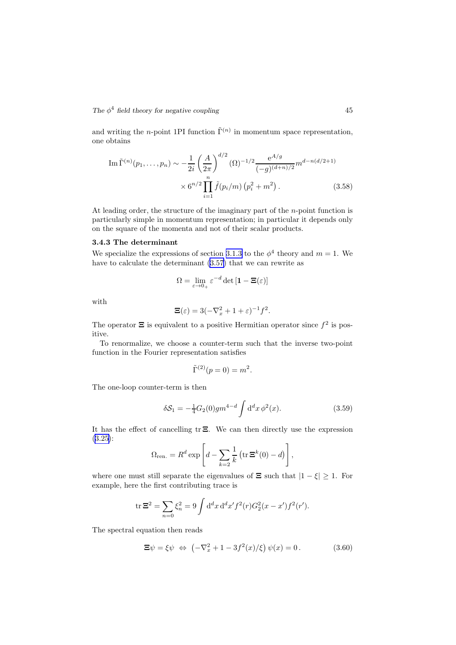and writing the *n*-point 1PI function  $\tilde{\Gamma}^{(n)}$  in momentum space representation, one obtains

Im 
$$
\tilde{\Gamma}^{(n)}(p_1, ..., p_n) \sim -\frac{1}{2i} \left(\frac{A}{2\pi}\right)^{d/2} (\Omega)^{-1/2} \frac{e^{A/g}}{(-g)^{(d+n)/2}} m^{d-n(d/2+1)}
$$
  

$$
\times 6^{n/2} \prod_{i=1}^n \tilde{f}(p_i/m) (p_i^2 + m^2).
$$
 (3.58)

At leading order, the structure of the imaginary part of the *n*-point function is particularly simple in momentum representation; in particular it depends only on the square of the momenta and not of their scalar products.

### 3.4.3 The determinant

We specialize the expressions of section [3.1.3](#page-35-0) to the  $\phi^4$  theory and  $m = 1$ . We have to calculate the determinant (3.[57\)](#page-45-0) that we can rewrite as

$$
\Omega = \lim_{\varepsilon \to 0+} \varepsilon^{-d} \det \left[ \mathbf{1} - \mathbf{\Xi}(\varepsilon) \right]
$$

with

$$
\Xi(\varepsilon) = 3(-\nabla_x^2 + 1 + \varepsilon)^{-1}f^2.
$$

The operator  $\Xi$  is equivalent to a positive Hermitian operator since  $f^2$  is positive.

To renormalize, we choose a counter-term such that the inverse two-point function in the Fourier representation satisfies

$$
\tilde{\Gamma}^{(2)}(p=0) = m^2.
$$

The one-loop counter-term is then

$$
\delta S_1 = -\frac{1}{4} G_2(0) g m^{4-d} \int d^d x \, \phi^2(x). \tag{3.59}
$$

It has the effect of cancelling tr Ξ. We can then directly use the expression (3.[25\)](#page-38-0):

$$
\Omega_{\text{ren.}} = R^d \exp\left[d - \sum_{k=2}^{\infty} \frac{1}{k} \left(\text{tr } \Xi^k(0) - d\right)\right],
$$

where one must still separate the eigenvalues of  $\Xi$  such that  $|1 - \xi| \geq 1$ . For example, here the first contributing trace is

$$
\operatorname{tr} \Xi^2 = \sum_{n=0} \xi_n^2 = 9 \int d^d x \, d^d x' f^2(r) G_2^2(x - x') f^2(r').
$$

The spectral equation then reads

$$
\Xi \psi = \xi \psi \iff \left( -\nabla_x^2 + 1 - 3f^2(x)/\xi \right) \psi(x) = 0. \tag{3.60}
$$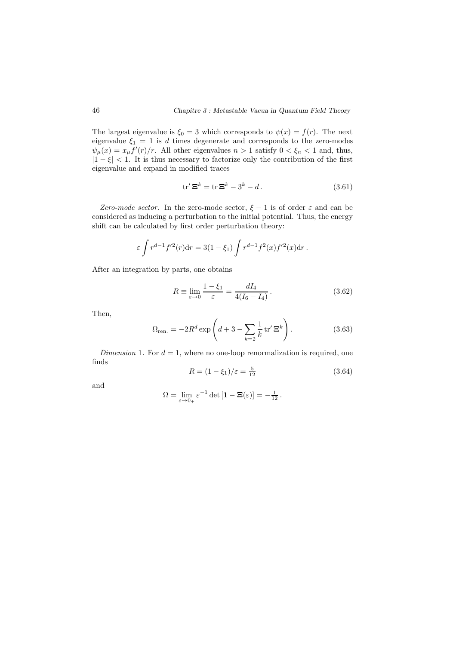The largest eigenvalue is  $\xi_0 = 3$  which corresponds to  $\psi(x) = f(r)$ . The next eigenvalue  $\xi_1 = 1$  is d times degenerate and corresponds to the zero-modes  $\psi_{\mu}(x) = x_{\mu} f'(r)/r$ . All other eigenvalues  $n > 1$  satisfy  $0 < \xi_n < 1$  and, thus,  $|1 - \xi| < 1$ . It is thus necessary to factorize only the contribution of the first eigenvalue and expand in modified traces

$$
\operatorname{tr}' \Xi^k = \operatorname{tr} \Xi^k - 3^k - d. \tag{3.61}
$$

Zero-mode sector. In the zero-mode sector,  $\xi - 1$  is of order  $\varepsilon$  and can be considered as inducing a perturbation to the initial potential. Thus, the energy shift can be calculated by first order perturbation theory:

$$
\varepsilon \int r^{d-1} f'^2(r) \mathrm{d} r = 3(1-\xi_1) \int r^{d-1} f^2(x) f'^2(x) \mathrm{d} r \,.
$$

After an integration by parts, one obtains

$$
R \equiv \lim_{\varepsilon \to 0} \frac{1 - \xi_1}{\varepsilon} = \frac{dI_4}{4(I_6 - I_4)}.
$$
 (3.62)

Then,

$$
\Omega_{\text{ren.}} = -2R^d \exp\left(d + 3 - \sum_{k=2}^{\infty} \frac{1}{k} \operatorname{tr}' \Xi^k\right).
$$
 (3.63)

Dimension 1. For  $d = 1$ , where no one-loop renormalization is required, one finds

$$
R = (1 - \xi_1)/\varepsilon = \frac{5}{12}
$$
 (3.64)

and

$$
\Omega = \lim_{\varepsilon \to 0_+} \varepsilon^{-1} \det \left[ \mathbf{1} - \mathbf{\Xi}(\varepsilon) \right] = -\frac{1}{12} \, .
$$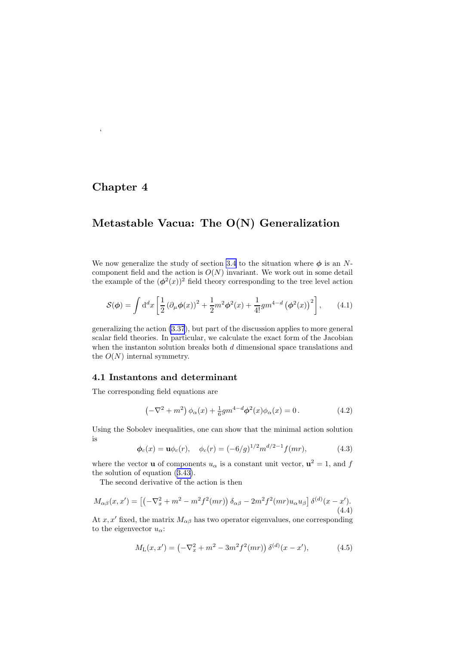# Chapter 4

<span id="page-48-0"></span> $\epsilon$ 

# Metastable Vacua: The O(N) Generalization

We now generalize the study of section [3.4](#page-42-0) to the situation where  $\phi$  is an Ncomponent field and the action is  $O(N)$  invariant. We work out in some detail the example of the  $(\phi^2(x))^2$  field theory corresponding to the tree level action

$$
S(\phi) = \int d^d x \left[ \frac{1}{2} \left( \partial_\mu \phi(x) \right)^2 + \frac{1}{2} m^2 \phi^2(x) + \frac{1}{4!} g m^{4-d} \left( \phi^2(x) \right)^2 \right],\tag{4.1}
$$

generalizing the action (3.[37](#page-42-0)), but part of the discussion applies to more general scalar field theories. In particular, we calculate the exact form of the Jacobian when the instanton solution breaks both  $d$  dimensional space translations and the  $O(N)$  internal symmetry.

### 4.1 Instantons and determinant

The corresponding field equations are

$$
\left(-\nabla^2 + m^2\right)\phi_\alpha(x) + \frac{1}{6}gm^{4-d}\phi^2(x)\phi_\alpha(x) = 0.
$$
 (4.2)

Using the Sobolev inequalities, one can show that the minimal action solution is

$$
\phi_c(x) = \mathbf{u}\phi_c(r), \quad \phi_c(r) = (-6/g)^{1/2} m^{d/2 - 1} f(mr), \tag{4.3}
$$

where the vector **u** of components  $u_{\alpha}$  is a constant unit vector,  $\mathbf{u}^2 = 1$ , and f the solution of equation (3.[43\)](#page-43-0).

The second derivative of the action is then

$$
M_{\alpha\beta}(x, x') = \left[ \left( -\nabla_x^2 + m^2 - m^2 f^2(mr) \right) \delta_{\alpha\beta} - 2m^2 f^2(mr) u_{\alpha} u_{\beta} \right] \delta^{(d)}(x - x'). \tag{4.4}
$$

At x, x' fixed, the matrix  $M_{\alpha\beta}$  has two operator eigenvalues, one corresponding to the eigenvector  $u_{\alpha}$ :

$$
M_{\rm L}(x, x') = \left(-\nabla_x^2 + m^2 - 3m^2 f^2(mr)\right) \delta^{(d)}(x - x'),\tag{4.5}
$$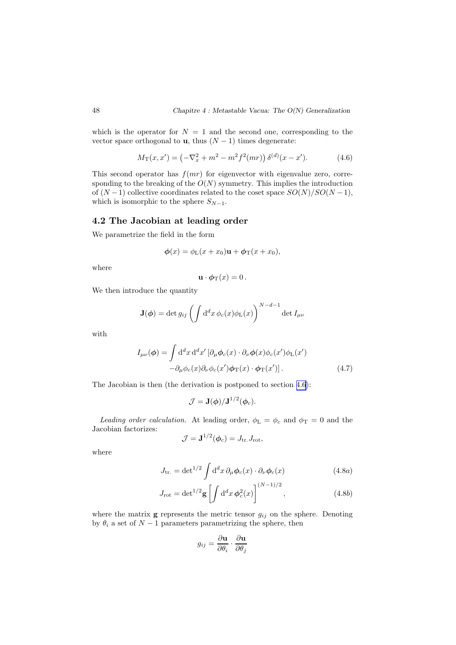which is the operator for  $N = 1$  and the second one, corresponding to the vector space orthogonal to **u**, thus  $(N-1)$  times degenerate:

$$
M_{\mathcal{T}}(x, x') = \left(-\nabla_x^2 + m^2 - m^2 f^2(mr)\right) \delta^{(d)}(x - x'). \tag{4.6}
$$

This second operator has  $f(mr)$  for eigenvector with eigenvalue zero, corresponding to the breaking of the  $O(N)$  symmetry. This implies the introduction of  $(N-1)$  collective coordinates related to the coset space  $SO(N)/SO(N-1)$ , which is isomorphic to the sphere  $S_{N-1}$ .

### 4.2 The Jacobian at leading order

We parametrize the field in the form

$$
\phi(x) = \phi_{\mathcal{L}}(x + x_0)\mathbf{u} + \phi_{\mathcal{T}}(x + x_0),
$$

where

$$
\mathbf{u} \cdot \boldsymbol{\phi}_{\mathrm{T}}(x) = 0 \, .
$$

We then introduce the quantity

$$
\mathbf{J}(\boldsymbol{\phi}) = \det g_{ij} \left( \int d^d x \, \phi_c(x) \phi_{\mathrm{L}}(x) \right)^{N-d-1} \det I_{\mu\nu}
$$

with

$$
I_{\mu\nu}(\phi) = \int d^d x \, d^d x' \left[ \partial_\mu \phi_c(x) \cdot \partial_\nu \phi(x) \phi_c(x') \phi_L(x') - \partial_\mu \phi_c(x) \partial_\nu \phi_c(x') \phi_T(x) \cdot \phi_T(x') \right]. \tag{4.7}
$$

The Jacobian is then (the derivation is postponed to section [4.6](#page-59-0)):

$$
\mathcal{J}=\mathbf{J}(\boldsymbol{\phi})/\mathbf{J}^{1/2}(\boldsymbol{\phi}_c).
$$

Leading order calculation. At leading order,  $\phi_{\text{L}} = \phi_c$  and  $\phi_{\text{T}} = 0$  and the Jacobian factorizes:

$$
\mathcal{J} = \mathbf{J}^{1/2}(\boldsymbol{\phi}_c) = J_{\text{tr.}} J_{\text{rot}},
$$

where

$$
J_{\rm tr.} = \det^{1/2} \int d^d x \, \partial_\mu \phi_c(x) \cdot \partial_\nu \phi_c(x) \tag{4.8a}
$$

$$
J_{\rm rot} = \det^{1/2} \mathbf{g} \left[ \int d^d x \, \phi_c^2(x) \right]^{(N-1)/2}, \qquad (4.8b)
$$

where the matrix **g** represents the metric tensor  $g_{ij}$  on the sphere. Denoting by  $\theta_i$  a set of  $N-1$  parameters parametrizing the sphere, then

$$
g_{ij} = \frac{\partial \mathbf{u}}{\partial \theta_i} \cdot \frac{\partial \mathbf{u}}{\partial \theta_j}
$$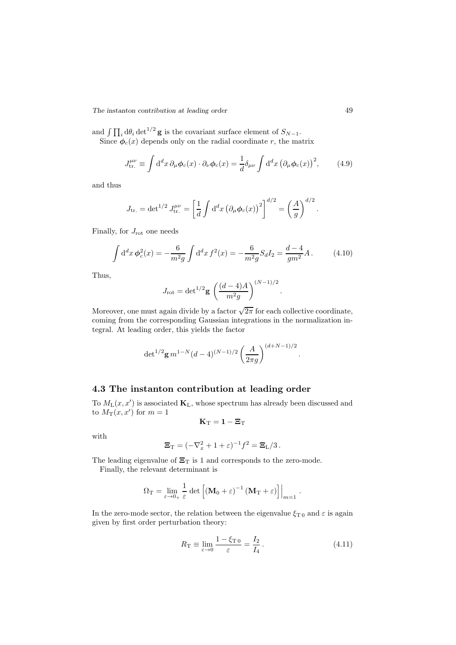*The instanton contribution at leading order* 49

and  $\int \prod_i d\theta_i \det^{1/2} g$  is the covariant surface element of  $S_{N-1}$ . Since  $\phi_c(x)$  depends only on the radial coordinate r, the matrix

$$
J_{\text{tr.}}^{\mu\nu} \equiv \int d^d x \, \partial_\mu \phi_c(x) \cdot \partial_\nu \phi_c(x) = \frac{1}{d} \delta_{\mu\nu} \int d^d x \, (\partial_\mu \phi_c(x))^2, \tag{4.9}
$$

and thus

$$
J_{\text{tr.}} = \det^{1/2} J_{\text{tr.}}^{\mu\nu} = \left[ \frac{1}{d} \int d^d x \left( \partial_\mu \phi_c(x) \right)^2 \right]^{d/2} = \left( \frac{A}{g} \right)^{d/2}.
$$

Finally, for  $J_{\text{rot}}$  one needs

$$
\int d^d x \phi_c^2(x) = -\frac{6}{m^2 g} \int d^d x f^2(x) = -\frac{6}{m^2 g} S_d I_2 = \frac{d-4}{gm^2} A. \tag{4.10}
$$

Thus,

$$
J_{\rm rot} = det^{1/2} \mathbf{g} \left( \frac{(d-4)A}{m^2 g} \right)^{(N-1)/2}.
$$

Moreover, one must again divide by a factor  $\sqrt{2\pi}$  for each collective coordinate, coming from the corresponding Gaussian integrations in the normalization integral. At leading order, this yields the factor

$$
\det^{1/2} g m^{1-N} (d-4)^{(N-1)/2} \left(\frac{A}{2\pi g}\right)^{(d+N-1)/2}
$$

# 4.3 The instanton contribution at leading order

To  $M_L(x, x')$  is associated  $\mathbf{K}_L$ , whose spectrum has already been discussed and to  $M_T(x, x')$  for  $m = 1$ 

$$
\mathbf{K}_\mathrm{T} = \mathbf{1} - \mathbf{\Xi}_\mathrm{T}
$$

with

$$
\Xi_{\mathrm{T}} = (-\nabla_x^2 + 1 + \varepsilon)^{-1} f^2 = \Xi_{\mathrm{L}}/3.
$$

The leading eigenvalue of  $\Xi_{\rm T}$  is 1 and corresponds to the zero-mode.

Finally, the relevant determinant is

$$
\Omega_T = \lim_{\varepsilon \to 0_+} \frac{1}{\varepsilon} \, \det \left[ \left( \mathbf{M}_0 + \varepsilon \right)^{-1} \left( \mathbf{M}_T + \varepsilon \right) \right] \Big|_{m=1} \ .
$$

In the zero-mode sector, the relation between the eigenvalue  $\xi_{T\,0}$  and  $\varepsilon$  is again given by first order perturbation theory:

$$
R_{\rm T} \equiv \lim_{\varepsilon \to 0} \frac{1 - \xi_{\rm T\,0}}{\varepsilon} = \frac{I_2}{I_4} \,. \tag{4.11}
$$

.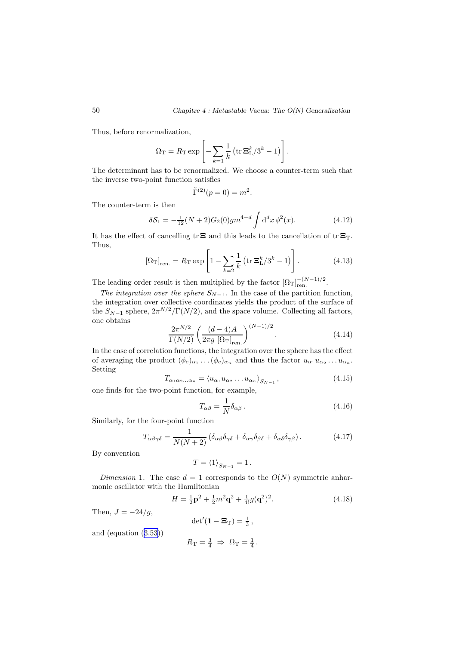Thus, before renormalization,

$$
\Omega_{\rm T} = R_{\rm T} \exp \left[ - \sum_{k=1}^{\infty} \frac{1}{k} \left( \text{tr } \Xi_L^k / 3^k - 1 \right) \right].
$$

The determinant has to be renormalized. We choose a counter-term such that the inverse two-point function satisfies

$$
\tilde{\Gamma}^{(2)}(p=0) = m^2.
$$

The counter-term is then

$$
\delta S_1 = -\frac{1}{12}(N+2)G_2(0)gm^{4-d} \int d^d x \, \phi^2(x). \tag{4.12}
$$

It has the effect of cancelling  $tr \Xi$  and this leads to the cancellation of  $tr \Xi_T$ . Thus,

$$
\left[\Omega_{\rm T}\right]_{\rm ren.} = R_{\rm T} \exp\left[1 - \sum_{k=2} \frac{1}{k} \left(\text{tr}\,\mathbf{\Xi}_{\rm L}^k / 3^k - 1\right)\right].\tag{4.13}
$$

The leading order result is then multiplied by the factor  $[\Omega_T]_{\text{ren.}}^{-(N-1)/2}$ .

The integration over the sphere  $S_{N-1}$ . In the case of the partition function, the integration over collective coordinates yields the product of the surface of the  $S_{N-1}$  sphere,  $2\pi^{N/2}/\Gamma(N/2)$ , and the space volume. Collecting all factors, one obtains

$$
\frac{2\pi^{N/2}}{\Gamma(N/2)} \left( \frac{(d-4)A}{2\pi g} \left[ \Omega_{\text{T}} \right]_{\text{ren.}} \right)^{(N-1)/2}.
$$
 (4.14)

In the case of correlation functions, the integration over the sphere has the effect of averaging the product  $(\phi_c)_{\alpha_1} \ldots (\phi_c)_{\alpha_n}$  and thus the factor  $u_{\alpha_1} u_{\alpha_2} \ldots u_{\alpha_n}$ . Setting

$$
T_{\alpha_1 \alpha_2 \dots \alpha_n} = \langle u_{\alpha_1} u_{\alpha_2} \dots u_{\alpha_n} \rangle_{S_{N-1}}, \tag{4.15}
$$

one finds for the two-point function, for example,

$$
T_{\alpha\beta} = \frac{1}{N} \delta_{\alpha\beta} \,. \tag{4.16}
$$

Similarly, for the four-point function

$$
T_{\alpha\beta\gamma\delta} = \frac{1}{N(N+2)} \left( \delta_{\alpha\beta} \delta_{\gamma\delta} + \delta_{\alpha\gamma} \delta_{\beta\delta} + \delta_{\alpha\delta} \delta_{\gamma\beta} \right). \tag{4.17}
$$

By convention

$$
T = \langle 1 \rangle_{S_{N-1}} = 1.
$$

Dimension 1. The case  $d = 1$  corresponds to the  $O(N)$  symmetric anharmonic oscillator with the Hamiltonian

$$
H = \frac{1}{2}\mathbf{p}^2 + \frac{1}{2}m^2\mathbf{q}^2 + \frac{1}{4!}g(\mathbf{q}^2)^2.
$$
 (4.18)

Then,  $J = -24/g$ ,

$$
\det'(1 - \Xi_T) = \frac{1}{3},
$$
  

$$
R_T = \frac{3}{4} \implies \Omega_T = \frac{1}{4}.
$$

and (equation (3.[53\)](#page-44-0))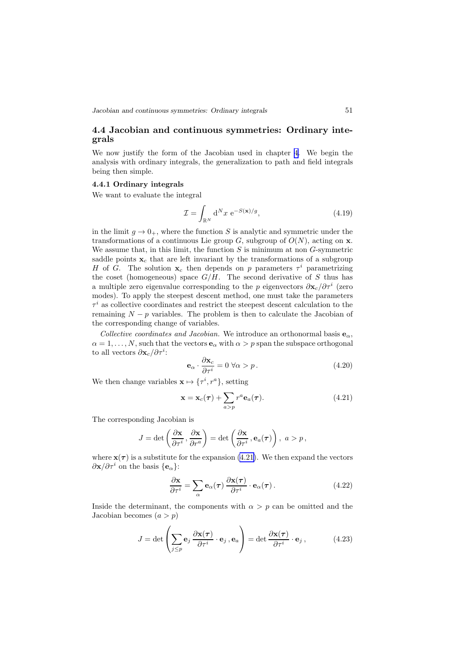<span id="page-52-0"></span>*Jacobian and continuous symmetries: Ordinary integrals* 51

# 4.4 Jacobian and continuous symmetries: Ordinary integrals

We now justify the form of the Jacobian used in chapter [4.](#page-48-0) We begin the analysis with ordinary integrals, the generalization to path and field integrals being then simple.

#### 4.4.1 Ordinary integrals

We want to evaluate the integral

$$
\mathcal{I} = \int_{\mathbb{R}^N} d^N x \ e^{-S(\mathbf{x})/g},\tag{4.19}
$$

in the limit  $q \to 0_+$ , where the function S is analytic and symmetric under the transformations of a continuous Lie group G, subgroup of  $O(N)$ , acting on **x**. We assume that, in this limit, the function  $S$  is minimum at non  $G$ -symmetric saddle points  $x_c$  that are left invariant by the transformations of a subgroup H of G. The solution  $x_c$  then depends on p parameters  $\tau^i$  parametrizing the coset (homogeneous) space  $G/H$ . The second derivative of S thus has a multiple zero eigenvalue corresponding to the p eigenvectors  $\partial \mathbf{x}_c/\partial \tau^i$  (zero modes). To apply the steepest descent method, one must take the parameters  $\tau^i$  as collective coordinates and restrict the steepest descent calculation to the remaining  $N - p$  variables. The problem is then to calculate the Jacobian of the corresponding change of variables.

Collective coordinates and Jacobian. We introduce an orthonormal basis  $\mathbf{e}_{\alpha}$ ,  $\alpha = 1, \ldots, N$ , such that the vectors  $\mathbf{e}_{\alpha}$  with  $\alpha > p$  span the subspace orthogonal to all vectors  $\partial \mathbf{x}_c/\partial \tau^i$ :

$$
\mathbf{e}_{\alpha} \cdot \frac{\partial \mathbf{x}_{c}}{\partial \tau^{i}} = 0 \,\forall \alpha > p. \tag{4.20}
$$

We then change variables  $\mathbf{x} \mapsto {\tau^i, r^a}$ , setting

$$
\mathbf{x} = \mathbf{x}_c(\boldsymbol{\tau}) + \sum_{a > p} r^a \mathbf{e}_a(\boldsymbol{\tau}). \tag{4.21}
$$

The corresponding Jacobian is

$$
J = \det \left( \frac{\partial \mathbf{x}}{\partial \tau^i}, \frac{\partial \mathbf{x}}{\partial r^a} \right) = \det \left( \frac{\partial \mathbf{x}}{\partial \tau^i}, \mathbf{e}_a(\boldsymbol{\tau}) \right), \ a > p,
$$

where  $\mathbf{x}(\tau)$  is a substitute for the expansion (4.21). We then expand the vectors  $\partial$ **x**/ $\partial \tau^i$  on the basis {**e**<sub>α</sub>}:

$$
\frac{\partial \mathbf{x}}{\partial \tau^i} = \sum_{\alpha} \mathbf{e}_{\alpha}(\tau) \frac{\partial \mathbf{x}(\tau)}{\partial \tau^i} \cdot \mathbf{e}_{\alpha}(\tau).
$$
 (4.22)

Inside the determinant, the components with  $\alpha > p$  can be omitted and the Jacobian becomes  $(a > p)$ 

$$
J = \det \left( \sum_{j \le p} \mathbf{e}_j \frac{\partial \mathbf{x}(\tau)}{\partial \tau^i} \cdot \mathbf{e}_j, \mathbf{e}_a \right) = \det \frac{\partial \mathbf{x}(\tau)}{\partial \tau^i} \cdot \mathbf{e}_j, \qquad (4.23)
$$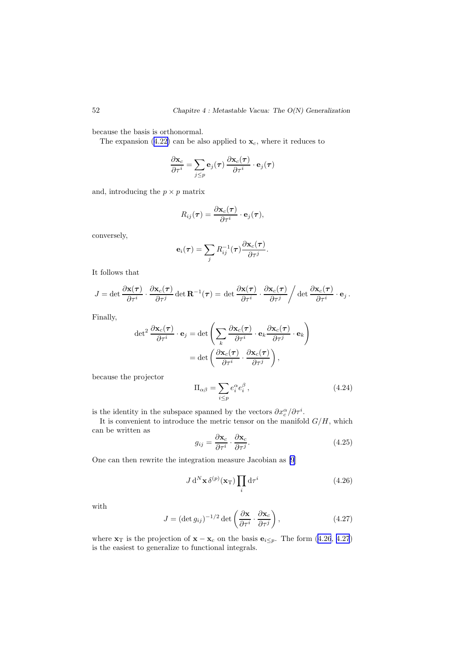<span id="page-53-0"></span>because the basis is orthonormal.

The expansion (4.[22\)](#page-52-0) can be also applied to  $\mathbf{x}_c$ , where it reduces to

$$
\frac{\partial \mathbf{x}_c}{\partial \tau^i} = \sum_{j \leq p} \mathbf{e}_j(\boldsymbol{\tau}) \, \frac{\partial \mathbf{x}_c(\boldsymbol{\tau})}{\partial \tau^i} \cdot \mathbf{e}_j(\boldsymbol{\tau})
$$

and, introducing the  $p \times p$  matrix

$$
R_{ij}(\boldsymbol{\tau}) = \frac{\partial \mathbf{x}_c(\boldsymbol{\tau})}{\partial \tau^i} \cdot \mathbf{e}_j(\boldsymbol{\tau}),
$$

conversely,

$$
\mathbf{e}_i(\boldsymbol{\tau}) = \sum_j R_{ij}^{-1}(\boldsymbol{\tau}) \frac{\partial \mathbf{x}_c(\boldsymbol{\tau})}{\partial \tau^j}.
$$

It follows that

$$
J = \det \frac{\partial \mathbf{x}(\tau)}{\partial \tau^i} \cdot \frac{\partial \mathbf{x}_c(\tau)}{\partial \tau^j} \det \mathbf{R}^{-1}(\tau) = \det \frac{\partial \mathbf{x}(\tau)}{\partial \tau^i} \cdot \frac{\partial \mathbf{x}_c(\tau)}{\partial \tau^j} / \det \frac{\partial \mathbf{x}_c(\tau)}{\partial \tau^i} \cdot \mathbf{e}_j.
$$

Finally,

$$
\det^2 \frac{\partial \mathbf{x}_c(\tau)}{\partial \tau^i} \cdot \mathbf{e}_j = \det \left( \sum_k \frac{\partial \mathbf{x}_c(\tau)}{\partial \tau^i} \cdot \mathbf{e}_k \frac{\partial \mathbf{x}_c(\tau)}{\partial \tau^j} \cdot \mathbf{e}_k \right)
$$

$$
= \det \left( \frac{\partial \mathbf{x}_c(\tau)}{\partial \tau^i} \cdot \frac{\partial \mathbf{x}_c(\tau)}{\partial \tau^j} \right),
$$

because the projector

$$
\Pi_{\alpha\beta} = \sum_{i \le p} e_i^{\alpha} e_i^{\beta},\tag{4.24}
$$

is the identity in the subspace spanned by the vectors  $\partial x_c^{\alpha}/\partial \tau^i$ .

It is convenient to introduce the metric tensor on the manifold  $G/H$ , which can be written as

$$
g_{ij} = \frac{\partial \mathbf{x}_c}{\partial \tau^i} \cdot \frac{\partial \mathbf{x}_c}{\partial \tau^j}.
$$
 (4.25)

One can then rewrite the integration measure Jacobian as [\[9](#page-110-0)]

$$
J d^N \mathbf{x} \, \delta^{(p)}(\mathbf{x}_T) \prod_i d\tau^i \tag{4.26}
$$

with

$$
J = (\det g_{ij})^{-1/2} \det \left( \frac{\partial \mathbf{x}}{\partial \tau^i} \cdot \frac{\partial \mathbf{x}_c}{\partial \tau^j} \right),
$$
 (4.27)

where  $\mathbf{x}_T$  is the projection of  $\mathbf{x} - \mathbf{x}_c$  on the basis  $\mathbf{e}_{i \leq p}$ . The form (4.26, 4.27) is the easiest to generalize to functional integrals.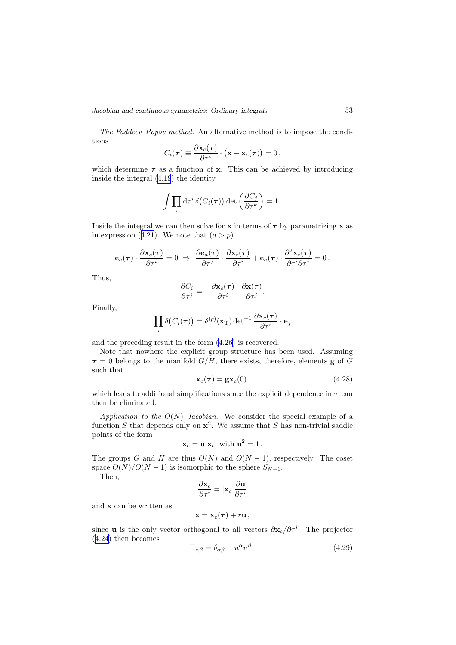<span id="page-54-0"></span>*Jacobian and continuous symmetries: Ordinary integrals* 53

The Faddeev–Popov method. An alternative method is to impose the conditions

$$
C_i(\boldsymbol{\tau}) \equiv \frac{\partial \mathbf{x}_c(\boldsymbol{\tau})}{\partial \tau^i} \cdot (\mathbf{x} - \mathbf{x}_c(\boldsymbol{\tau})) = 0,
$$

which determine  $\tau$  as a function of x. This can be achieved by introducing inside the integral (4.[19](#page-52-0)) the identity

$$
\int \prod_i \mathrm{d} \tau^i \,\delta\big(C_i(\boldsymbol{\tau})\big) \det \left(\frac{\partial C_j}{\partial \tau^k}\right) = 1 \,.
$$

Inside the integral we can then solve for  $x$  in terms of  $\tau$  by parametrizing  $x$  as in expression (4.[21](#page-52-0)). We note that  $(a > p)$ 

$$
\mathbf{e}_a(\boldsymbol{\tau})\cdot \frac{\partial \mathbf{x}_c(\boldsymbol{\tau})}{\partial \tau^i}=0 \ \Rightarrow \ \frac{\partial \mathbf{e}_a(\boldsymbol{\tau})}{\partial \tau^j}\cdot \frac{\partial \mathbf{x}_c(\boldsymbol{\tau})}{\partial \tau^i} + \mathbf{e}_a(\boldsymbol{\tau})\cdot \frac{\partial^2 \mathbf{x}_c(\boldsymbol{\tau})}{\partial \tau^i \partial \tau^j}=0\,.
$$

Thus,

$$
\frac{\partial C_i}{\partial \tau^j} = -\frac{\partial \mathbf{x}_c(\boldsymbol{\tau})}{\partial \tau^i} \cdot \frac{\partial \mathbf{x}(\boldsymbol{\tau})}{\partial \tau^j}.
$$

Finally,

$$
\prod_i \delta\big(C_i(\boldsymbol{\tau})\big) = \delta^{(p)}(\mathbf{x}_{\mathrm{T}}) \det^{-1} \frac{\partial \mathbf{x}_c(\boldsymbol{\tau})}{\partial \tau^i} \cdot \mathbf{e}_j
$$

and the preceding result in the form (4.[26](#page-53-0)) is recovered.

Note that nowhere the explicit group structure has been used. Assuming  $\tau = 0$  belongs to the manifold  $G/H$ , there exists, therefore, elements **g** of G such that

$$
\mathbf{x}_c(\tau) = \mathbf{g}\mathbf{x}_c(0). \tag{4.28}
$$

which leads to additional simplifications since the explicit dependence in  $\tau$  can then be eliminated.

Application to the  $O(N)$  Jacobian. We consider the special example of a function S that depends only on  $x^2$ . We assume that S has non-trivial saddle points of the form

$$
\mathbf{x}_c = \mathbf{u}|\mathbf{x}_c| \text{ with } \mathbf{u}^2 = 1.
$$

The groups G and H are thus  $O(N)$  and  $O(N-1)$ , respectively. The coset space  $O(N)/O(N-1)$  is isomorphic to the sphere  $S_{N-1}$ .

Then,

$$
\frac{\partial \mathbf{x}_c}{\partial \tau^i} = |\mathbf{x}_c| \frac{\partial \mathbf{u}}{\partial \tau^i}
$$

and x can be written as

$$
\mathbf{x} = \mathbf{x}_c(\boldsymbol{\tau}) + r\mathbf{u}\,,
$$

since **u** is the only vector orthogonal to all vectors  $\partial \mathbf{x}_c / \partial \tau^i$ . The projector (4.[24\)](#page-53-0) then becomes

$$
\Pi_{\alpha\beta} = \delta_{\alpha\beta} - u^{\alpha} u^{\beta},\tag{4.29}
$$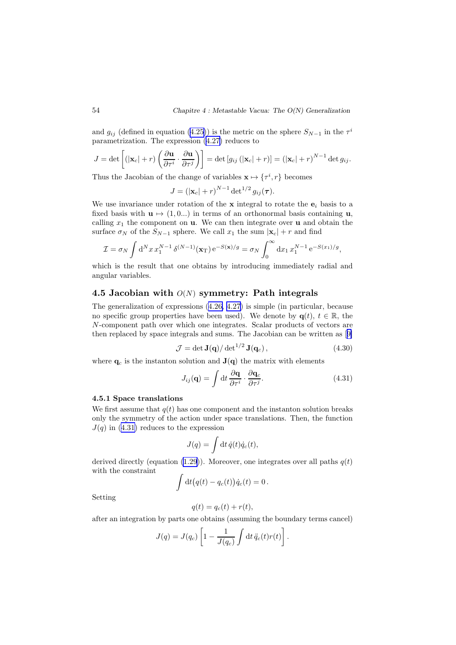<span id="page-55-0"></span>and  $g_{ij}$  (defined in equation (4.[25\)](#page-53-0)) is the metric on the sphere  $S_{N-1}$  in the  $\tau^i$ parametrization. The expression (4.[27\)](#page-53-0) reduces to

$$
J = \det \left[ (|\mathbf{x}_c| + r) \left( \frac{\partial \mathbf{u}}{\partial \tau^i} \cdot \frac{\partial \mathbf{u}}{\partial \tau^j} \right) \right] = \det \left[ g_{ij} \left( |\mathbf{x}_c| + r \right) \right] = \left( |\mathbf{x}_c| + r \right)^{N-1} \det g_{ij}.
$$

Thus the Jacobian of the change of variables  $\mathbf{x} \mapsto {\tau^i, r}$  becomes

$$
J = \left(|\mathbf{x}_c| + r\right)^{N-1} \det^{1/2} g_{ij}(\boldsymbol{\tau}).
$$

We use invariance under rotation of the  $x$  integral to rotate the  $e_i$  basis to a fixed basis with  $\mathbf{u} \mapsto (1, 0...)$  in terms of an orthonormal basis containing  $\mathbf{u}$ , calling  $x_1$  the component on **u**. We can then integrate over **u** and obtain the surface  $\sigma_N$  of the  $S_{N-1}$  sphere. We call  $x_1$  the sum  $|\mathbf{x}_c| + r$  and find

$$
\mathcal{I} = \sigma_N \int d^N x \, x_1^{N-1} \, \delta^{(N-1)}(\mathbf{x}_T) \, e^{-S(\mathbf{x})/g} = \sigma_N \int_0^\infty dx_1 \, x_1^{N-1} \, e^{-S(x_1)/g},
$$

which is the result that one obtains by introducing immediately radial and angular variables.

# 4.5 Jacobian with  $O(N)$  symmetry: Path integrals

The generalization of expressions (4.[26,](#page-53-0) 4.[27\)](#page-53-0) is simple (in particular, because no specific group properties have been used). We denote by  $q(t), t \in \mathbb{R}$ , the N-component path over which one integrates. Scalar products of vectors are then replaced by space integrals and sums. The Jacobian can be written as[[9\]](#page-110-0)

$$
\mathcal{J} = \det \mathbf{J}(\mathbf{q}) / \det^{1/2} \mathbf{J}(\mathbf{q}_c), \qquad (4.30)
$$

where  $\mathbf{q}_c$  is the instanton solution and  $\mathbf{J}(\mathbf{q})$  the matrix with elements

$$
J_{ij}(\mathbf{q}) = \int \mathrm{d}t \, \frac{\partial \mathbf{q}}{\partial \tau^i} \cdot \frac{\partial \mathbf{q}_c}{\partial \tau^j}.
$$
 (4.31)

#### 4.5.1 Space translations

We first assume that  $q(t)$  has one component and the instanton solution breaks only the symmetry of the action under space translations. Then, the function  $J(q)$  in (4.31) reduces to the expression

$$
J(q) = \int dt \, \dot{q}(t) \dot{q}_c(t),
$$

derived directly (equation (1.[29](#page-12-0))). Moreover, one integrates over all paths  $q(t)$ with the constraint

$$
\int dt (q(t) - q_c(t)) \dot{q}_c(t) = 0.
$$

Setting

$$
q(t) = q_c(t) + r(t),
$$

after an integration by parts one obtains (assuming the boundary terms cancel)

$$
J(q) = J(q_c) \left[ 1 - \frac{1}{J(q_c)} \int dt \, \ddot{q}_c(t) r(t) \right].
$$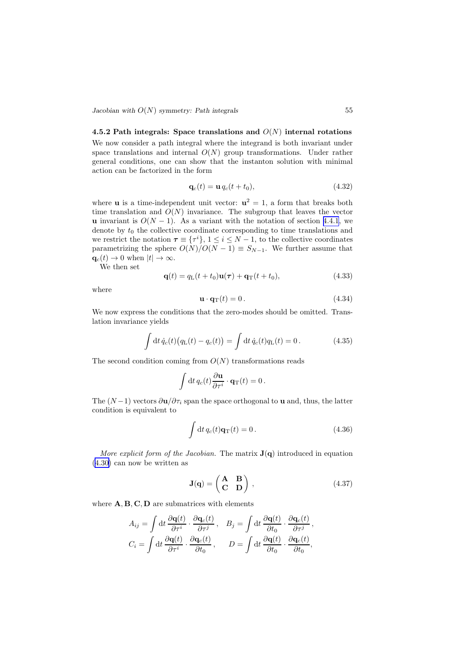<span id="page-56-0"></span>*Jacobian with*  $O(N)$  *symmetry: Path integrals* 55

### 4.5.2 Path integrals: Space translations and  $O(N)$  internal rotations

We now consider a path integral where the integrand is both invariant under space translations and internal  $O(N)$  group transformations. Under rather general conditions, one can show that the instanton solution with minimal action can be factorized in the form

$$
\mathbf{q}_c(t) = \mathbf{u} q_c(t + t_0),\tag{4.32}
$$

where **u** is a time-independent unit vector:  $u^2 = 1$ , a form that breaks both time translation and  $O(N)$  invariance. The subgroup that leaves the vector u invariant is  $O(N-1)$ . As a variant with the notation of section [4.4.1](#page-52-0), we denote by  $t_0$  the collective coordinate corresponding to time translations and we restrict the notation  $\tau \equiv \{\tau^i\}, 1 \leq i \leq N-1$ , to the collective coordinates parametrizing the sphere  $O(N)/O(N-1) \equiv S_{N-1}$ . We further assume that  $\mathbf{q}_c(t) \to 0$  when  $|t| \to \infty$ .

We then set

$$
\mathbf{q}(t) = q_{\rm L}(t+t_0)\mathbf{u}(\tau) + \mathbf{q}_{\rm T}(t+t_0),\tag{4.33}
$$

where

$$
\mathbf{u} \cdot \mathbf{q}_{\mathrm{T}}(t) = 0. \tag{4.34}
$$

We now express the conditions that the zero-modes should be omitted. Translation invariance yields

$$
\int dt \dot{q}_c(t) (q_{\rm L}(t) - q_c(t)) = \int dt \dot{q}_c(t) q_{\rm L}(t) = 0.
$$
 (4.35)

The second condition coming from  $O(N)$  transformations reads

$$
\int dt \, q_c(t) \frac{\partial \mathbf{u}}{\partial \tau^i} \cdot \mathbf{q}_T(t) = 0.
$$

The  $(N-1)$  vectors  $\partial {\bf u}/\partial \tau_i$  span the space orthogonal to **u** and, thus, the latter condition is equivalent to

$$
\int dt \, q_c(t) \mathbf{q}_T(t) = 0. \tag{4.36}
$$

More explicit form of the Jacobian. The matrix  $J(q)$  introduced in equation (4.[30\)](#page-55-0) can now be written as

$$
\mathbf{J}(\mathbf{q}) = \begin{pmatrix} \mathbf{A} & \mathbf{B} \\ \mathbf{C} & \mathbf{D} \end{pmatrix},\tag{4.37}
$$

where  $A, B, C, D$  are submatrices with elements

$$
A_{ij} = \int dt \frac{\partial \mathbf{q}(t)}{\partial \tau^i} \cdot \frac{\partial \mathbf{q}_c(t)}{\partial \tau^j}, \quad B_j = \int dt \frac{\partial \mathbf{q}(t)}{\partial t_0} \cdot \frac{\partial \mathbf{q}_c(t)}{\partial \tau^j},
$$

$$
C_i = \int dt \frac{\partial \mathbf{q}(t)}{\partial \tau^i} \cdot \frac{\partial \mathbf{q}_c(t)}{\partial t_0}, \qquad D = \int dt \frac{\partial \mathbf{q}(t)}{\partial t_0} \cdot \frac{\partial \mathbf{q}_c(t)}{\partial t_0},
$$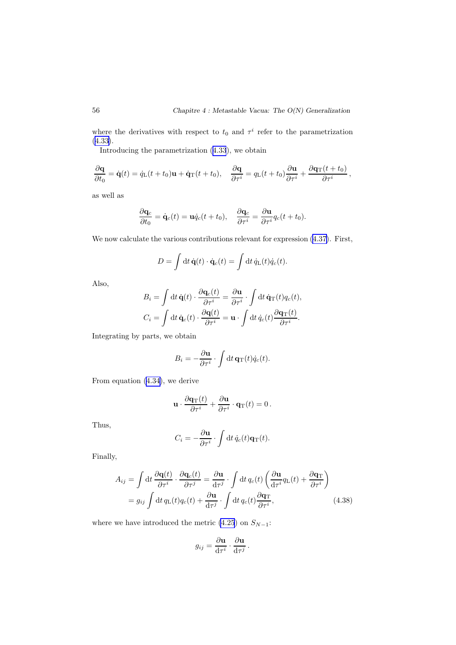<span id="page-57-0"></span>where the derivatives with respect to  $t_0$  and  $\tau^i$  refer to the parametrization (4.[33\)](#page-56-0).

Introducing the parametrization (4.[33](#page-56-0)), we obtain

$$
\frac{\partial \mathbf{q}}{\partial t_0} = \dot{\mathbf{q}}(t) = \dot{q}_L(t+t_0)\mathbf{u} + \dot{\mathbf{q}}_T(t+t_0), \quad \frac{\partial \mathbf{q}}{\partial \tau^i} = q_L(t+t_0)\frac{\partial \mathbf{u}}{\partial \tau^i} + \frac{\partial \mathbf{q}_T(t+t_0)}{\partial \tau^i},
$$

as well as

$$
\frac{\partial \mathbf{q}_c}{\partial t_0} = \dot{\mathbf{q}}_c(t) = \mathbf{u}\dot{q}_c(t+t_0), \quad \frac{\partial \mathbf{q}_c}{\partial \tau^i} = \frac{\partial \mathbf{u}}{\partial \tau^i}q_c(t+t_0).
$$

We now calculate the various contributions relevant for expression  $(4.37)$  $(4.37)$ . First,

$$
D = \int dt \, \dot{\mathbf{q}}(t) \cdot \dot{\mathbf{q}}_c(t) = \int dt \, \dot{q}_\mathrm{L}(t) \dot{q}_c(t).
$$

Also,

$$
B_i = \int dt \, \dot{\mathbf{q}}(t) \cdot \frac{\partial \mathbf{q}_c(t)}{\partial \tau^i} = \frac{\partial \mathbf{u}}{\partial \tau^i} \cdot \int dt \, \dot{\mathbf{q}}(t) q_c(t),
$$

$$
C_i = \int dt \, \dot{\mathbf{q}}_c(t) \cdot \frac{\partial \mathbf{q}(t)}{\partial \tau^i} = \mathbf{u} \cdot \int dt \, \dot{q}_c(t) \frac{\partial \mathbf{q}(t)}{\partial \tau^i}.
$$

Integrating by parts, we obtain

$$
B_i = -\frac{\partial \mathbf{u}}{\partial \tau^i} \cdot \int \mathrm{d}t \, \mathbf{q}_\mathrm{T}(t) \dot{q}_c(t).
$$

From equation (4.[34\)](#page-56-0), we derive

$$
\mathbf{u} \cdot \frac{\partial \mathbf{q}_{\mathrm{T}}(t)}{\partial \tau^i} + \frac{\partial \mathbf{u}}{\partial \tau^i} \cdot \mathbf{q}_{\mathrm{T}}(t) = 0.
$$

Thus,

$$
C_i = -\frac{\partial \mathbf{u}}{\partial \tau^i} \cdot \int dt \, \dot{q}_c(t) \mathbf{q}_{\mathrm{T}}(t).
$$

Finally,

$$
A_{ij} = \int dt \frac{\partial \mathbf{q}(t)}{\partial \tau^i} \cdot \frac{\partial \mathbf{q}_c(t)}{\partial \tau^j} = \frac{\partial \mathbf{u}}{d\tau^j} \cdot \int dt q_c(t) \left(\frac{\partial \mathbf{u}}{d\tau^i} q_L(t) + \frac{\partial \mathbf{q}_T}{\partial \tau^i}\right)
$$
  
=  $g_{ij} \int dt q_L(t) q_c(t) + \frac{\partial \mathbf{u}}{d\tau^j} \cdot \int dt q_c(t) \frac{\partial \mathbf{q}_T}{\partial \tau^i},$  (4.38)

where we have introduced the metric (4.[25](#page-53-0)) on  $S_{N-1}$ :

$$
g_{ij} = \frac{\partial \mathbf{u}}{d\tau^i} \cdot \frac{\partial \mathbf{u}}{d\tau^j}.
$$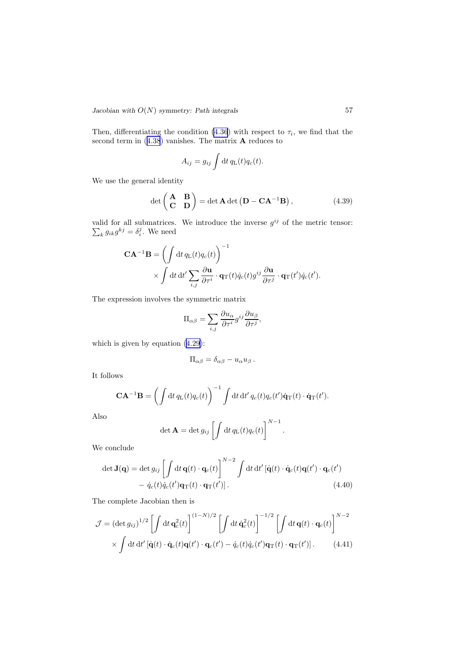<span id="page-58-0"></span>Then, differentiating the condition (4.[36](#page-56-0)) with respect to  $\tau_i$ , we find that the second term in  $(4.38)$  $(4.38)$  $(4.38)$  vanishes. The matrix **A** reduces to

$$
A_{ij} = g_{ij} \int dt \, q_{\rm L}(t) q_c(t).
$$

We use the general identity

$$
\det\begin{pmatrix} \mathbf{A} & \mathbf{B} \\ \mathbf{C} & \mathbf{D} \end{pmatrix} = \det \mathbf{A} \det \left( \mathbf{D} - \mathbf{C} \mathbf{A}^{-1} \mathbf{B} \right), \tag{4.39}
$$

valid for all submatrices. We introduce the inverse  $g^{ij}$  $\sum$ of the metric tensor:  $ig_{ik}g^{kj} = \delta_i^j$ . We need

$$
\mathbf{CA}^{-1}\mathbf{B} = \left(\int dt \, q_{\mathrm{L}}(t) q_{c}(t)\right)^{-1} \times \int dt \, dt' \sum_{i,j} \frac{\partial \mathbf{u}}{\partial \tau^{i}} \cdot \mathbf{q}_{\mathrm{T}}(t) \dot{q}_{c}(t) g^{ij} \frac{\partial \mathbf{u}}{\partial \tau^{j}} \cdot \mathbf{q}_{\mathrm{T}}(t') \dot{q}_{c}(t').
$$

The expression involves the symmetric matrix

$$
\Pi_{\alpha\beta} = \sum_{i,j} \frac{\partial u_{\alpha}}{\partial \tau^i} g^{ij} \frac{\partial u_{\beta}}{\partial \tau^j},
$$

which is given by equation (4.[29\)](#page-54-0):

$$
\Pi_{\alpha\beta} = \delta_{\alpha\beta} - u_{\alpha}u_{\beta}.
$$

It follows

$$
\mathbf{CA}^{-1}\mathbf{B} = \left(\int dt \, q_{\mathrm{L}}(t) q_c(t)\right)^{-1} \int dt \, dt' \, q_c(t) q_c(t') \dot{\mathbf{q}}_{\mathrm{T}}(t) \cdot \dot{\mathbf{q}}_{\mathrm{T}}(t').
$$

Also

$$
\det \mathbf{A} = \det g_{ij} \left[ \int dt \, q_{\mathrm{L}}(t) q_c(t) \right]^{N-1}.
$$

We conclude

$$
\det \mathbf{J}(\mathbf{q}) = \det g_{ij} \left[ \int \mathrm{d}t \, \mathbf{q}(t) \cdot \mathbf{q}_c(t) \right]^{N-2} \int \mathrm{d}t \, \mathrm{d}t' \left[ \dot{\mathbf{q}}(t) \cdot \dot{\mathbf{q}}_c(t) \mathbf{q}(t') \cdot \mathbf{q}_c(t') \right] - \dot{q}_c(t) \dot{q}_c(t') \mathbf{q}_T(t') \cdot \mathbf{q}_T(t') \right]. \tag{4.40}
$$

The complete Jacobian then is

$$
\mathcal{J} = (\det g_{ij})^{1/2} \left[ \int dt \, \mathbf{q}_c^2(t) \right]^{(1-N)/2} \left[ \int dt \, \dot{\mathbf{q}}_c^2(t) \right]^{-1/2} \left[ \int dt \, \mathbf{q}(t) \cdot \mathbf{q}_c(t) \right]^{N-2} \times \int dt \, dt' \left[ \dot{\mathbf{q}}(t) \cdot \dot{\mathbf{q}}_c(t) \mathbf{q}(t') \cdot \mathbf{q}_c(t') - \dot{q}_c(t) \dot{q}_c(t') \mathbf{q}_T(t) \cdot \mathbf{q}_T(t') \right].
$$
 (4.41)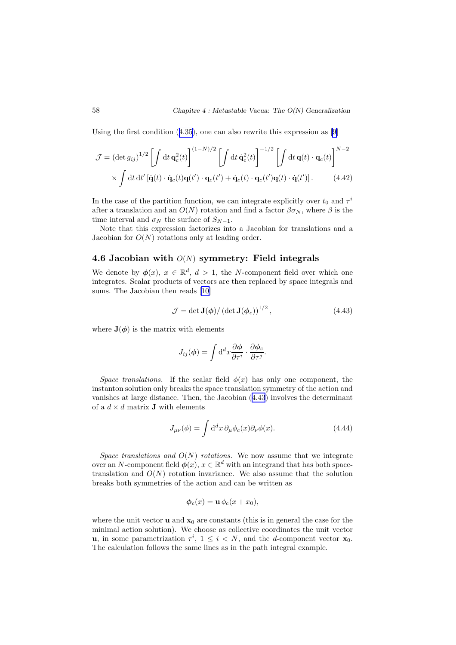<span id="page-59-0"></span>Using the first condition (4.[35](#page-56-0)), one can also rewrite this expression as[[9\]](#page-110-0)

$$
\mathcal{J} = (\det g_{ij})^{1/2} \left[ \int dt \, \mathbf{q}_c^2(t) \right]^{(1-N)/2} \left[ \int dt \, \dot{\mathbf{q}}_c^2(t) \right]^{-1/2} \left[ \int dt \, \mathbf{q}(t) \cdot \mathbf{q}_c(t) \right]^{N-2} \times \int dt \, dt' \left[ \dot{\mathbf{q}}(t) \cdot \dot{\mathbf{q}}_c(t) \mathbf{q}(t') \cdot \mathbf{q}_c(t') + \dot{\mathbf{q}}_c(t) \cdot \mathbf{q}_c(t') \mathbf{q}(t) \cdot \dot{\mathbf{q}}(t') \right].
$$
 (4.42)

In the case of the partition function, we can integrate explicitly over  $t_0$  and  $\tau^i$ after a translation and an  $O(N)$  rotation and find a factor  $\beta \sigma_N$ , where  $\beta$  is the time interval and  $\sigma_N$  the surface of  $S_{N-1}$ .

Note that this expression factorizes into a Jacobian for translations and a Jacobian for  $O(N)$  rotations only at leading order.

# 4.6 Jacobian with  $O(N)$  symmetry: Field integrals

We denote by  $\phi(x)$ ,  $x \in \mathbb{R}^d$ ,  $d > 1$ , the N-component field over which one integrates. Scalar products of vectors are then replaced by space integrals and sums. The Jacobian then reads[[10\]](#page-110-0)

$$
\mathcal{J} = \det \mathbf{J}(\phi) / \left( \det \mathbf{J}(\phi_c) \right)^{1/2},\tag{4.43}
$$

where  $J(\phi)$  is the matrix with elements

$$
J_{ij}(\phi) = \int \mathrm{d}^d x \frac{\partial \phi}{\partial \tau^i} \cdot \frac{\partial \phi_c}{\partial \tau^j}.
$$

Space translations. If the scalar field  $\phi(x)$  has only one component, the instanton solution only breaks the space translation symmetry of the action and vanishes at large distance. Then, the Jacobian (4.43) involves the determinant of a  $d \times d$  matrix **J** with elements

$$
J_{\mu\nu}(\phi) = \int d^d x \,\partial_\mu \phi_c(x) \partial_\nu \phi(x). \tag{4.44}
$$

Space translations and  $O(N)$  rotations. We now assume that we integrate over an N-component field  $\phi(x)$ ,  $x \in \mathbb{R}^d$  with an integrand that has both spacetranslation and  $O(N)$  rotation invariance. We also assume that the solution breaks both symmetries of the action and can be written as

$$
\phi_c(x) = \mathbf{u}\,\phi_c(x+x_0),
$$

where the unit vector **u** and  $\mathbf{x}_0$  are constants (this is in general the case for the minimal action solution). We choose as collective coordinates the unit vector **u**, in some parametrization  $\tau^i$ ,  $1 \leq i \leq N$ , and the *d*-component vector **x**<sub>0</sub>. The calculation follows the same lines as in the path integral example.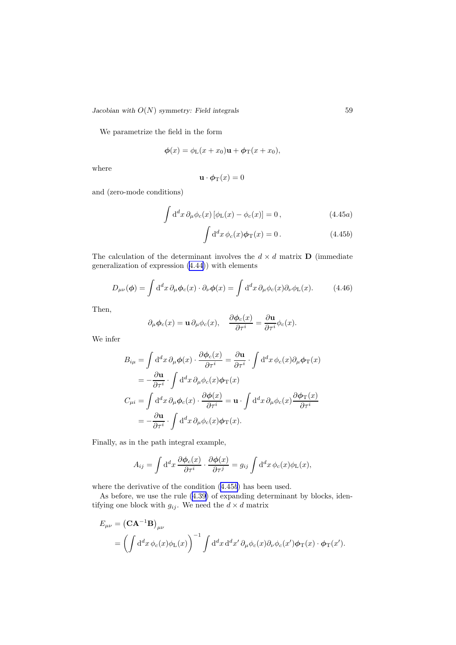*Jacobian with*  $O(N)$  *symmetry: Field integrals* 59

We parametrize the field in the form

$$
\phi(x) = \phi_{\rm L}(x + x_0)\mathbf{u} + \phi_{\rm T}(x + x_0),
$$

where

$$
\mathbf{u} \cdot \boldsymbol{\phi}_{\mathrm{T}}(x) = 0
$$

and (zero-mode conditions)

$$
\int d^d x \,\partial_\mu \phi_c(x) \left[ \phi_L(x) - \phi_c(x) \right] = 0, \qquad (4.45a)
$$

$$
\int d^d x \, \phi_c(x) \phi_T(x) = 0. \qquad (4.45b)
$$

The calculation of the determinant involves the  $d \times d$  matrix **D** (immediate generalization of expression (4.[44\)](#page-59-0)) with elements

$$
D_{\mu\nu}(\phi) = \int d^d x \,\partial_\mu \phi_c(x) \cdot \partial_\nu \phi(x) = \int d^d x \,\partial_\mu \phi_c(x) \partial_\nu \phi_L(x). \tag{4.46}
$$

Then,

$$
\partial_{\mu}\phi_c(x) = \mathbf{u}\,\partial_{\mu}\phi_c(x), \quad \frac{\partial\phi_c(x)}{\partial\tau^i} = \frac{\partial\mathbf{u}}{\partial\tau^i}\phi_c(x).
$$

We infer

$$
B_{i\mu} = \int d^d x \, \partial_{\mu} \phi(x) \cdot \frac{\partial \phi_c(x)}{\partial \tau^i} = \frac{\partial \mathbf{u}}{\partial \tau^i} \cdot \int d^d x \, \phi_c(x) \partial_{\mu} \phi_{\mathrm{T}}(x)
$$
  
\n
$$
= -\frac{\partial \mathbf{u}}{\partial \tau^i} \cdot \int d^d x \, \partial_{\mu} \phi_c(x) \phi_{\mathrm{T}}(x)
$$
  
\n
$$
C_{\mu i} = \int d^d x \, \partial_{\mu} \phi_c(x) \cdot \frac{\partial \phi(x)}{\partial \tau^i} = \mathbf{u} \cdot \int d^d x \, \partial_{\mu} \phi_c(x) \frac{\partial \phi_{\mathrm{T}}(x)}{\partial \tau^i}
$$
  
\n
$$
= -\frac{\partial \mathbf{u}}{\partial \tau^i} \cdot \int d^d x \, \partial_{\mu} \phi_c(x) \phi_{\mathrm{T}}(x).
$$

Finally, as in the path integral example,

$$
A_{ij} = \int d^d x \, \frac{\partial \phi_c(x)}{\partial \tau^i} \cdot \frac{\partial \phi(x)}{\partial \tau^j} = g_{ij} \int d^d x \, \phi_c(x) \phi_L(x),
$$

where the derivative of the condition (4.45b) has been used.

As before, we use the rule (4.[39\)](#page-58-0) of expanding determinant by blocks, identifying one block with  $g_{ij}$ . We need the  $d \times d$  matrix

$$
E_{\mu\nu} = (\mathbf{C}\mathbf{A}^{-1}\mathbf{B})_{\mu\nu}
$$
  
= 
$$
\left(\int d^d x \,\phi_c(x)\phi_L(x)\right)^{-1} \int d^d x \,d^d x' \,\partial_\mu\phi_c(x)\partial_\nu\phi_c(x')\phi_T(x) \cdot \phi_T(x').
$$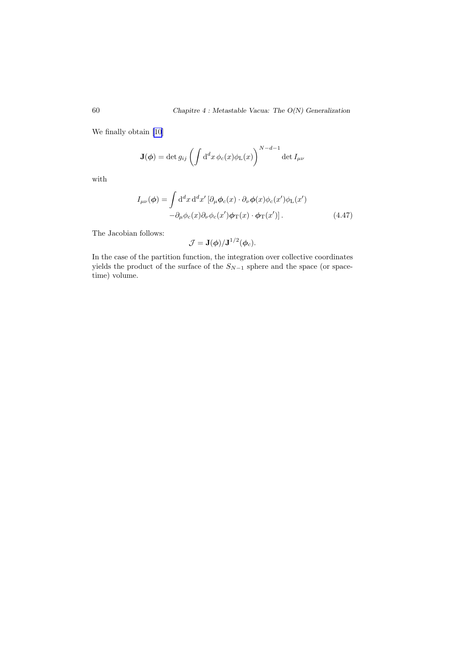We finally obtain [\[10](#page-110-0)]

$$
\mathbf{J}(\phi) = \det g_{ij} \left( \int d^dx \, \phi_c(x) \phi_{\mathrm{L}}(x) \right)^{N-d-1} \det I_{\mu\nu}
$$

with

$$
I_{\mu\nu}(\phi) = \int d^d x d^d x' \left[ \partial_{\mu} \phi_c(x) \cdot \partial_{\nu} \phi(x) \phi_c(x') \phi_{\text{L}}(x') - \partial_{\mu} \phi_c(x) \partial_{\nu} \phi_c(x') \phi_{\text{T}}(x) \cdot \phi_{\text{T}}(x') \right].
$$
\n(4.47)

The Jacobian follows:

$$
\mathcal{J} = \mathbf{J}(\phi)/\mathbf{J}^{1/2}(\phi_c).
$$

In the case of the partition function, the integration over collective coordinates yields the product of the surface of the  $S_{N-1}$  sphere and the space (or spacetime) volume.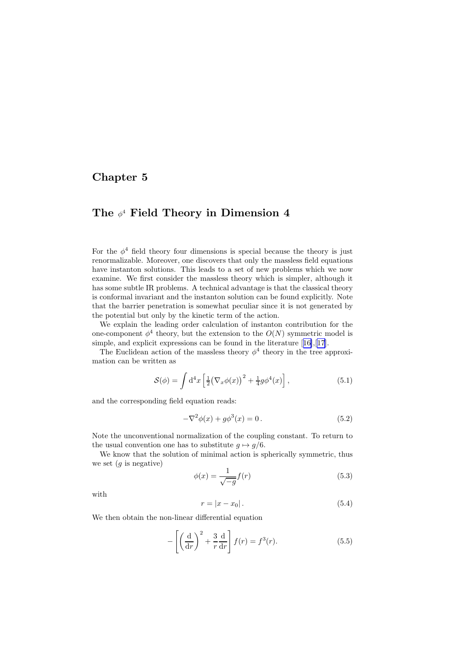# <span id="page-62-0"></span>Chapter 5

# The  $\phi^4$  Field Theory in Dimension 4

For the  $\phi^4$  field theory four dimensions is special because the theory is just renormalizable. Moreover, one discovers that only the massless field equations have instanton solutions. This leads to a set of new problems which we now examine. We first consider the massless theory which is simpler, although it has some subtle IR problems. A technical advantage is that the classical theory is conformal invariant and the instanton solution can be found explicitly. Note that the barrier penetration is somewhat peculiar since it is not generated by the potential but only by the kinetic term of the action.

We explain the leading order calculation of instanton contribution for the one-component  $\phi^4$  theory, but the extension to the  $O(N)$  symmetric model is simple,and explicit expressions can be found in the literature [[16\]](#page-111-0),[[17\]](#page-111-0).

The Euclidean action of the massless theory  $\phi^4$  theory in the tree approximation can be written as

$$
S(\phi) = \int d^4x \left[ \frac{1}{2} (\nabla_x \phi(x))^2 + \frac{1}{4} g \phi^4(x) \right], \qquad (5.1)
$$

and the corresponding field equation reads:

$$
-\nabla^2 \phi(x) + g\phi^3(x) = 0.
$$
 (5.2)

Note the unconventional normalization of the coupling constant. To return to the usual convention one has to substitute  $q \mapsto q/6$ .

We know that the solution of minimal action is spherically symmetric, thus we set  $(g \text{ is negative})$ 

$$
\phi(x) = \frac{1}{\sqrt{-g}} f(r) \tag{5.3}
$$

with

$$
r = |x - x_0|.
$$
 (5.4)

We then obtain the non-linear differential equation

$$
-\left[\left(\frac{\mathrm{d}}{\mathrm{d}r}\right)^2 + \frac{3}{r}\frac{\mathrm{d}}{\mathrm{d}r}\right]f(r) = f^3(r). \tag{5.5}
$$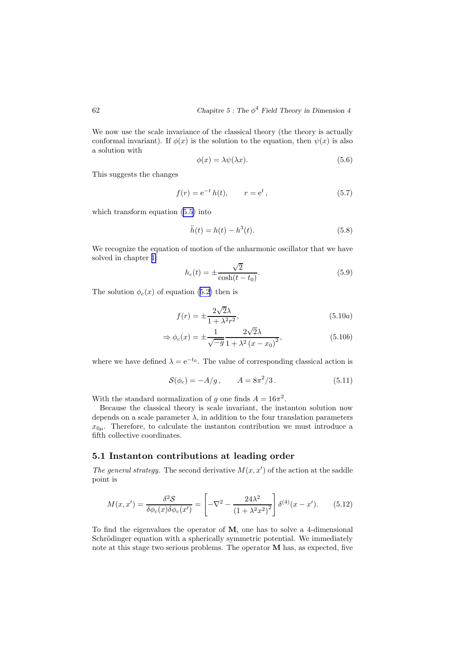We now use the scale invariance of the classical theory (the theory is actually conformal invariant). If  $\phi(x)$  is the solution to the equation, then  $\psi(x)$  is also a solution with

$$
\phi(x) = \lambda \psi(\lambda x). \tag{5.6}
$$

This suggests the changes

$$
f(r) = e^{-t} h(t), \qquad r = e^{t}, \qquad (5.7)
$$

which transform equation (5.[5\)](#page-62-0) into

$$
\ddot{h}(t) = h(t) - h^3(t).
$$
 (5.8)

We recognize the equation of motion of the anharmonic oscillator that we have solved in chapter [1:](#page-2-0)

$$
h_c(t) = \pm \frac{\sqrt{2}}{\cosh(t - t_0)}.
$$
\n(5.9)

The solution  $\phi_c(x)$  of equation (5.[2\)](#page-62-0) then is

$$
f(r) = \pm \frac{2\sqrt{2}\lambda}{1 + \lambda^2 r^2},\tag{5.10a}
$$

$$
\Rightarrow \phi_c(x) = \pm \frac{1}{\sqrt{-g}} \frac{2\sqrt{2\lambda}}{1 + \lambda^2 (x - x_0)^2},
$$
\n(5.10b)

where we have defined  $\lambda = e^{-t_0}$ . The value of corresponding classical action is

$$
S(\phi_c) = -A/g, \qquad A = 8\pi^2/3. \tag{5.11}
$$

With the standard normalization of g one finds  $A = 16\pi^2$ .

Because the classical theory is scale invariant, the instanton solution now depends on a scale parameter  $\lambda$ , in addition to the four translation parameters  $x_{0\mu}$ . Therefore, to calculate the instanton contribution we must introduce a fifth collective coordinates.

## 5.1 Instanton contributions at leading order

The general strategy. The second derivative  $M(x, x')$  of the action at the saddle point is

$$
M(x, x') = \frac{\delta^2 \mathcal{S}}{\delta \phi_c(x) \delta \phi_c(x')} = \left[ -\nabla^2 - \frac{24\lambda^2}{\left(1 + \lambda^2 x^2\right)^2} \right] \delta^{(4)}(x - x'). \tag{5.12}
$$

To find the eigenvalues the operator of M, one has to solve a 4-dimensional Schrödinger equation with a spherically symmetric potential. We immediately note at this stage two serious problems. The operator M has, as expected, five

<span id="page-63-0"></span>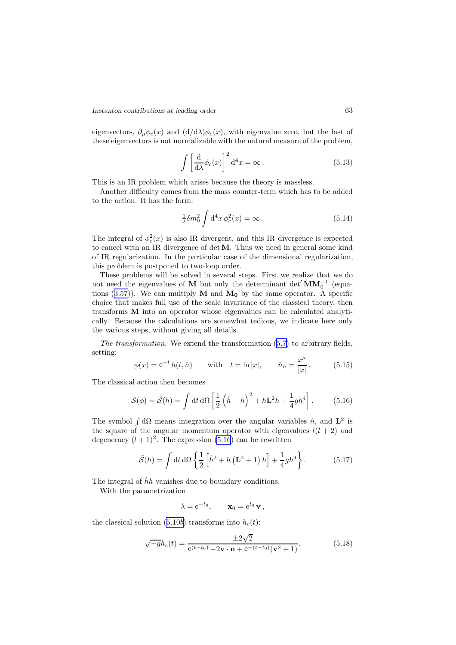eigenvectors,  $\partial_{\mu}\phi_c(x)$  and  $(d/d\lambda)\phi_c(x)$ , with eigenvalue zero, but the last of these eigenvectors is not normalizable with the natural measure of the problem,

$$
\int \left[\frac{\mathrm{d}}{\mathrm{d}\lambda}\phi_c(x)\right]^2 \mathrm{d}^4 x = \infty. \tag{5.13}
$$

This is an IR problem which arises because the theory is massless.

Another difficulty comes from the mass counter-term which has to be added to the action. It has the form:

$$
\frac{1}{2}\delta m_0^2 \int \mathrm{d}^4 x \, \phi_c^2(x) = \infty \,. \tag{5.14}
$$

The integral of  $\phi_c^2(x)$  is also IR divergent, and this IR divergence is expected to cancel with an IR divergence of detM. Thus we need in general some kind of IR regularization. In the particular case of the dimensional regularization, this problem is postponed to two-loop order.

These problems will be solved in several steps. First we realize that we do not need the eigenvalues of M but only the determinant det<sup>'</sup> $\textbf{MM}_{0}^{-1}$ <sup>{0}</sup> (equa-tions (3.[57\)](#page-45-0)). We can multiply  $M$  and  $M_0$  by the same operator. A specific choice that makes full use of the scale invariance of the classical theory, then transforms M into an operator whose eigenvalues can be calculated analytically. Because the calculations are somewhat tedious, we indicate here only the various steps, without giving all details.

The transformation. We extend the transformation (5.[7\)](#page-63-0) to arbitrary fields, setting:

$$
\phi(x) = e^{-t} h(t, \hat{n})
$$
 with  $t = \ln |x|$ ,  $\hat{n}_n = \frac{x^{\mu}}{|x|}$ . (5.15)

The classical action then becomes

$$
S(\phi) = \tilde{S}(h) = \int dt d\Omega \left[ \frac{1}{2} \left( \dot{h} - h \right)^2 + h \mathbf{L}^2 h + \frac{1}{4} g h^4 \right].
$$
 (5.16)

The symbol  $\int d\Omega$  means integration over the angular variables  $\hat{n}$ , and  $\mathbf{L}^2$  is the square of the angular momentum operator with eigenvalues  $l(l + 2)$  and degeneracy  $(l + 1)^2$ . The expression (5.16) can be rewritten

$$
\tilde{S}(h) = \int \mathrm{d}t \, \mathrm{d}\Omega \left\{ \frac{1}{2} \left[ \dot{h}^2 + h \left( \mathbf{L}^2 + 1 \right) h \right] + \frac{1}{4} g h^4 \right\}.
$$
 (5.17)

The integral of  $\dot{h}h$  vanishes due to boundary conditions.

With the parametrization

$$
\lambda = e^{-t_0}, \qquad \mathbf{x}_0 = e^{t_0} \mathbf{v},
$$

the classical solution (5.[10](#page-63-0)b) transforms into  $h_c(t)$ :

$$
\sqrt{-g}h_c(t) = \frac{\pm 2\sqrt{2}}{e^{(t-t_0)} - 2\mathbf{v} \cdot \mathbf{n} + e^{-(t-t_0)}(\mathbf{v}^2 + 1)}.
$$
(5.18)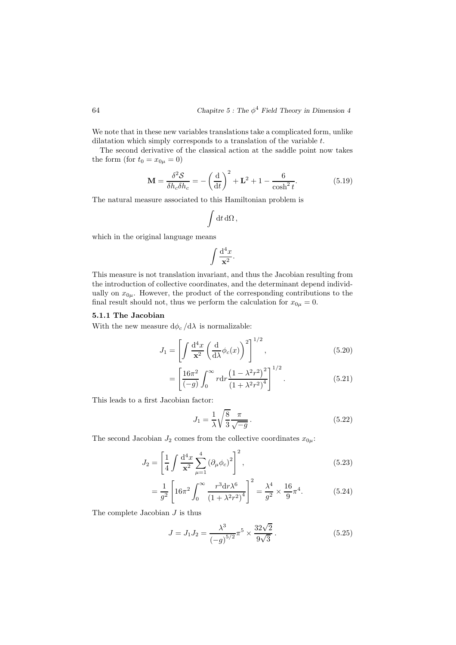We note that in these new variables translations take a complicated form, unlike dilatation which simply corresponds to a translation of the variable t.

The second derivative of the classical action at the saddle point now takes the form (for  $t_0 = x_{0\mu} = 0$ )

$$
\mathbf{M} = \frac{\delta^2 \mathcal{S}}{\delta h_c \delta h_c} = -\left(\frac{\mathrm{d}}{\mathrm{d}t}\right)^2 + \mathbf{L}^2 + 1 - \frac{6}{\cosh^2 t}.\tag{5.19}
$$

The natural measure associated to this Hamiltonian problem is

$$
\int {\rm d}t\,{\rm d}\Omega\,,
$$

which in the original language means

$$
\int \frac{\mathrm{d}^4x}{\mathbf{x}^2}.
$$

This measure is not translation invariant, and thus the Jacobian resulting from the introduction of collective coordinates, and the determinant depend individually on  $x_{0\mu}$ . However, the product of the corresponding contributions to the final result should not, thus we perform the calculation for  $x_{0\mu} = 0$ .

#### 5.1.1 The Jacobian

With the new measure  $\mathrm{d}\phi_c\,/\mathrm{d}\lambda$  is normalizable:

$$
J_1 = \left[ \int \frac{\mathrm{d}^4 x}{\mathbf{x}^2} \left( \frac{\mathrm{d}}{\mathrm{d}\lambda} \phi_c(x) \right)^2 \right]^{1/2},\tag{5.20}
$$

$$
= \left[\frac{16\pi^2}{(-g)} \int_0^\infty r \mathrm{d}r \frac{\left(1 - \lambda^2 r^2\right)^2}{\left(1 + \lambda^2 r^2\right)^4}\right]^{1/2}.\tag{5.21}
$$

This leads to a first Jacobian factor:

$$
J_1 = \frac{1}{\lambda} \sqrt{\frac{8}{3}} \frac{\pi}{\sqrt{-g}}.
$$
\n
$$
(5.22)
$$

The second Jacobian  $J_2$  comes from the collective coordinates  $x_{0\mu}$ :

$$
J_2 = \left[\frac{1}{4} \int \frac{d^4 x}{\mathbf{x}^2} \sum_{\mu=1}^4 (\partial_\mu \phi_c)^2\right]^2,
$$
\n(5.23)

$$
= \frac{1}{g^2} \left[ 16\pi^2 \int_0^\infty \frac{r^3 dr \lambda^6}{\left(1 + \lambda^2 r^2\right)^4} \right]^2 = \frac{\lambda^4}{g^2} \times \frac{16}{9} \pi^4. \tag{5.24}
$$

The complete Jacobian  $J$  is thus

$$
J = J_1 J_2 = \frac{\lambda^3}{\left(-g\right)^{5/2}} \pi^5 \times \frac{32\sqrt{2}}{9\sqrt{3}}.
$$
 (5.25)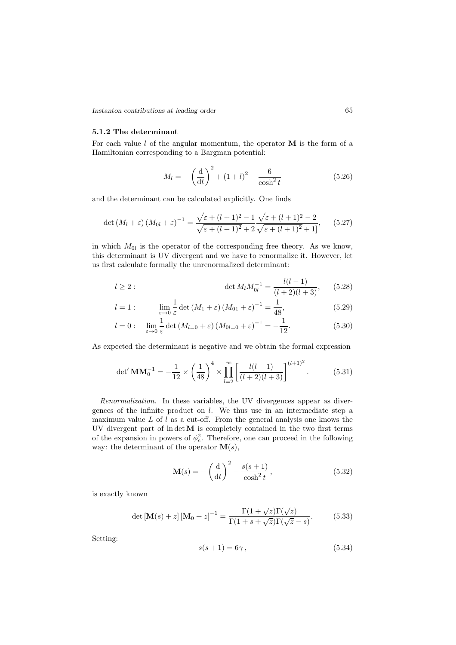<span id="page-66-0"></span>*Instanton contributions at leading order* 65

#### 5.1.2 The determinant

For each value  $l$  of the angular momentum, the operator  $\bf{M}$  is the form of a Hamiltonian corresponding to a Bargman potential:

$$
M_l = -\left(\frac{d}{dt}\right)^2 + (1+l)^2 - \frac{6}{\cosh^2 t}
$$
 (5.26)

and the determinant can be calculated explicitly. One finds

$$
\det (M_l + \varepsilon) (M_{0l} + \varepsilon)^{-1} = \frac{\sqrt{\varepsilon + (l+1)^2 - 1}}{\sqrt{\varepsilon + (l+1)^2 + 2}} \frac{\sqrt{\varepsilon + (l+1)^2 - 2}}{\sqrt{\varepsilon + (l+1)^2 + 1}},
$$
(5.27)

in which  $M_{0l}$  is the operator of the corresponding free theory. As we know, this determinant is UV divergent and we have to renormalize it. However, let us first calculate formally the unrenormalized determinant:

$$
l \ge 2: \qquad \qquad \det M_l M_{0l}^{-1} = \frac{l(l-1)}{(l+2)(l+3)}, \qquad (5.28)
$$

$$
l = 1: \qquad \lim_{\varepsilon \to 0} \frac{1}{\varepsilon} \det \left( M_1 + \varepsilon \right) \left( M_{01} + \varepsilon \right)^{-1} = \frac{1}{48}, \tag{5.29}
$$

$$
l = 0: \quad \lim_{\varepsilon \to 0} \frac{1}{\varepsilon} \det \left( M_{l=0} + \varepsilon \right) \left( M_{0l=0} + \varepsilon \right)^{-1} = -\frac{1}{12}.
$$
 (5.30)

As expected the determinant is negative and we obtain the formal expression

$$
\det' \mathbf{M} \mathbf{M}_0^{-1} = -\frac{1}{12} \times \left(\frac{1}{48}\right)^4 \times \prod_{l=2}^{\infty} \left[\frac{l(l-1)}{(l+2)(l+3)}\right]^{(l+1)^2}.
$$
 (5.31)

Renormalization. In these variables, the UV divergences appear as divergences of the infinite product on l. We thus use in an intermediate step a maximum value  $L$  of  $l$  as a cut-off. From the general analysis one knows the UV divergent part of  $\ln \det M$  is completely contained in the two first terms of the expansion in powers of  $\phi_c^2$ . Therefore, one can proceed in the following way: the determinant of the operator  $\mathbf{M}(s)$ ,

$$
\mathbf{M}(s) = -\left(\frac{\mathrm{d}}{\mathrm{d}t}\right)^2 - \frac{s(s+1)}{\cosh^2 t},\tag{5.32}
$$

is exactly known

$$
\det\left[\mathbf{M}(s) + z\right] \left[\mathbf{M}_0 + z\right]^{-1} = \frac{\Gamma(1 + \sqrt{z})\Gamma(\sqrt{z})}{\Gamma(1 + s + \sqrt{z})\Gamma(\sqrt{z} - s)}.
$$
 (5.33)

Setting:

$$
s(s+1) = 6\gamma \,,\tag{5.34}
$$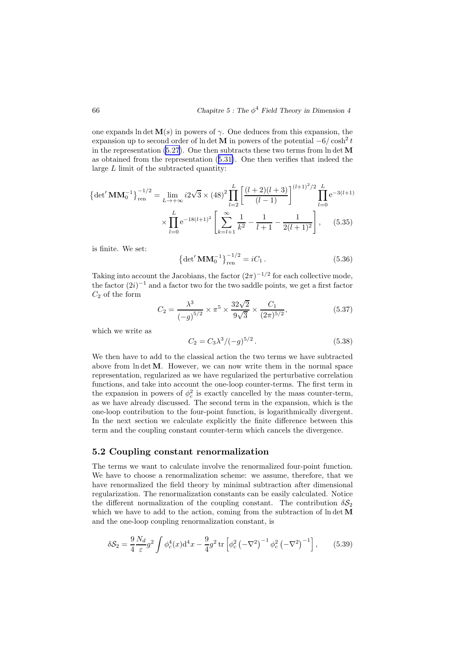one expands ln det  $\mathbf{M}(s)$  in powers of  $\gamma$ . One deduces from this expansion, the expansion up to second order of ln det **M** in powers of the potential  $-6/\cosh^2 t$ in the representation  $(5.27)$  $(5.27)$  $(5.27)$ . One then subtracts these two terms from ln det M as obtained from the representation (5.[31\)](#page-66-0). One then verifies that indeed the large L limit of the subtracted quantity:

$$
\left\{ \det' \mathbf{M} \mathbf{M}_0^{-1} \right\}_{\text{ren}}^{-1/2} = \lim_{L \to +\infty} i2\sqrt{3} \times (48)^2 \prod_{l=2}^L \left[ \frac{(l+2)(l+3)}{(l-1)} \right]^{(l+1)^2/2} \prod_{l=0}^L e^{-3(l+1)} \times \prod_{l=0}^L e^{-18(l+1)^2} \left[ \sum_{k=l+1}^\infty \frac{1}{k^2} - \frac{1}{l+1} - \frac{1}{2(l+1)^2} \right], \quad (5.35)
$$

is finite. We set:

$$
\left\{ \det^{\prime} \mathbf{M} \mathbf{M}_{0}^{-1} \right\}_{\text{ren}}^{-1/2} = i C_{1} . \tag{5.36}
$$

Taking into account the Jacobians, the factor  $(2\pi)^{-1/2}$  for each collective mode, the factor  $(2i)^{-1}$  and a factor two for the two saddle points, we get a first factor  $C_2$  of the form

$$
C_2 = \frac{\lambda^3}{\left(-g\right)^{5/2}} \times \pi^5 \times \frac{32\sqrt{2}}{9\sqrt{3}} \times \frac{C_1}{(2\pi)^{5/2}},\tag{5.37}
$$

which we write as

$$
C_2 = C_3 \lambda^3 / (-g)^{5/2} \,. \tag{5.38}
$$

We then have to add to the classical action the two terms we have subtracted above from  $\ln \det M$ . However, we can now write them in the normal space representation, regularized as we have regularized the perturbative correlation functions, and take into account the one-loop counter-terms. The first term in the expansion in powers of  $\phi_c^2$  is exactly cancelled by the mass counter-term, as we have already discussed. The second term in the expansion, which is the one-loop contribution to the four-point function, is logarithmically divergent. In the next section we calculate explicitly the finite difference between this term and the coupling constant counter-term which cancels the divergence.

### 5.2 Coupling constant renormalization

The terms we want to calculate involve the renormalized four-point function. We have to choose a renormalization scheme: we assume, therefore, that we have renormalized the field theory by minimal subtraction after dimensional regularization. The renormalization constants can be easily calculated. Notice the different normalization of the coupling constant. The contribution  $\delta S_2$ which we have to add to the action, coming from the subtraction of  $\ln \det M$ and the one-loop coupling renormalization constant, is

$$
\delta S_2 = \frac{9}{4} \frac{N_d}{\varepsilon} g^2 \int \phi_c^4(x) \mathrm{d}^4 x - \frac{9}{4} g^2 \, \text{tr} \left[ \phi_c^2 \left( -\nabla^2 \right)^{-1} \phi_c^2 \left( -\nabla^2 \right)^{-1} \right],\tag{5.39}
$$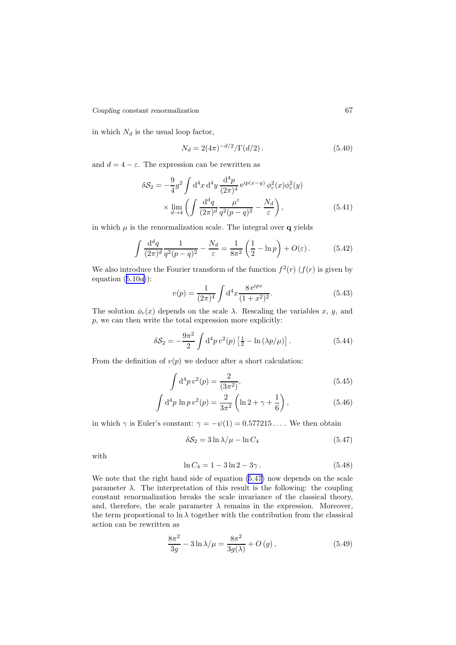<span id="page-68-0"></span>*Coupling constant renormalization* 67

in which  $N_d$  is the usual loop factor,

$$
N_d = 2(4\pi)^{-d/2} / \Gamma(d/2).
$$
 (5.40)

and  $d = 4 - \varepsilon$ . The expression can be rewritten as

$$
\delta S_2 = -\frac{9}{4}g^2 \int d^4x d^4y \frac{d^4p}{(2\pi)^4} e^{ip(x-y)} \phi_c^2(x)\phi_c^2(y)
$$

$$
\times \lim_{d \to 4} \left( \int \frac{d^dq}{(2\pi)^d} \frac{\mu^{\varepsilon}}{q^2(p-q)^2} - \frac{N_d}{\varepsilon} \right), \tag{5.41}
$$

in which  $\mu$  is the renormalization scale. The integral over q yields

$$
\int \frac{\mathrm{d}^d q}{(2\pi)^d} \frac{1}{q^2(p-q)^2} - \frac{N_d}{\varepsilon} = \frac{1}{8\pi^2} \left(\frac{1}{2} - \ln p\right) + O(\varepsilon). \tag{5.42}
$$

We also introduce the Fourier transform of the function  $f^2(r)$   $(f(r))$  is given by equation  $(5.10a)$  $(5.10a)$  $(5.10a)$ :

$$
v(p) = \frac{1}{(2\pi)^4} \int d^4x \frac{8 e^{ipx}}{(1+x^2)^2}.
$$
 (5.43)

The solution  $\phi_c(x)$  depends on the scale  $\lambda$ . Rescaling the variables x, y, and p, we can then write the total expression more explicitly:

$$
\delta S_2 = -\frac{9\pi^2}{2} \int d^4p \, v^2(p) \left[ \frac{1}{2} - \ln \left( \frac{\lambda p}{\mu} \right) \right]. \tag{5.44}
$$

From the definition of  $v(p)$  we deduce after a short calculation:

$$
\int d^4p \, v^2(p) = \frac{2}{(3\pi^2)},\tag{5.45}
$$

$$
\int d^4 p \ln p \, v^2(p) = \frac{2}{3\pi^2} \left( \ln 2 + \gamma + \frac{1}{6} \right),\tag{5.46}
$$

in which  $\gamma$  is Euler's constant:  $\gamma = -\psi(1) = 0.577215...$  We then obtain

$$
\delta S_2 = 3 \ln \lambda / \mu - \ln C_4 \tag{5.47}
$$

with

$$
\ln C_4 = 1 - 3\ln 2 - 3\gamma. \tag{5.48}
$$

We note that the right hand side of equation (5.47) now depends on the scale parameter  $\lambda$ . The interpretation of this result is the following: the coupling constant renormalization breaks the scale invariance of the classical theory, and, therefore, the scale parameter  $\lambda$  remains in the expression. Moreover, the term proportional to  $\ln \lambda$  together with the contribution from the classical action can be rewritten as

$$
\frac{8\pi^2}{3g} - 3\ln\lambda/\mu = \frac{8\pi^2}{3g(\lambda)} + O(g),
$$
 (5.49)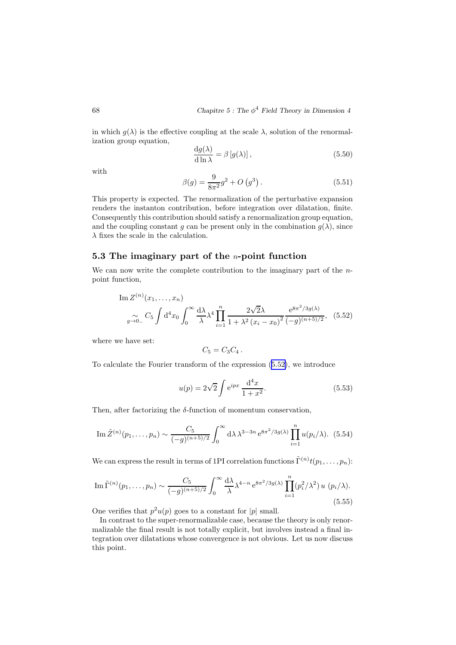<span id="page-69-0"></span>in which  $g(\lambda)$  is the effective coupling at the scale  $\lambda$ , solution of the renormalization group equation,

$$
\frac{\mathrm{d}g(\lambda)}{\mathrm{d}\ln\lambda} = \beta \left[ g(\lambda) \right],\tag{5.50}
$$

with

$$
\beta(g) = \frac{9}{8\pi^2}g^2 + O(g^3). \tag{5.51}
$$

This property is expected. The renormalization of the perturbative expansion renders the instanton contribution, before integration over dilatation, finite. Consequently this contribution should satisfy a renormalization group equation, and the coupling constant g can be present only in the combination  $g(\lambda)$ , since  $\lambda$  fixes the scale in the calculation.

# 5.3 The imaginary part of the  $n$ -point function

We can now write the complete contribution to the imaginary part of the npoint function,

Im 
$$
Z^{(n)}(x_1,...,x_n)
$$
  

$$
\int_{g\to 0}^{\infty} C_5 \int d^4x_0 \int_0^{\infty} \frac{d\lambda}{\lambda} \lambda^4 \prod_{i=1}^n \frac{2\sqrt{2}\lambda}{1 + \lambda^2 (x_i - x_0)^2} \frac{e^{8\pi^2/3g(\lambda)}}{(-g)^{(n+5)/2}},
$$
(5.52)

where we have set:

$$
C_5=C_3C_4.
$$

To calculate the Fourier transform of the expression (5.52), we introduce

$$
u(p) = 2\sqrt{2} \int e^{ipx} \frac{d^4x}{1+x^2}.
$$
 (5.53)

Then, after factorizing the  $\delta$ -function of momentum conservation,

Im 
$$
\tilde{Z}^{(n)}(p_1,\ldots,p_n) \sim \frac{C_5}{(-g)^{(n+5)/2}} \int_0^\infty d\lambda \, \lambda^{3-3n} e^{8\pi^2/3g(\lambda)} \prod_{i=1}^n u(p_i/\lambda).
$$
 (5.54)

We can express the result in terms of 1PI correlation functions  $\tilde{\Gamma}^{(n)} t(p_1,\ldots,p_n)$ :

Im 
$$
\tilde{\Gamma}^{(n)}(p_1,\ldots,p_n) \sim \frac{C_5}{(-g)^{(n+5)/2}} \int_0^\infty \frac{d\lambda}{\lambda} \lambda^{4-n} e^{8\pi^2/3g(\lambda)} \prod_{i=1}^n (p_i^2/\lambda^2) u(p_i/\lambda).
$$
 (5.55)

One verifies that  $p^2u(p)$  goes to a constant for  $|p|$  small.

In contrast to the super-renormalizable case, because the theory is only renormalizable the final result is not totally explicit, but involves instead a final integration over dilatations whose convergence is not obvious. Let us now discuss this point.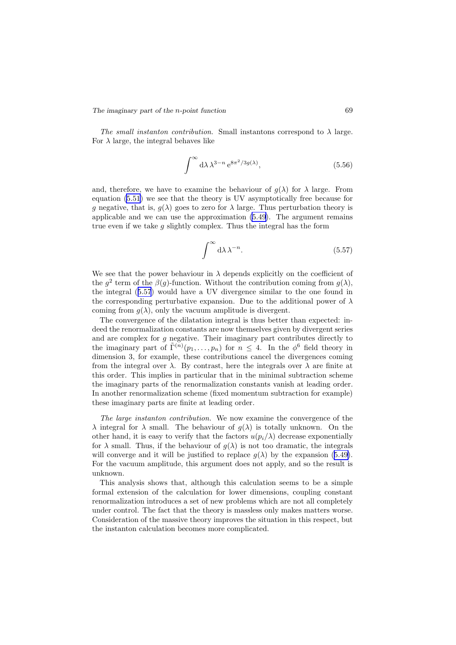The small instanton contribution. Small instantons correspond to  $\lambda$  large. For  $\lambda$  large, the integral behaves like

$$
\int^{\infty} d\lambda \lambda^{3-n} e^{8\pi^2/3g(\lambda)}, \tag{5.56}
$$

and, therefore, we have to examine the behaviour of  $q(\lambda)$  for  $\lambda$  large. From equation (5.[51](#page-69-0)) we see that the theory is UV asymptotically free because for g negative, that is,  $g(\lambda)$  goes to zero for  $\lambda$  large. Thus perturbation theory is applicable and we can use the approximation (5.[49\)](#page-68-0). The argument remains true even if we take  $g$  slightly complex. Thus the integral has the form

$$
\int^{\infty} d\lambda \lambda^{-n}.
$$
 (5.57)

We see that the power behaviour in  $\lambda$  depends explicitly on the coefficient of the  $g^2$  term of the  $\beta(g)$ -function. Without the contribution coming from  $g(\lambda)$ , the integral (5.57) would have a UV divergence similar to the one found in the corresponding perturbative expansion. Due to the additional power of  $\lambda$ coming from  $g(\lambda)$ , only the vacuum amplitude is divergent.

The convergence of the dilatation integral is thus better than expected: indeed the renormalization constants are now themselves given by divergent series and are complex for  $g$  negative. Their imaginary part contributes directly to the imaginary part of  $\tilde{\Gamma}^{(n)}(p_1,\ldots,p_n)$  for  $n \leq 4$ . In the  $\phi^6$  field theory in dimension 3, for example, these contributions cancel the divergences coming from the integral over  $\lambda$ . By contrast, here the integrals over  $\lambda$  are finite at this order. This implies in particular that in the minimal subtraction scheme the imaginary parts of the renormalization constants vanish at leading order. In another renormalization scheme (fixed momentum subtraction for example) these imaginary parts are finite at leading order.

The large instanton contribution. We now examine the convergence of the  $\lambda$  integral for  $\lambda$  small. The behaviour of  $q(\lambda)$  is totally unknown. On the other hand, it is easy to verify that the factors  $u(p_i/\lambda)$  decrease exponentially for  $\lambda$  small. Thus, if the behaviour of  $g(\lambda)$  is not too dramatic, the integrals will converge and it will be justified to replace  $g(\lambda)$  by the expansion (5.[49\)](#page-68-0). For the vacuum amplitude, this argument does not apply, and so the result is unknown.

This analysis shows that, although this calculation seems to be a simple formal extension of the calculation for lower dimensions, coupling constant renormalization introduces a set of new problems which are not all completely under control. The fact that the theory is massless only makes matters worse. Consideration of the massive theory improves the situation in this respect, but the instanton calculation becomes more complicated.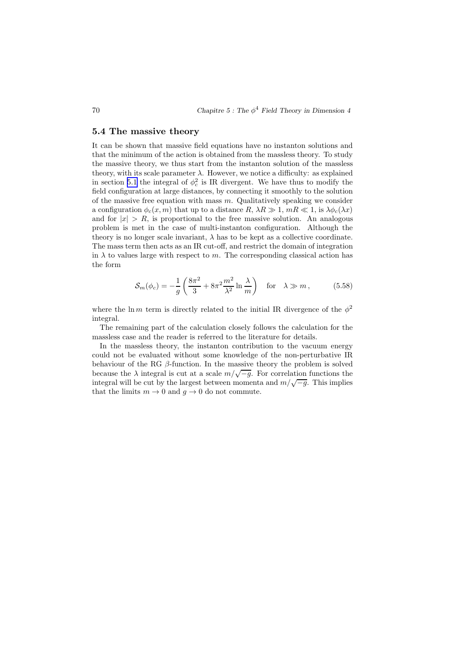### 5.4 The massive theory

It can be shown that massive field equations have no instanton solutions and that the minimum of the action is obtained from the massless theory. To study the massive theory, we thus start from the instanton solution of the massless theory, with its scale parameter  $\lambda$ . However, we notice a difficulty: as explained in section [5.1](#page-63-0) the integral of  $\phi_c^2$  is IR divergent. We have thus to modify the field configuration at large distances, by connecting it smoothly to the solution of the massive free equation with mass  $m$ . Qualitatively speaking we consider a configuration  $\phi_c(x, m)$  that up to a distance  $R, \lambda R \gg 1, mR \ll 1$ , is  $\lambda \phi_c(\lambda x)$ and for  $|x| > R$ , is proportional to the free massive solution. An analogous problem is met in the case of multi-instanton configuration. Although the theory is no longer scale invariant,  $\lambda$  has to be kept as a collective coordinate. The mass term then acts as an IR cut-off, and restrict the domain of integration in  $\lambda$  to values large with respect to m. The corresponding classical action has the form

$$
\mathcal{S}_m(\phi_c) = -\frac{1}{g} \left( \frac{8\pi^2}{3} + 8\pi^2 \frac{m^2}{\lambda^2} \ln \frac{\lambda}{m} \right) \quad \text{for} \quad \lambda \gg m \,, \tag{5.58}
$$

where the ln m term is directly related to the initial IR divergence of the  $\phi^2$ integral.

The remaining part of the calculation closely follows the calculation for the massless case and the reader is referred to the literature for details.

In the massless theory, the instanton contribution to the vacuum energy could not be evaluated without some knowledge of the non-perturbative IR behaviour of the RG  $\beta$ -function. In the massive theory the problem is solved because the  $\lambda$  integral is cut at a scale  $m/\sqrt{-g}$ . For correlation functions the integral will be cut by the largest between momenta and  $m/\sqrt{-g}$ . This implies that the limits  $m \to 0$  and  $q \to 0$  do not commute.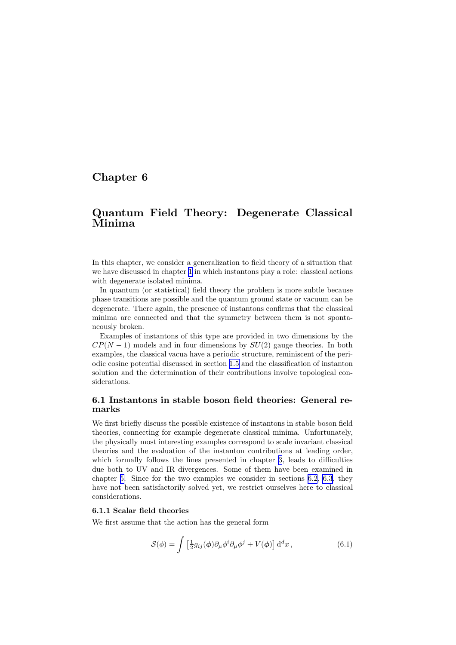# <span id="page-72-0"></span>Chapter 6

# Quantum Field Theory: Degenerate Classical Minima

In this chapter, we consider a generalization to field theory of a situation that we have discussed in chapter [1](#page-2-0) in which instantons play a role: classical actions with degenerate isolated minima.

In quantum (or statistical) field theory the problem is more subtle because phase transitions are possible and the quantum ground state or vacuum can be degenerate. There again, the presence of instantons confirms that the classical minima are connected and that the symmetry between them is not spontaneously broken.

Examples of instantons of this type are provided in two dimensions by the  $CP(N-1)$  models and in four dimensions by  $SU(2)$  gauge theories. In both examples, the classical vacua have a periodic structure, reminiscent of the periodic cosine potential discussed in section [1.5](#page-15-0) and the classification of instanton solution and the determination of their contributions involve topological considerations.

## 6.1 Instantons in stable boson field theories: General remarks

We first briefly discuss the possible existence of instantons in stable boson field theories, connecting for example degenerate classical minima. Unfortunately, the physically most interesting examples correspond to scale invariant classical theories and the evaluation of the instanton contributions at leading order, which formally follows the lines presented in chapter [3](#page-31-0), leads to difficulties due both to UV and IR divergences. Some of them have been examined in chapter [5.](#page-62-0) Since for the two examples we consider in sections [6.2](#page-74-0), [6.3](#page-79-0), they have not been satisfactorily solved yet, we restrict ourselves here to classical considerations.

## 6.1.1 Scalar field theories

We first assume that the action has the general form

$$
S(\phi) = \int \left[\frac{1}{2}g_{ij}(\phi)\partial_{\mu}\phi^{i}\partial_{\mu}\phi^{j} + V(\phi)\right]d^{d}x, \qquad (6.1)
$$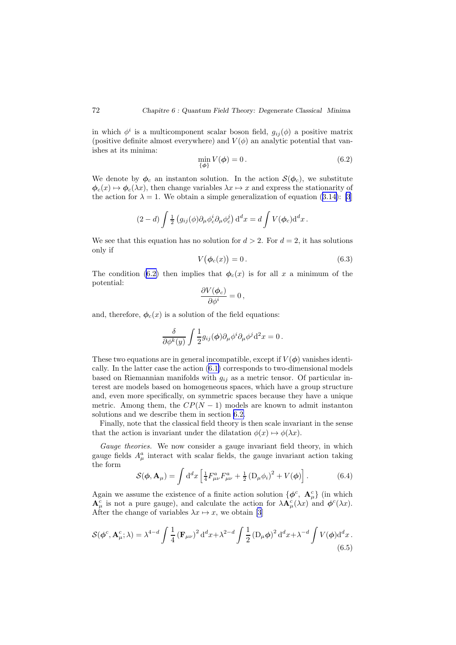in which  $\phi^i$  is a multicomponent scalar boson field,  $g_{ij}(\phi)$  a positive matrix (positive definite almost everywhere) and  $V(\phi)$  an analytic potential that vanishes at its minima:

$$
\min_{\{\phi\}} V(\phi) = 0. \tag{6.2}
$$

We denote by  $\phi_c$  an instanton solution. In the action  $\mathcal{S}(\phi_c)$ , we substitute  $\phi_c(x) \mapsto \phi_c(\lambda x)$ , then change variables  $\lambda x \mapsto x$  and express the stationarity of the action for  $\lambda = 1$ . We obtain a simple generalization of equation (3.[14\)](#page-34-0): [\[3](#page-110-0)]

$$
(2-d)\int \frac{1}{2} \left( g_{ij}(\phi)\partial_{\mu}\phi_c^i \partial_{\mu}\phi_c^j \right) \mathrm{d}^d x = d \int V(\phi_c) \mathrm{d}^d x.
$$

We see that this equation has no solution for  $d > 2$ . For  $d = 2$ , it has solutions only if

$$
V(\phi_c(x)) = 0. \tag{6.3}
$$

The condition (6.2) then implies that  $\phi_c(x)$  is for all x a minimum of the potential:

$$
\frac{\partial V(\boldsymbol{\phi}_c)}{\partial \phi^i} = 0 \,,
$$

and, therefore,  $\phi_c(x)$  is a solution of the field equations:

$$
\frac{\delta}{\partial \phi^k(y)} \int \frac{1}{2} g_{ij}(\phi) \partial_\mu \phi^i \partial_\mu \phi^j \mathrm{d}^2 x = 0 \,.
$$

These two equations are in general incompatible, except if  $V(\phi)$  vanishes identically. In the latter case the action (6.[1\)](#page-72-0) corresponds to two-dimensional models based on Riemannian manifolds with  $g_{ij}$  as a metric tensor. Of particular interest are models based on homogeneous spaces, which have a group structure and, even more specifically, on symmetric spaces because they have a unique metric. Among them, the  $CP(N-1)$  models are known to admit instanton solutions and we describe them in section [6.2.](#page-74-0)

Finally, note that the classical field theory is then scale invariant in the sense that the action is invariant under the dilatation  $\phi(x) \mapsto \phi(\lambda x)$ .

Gauge theories. We now consider a gauge invariant field theory, in which gauge fields  $A^a_\mu$  interact with scalar fields, the gauge invariant action taking the form

$$
S(\phi, \mathbf{A}_{\mu}) = \int d^{d}x \left[ \frac{1}{4} F^{a}_{\mu\nu} F^{a}_{\mu\nu} + \frac{1}{2} \left( D_{\mu} \phi_{i} \right)^{2} + V(\phi) \right]. \tag{6.4}
$$

Again we assume the existence of a finite action solution  $\{\phi^c, \mathbf{A}_{\mu}^c\}$  (in which  ${\bf A}^c_\mu$  is not a pure gauge), and calculate the action for  $\lambda {\bf A}^c_\mu(\lambda x)$  and  $\phi^c(\lambda x)$ . After the change of variables  $\lambda x \mapsto x$ , we obtain [\[3](#page-110-0)]

$$
\mathcal{S}(\phi^c, \mathbf{A}^c_\mu; \lambda) = \lambda^{4-d} \int \frac{1}{4} \left(\mathbf{F}_{\mu\nu}\right)^2 d^d x + \lambda^{2-d} \int \frac{1}{2} \left(\mathbf{D}_\mu \phi\right)^2 d^d x + \lambda^{-d} \int V(\phi) d^d x. \tag{6.5}
$$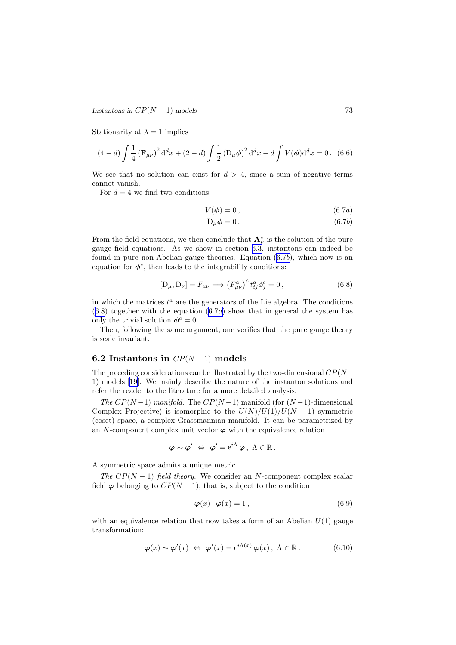<span id="page-74-0"></span>*Instantons in*  $CP(N-1)$  *models* 73

Stationarity at  $\lambda = 1$  implies

$$
(4-d)\int \frac{1}{4} \left(\mathbf{F}_{\mu\nu}\right)^2 d^d x + (2-d)\int \frac{1}{2} \left(\mathbf{D}_{\mu}\phi\right)^2 d^d x - d \int V(\phi) d^d x = 0. \tag{6.6}
$$

We see that no solution can exist for  $d > 4$ , since a sum of negative terms cannot vanish.

For  $d = 4$  we find two conditions:

$$
V(\phi) = 0, \qquad (6.7a)
$$

$$
D_{\mu}\phi = 0. \tag{6.7b}
$$

From the field equations, we then conclude that  ${\bf A}^c_\mu$  is the solution of the pure gauge field equations. As we show in section [6.3,](#page-79-0) instantons can indeed be found in pure non-Abelian gauge theories. Equation (6.7b), which now is an equation for  $\phi^c$ , then leads to the integrability conditions:

$$
[D_{\mu}, D_{\nu}] = F_{\mu\nu} \Longrightarrow (F_{\mu\nu}^a)^c t_{ij}^a \phi_j^c = 0, \qquad (6.8)
$$

in which the matrices  $t^a$  are the generators of the Lie algebra. The conditions  $(6.8)$  together with the equation  $(6.7a)$  show that in general the system has only the trivial solution  $\phi^c = 0$ .

Then, following the same argument, one verifies that the pure gauge theory is scale invariant.

## 6.2 Instantons in  $CP(N-1)$  models

The preceding considerations can be illustrated by the two-dimensional  $CP(N-$ 1) models [\[19](#page-111-0)]. We mainly describe the nature of the instanton solutions and refer the reader to the literature for a more detailed analysis.

The  $CP(N-1)$  manifold. The  $CP(N-1)$  manifold (for  $(N-1)$ -dimensional Complex Projective) is isomorphic to the  $U(N)/U(1)/U(N-1)$  symmetric (coset) space, a complex Grassmannian manifold. It can be parametrized by an N-component complex unit vector  $\varphi$  with the equivalence relation

$$
\boldsymbol{\varphi} \sim \boldsymbol{\varphi}' \; \Leftrightarrow \; \boldsymbol{\varphi}' = e^{i\Lambda} \, \boldsymbol{\varphi} \, , \; \Lambda \in \mathbb{R} \, .
$$

A symmetric space admits a unique metric.

The  $CP(N-1)$  field theory. We consider an N-component complex scalar field  $\varphi$  belonging to  $CP(N-1)$ , that is, subject to the condition

$$
\bar{\varphi}(x) \cdot \varphi(x) = 1, \qquad (6.9)
$$

with an equivalence relation that now takes a form of an Abelian  $U(1)$  gauge transformation:

$$
\varphi(x) \sim \varphi'(x) \iff \varphi'(x) = e^{i\Lambda(x)} \varphi(x), \quad \Lambda \in \mathbb{R}.
$$
 (6.10)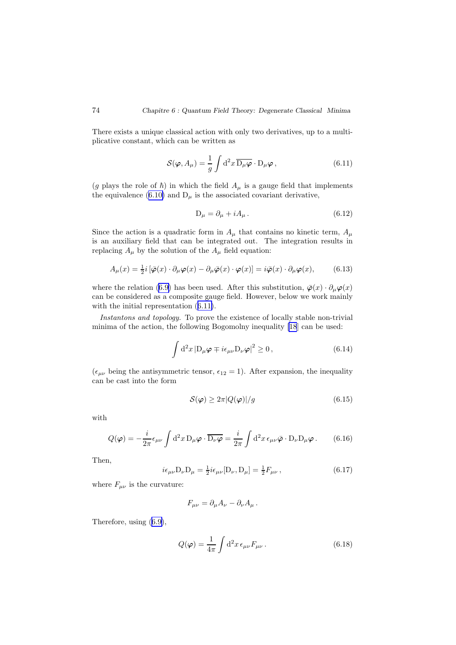<span id="page-75-0"></span>There exists a unique classical action with only two derivatives, up to a multiplicative constant, which can be written as

$$
S(\varphi, A_{\mu}) = \frac{1}{g} \int d^2 x \, \overline{D_{\mu}\varphi} \cdot D_{\mu}\varphi , \qquad (6.11)
$$

(g plays the role of  $\hbar$ ) in which the field  $A_\mu$  is a gauge field that implements the equivalence (6.[10\)](#page-74-0) and  $D_{\mu}$  is the associated covariant derivative,

$$
D_{\mu} = \partial_{\mu} + iA_{\mu} \,. \tag{6.12}
$$

Since the action is a quadratic form in  $A_\mu$  that contains no kinetic term,  $A_\mu$ is an auxiliary field that can be integrated out. The integration results in replacing  $A_{\mu}$  by the solution of the  $A_{\mu}$  field equation:

$$
A_{\mu}(x) = \frac{1}{2}i\left[\bar{\varphi}(x)\cdot\partial_{\mu}\varphi(x) - \partial_{\mu}\bar{\varphi}(x)\cdot\varphi(x)\right] = i\bar{\varphi}(x)\cdot\partial_{\mu}\varphi(x),\tag{6.13}
$$

where the relation [\(6](#page-74-0).9) has been used. After this substitution,  $\bar{\varphi}(x) \cdot \partial_{\mu} \varphi(x)$ can be considered as a composite gauge field. However, below we work mainly with the initial representation (6.11).

Instantons and topology. To prove the existence of locally stable non-trivial minima of the action, the following Bogomolny inequality [\[18](#page-111-0)] can be used:

$$
\int d^{2}x\left|D_{\mu}\varphi\mp i\epsilon_{\mu\nu}D_{\nu}\varphi\right|^{2}\geq 0, \qquad (6.14)
$$

 $(\epsilon_{\mu\nu}$  being the antisymmetric tensor,  $\epsilon_{12} = 1$ ). After expansion, the inequality can be cast into the form

$$
S(\varphi) \ge 2\pi |Q(\varphi)|/g \tag{6.15}
$$

with

$$
Q(\varphi) = -\frac{i}{2\pi} \epsilon_{\mu\nu} \int d^2x \, D_\mu \varphi \cdot \overline{D_\nu \varphi} = \frac{i}{2\pi} \int d^2x \, \epsilon_{\mu\nu} \bar{\varphi} \cdot D_\nu D_\mu \varphi \,. \tag{6.16}
$$

Then,

$$
i\epsilon_{\mu\nu}D_{\nu}D_{\mu} = \frac{1}{2}i\epsilon_{\mu\nu}[D_{\nu}, D_{\mu}] = \frac{1}{2}F_{\mu\nu},
$$
\n(6.17)

where  $F_{\mu\nu}$  is the curvature:

$$
F_{\mu\nu} = \partial_{\mu}A_{\nu} - \partial_{\nu}A_{\mu}.
$$

Therefore, using (6.[9\)](#page-74-0),

$$
Q(\varphi) = \frac{1}{4\pi} \int d^2x \,\epsilon_{\mu\nu} F_{\mu\nu} \,. \tag{6.18}
$$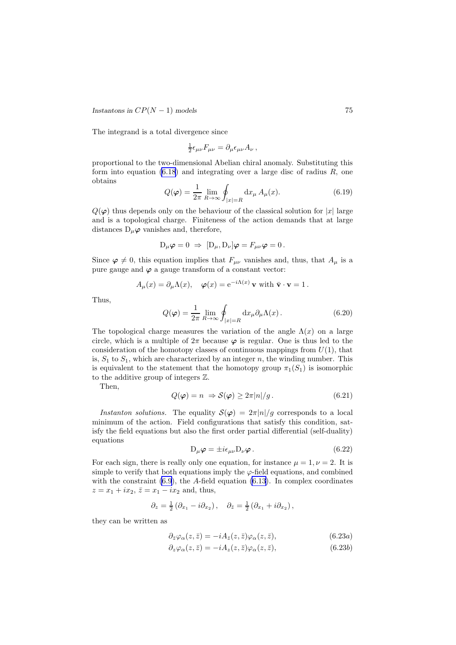<span id="page-76-0"></span>*Instantons in*  $CP(N-1)$  *models* 75

The integrand is a total divergence since

$$
\frac{1}{2}\epsilon_{\mu\nu}F_{\mu\nu} = \partial_{\mu}\epsilon_{\mu\nu}A_{\nu}\,,
$$

proportional to the two-dimensional Abelian chiral anomaly. Substituting this form into equation  $(6.18)$  $(6.18)$  $(6.18)$  and integrating over a large disc of radius  $R$ , one obtains

$$
Q(\varphi) = \frac{1}{2\pi} \lim_{R \to \infty} \oint_{|x|=R} dx_{\mu} A_{\mu}(x).
$$
 (6.19)

 $Q(\varphi)$  thus depends only on the behaviour of the classical solution for |x| large and is a topological charge. Finiteness of the action demands that at large distances  $D_{\mu}\varphi$  vanishes and, therefore,

$$
D_{\mu}\varphi = 0 \Rightarrow [D_{\mu}, D_{\nu}]\varphi = F_{\mu\nu}\varphi = 0.
$$

Since  $\varphi \neq 0$ , this equation implies that  $F_{\mu\nu}$  vanishes and, thus, that  $A_{\mu}$  is a pure gauge and  $\varphi$  a gauge transform of a constant vector:

$$
A_{\mu}(x) = \partial_{\mu} \Lambda(x), \quad \varphi(x) = e^{-i\Lambda(x)} \mathbf{v} \text{ with } \bar{\mathbf{v}} \cdot \mathbf{v} = 1.
$$

Thus,

$$
Q(\varphi) = \frac{1}{2\pi} \lim_{R \to \infty} \oint_{|x|=R} dx_{\mu} \partial_{\mu} \Lambda(x).
$$
 (6.20)

The topological charge measures the variation of the angle  $\Lambda(x)$  on a large circle, which is a multiple of  $2\pi$  because  $\varphi$  is regular. One is thus led to the consideration of the homotopy classes of continuous mappings from  $U(1)$ , that is,  $S_1$  to  $S_1$ , which are characterized by an integer n, the winding number. This is equivalent to the statement that the homotopy group  $\pi_1(S_1)$  is isomorphic to the additive group of integers Z.

Then,

$$
Q(\varphi) = n \Rightarrow S(\varphi) \ge 2\pi |n| / g. \tag{6.21}
$$

Instanton solutions. The equality  $S(\varphi) = 2\pi |n|/g$  corresponds to a local minimum of the action. Field configurations that satisfy this condition, satisfy the field equations but also the first order partial differential (self-duality) equations

$$
D_{\mu}\varphi = \pm i\epsilon_{\mu\nu}D_{\nu}\varphi. \qquad (6.22)
$$

For each sign, there is really only one equation, for instance  $\mu = 1, \nu = 2$ . It is simple to verify that both equations imply the  $\varphi$ -field equations, and combined with the constraint  $(6.9)$ , the A-field equation  $(6.13)$  $(6.13)$  $(6.13)$ . In complex coordinates  $z = x_1 + ix_2, \, \bar{z} = x_1 - ix_2 \, \text{and, thus,}$ 

$$
\partial_z = \frac{1}{2} (\partial_{x_1} - i \partial_{x_2}), \quad \partial_{\bar{z}} = \frac{1}{2} (\partial_{x_1} + i \partial_{x_2}),
$$

they can be written as

$$
\partial_{\bar{z}}\varphi_{\alpha}(z,\bar{z}) = -iA_{\bar{z}}(z,\bar{z})\varphi_{\alpha}(z,\bar{z}),\tag{6.23a}
$$

$$
\partial_z \varphi_\alpha(z,\bar{z}) = -i A_z(z,\bar{z}) \varphi_\alpha(z,\bar{z}),\tag{6.23b}
$$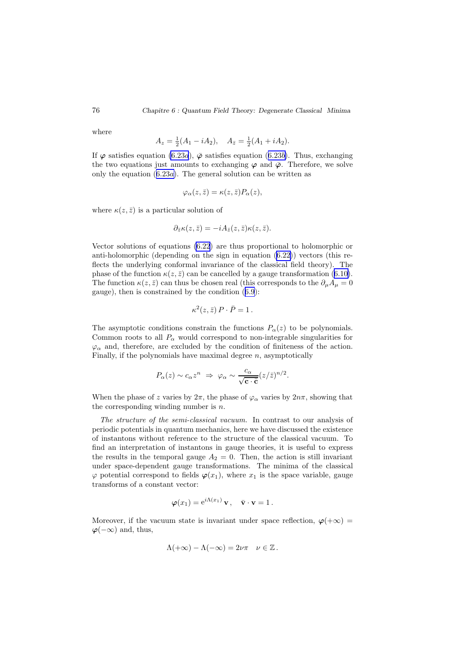where

$$
A_z = \frac{1}{2}(A_1 - iA_2), \quad A_{\bar{z}} = \frac{1}{2}(A_1 + iA_2).
$$

If  $\varphi$  satisfies equation (6.[23](#page-76-0)*a*),  $\bar{\varphi}$  satisfies equation (6.23*b*). Thus, exchanging the two equations just amounts to exchanging  $\varphi$  and  $\bar{\varphi}$ . Therefore, we solve only the equation  $(6.23a)$  $(6.23a)$  $(6.23a)$ . The general solution can be written as

$$
\varphi_{\alpha}(z,\bar{z}) = \kappa(z,\bar{z}) P_{\alpha}(z),
$$

where  $\kappa(z,\bar{z})$  is a particular solution of

$$
\partial_{\bar{z}}\kappa(z,\bar{z})=-iA_{\bar{z}}(z,\bar{z})\kappa(z,\bar{z}).
$$

Vector solutions of equations (6.[22](#page-76-0)) are thus proportional to holomorphic or anti-holomorphic (depending on the sign in equation  $(6.22)$  $(6.22)$ ) vectors (this reflects the underlying conformal invariance of the classical field theory). The phase of the function  $\kappa(z, \bar{z})$  can be cancelled by a gauge transformation (6.[10\)](#page-74-0). The function  $\kappa(z, \bar{z})$  can thus be chosen real (this corresponds to the  $\partial_{\mu}A_{\mu} = 0$ gauge), then is constrained by the condition (6.[9](#page-74-0)):

$$
\kappa^2(z,\bar{z})\,P\cdot\bar{P}=1\,.
$$

The asymptotic conditions constrain the functions  $P_{\alpha}(z)$  to be polynomials. Common roots to all  $P_\alpha$  would correspond to non-integrable singularities for  $\varphi_{\alpha}$  and, therefore, are excluded by the condition of finiteness of the action. Finally, if the polynomials have maximal degree  $n$ , asymptotically

$$
P_{\alpha}(z) \sim c_{\alpha} z^n \Rightarrow \varphi_{\alpha} \sim \frac{c_{\alpha}}{\sqrt{\mathbf{c} \cdot \bar{\mathbf{c}}}} (z/\bar{z})^{n/2}.
$$

When the phase of z varies by  $2\pi$ , the phase of  $\varphi_{\alpha}$  varies by  $2n\pi$ , showing that the corresponding winding number is  $n$ .

The structure of the semi-classical vacuum. In contrast to our analysis of periodic potentials in quantum mechanics, here we have discussed the existence of instantons without reference to the structure of the classical vacuum. To find an interpretation of instantons in gauge theories, it is useful to express the results in the temporal gauge  $A_2 = 0$ . Then, the action is still invariant under space-dependent gauge transformations. The minima of the classical  $\varphi$  potential correspond to fields  $\varphi(x_1)$ , where  $x_1$  is the space variable, gauge transforms of a constant vector:

$$
\boldsymbol{\varphi}(x_1) = e^{i\Lambda(x_1)}\mathbf{v}, \quad \bar{\mathbf{v}} \cdot \mathbf{v} = 1.
$$

Moreover, if the vacuum state is invariant under space reflection,  $\varphi(+\infty)$  =  $\varphi(-\infty)$  and, thus,

$$
\Lambda(+\infty)-\Lambda(-\infty)=2\nu\pi \quad \nu\in\mathbb{Z}.
$$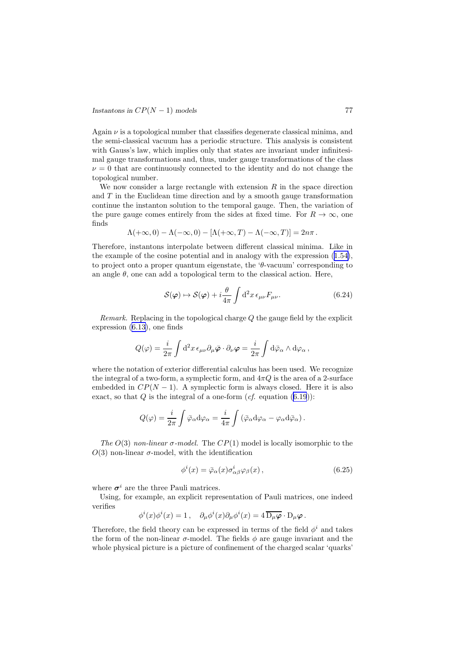<span id="page-78-0"></span>Again  $\nu$  is a topological number that classifies degenerate classical minima, and the semi-classical vacuum has a periodic structure. This analysis is consistent with Gauss's law, which implies only that states are invariant under infinitesimal gauge transformations and, thus, under gauge transformations of the class  $\nu = 0$  that are continuously connected to the identity and do not change the topological number.

We now consider a large rectangle with extension  $R$  in the space direction and  $T$  in the Euclidean time direction and by a smooth gauge transformation continue the instanton solution to the temporal gauge. Then, the variation of the pure gauge comes entirely from the sides at fixed time. For  $R \to \infty$ , one finds

$$
\Lambda(+\infty,0)-\Lambda(-\infty,0)-[\Lambda(+\infty,T)-\Lambda(-\infty,T)]=2n\pi.
$$

Therefore, instantons interpolate between different classical minima. Like in the example of the cosine potential and in analogy with the expression (1.[54\)](#page-17-0), to project onto a proper quantum eigenstate, the ' $\theta$ -vacuum' corresponding to an angle  $\theta$ , one can add a topological term to the classical action. Here,

$$
S(\varphi) \mapsto S(\varphi) + i \frac{\theta}{4\pi} \int d^2 x \,\epsilon_{\mu\nu} F_{\mu\nu}.
$$
 (6.24)

*Remark.* Replacing in the topological charge  $Q$  the gauge field by the explicit expression (6.[13\)](#page-75-0), one finds

$$
Q(\varphi) = \frac{i}{2\pi} \int d^2x \,\epsilon_{\mu\nu} \partial_\mu \bar{\varphi} \cdot \partial_\nu \varphi = \frac{i}{2\pi} \int d\bar{\varphi}_\alpha \wedge d\varphi_\alpha \,,
$$

where the notation of exterior differential calculus has been used. We recognize the integral of a two-form, a symplectic form, and  $4\pi Q$  is the area of a 2-surface embedded in  $CP(N-1)$ . A symplectic form is always closed. Here it is also exact, so that  $Q$  is the integral of a one-form  $(cf.$  equation  $(6.19)$  $(6.19)$  $(6.19)$ :

$$
Q(\varphi) = \frac{i}{2\pi} \int \bar{\varphi}_{\alpha} d\varphi_{\alpha} = \frac{i}{4\pi} \int \left( \bar{\varphi}_{\alpha} d\varphi_{\alpha} - \varphi_{\alpha} d\bar{\varphi}_{\alpha} \right).
$$

The  $O(3)$  non-linear  $\sigma$ -model. The  $CP(1)$  model is locally isomorphic to the  $O(3)$  non-linear  $\sigma$ -model, with the identification

$$
\phi^i(x) = \bar{\varphi}_{\alpha}(x)\sigma^i_{\alpha\beta}\varphi_{\beta}(x),\qquad(6.25)
$$

where  $\sigma^i$  are the three Pauli matrices.

Using, for example, an explicit representation of Pauli matrices, one indeed verifies

$$
\phi^i(x)\phi^i(x) = 1\,,\quad \partial_\mu\phi^i(x)\partial_\mu\phi^i(x) = 4\,\overline{\mathcal{D}_\mu\varphi}\cdot\mathcal{D}_\mu\varphi\,.
$$

Therefore, the field theory can be expressed in terms of the field  $\phi^i$  and takes the form of the non-linear  $\sigma$ -model. The fields  $\phi$  are gauge invariant and the whole physical picture is a picture of confinement of the charged scalar 'quarks'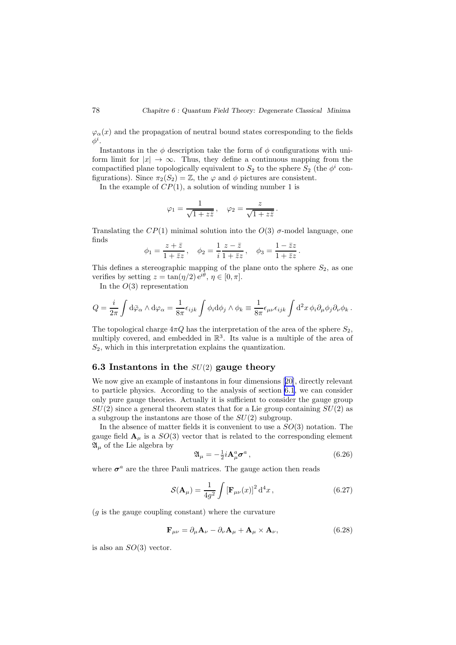<span id="page-79-0"></span> $\varphi_{\alpha}(x)$  and the propagation of neutral bound states corresponding to the fields  $\phi^i.$ 

Instantons in the  $\phi$  description take the form of  $\phi$  configurations with uniform limit for  $|x| \to \infty$ . Thus, they define a continuous mapping from the compactified plane topologically equivalent to  $S_2$  to the sphere  $S_2$  (the  $\phi^i$  configurations). Since  $\pi_2(S_2) = \mathbb{Z}$ , the  $\varphi$  and  $\phi$  pictures are consistent.

In the example of  $CP(1)$ , a solution of winding number 1 is

$$
\varphi_1 = \frac{1}{\sqrt{1+z\bar{z}}}, \quad \varphi_2 = \frac{z}{\sqrt{1+z\bar{z}}}.
$$

Translating the  $CP(1)$  minimal solution into the  $O(3)$   $\sigma$ -model language, one finds

$$
\phi_1 = \frac{z + \overline{z}}{1 + \overline{z}z}, \quad \phi_2 = \frac{1}{i} \frac{z - \overline{z}}{1 + \overline{z}z}, \quad \phi_3 = \frac{1 - \overline{z}z}{1 + \overline{z}z}.
$$

This defines a stereographic mapping of the plane onto the sphere  $S_2$ , as one verifies by setting  $z = \tan(\eta/2) e^{i\theta}, \eta \in [0, \pi]$ .

In the  $O(3)$  representation

$$
Q = \frac{i}{2\pi} \int d\bar{\varphi}_{\alpha} \wedge d\varphi_{\alpha} = \frac{1}{8\pi} \epsilon_{ijk} \int \phi_i d\phi_j \wedge \phi_k \equiv \frac{1}{8\pi} \epsilon_{\mu\nu} \epsilon_{ijk} \int d^2x \, \phi_i \partial_\mu \phi_j \partial_\nu \phi_k.
$$

The topological charge  $4\pi Q$  has the interpretation of the area of the sphere  $S_2$ , multiply covered, and embedded in  $\mathbb{R}^3$ . Its value is a multiple of the area of  $S_2$ , which in this interpretation explains the quantization.

### 6.3 Instantons in the  $SU(2)$  gauge theory

We now give an example of instantons in four dimensions[[20\]](#page-111-0), directly relevant to particle physics. According to the analysis of section [6.1](#page-72-0), we can consider only pure gauge theories. Actually it is sufficient to consider the gauge group  $SU(2)$  since a general theorem states that for a Lie group containing  $SU(2)$  as a subgroup the instantons are those of the  $SU(2)$  subgroup.

In the absence of matter fields it is convenient to use a  $SO(3)$  notation. The gauge field  $\mathbf{A}_{\mu}$  is a  $SO(3)$  vector that is related to the corresponding element  $\mathfrak{A}_\mu$  of the Lie algebra by

$$
\mathfrak{A}_{\mu} = -\frac{1}{2}i\mathbf{A}_{\mu}^{a}\boldsymbol{\sigma}^{a},\qquad(6.26)
$$

where  $\sigma^a$  are the three Pauli matrices. The gauge action then reads

$$
\mathcal{S}(\mathbf{A}_{\mu}) = \frac{1}{4g^2} \int \left[\mathbf{F}_{\mu\nu}(x)\right]^2 \mathrm{d}^4 x \,, \tag{6.27}
$$

 $(g$  is the gauge coupling constant) where the curvature

$$
\mathbf{F}_{\mu\nu} = \partial_{\mu}\mathbf{A}_{\nu} - \partial_{\nu}\mathbf{A}_{\mu} + \mathbf{A}_{\mu} \times \mathbf{A}_{\nu},
$$
 (6.28)

is also an  $SO(3)$  vector.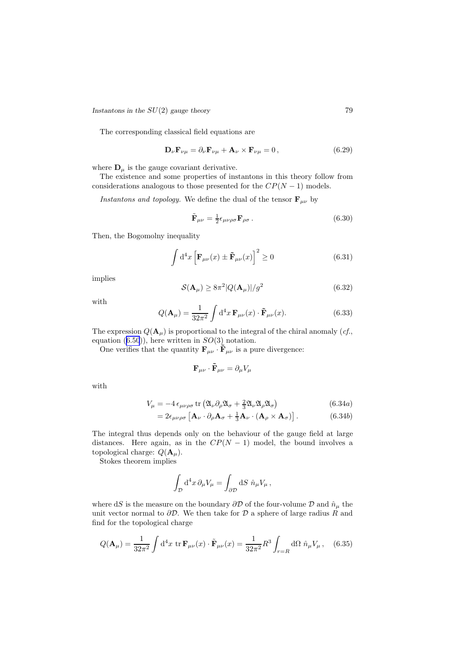<span id="page-80-0"></span>*Instantons in the*  $SU(2)$  *gauge theory* 79

The corresponding classical field equations are

$$
\mathbf{D}_{\nu}\mathbf{F}_{\nu\mu} = \partial_{\nu}\mathbf{F}_{\nu\mu} + \mathbf{A}_{\nu} \times \mathbf{F}_{\nu\mu} = 0, \qquad (6.29)
$$

where  $\mathbf{D}_{\mu}$  is the gauge covariant derivative.

The existence and some properties of instantons in this theory follow from considerations analogous to those presented for the  $CP(N-1)$  models.

Instantons and topology. We define the dual of the tensor  $\mathbf{F}_{\mu\nu}$  by

$$
\tilde{\mathbf{F}}_{\mu\nu} = \frac{1}{2} \epsilon_{\mu\nu\rho\sigma} \mathbf{F}_{\rho\sigma} \,. \tag{6.30}
$$

Then, the Bogomolny inequality

$$
\int d^4x \left[ \mathbf{F}_{\mu\nu}(x) \pm \tilde{\mathbf{F}}_{\mu\nu}(x) \right]^2 \ge 0 \tag{6.31}
$$

implies

$$
\mathcal{S}(\mathbf{A}_{\mu}) \ge 8\pi^2 |Q(\mathbf{A}_{\mu})|/g^2 \tag{6.32}
$$

with

$$
Q(\mathbf{A}_{\mu}) = \frac{1}{32\pi^2} \int d^4x \, \mathbf{F}_{\mu\nu}(x) \cdot \tilde{\mathbf{F}}_{\mu\nu}(x). \tag{6.33}
$$

The expression  $Q(\mathbf{A}_{\mu})$  is proportional to the integral of the chiral anomaly (*cf.*, equation  $(6.50)$  $(6.50)$  $(6.50)$ , here written in  $SO(3)$  notation.

One verifies that the quantity  $\mathbf{F}_{\mu\nu}\cdot\tilde{\mathbf{F}}_{\mu\nu}$  is a pure divergence:

$$
\mathbf{F}_{\mu\nu}\cdot\mathbf{\tilde{F}}_{\mu\nu}=\partial_{\mu}V_{\mu}
$$

with

$$
V_{\mu} = -4 \epsilon_{\mu\nu\rho\sigma} \operatorname{tr} \left( \mathfrak{A}_{\nu} \partial_{\rho} \mathfrak{A}_{\sigma} + \frac{2}{3} \mathfrak{A}_{\nu} \mathfrak{A}_{\rho} \mathfrak{A}_{\sigma} \right) \tag{6.34a}
$$

$$
=2\epsilon_{\mu\nu\rho\sigma}\left[\mathbf{A}_{\nu}\cdot\partial_{\rho}\mathbf{A}_{\sigma}+\frac{1}{3}\mathbf{A}_{\nu}\cdot(\mathbf{A}_{\rho}\times\mathbf{A}_{\sigma})\right].
$$
 (6.34b)

The integral thus depends only on the behaviour of the gauge field at large distances. Here again, as in the  $CP(N - 1)$  model, the bound involves a topological charge:  $Q(\mathbf{A}_{\mu})$ .

Stokes theorem implies

$$
\int_{\mathcal{D}} d^4x \, \partial_\mu V_\mu = \int_{\partial \mathcal{D}} dS \, \hat{n}_\mu V_\mu \,,
$$

where dS is the measure on the boundary  $\partial \mathcal{D}$  of the four-volume  $\mathcal{D}$  and  $\hat{n}_{\mu}$  the unit vector normal to  $\partial \mathcal{D}$ . We then take for  $\mathcal D$  a sphere of large radius R and find for the topological charge

$$
Q(\mathbf{A}_{\mu}) = \frac{1}{32\pi^2} \int d^4x \, \operatorname{tr} \mathbf{F}_{\mu\nu}(x) \cdot \tilde{\mathbf{F}}_{\mu\nu}(x) = \frac{1}{32\pi^2} R^3 \int_{r=R} d\Omega \, \hat{n}_{\mu} V_{\mu} \,, \quad (6.35)
$$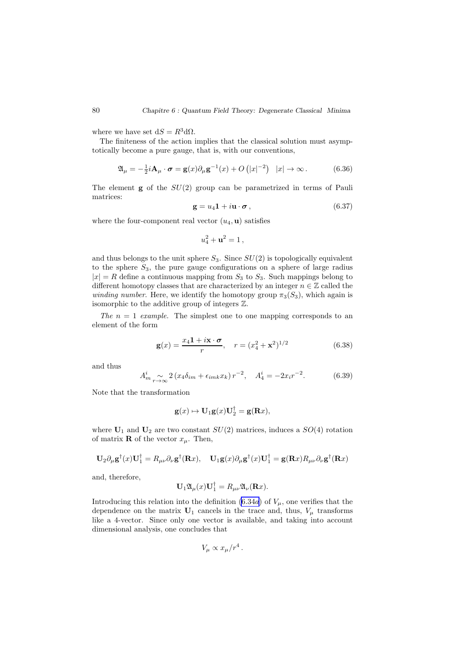<span id="page-81-0"></span>where we have set  $dS = R^3 d\Omega$ .

The finiteness of the action implies that the classical solution must asymptotically become a pure gauge, that is, with our conventions,

$$
\mathfrak{A}_{\mu} = -\frac{1}{2}i\mathbf{A}_{\mu} \cdot \boldsymbol{\sigma} = \mathbf{g}(x)\partial_{\mu}\mathbf{g}^{-1}(x) + O\left(|x|^{-2}\right) \quad |x| \to \infty. \tag{6.36}
$$

The element  $g$  of the  $SU(2)$  group can be parametrized in terms of Pauli matrices:

$$
\mathbf{g} = u_4 \mathbf{1} + i \mathbf{u} \cdot \boldsymbol{\sigma} \,, \tag{6.37}
$$

where the four-component real vector  $(u_4, \mathbf{u})$  satisfies

$$
u_4^2 + {\bf u}^2 = 1\,,
$$

and thus belongs to the unit sphere  $S_3$ . Since  $SU(2)$  is topologically equivalent to the sphere  $S_3$ , the pure gauge configurations on a sphere of large radius  $|x| = R$  define a continuous mapping from  $S_3$  to  $S_3$ . Such mappings belong to different homotopy classes that are characterized by an integer  $n \in \mathbb{Z}$  called the winding number. Here, we identify the homotopy group  $\pi_3(S_3)$ , which again is isomorphic to the additive group of integers Z.

The  $n = 1$  example. The simplest one to one mapping corresponds to an element of the form

$$
\mathbf{g}(x) = \frac{x_4 \mathbf{1} + i\mathbf{x} \cdot \boldsymbol{\sigma}}{r}, \quad r = (x_4^2 + \mathbf{x}^2)^{1/2}
$$
(6.38)

and thus

$$
A_{m}^{i} \underset{r \to \infty}{\sim} 2 \left( x_{4} \delta_{im} + \epsilon_{imk} x_{k} \right) r^{-2}, \quad A_{4}^{i} = -2 x_{i} r^{-2}.
$$
 (6.39)

Note that the transformation

$$
\mathbf{g}(x) \mapsto \mathbf{U}_1 \mathbf{g}(x) \mathbf{U}_2^{\mathsf{T}} = \mathbf{g}(\mathbf{R}x),
$$

where  $U_1$  and  $U_2$  are two constant  $SU(2)$  matrices, induces a  $SO(4)$  rotation of matrix **R** of the vector  $x_{\mu}$ . Then,

$$
\mathbf{U}_2 \partial_\mu \mathbf{g}^\dagger(x) \mathbf{U}_1^\dagger = R_{\mu\nu} \partial_\nu \mathbf{g}^\dagger(\mathbf{R}x), \quad \mathbf{U}_1 \mathbf{g}(x) \partial_\mu \mathbf{g}^\dagger(x) \mathbf{U}_1^\dagger = \mathbf{g}(\mathbf{R}x) R_{\mu\nu} \partial_\nu \mathbf{g}^\dagger(\mathbf{R}x)
$$

and, therefore,

$$
\mathbf{U}_1 \mathfrak{A}_{\mu}(x) \mathbf{U}_1^{\dagger} = R_{\mu\nu} \mathfrak{A}_{\nu}(\mathbf{R}x).
$$

Introducing this relation into the definition  $(6.34a)$  $(6.34a)$  $(6.34a)$  of  $V_\mu$ , one verifies that the dependence on the matrix  $U_1$  cancels in the trace and, thus,  $V_\mu$  transforms like a 4-vector. Since only one vector is available, and taking into account dimensional analysis, one concludes that

$$
V_{\mu} \propto x_{\mu}/r^4.
$$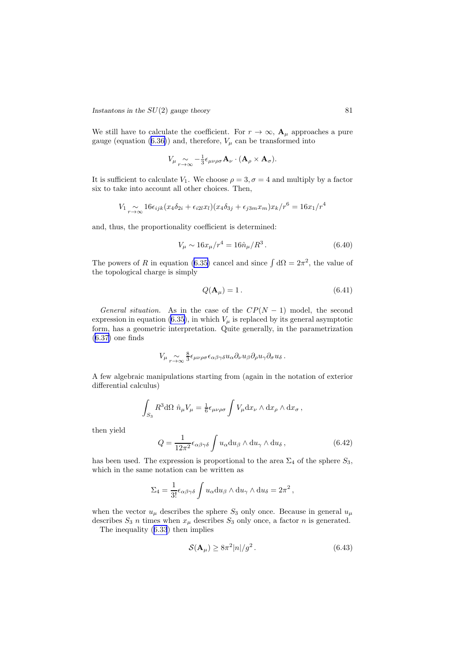*Instantons in the SU(2) gauge theory* 81

We still have to calculate the coefficient. For  $r \to \infty$ ,  $\mathbf{A}_{\mu}$  approaches a pure gauge (equation (6.[36\)](#page-81-0)) and, therefore,  $V_{\mu}$  can be transformed into

$$
V_{\mu} \underset{r \to \infty}{\sim} -\frac{1}{3} \epsilon_{\mu \nu \rho \sigma} \mathbf{A}_{\nu} \cdot (\mathbf{A}_{\rho} \times \mathbf{A}_{\sigma}).
$$

It is sufficient to calculate  $V_1$ . We choose  $\rho = 3, \sigma = 4$  and multiply by a factor six to take into account all other choices. Then,

$$
V_1 \underset{r \to \infty}{\sim} 16\epsilon_{ijk}(x_4\delta_{2i} + \epsilon_{i2l}x_l)(x_4\delta_{3j} + \epsilon_{j3m}x_m)x_k/r^6 = 16x_1/r^4
$$

and, thus, the proportionality coefficient is determined:

$$
V_{\mu} \sim 16x_{\mu}/r^4 = 16\hat{n}_{\mu}/R^3. \qquad (6.40)
$$

The powers of R in equation (6.[35\)](#page-80-0) cancel and since  $\int d\Omega = 2\pi^2$ , the value of the topological charge is simply

$$
Q(\mathbf{A}_{\mu}) = 1. \tag{6.41}
$$

General situation. As in the case of the  $CP(N-1)$  model, the second expression in equation (6.[35\)](#page-80-0), in which  $V_\mu$  is replaced by its general asymptotic form, has a geometric interpretation. Quite generally, in the parametrization (6.[37\)](#page-81-0) one finds

$$
V_{\mu} \underset{r \to \infty}{\sim} \frac{8}{3} \epsilon_{\mu \nu \rho \sigma} \epsilon_{\alpha \beta \gamma \delta} u_{\alpha} \partial_{\nu} u_{\beta} \partial_{\rho} u_{\gamma} \partial_{\sigma} u_{\delta}.
$$

A few algebraic manipulations starting from (again in the notation of exterior differential calculus)

$$
\int_{S_3} R^3 d\Omega \ \hat{n}_{\mu} V_{\mu} = \frac{1}{6} \epsilon_{\mu \nu \rho \sigma} \int V_{\mu} dx_{\nu} \wedge dx_{\rho} \wedge dx_{\sigma} ,
$$

then yield

$$
Q = \frac{1}{12\pi^2} \epsilon_{\alpha\beta\gamma\delta} \int u_{\alpha} du_{\beta} \wedge du_{\gamma} \wedge du_{\delta} , \qquad (6.42)
$$

has been used. The expression is proportional to the area  $\Sigma_4$  of the sphere  $S_3$ , which in the same notation can be written as

$$
\Sigma_4 = \frac{1}{3!} \epsilon_{\alpha\beta\gamma\delta} \int u_\alpha \mathrm{d}u_\beta \wedge \mathrm{d}u_\gamma \wedge \mathrm{d}u_\delta = 2\pi^2 ,
$$

when the vector  $u_{\mu}$  describes the sphere  $S_3$  only once. Because in general  $u_{\mu}$ describes  $S_3$  n times when  $x_\mu$  describes  $S_3$  only once, a factor n is generated.

The inequality (6.[33](#page-80-0)) then implies

$$
\mathcal{S}(\mathbf{A}_{\mu}) \ge 8\pi^2 |n| / g^2. \tag{6.43}
$$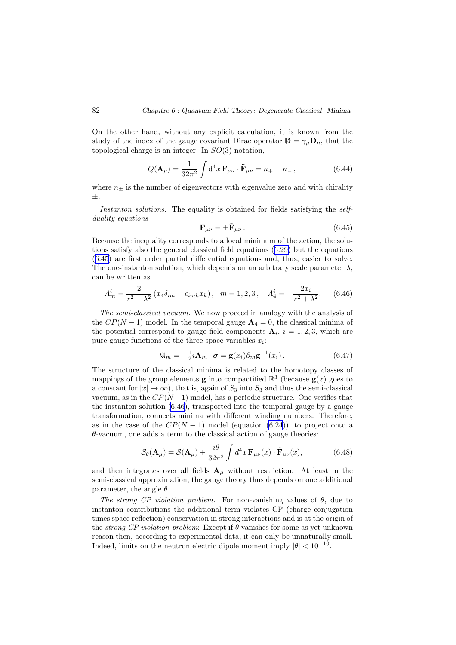<span id="page-83-0"></span>On the other hand, without any explicit calculation, it is known from the study of the index of the gauge covariant Dirac operator  $\mathbf{D} = \gamma_{\mu} \mathbf{D}_{\mu}$ , that the topological charge is an integer. In SO(3) notation,

$$
Q(\mathbf{A}_{\mu}) = \frac{1}{32\pi^2} \int d^4x \, \mathbf{F}_{\mu\nu} \cdot \tilde{\mathbf{F}}_{\mu\nu} = n_+ - n_-\,,\tag{6.44}
$$

where  $n_{\pm}$  is the number of eigenvectors with eigenvalue zero and with chirality ±.

Instanton solutions. The equality is obtained for fields satisfying the selfduality equations

$$
\mathbf{F}_{\mu\nu} = \pm \tilde{\mathbf{F}}_{\mu\nu} \,. \tag{6.45}
$$

Because the inequality corresponds to a local minimum of the action, the solutions satisfy also the general classical field equations (6.[29\)](#page-80-0) but the equations (6.45) are first order partial differential equations and, thus, easier to solve. The one-instanton solution, which depends on an arbitrary scale parameter  $\lambda$ , can be written as

$$
A_m^i = \frac{2}{r^2 + \lambda^2} \left( x_4 \delta_{im} + \epsilon_{imk} x_k \right), \quad m = 1, 2, 3, \quad A_4^i = -\frac{2x_i}{r^2 + \lambda^2}.
$$
 (6.46)

The semi-classical vacuum. We now proceed in analogy with the analysis of the  $CP(N-1)$  model. In the temporal gauge  $\mathbf{A}_4 = 0$ , the classical minima of the potential correspond to gauge field components  $\mathbf{A}_i$ ,  $i = 1, 2, 3$ , which are pure gauge functions of the three space variables  $x_i$ :

$$
\mathfrak{A}_m = -\frac{1}{2}i\mathbf{A}_m \cdot \boldsymbol{\sigma} = \mathbf{g}(x_i)\partial_m \mathbf{g}^{-1}(x_i). \qquad (6.47)
$$

The structure of the classical minima is related to the homotopy classes of mappings of the group elements **g** into compactified  $\mathbb{R}^3$  (because **g**(*x*) goes to a constant for  $|x| \to \infty$ , that is, again of  $S_3$  into  $S_3$  and thus the semi-classical vacuum, as in the  $CP(N-1)$  model, has a periodic structure. One verifies that the instanton solution  $(6.46)$ , transported into the temporal gauge by a gauge transformation, connects minima with different winding numbers. Therefore, as in the case of the  $CP(N-1)$  model (equation (6.[24\)](#page-78-0)), to project onto a  $\theta$ -vacuum, one adds a term to the classical action of gauge theories:

$$
\mathcal{S}_{\theta}(\mathbf{A}_{\mu}) = \mathcal{S}(\mathbf{A}_{\mu}) + \frac{i\theta}{32\pi^2} \int d^4x \, \mathbf{F}_{\mu\nu}(x) \cdot \tilde{\mathbf{F}}_{\mu\nu}(x), \tag{6.48}
$$

and then integrates over all fields  $A_\mu$  without restriction. At least in the semi-classical approximation, the gauge theory thus depends on one additional parameter, the angle  $\theta$ .

The strong CP violation problem. For non-vanishing values of  $\theta$ , due to instanton contributions the additional term violates CP (charge conjugation times space reflection) conservation in strong interactions and is at the origin of the *strong CP violation problem*: Except if  $\theta$  vanishes for some as yet unknown reason then, according to experimental data, it can only be unnaturally small. Indeed, limits on the neutron electric dipole moment imply  $|\theta| < 10^{-10}$ .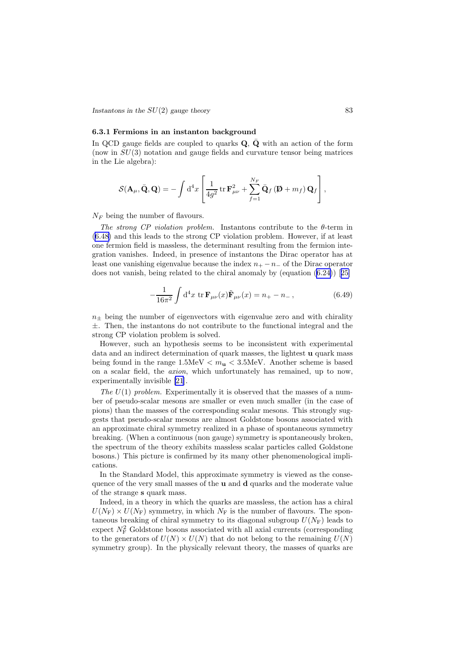*Instantons in the*  $SU(2)$  *gauge theory* 83

#### 6.3.1 Fermions in an instanton background

In QCD gauge fields are coupled to quarks  $Q$ ,  $\dot{Q}$  with an action of the form (now in  $SU(3)$ ) notation and gauge fields and curvature tensor being matrices in the Lie algebra):

$$
\mathcal{S}(\mathbf{A}_{\mu}, \bar{\mathbf{Q}}, \mathbf{Q}) = -\int \mathrm{d}^4 x \left[ \frac{1}{4g^2} \operatorname{tr} \mathbf{F}_{\mu\nu}^2 + \sum_{f=1}^{N_F} \bar{\mathbf{Q}}_f \left( \mathbf{\not D} + m_f \right) \mathbf{Q}_f \right],
$$

 $N_F$  being the number of flavours.

The strong CP violation problem. Instantons contribute to the  $\theta$ -term in (6.[48\)](#page-83-0) and this leads to the strong CP violation problem. However, if at least one fermion field is massless, the determinant resulting from the fermion integration vanishes. Indeed, in presence of instantons the Dirac operator has at least one vanishing eigenvalue because the index  $n_{+} - n_{-}$  of the Dirac operator does not vanish, being related to the chiral anomaly by (equation (6.[24\)](#page-78-0))[[25\]](#page-112-0)

$$
-\frac{1}{16\pi^2} \int d^4x \, \text{tr}\, \mathbf{F}_{\mu\nu}(x)\tilde{\mathbf{F}}_{\mu\nu}(x) = n_+ - n_-\,,\tag{6.49}
$$

 $n_{\pm}$  being the number of eigenvectors with eigenvalue zero and with chirality  $\pm$ . Then, the instantons do not contribute to the functional integral and the strong CP violation problem is solved.

However, such an hypothesis seems to be inconsistent with experimental data and an indirect determination of quark masses, the lightest u quark mass being found in the range  $1.5MeV < m_{\rm u} < 3.5MeV$ . Another scheme is based on a scalar field, the axion, which unfortunately has remained, up to now, experimentally invisible [\[21](#page-111-0)].

The  $U(1)$  problem. Experimentally it is observed that the masses of a number of pseudo-scalar mesons are smaller or even much smaller (in the case of pions) than the masses of the corresponding scalar mesons. This strongly suggests that pseudo-scalar mesons are almost Goldstone bosons associated with an approximate chiral symmetry realized in a phase of spontaneous symmetry breaking. (When a continuous (non gauge) symmetry is spontaneously broken, the spectrum of the theory exhibits massless scalar particles called Goldstone bosons.) This picture is confirmed by its many other phenomenological implications.

In the Standard Model, this approximate symmetry is viewed as the consequence of the very small masses of the u and d quarks and the moderate value of the strange s quark mass.

Indeed, in a theory in which the quarks are massless, the action has a chiral  $U(N_{\rm F}) \times U(N_{\rm F})$  symmetry, in which  $N_{\rm F}$  is the number of flavours. The spontaneous breaking of chiral symmetry to its diagonal subgroup  $U(N_F)$  leads to expect  $N_F^2$  Goldstone bosons associated with all axial currents (corresponding to the generators of  $U(N) \times U(N)$  that do not belong to the remaining  $U(N)$ symmetry group). In the physically relevant theory, the masses of quarks are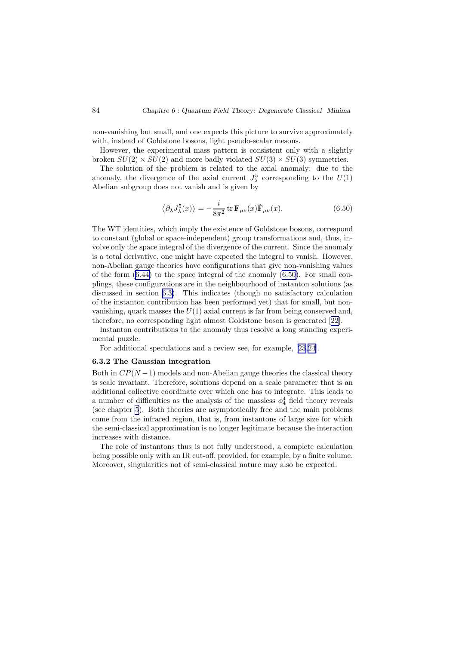<span id="page-85-0"></span>non-vanishing but small, and one expects this picture to survive approximately with, instead of Goldstone bosons, light pseudo-scalar mesons.

However, the experimental mass pattern is consistent only with a slightly broken  $SU(2) \times SU(2)$  and more badly violated  $SU(3) \times SU(3)$  symmetries.

The solution of the problem is related to the axial anomaly: due to the anomaly, the divergence of the axial current  $J_{\lambda}^{5}$  corresponding to the  $U(1)$ Abelian subgroup does not vanish and is given by

$$
\langle \partial_{\lambda} J_{\lambda}^{5}(x) \rangle = -\frac{i}{8\pi^{2}} \operatorname{tr} \mathbf{F}_{\mu\nu}(x) \tilde{\mathbf{F}}_{\mu\nu}(x). \tag{6.50}
$$

The WT identities, which imply the existence of Goldstone bosons, correspond to constant (global or space-independent) group transformations and, thus, involve only the space integral of the divergence of the current. Since the anomaly is a total derivative, one might have expected the integral to vanish. However, non-Abelian gauge theories have configurations that give non-vanishing values of the form  $(6.44)$  $(6.44)$  to the space integral of the anomaly  $(6.50)$ . For small couplings, these configurations are in the neighbourhood of instanton solutions (as discussed in section [6.3\)](#page-79-0). This indicates (though no satisfactory calculation of the instanton contribution has been performed yet) that for small, but nonvanishing, quark masses the  $U(1)$  axial current is far from being conserved and, therefore, no corresponding light almost Goldstone boson is generated[[22\]](#page-112-0).

Instanton contributions to the anomaly thus resolve a long standing experimental puzzle.

For additional speculations and a review see, for example, [\[23](#page-112-0),[24\]](#page-112-0).

#### 6.3.2 The Gaussian integration

Both in  $CP(N-1)$  models and non-Abelian gauge theories the classical theory is scale invariant. Therefore, solutions depend on a scale parameter that is an additional collective coordinate over which one has to integrate. This leads to a number of difficulties as the analysis of the massless  $\phi_4^4$  field theory reveals (see chapter [5](#page-62-0)). Both theories are asymptotically free and the main problems come from the infrared region, that is, from instantons of large size for which the semi-classical approximation is no longer legitimate because the interaction increases with distance.

The role of instantons thus is not fully understood, a complete calculation being possible only with an IR cut-off, provided, for example, by a finite volume. Moreover, singularities not of semi-classical nature may also be expected.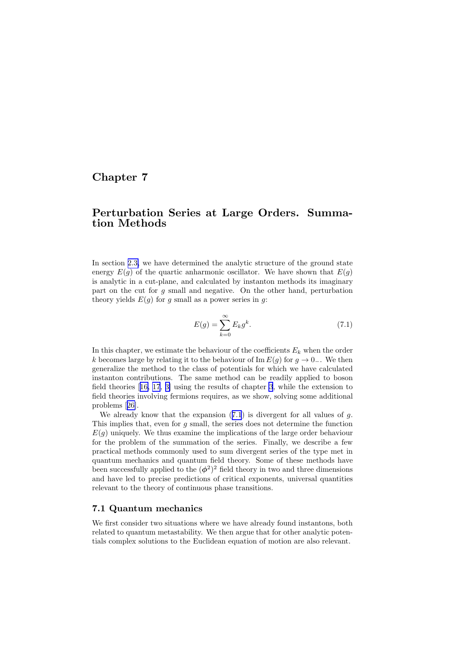# Chapter 7

# Perturbation Series at Large Orders. Summation Methods

In section [2.3,](#page-26-0) we have determined the analytic structure of the ground state energy  $E(q)$  of the quartic anharmonic oscillator. We have shown that  $E(q)$ is analytic in a cut-plane, and calculated by instanton methods its imaginary part on the cut for g small and negative. On the other hand, perturbation theory yields  $E(g)$  for g small as a power series in g:

$$
E(g) = \sum_{k=0}^{\infty} E_k g^k.
$$
\n(7.1)

In this chapter, we estimate the behaviour of the coefficients  $E_k$  when the order k becomes large by relating it to the behaviour of Im  $E(q)$  for  $q \to 0_-\$ . We then generalize the method to the class of potentials for which we have calculated instanton contributions. The same method can be readily applied to boson field theories[[16, 17](#page-111-0), [3\]](#page-110-0) using the results of chapter [3](#page-31-0), while the extension to field theories involving fermions requires, as we show, solving some additional problems[[26\]](#page-112-0).

We already know that the expansion  $(7.1)$  is divergent for all values of q. This implies that, even for g small, the series does not determine the function  $E(q)$  uniquely. We thus examine the implications of the large order behaviour for the problem of the summation of the series. Finally, we describe a few practical methods commonly used to sum divergent series of the type met in quantum mechanics and quantum field theory. Some of these methods have been successfully applied to the  $(\phi^2)^2$  field theory in two and three dimensions and have led to precise predictions of critical exponents, universal quantities relevant to the theory of continuous phase transitions.

## 7.1 Quantum mechanics

We first consider two situations where we have already found instantons, both related to quantum metastability. We then argue that for other analytic potentials complex solutions to the Euclidean equation of motion are also relevant.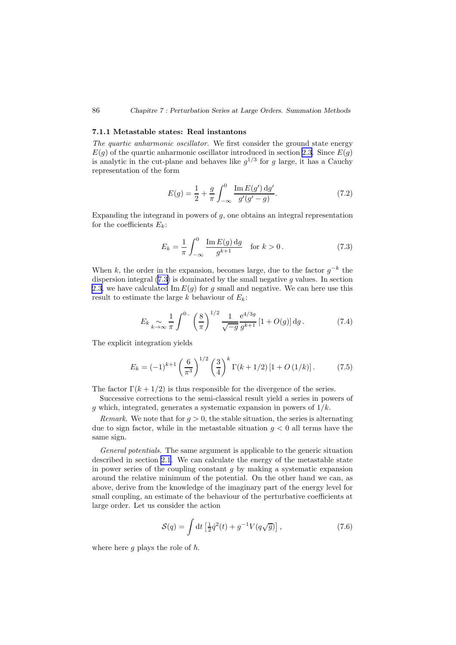#### 7.1.1 Metastable states: Real instantons

The quartic anharmonic oscillator. We first consider the ground state energy  $E(q)$  of the quartic anharmonic oscillator introduced in section [2.3](#page-26-0). Since  $E(q)$ is analytic in the cut-plane and behaves like  $g^{1/3}$  for g large, it has a Cauchy representation of the form

$$
E(g) = \frac{1}{2} + \frac{g}{\pi} \int_{-\infty}^{0} \frac{\text{Im } E(g') \, dg'}{g'(g'-g)}.
$$
 (7.2)

Expanding the integrand in powers of  $q$ , one obtains an integral representation for the coefficients  $E_k$ :

$$
E_k = \frac{1}{\pi} \int_{-\infty}^{0} \frac{\operatorname{Im} E(g) \, \mathrm{d}g}{g^{k+1}} \quad \text{for } k > 0. \tag{7.3}
$$

When k, the order in the expansion, becomes large, due to the factor  $g^{-k}$  the dispersion integral  $(7.3)$  is dominated by the small negative g values. In section [2.3](#page-26-0), we have calculated Im  $E(g)$  for g small and negative. We can here use this result to estimate the large k behaviour of  $E_k$ :

$$
E_k \underset{k \to \infty}{\sim} \frac{1}{\pi} \int^{0_{-}} \left(\frac{8}{\pi}\right)^{1/2} \frac{1}{\sqrt{-g}} \frac{e^{4/3g}}{g^{k+1}} \left[1 + O(g)\right] dg. \tag{7.4}
$$

The explicit integration yields

$$
E_k = (-1)^{k+1} \left(\frac{6}{\pi^3}\right)^{1/2} \left(\frac{3}{4}\right)^k \Gamma(k+1/2) \left[1 + O\left(\frac{1}{k}\right)\right].\tag{7.5}
$$

The factor  $\Gamma(k+1/2)$  is thus responsible for the divergence of the series.

Successive corrections to the semi-classical result yield a series in powers of g which, integrated, generates a systematic expansion in powers of  $1/k$ .

Remark. We note that for  $q > 0$ , the stable situation, the series is alternating due to sign factor, while in the metastable situation  $g < 0$  all terms have the same sign.

General potentials. The same argument is applicable to the generic situation described in section [2.1](#page-22-0). We can calculate the energy of the metastable state in power series of the coupling constant  $g$  by making a systematic expansion around the relative minimum of the potential. On the other hand we can, as above, derive from the knowledge of the imaginary part of the energy level for small coupling, an estimate of the behaviour of the perturbative coefficients at large order. Let us consider the action

$$
S(q) = \int \mathrm{d}t \left[ \frac{1}{2} \dot{q}^2(t) + g^{-1} V(q\sqrt{g}) \right],\tag{7.6}
$$

where here g plays the role of  $\hbar$ .

<span id="page-87-0"></span>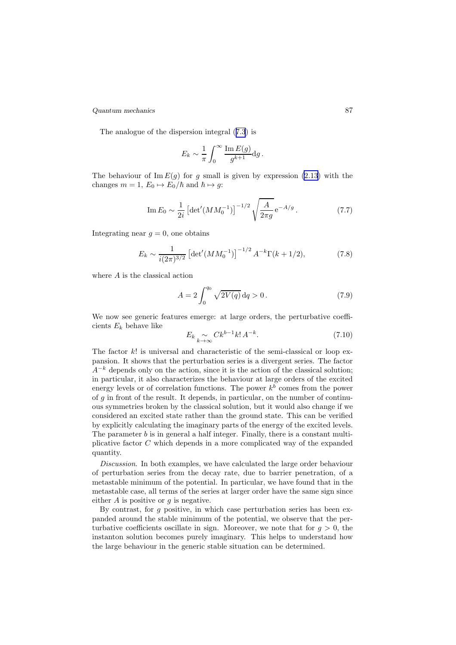<span id="page-88-0"></span>*Quantum mechanics* 87

The analogue of the dispersion integral([7](#page-87-0).3) is

$$
E_k \sim \frac{1}{\pi} \int_0^\infty \frac{\operatorname{Im} E(g)}{g^{k+1}} \mathrm{d}g.
$$

The behaviour of  $\text{Im } E(g)$  for g small is given by expression (2.[13\)](#page-26-0) with the changes  $m = 1$ ,  $E_0 \mapsto E_0/\hbar$  and  $\hbar \mapsto g$ :

Im 
$$
E_0 \sim \frac{1}{2i} \left[ \det'(MM_0^{-1}) \right]^{-1/2} \sqrt{\frac{A}{2\pi g}} e^{-A/g}
$$
. (7.7)

Integrating near  $q = 0$ , one obtains

$$
E_k \sim \frac{1}{i(2\pi)^{3/2}} \left[ \det'(MM_0^{-1}) \right]^{-1/2} A^{-k} \Gamma(k+1/2), \tag{7.8}
$$

where A is the classical action

$$
A = 2 \int_0^{q_0} \sqrt{2V(q)} \, dq > 0.
$$
 (7.9)

We now see generic features emerge: at large orders, the perturbative coefficients  $E_k$  behave like

$$
E_k \underset{k \to \infty}{\sim} C k^{b-1} k! A^{-k}.
$$
 (7.10)

The factor  $k!$  is universal and characteristic of the semi-classical or loop expansion. It shows that the perturbation series is a divergent series. The factor  $A^{-k}$  depends only on the action, since it is the action of the classical solution; in particular, it also characterizes the behaviour at large orders of the excited energy levels or of correlation functions. The power  $k^b$  comes from the power of g in front of the result. It depends, in particular, on the number of continuous symmetries broken by the classical solution, but it would also change if we considered an excited state rather than the ground state. This can be verified by explicitly calculating the imaginary parts of the energy of the excited levels. The parameter  $b$  is in general a half integer. Finally, there is a constant multiplicative factor C which depends in a more complicated way of the expanded quantity.

Discussion. In both examples, we have calculated the large order behaviour of perturbation series from the decay rate, due to barrier penetration, of a metastable minimum of the potential. In particular, we have found that in the metastable case, all terms of the series at larger order have the same sign since either  $A$  is positive or  $q$  is negative.

By contrast, for  $g$  positive, in which case perturbation series has been expanded around the stable minimum of the potential, we observe that the perturbative coefficients oscillate in sign. Moreover, we note that for  $q > 0$ , the instanton solution becomes purely imaginary. This helps to understand how the large behaviour in the generic stable situation can be determined.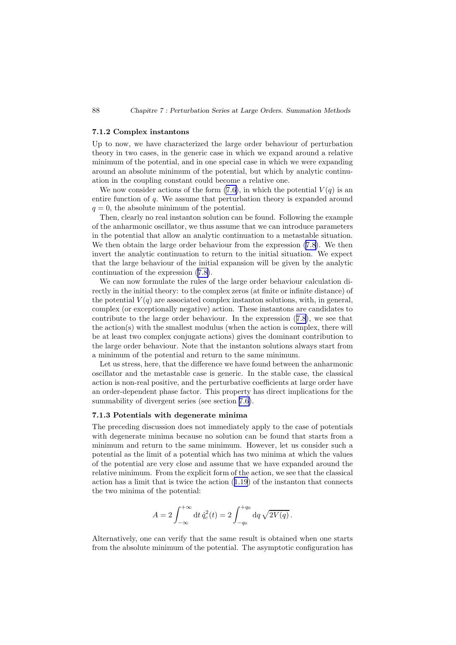#### 7.1.2 Complex instantons

Up to now, we have characterized the large order behaviour of perturbation theory in two cases, in the generic case in which we expand around a relative minimum of the potential, and in one special case in which we were expanding around an absolute minimum of the potential, but which by analytic continuation in the coupling constant could become a relative one.

We now consider actions of the form  $(7.6)$ , in which the potential  $V(q)$  is an entire function of q. We assume that perturbation theory is expanded around  $q = 0$ , the absolute minimum of the potential.

Then, clearly no real instanton solution can be found. Following the example of the anharmonic oscillator, we thus assume that we can introduce parameters in the potential that allow an analytic continuation to a metastable situation. We then obtain the large order behaviour from the expression [\(7](#page-88-0).8). We then invert the analytic continuation to return to the initial situation. We expect that the large behaviour of the initial expansion will be given by the analytic continuation of the expression [\(7](#page-88-0).8).

We can now formulate the rules of the large order behaviour calculation directly in the initial theory: to the complex zeros (at finite or infinite distance) of the potential  $V(q)$  are associated complex instanton solutions, with, in general, complex (or exceptionally negative) action. These instantons are candidates to contribute to the large order behaviour. In the expression (7.[8](#page-88-0)), we see that the action(s) with the smallest modulus (when the action is complex, there will be at least two complex conjugate actions) gives the dominant contribution to the large order behaviour. Note that the instanton solutions always start from a minimum of the potential and return to the same minimum.

Let us stress, here, that the difference we have found between the anharmonic oscillator and the metastable case is generic. In the stable case, the classical action is non-real positive, and the perturbative coefficients at large order have an order-dependent phase factor. This property has direct implications for the summability of divergent series (see section [7.6\)](#page-105-0).

#### 7.1.3 Potentials with degenerate minima

The preceding discussion does not immediately apply to the case of potentials with degenerate minima because no solution can be found that starts from a minimum and return to the same minimum. However, let us consider such a potential as the limit of a potential which has two minima at which the values of the potential are very close and assume that we have expanded around the relative minimum. From the explicit form of the action, we see that the classical action has a limit that is twice the action (1.[19](#page-8-0)) of the instanton that connects the two minima of the potential:

$$
A = 2 \int_{-\infty}^{+\infty} dt \, \dot{q}_c^2(t) = 2 \int_{-q_0}^{+q_0} dq \, \sqrt{2V(q)}.
$$

Alternatively, one can verify that the same result is obtained when one starts from the absolute minimum of the potential. The asymptotic configuration has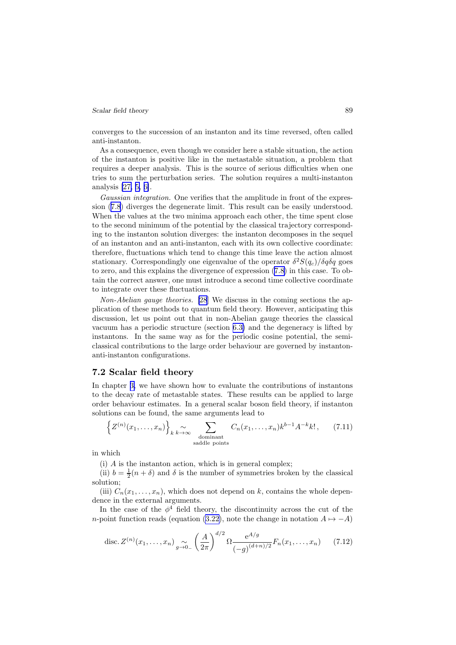#### *Scalar field theory* 89

converges to the succession of an instanton and its time reversed, often called anti-instanton.

As a consequence, even though we consider here a stable situation, the action of the instanton is positive like in the metastable situation, a problem that requires a deeper analysis. This is the source of serious difficulties when one tries to sum the perturbation series. The solution requires a multi-instanton analysis [\[27,](#page-112-0) [5, 6\]](#page-110-0).

Gaussian integration. One verifies that the amplitude in front of the expression([7](#page-88-0).8) diverges the degenerate limit. This result can be easily understood. When the values at the two minima approach each other, the time spent close to the second minimum of the potential by the classical trajectory corresponding to the instanton solution diverges: the instanton decomposes in the sequel of an instanton and an anti-instanton, each with its own collective coordinate: therefore, fluctuations which tend to change this time leave the action almost stationary. Correspondingly one eigenvalue of the operator  $\delta^2 S(q_c)/\delta q \delta q$  goes to zero, and this explains the divergence of expression (7.[8\)](#page-88-0) in this case. To obtain the correct answer, one must introduce a second time collective coordinate to integrate over these fluctuations.

Non-Abelian gauge theories. [\[28](#page-112-0)] We discuss in the coming sections the application of these methods to quantum field theory. However, anticipating this discussion, let us point out that in non-Abelian gauge theories the classical vacuum has a periodic structure (section [6.3\)](#page-79-0) and the degeneracy is lifted by instantons. In the same way as for the periodic cosine potential, the semiclassical contributions to the large order behaviour are governed by instantonanti-instanton configurations.

## 7.2 Scalar field theory

In chapter [3,](#page-31-0) we have shown how to evaluate the contributions of instantons to the decay rate of metastable states. These results can be applied to large order behaviour estimates. In a general scalar boson field theory, if instanton solutions can be found, the same arguments lead to

$$
\left\{ Z^{(n)}(x_1,\ldots,x_n) \right\}_{k \to \infty} \sum_{\substack{\text{dominant} \\ \text{saddle points}}} C_n(x_1,\ldots,x_n) k^{b-1} A^{-k} k!, \quad (7.11)
$$

in which

(i) A is the instanton action, which is in general complex;

(ii)  $b = \frac{1}{2}(n + \delta)$  and  $\delta$  is the number of symmetries broken by the classical solution;

(iii)  $C_n(x_1, \ldots, x_n)$ , which does not depend on k, contains the whole dependence in the external arguments.

In the case of the  $\phi^4$  field theory, the discontinuity across the cut of the n-point function reads (equation (3.[22\)](#page-37-0), note the change in notation  $A \mapsto -A$ )

disc. 
$$
Z^{(n)}(x_1,...,x_n) \underset{g \to 0^-}{\sim} \left(\frac{A}{2\pi}\right)^{d/2} \Omega \frac{e^{A/g}}{(-g)^{(d+n)/2}} F_n(x_1,...,x_n)
$$
 (7.12)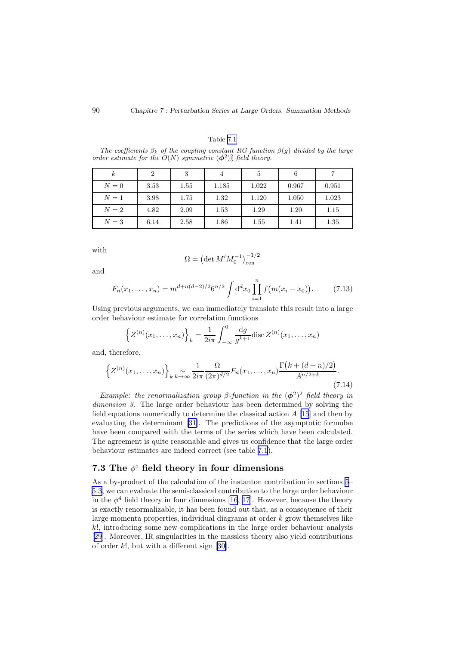#### Table 7.1

The coefficients  $\beta_k$  of the coupling constant RG function  $\beta(q)$  divided by the large order estimate for the  $O(N)$  symmetric  $(\phi^2)^2_3$  field theory.

| $\kappa$ | $\overline{2}$ | 3    |       | 5     | 6     |       |
|----------|----------------|------|-------|-------|-------|-------|
| $N=0$    | 3.53           | 1.55 | 1.185 | 1.022 | 0.967 | 0.951 |
| $N=1$    | 3.98           | 1.75 | 1.32  | 1.120 | 1.050 | 1.023 |
| $N=2$    | 4.82           | 2.09 | 1.53  | 1.29  | 1.20  | 1.15  |
| $N=3$    | 6.14           | 2.58 | 1.86  | 1.55  | 1.41  | 1.35  |

with

$$
\Omega = \left( \det M' M_0^{-1} \right)_{\rm ren}^{-1/2}
$$

and

$$
F_n(x_1,\ldots,x_n) = m^{d+n(d-2)/2} 6^{n/2} \int d^d x_0 \prod_{i=1}^n f(m(x_i - x_0)).
$$
 (7.13)

Using previous arguments, we can immediately translate this result into a large order behaviour estimate for correlation functions

$$
\left\{ Z^{(n)}(x_1,\ldots,x_n) \right\}_k = \frac{1}{2i\pi} \int_{-\infty}^0 \frac{dg}{g^{k+1}} \operatorname{disc} Z^{(n)}(x_1,\ldots,x_n)
$$

and, therefore,

$$
\left\{ Z^{(n)}(x_1,\ldots,x_n) \right\}_{k \to \infty} \frac{1}{2i\pi} \frac{\Omega}{(2\pi)^{d/2}} F_n(x_1,\ldots,x_n) \frac{\Gamma(k + (d+n)/2)}{A^{n/2+k}}.
$$
\n(7.14)

Example: the renormalization group  $\beta$ -function in the  $(\phi^2)^2$  field theory in dimension 3. The large order behaviour has been determined by solving the field equations numerically to determine the classical action  $A$  [\[15](#page-111-0)] and then by evaluating the determinant [\[31](#page-112-0)]. The predictions of the asymptotic formulae have been compared with the terms of the series which have been calculated. The agreement is quite reasonable and gives us confidence that the large order behaviour estimates are indeed correct (see table 7.1).

## 7.3 The  $\phi^4$  field theory in four dimensions

As a by-product of the calculation of the instanton contribution in sections [5](#page-62-0)– [5.3](#page-69-0), we can evaluate the semi-classical contribution to the large order behaviour in the  $\phi^4$  field theory in four dimensions [\[16](#page-111-0), [17](#page-111-0)]. However, because the theory is exactly renormalizable, it has been found out that, as a consequence of their large momenta properties, individual diagrams at order k grow themselves like k!, introducing some new complications in the large order behaviour analysis [[29](#page-112-0)]. Moreover, IR singularities in the massless theory also yield contributions of order k!, but with a different sign[[30\]](#page-112-0).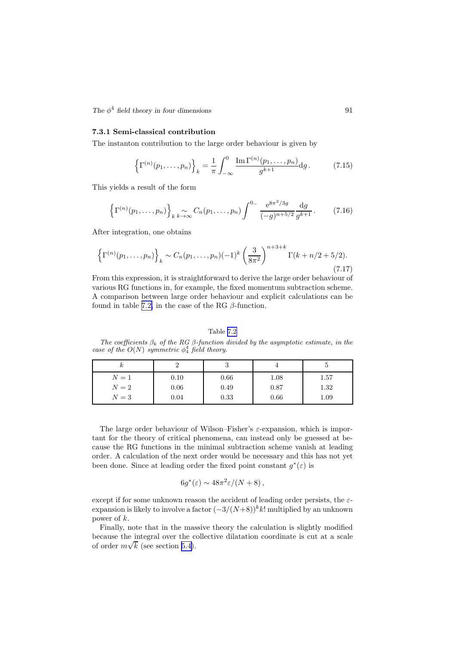<span id="page-92-0"></span> $The \phi^4$  field theory in four dimensions 91

### 7.3.1 Semi-classical contribution

The instanton contribution to the large order behaviour is given by

$$
\left\{\Gamma^{(n)}(p_1,\ldots,p_n)\right\}_k = \frac{1}{\pi} \int_{-\infty}^0 \frac{\operatorname{Im}\Gamma^{(n)}(p_1,\ldots,p_n)}{g^{k+1}} \mathrm{d}g. \tag{7.15}
$$

This yields a result of the form

$$
\left\{\Gamma^{(n)}(p_1,\ldots,p_n)\right\}_{k \to \infty} C_n(p_1,\ldots,p_n) \int^{0-} \frac{e^{8\pi^2/3g}}{(-g)^{n+5/2}} \frac{dg}{g^{k+1}}.
$$
 (7.16)

After integration, one obtains

$$
\left\{\Gamma^{(n)}(p_1,\ldots,p_n)\right\}_k \sim C_n(p_1,\ldots,p_n)(-1)^k \left(\frac{3}{8\pi^2}\right)^{n+3+k} \Gamma(k+n/2+5/2). \tag{7.17}
$$

From this expression, it is straightforward to derive the large order behaviour of various RG functions in, for example, the fixed momentum subtraction scheme. A comparison between large order behaviour and explicit calculations can be found in table 7.2, in the case of the RG  $\beta$ -function.

### Table 7.2

The coefficients  $\beta_k$  of the RG  $\beta$ -function divided by the asymptotic estimate, in the case of the  $O(N)$  symmetric  $\phi_4^4$  field theory.

| к     |      |      |      |          |
|-------|------|------|------|----------|
| $N=1$ | 0.10 | 0.66 | 1.08 | 1.57     |
| $N=2$ | 0.06 | 0.49 | 0.87 | 1.32     |
| $N=3$ | 0.04 | 0.33 | 0.66 | $1.09\,$ |

The large order behaviour of Wilson–Fisher's  $\varepsilon$ -expansion, which is important for the theory of critical phenomena, can instead only be guessed at because the RG functions in the minimal subtraction scheme vanish at leading order. A calculation of the next order would be necessary and this has not yet been done. Since at leading order the fixed point constant  $g^*(\varepsilon)$  is

$$
6g^*(\varepsilon) \sim 48\pi^2 \varepsilon/(N+8)\,,
$$

except if for some unknown reason the accident of leading order persists, the  $\varepsilon$ expansion is likely to involve a factor  $(-3/(N+8))^{k}k!$  multiplied by an unknown power of k.

Finally, note that in the massive theory the calculation is slightly modified because the integral over the collective dilatation coordinate is cut at a scale of order  $m\sqrt{k}$  (see section [5.4\)](#page-71-0).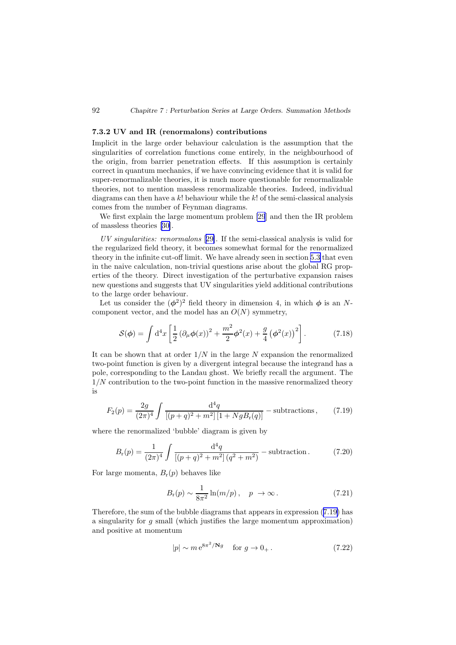#### <span id="page-93-0"></span>92 *Chapitre 7 : Perturbation Series at Large Orders. Summation Methods*

#### 7.3.2 UV and IR (renormalons) contributions

Implicit in the large order behaviour calculation is the assumption that the singularities of correlation functions come entirely, in the neighbourhood of the origin, from barrier penetration effects. If this assumption is certainly correct in quantum mechanics, if we have convincing evidence that it is valid for super-renormalizable theories, it is much more questionable for renormalizable theories, not to mention massless renormalizable theories. Indeed, individual diagrams can then have a k! behaviour while the k! of the semi-classical analysis comes from the number of Feynman diagrams.

We first explain the large momentum problem [\[29](#page-112-0)] and then the IR problem of massless theories[[30](#page-112-0)].

UV singularities: renormalons [[29\]](#page-112-0). If the semi-classical analysis is valid for the regularized field theory, it becomes somewhat formal for the renormalized theory in the infinite cut-off limit. We have already seen in section [5.3](#page-69-0) that even in the naive calculation, non-trivial questions arise about the global RG properties of the theory. Direct investigation of the perturbative expansion raises new questions and suggests that UV singularities yield additional contributions to the large order behaviour.

Let us consider the  $(\phi^2)^2$  field theory in dimension 4, in which  $\phi$  is an Ncomponent vector, and the model has an  $O(N)$  symmetry,

$$
S(\phi) = \int d^4x \left[ \frac{1}{2} \left( \partial_\mu \phi(x) \right)^2 + \frac{m^2}{2} \phi^2(x) + \frac{g}{4} \left( \phi^2(x) \right)^2 \right]. \tag{7.18}
$$

It can be shown that at order  $1/N$  in the large N expansion the renormalized two-point function is given by a divergent integral because the integrand has a pole, corresponding to the Landau ghost. We briefly recall the argument. The  $1/N$  contribution to the two-point function in the massive renormalized theory is

$$
F_2(p) = \frac{2g}{(2\pi)^4} \int \frac{\mathrm{d}^4q}{[(p+q)^2 + m^2][1 + NgB_{\rm r}(q)]} - \text{subtractions},\qquad(7.19)
$$

where the renormalized 'bubble' diagram is given by

$$
B_{\rm r}(p) = \frac{1}{(2\pi)^4} \int \frac{\mathrm{d}^4 q}{[(p+q)^2 + m^2] (q^2 + m^2)} - \text{subtraction.} \tag{7.20}
$$

For large momenta,  $B_r(p)$  behaves like

$$
B_{\rm r}(p) \sim \frac{1}{8\pi^2} \ln(m/p) \,, \quad p \to \infty \,. \tag{7.21}
$$

Therefore, the sum of the bubble diagrams that appears in expression (7.19) has a singularity for g small (which justifies the large momentum approximation) and positive at momentum

$$
|p| \sim m e^{8\pi^2/\mathbf{N}g} \quad \text{for } g \to 0_+.
$$
 (7.22)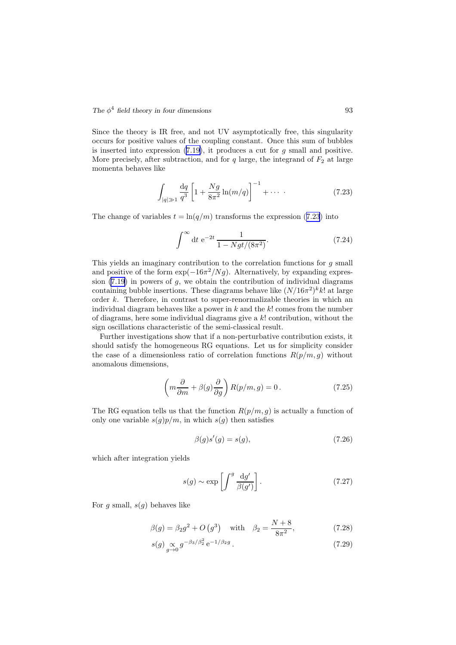Since the theory is IR free, and not UV asymptotically free, this singularity occurs for positive values of the coupling constant. Once this sum of bubbles is inserted into expression  $(7.19)$  $(7.19)$ , it produces a cut for g small and positive. More precisely, after subtraction, and for  $q$  large, the integrand of  $F_2$  at large momenta behaves like

$$
\int_{|q| \gg 1} \frac{\mathrm{d}q}{q^3} \left[ 1 + \frac{Ng}{8\pi^2} \ln(m/q) \right]^{-1} + \cdots \tag{7.23}
$$

The change of variables  $t = \ln(q/m)$  transforms the expression (7.23) into

$$
\int^{\infty} dt \ e^{-2t} \frac{1}{1 - Ngt/(8\pi^2)}.
$$
 (7.24)

This yields an imaginary contribution to the correlation functions for  $q$  small and positive of the form  $\exp(-16\pi^2/Ng)$ . Alternatively, by expanding expression  $(7.19)$  $(7.19)$  in powers of g, we obtain the contribution of individual diagrams containing bubble insertions. These diagrams behave like  $(N/16\pi^2)^k k!$  at large order k. Therefore, in contrast to super-renormalizable theories in which an individual diagram behaves like a power in  $k$  and the  $k!$  comes from the number of diagrams, here some individual diagrams give a  $k!$  contribution, without the sign oscillations characteristic of the semi-classical result.

Further investigations show that if a non-perturbative contribution exists, it should satisfy the homogeneous RG equations. Let us for simplicity consider the case of a dimensionless ratio of correlation functions  $R(p/m, g)$  without anomalous dimensions,

$$
\left(m\frac{\partial}{\partial m} + \beta(g)\frac{\partial}{\partial g}\right)R(p/m, g) = 0.
$$
\n(7.25)

The RG equation tells us that the function  $R(p/m, g)$  is actually a function of only one variable  $s(g)p/m$ , in which  $s(g)$  then satisfies

$$
\beta(g)s'(g) = s(g),\tag{7.26}
$$

which after integration yields

$$
s(g) \sim \exp\left[\int^g \frac{\mathrm{d}g'}{\beta(g')}\right].\tag{7.27}
$$

For g small,  $s(q)$  behaves like

$$
\beta(g) = \beta_2 g^2 + O(g^3)
$$
 with  $\beta_2 = \frac{N+8}{8\pi^2}$ , (7.28)

$$
s(g) \underset{g \to 0}{\propto} g^{-\beta_3/\beta_2^2} e^{-1/\beta_2 g} \,. \tag{7.29}
$$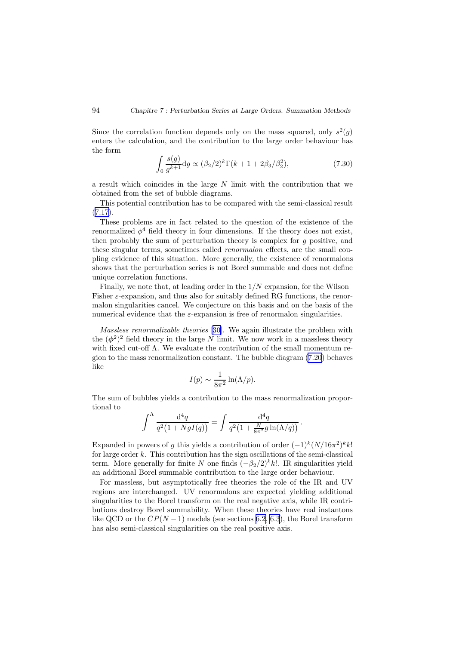Since the correlation function depends only on the mass squared, only  $s^2(g)$ enters the calculation, and the contribution to the large order behaviour has the form

$$
\int_0^{\infty} \frac{s(g)}{g^{k+1}} \, \mathrm{d}g \propto (\beta_2/2)^k \Gamma(k+1+2\beta_3/\beta_2^2),\tag{7.30}
$$

a result which coincides in the large N limit with the contribution that we obtained from the set of bubble diagrams.

This potential contribution has to be compared with the semi-classical result  $(7.17).$  $(7.17).$  $(7.17).$ 

These problems are in fact related to the question of the existence of the renormalized  $\phi^4$  field theory in four dimensions. If the theory does not exist, then probably the sum of perturbation theory is complex for g positive, and these singular terms, sometimes called renormalon effects, are the small coupling evidence of this situation. More generally, the existence of renormalons shows that the perturbation series is not Borel summable and does not define unique correlation functions.

Finally, we note that, at leading order in the  $1/N$  expansion, for the Wilson– Fisher  $\varepsilon$ -expansion, and thus also for suitably defined RG functions, the renormalon singularities cancel. We conjecture on this basis and on the basis of the numerical evidence that the  $\varepsilon$ -expansion is free of renormalon singularities.

Massless renormalizable theories [[30\]](#page-112-0). We again illustrate the problem with the  $(\phi^2)^2$  field theory in the large N limit. We now work in a massless theory with fixed cut-off Λ. We evaluate the contribution of the small momentum region to the mass renormalization constant. The bubble diagram (7.[20\)](#page-93-0) behaves like

$$
I(p) \sim \frac{1}{8\pi^2} \ln(\Lambda/p).
$$

The sum of bubbles yields a contribution to the mass renormalization proportional to

$$
\int^{\Lambda} \frac{\mathrm{d}^4 q}{q^2 (1 + NgI(q))} = \int \frac{\mathrm{d}^4 q}{q^2 (1 + \frac{N}{8\pi^2} g \ln(\Lambda/q))}.
$$

Expanded in powers of g this yields a contribution of order  $(-1)^k (N/16\pi^2)^k k!$ for large order  $k$ . This contribution has the sign oscillations of the semi-classical term. More generally for finite N one finds  $(-\beta_2/2)^k k!$ . IR singularities yield an additional Borel summable contribution to the large order behaviour.

For massless, but asymptotically free theories the role of the IR and UV regions are interchanged. UV renormalons are expected yielding additional singularities to the Borel transform on the real negative axis, while IR contributions destroy Borel summability. When these theories have real instantons like QCD or the  $CP(N-1)$  models (see sections [6.2,](#page-74-0) [6.3](#page-79-0)), the Borel transform has also semi-classical singularities on the real positive axis.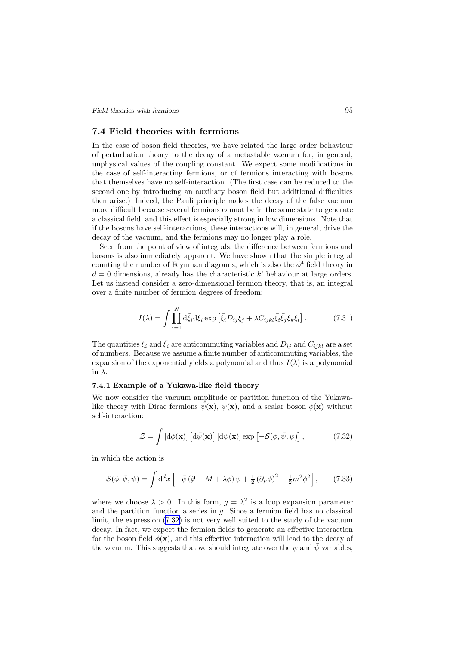<span id="page-96-0"></span>*Field theories with fermions* 95

## 7.4 Field theories with fermions

In the case of boson field theories, we have related the large order behaviour of perturbation theory to the decay of a metastable vacuum for, in general, unphysical values of the coupling constant. We expect some modifications in the case of self-interacting fermions, or of fermions interacting with bosons that themselves have no self-interaction. (The first case can be reduced to the second one by introducing an auxiliary boson field but additional difficulties then arise.) Indeed, the Pauli principle makes the decay of the false vacuum more difficult because several fermions cannot be in the same state to generate a classical field, and this effect is especially strong in low dimensions. Note that if the bosons have self-interactions, these interactions will, in general, drive the decay of the vacuum, and the fermions may no longer play a role.

Seen from the point of view of integrals, the difference between fermions and bosons is also immediately apparent. We have shown that the simple integral counting the number of Feynman diagrams, which is also the  $\phi^4$  field theory in  $d = 0$  dimensions, already has the characteristic k! behaviour at large orders. Let us instead consider a zero-dimensional fermion theory, that is, an integral over a finite number of fermion degrees of freedom:

$$
I(\lambda) = \int \prod_{i=1}^{N} d\bar{\xi}_i d\xi_i \exp\left[\bar{\xi}_i D_{ij}\xi_j + \lambda C_{ijkl}\bar{\xi}_i\bar{\xi}_j\xi_k\xi_l\right].
$$
 (7.31)

The quantities  $\xi_i$  and  $\bar{\xi}_i$  are anticommuting variables and  $D_{ij}$  and  $C_{ijkl}$  are a set of numbers. Because we assume a finite number of anticommuting variables, the expansion of the exponential yields a polynomial and thus  $I(\lambda)$  is a polynomial in  $\lambda$ .

#### 7.4.1 Example of a Yukawa-like field theory

We now consider the vacuum amplitude or partition function of the Yukawalike theory with Dirac fermions  $\psi(\mathbf{x}), \psi(\mathbf{x})$ , and a scalar boson  $\phi(\mathbf{x})$  without self-interaction:

$$
\mathcal{Z} = \int \left[ d\phi(\mathbf{x}) \right] \left[ d\bar{\psi}(\mathbf{x}) \right] \left[ d\psi(\mathbf{x}) \right] \exp \left[ -\mathcal{S}(\phi, \bar{\psi}, \psi) \right],\tag{7.32}
$$

in which the action is

$$
\mathcal{S}(\phi, \bar{\psi}, \psi) = \int d^d x \left[ -\bar{\psi} \left( \partial \!\!\!/ + M + \lambda \phi \right) \psi + \frac{1}{2} \left( \partial_\mu \phi \right)^2 + \frac{1}{2} m^2 \phi^2 \right],\tag{7.33}
$$

where we choose  $\lambda > 0$ . In this form,  $g = \lambda^2$  is a loop expansion parameter and the partition function a series in  $g$ . Since a fermion field has no classical limit, the expression (7.32) is not very well suited to the study of the vacuum decay. In fact, we expect the fermion fields to generate an effective interaction for the boson field  $\phi(\mathbf{x})$ , and this effective interaction will lead to the decay of the vacuum. This suggests that we should integrate over the  $\psi$  and  $\bar{\psi}$  variables,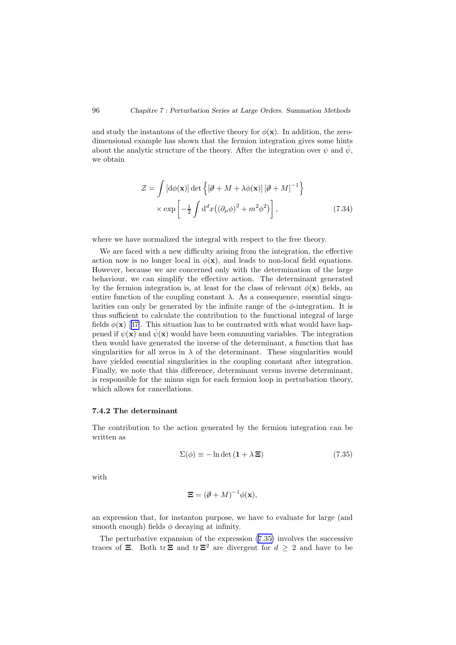and study the instantons of the effective theory for  $\phi(\mathbf{x})$ . In addition, the zerodimensional example has shown that the fermion integration gives some hints about the analytic structure of the theory. After the integration over  $\psi$  and  $\bar{\psi}$ , we obtain

$$
\mathcal{Z} = \int \left[ d\phi(\mathbf{x}) \right] \det \left\{ \left[ \mathcal{J} + M + \lambda \phi(\mathbf{x}) \right] \left[ \mathcal{J} + M \right]^{-1} \right\} \times \exp \left[ -\frac{1}{2} \int d^d x \left( (\partial_\mu \phi)^2 + m^2 \phi^2 \right) \right],
$$
\n(7.34)

where we have normalized the integral with respect to the free theory.

We are faced with a new difficulty arising from the integration, the effective action now is no longer local in  $\phi(\mathbf{x})$ , and leads to non-local field equations. However, because we are concerned only with the determination of the large behaviour, we can simplify the effective action. The determinant generated by the fermion integration is, at least for the class of relevant  $\phi(\mathbf{x})$  fields, an entire function of the coupling constant  $\lambda$ . As a consequence, essential singularities can only be generated by the infinite range of the  $\phi$ -integration. It is thus sufficient to calculate the contribution to the functional integral of large fields $\phi(\mathbf{x})$  [[37\]](#page-113-0). This situation has to be contrasted with what would have happened if  $\psi(\mathbf{x})$  and  $\bar{\psi}(\mathbf{x})$  would have been commuting variables. The integration then would have generated the inverse of the determinant, a function that has singularities for all zeros in  $\lambda$  of the determinant. These singularities would have yielded essential singularities in the coupling constant after integration. Finally, we note that this difference, determinant versus inverse determinant, is responsible for the minus sign for each fermion loop in perturbation theory, which allows for cancellations.

#### 7.4.2 The determinant

The contribution to the action generated by the fermion integration can be written as

$$
\Sigma(\phi) \equiv -\ln \det \left( \mathbf{1} + \lambda \mathbf{\Xi} \right) \tag{7.35}
$$

with

$$
\mathbf{\Xi} = (\partial \!\!\! /+M)^{-1} \phi(\mathbf{x}),
$$

an expression that, for instanton purpose, we have to evaluate for large (and smooth enough) fields  $\phi$  decaying at infinity.

The perturbative expansion of the expression (7.35) involves the successive traces of  $\Xi$ . Both tr  $\Xi$  and tr  $\Xi^2$  are divergent for  $d \geq 2$  and have to be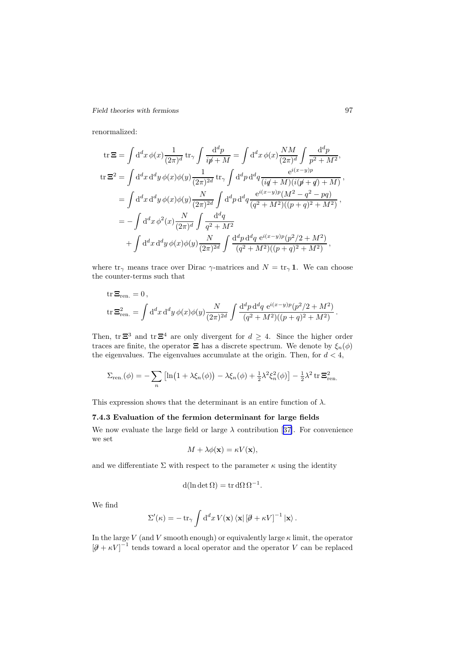## *Field theories with fermions* 97

renormalized:

$$
\begin{split} \text{tr}\,\Xi&=\int\mathrm{d}^{d}x\,\phi(x)\frac{1}{(2\pi)^{d}}\,\text{tr}_{\gamma}\int\frac{\mathrm{d}^{d}p}{i\rlap/v+M}&=\int\mathrm{d}^{d}x\,\phi(x)\frac{NM}{(2\pi)^{d}}\int\frac{\mathrm{d}^{d}p}{p^{2}+M^{2}},\\ \text{tr}\,\Xi^{2}&=\int\mathrm{d}^{d}x\,\mathrm{d}^{d}y\,\phi(x)\phi(y)\frac{1}{(2\pi)^{2d}}\,\text{tr}_{\gamma}\int\mathrm{d}^{d}p\,\mathrm{d}^{d}q\frac{e^{i(x-y)p}}{(i q\!\!\!/\!\!+\!M)(i (\rlap/v+q\!\!\!/\!\!\!)+M)}\,,\\ &=\int\mathrm{d}^{d}x\,\mathrm{d}^{d}y\,\phi(x)\phi(y)\frac{N}{(2\pi)^{2d}}\int\mathrm{d}^{d}p\,\mathrm{d}^{d}q\frac{e^{i(x-y)p}(M^{2}-q^{2}-pq)}{(q^{2}+M^{2})( (p+q)^{2}+M^{2})}\,,\\ &=-\int\mathrm{d}^{d}x\,\phi^{2}(x)\frac{N}{(2\pi)^{d}}\int\frac{\mathrm{d}^{d}q}{q^{2}+M^{2}}\\ &+\int\mathrm{d}^{d}x\,\mathrm{d}^{d}y\,\phi(x)\phi(y)\frac{N}{(2\pi)^{2d}}\int\frac{\mathrm{d}^{d}p\,\mathrm{d}^{d}q}{(q^{2}+M^{2})( (p+q)^{2}+M^{2})}\,, \end{split}
$$

where  $\text{tr}_{\gamma}$  means trace over Dirac  $\gamma$ -matrices and  $N = \text{tr}_{\gamma} \mathbf{1}$ . We can choose the counter-terms such that

tr 
$$
\Xi_{ren.} = 0
$$
,  
\ntr  $\Xi_{ren.}^2 = \int d^d x d^d y \phi(x) \phi(y) \frac{N}{(2\pi)^{2d}} \int \frac{d^d p d^d q e^{i(x-y)p} (p^2/2 + M^2)}{(q^2 + M^2)((p+q)^2 + M^2)}$ .

Then, tr  $\Xi^3$  and tr  $\Xi^4$  are only divergent for  $d \geq 4$ . Since the higher order traces are finite, the operator  $\Xi$  has a discrete spectrum. We denote by  $\xi_n(\phi)$ the eigenvalues. The eigenvalues accumulate at the origin. Then, for  $d < 4$ ,

$$
\Sigma_{\text{ren.}}(\phi) = -\sum_{n} \left[ \ln(1 + \lambda \xi_n(\phi)) - \lambda \xi_n(\phi) + \frac{1}{2} \lambda^2 \xi_n^2(\phi) \right] - \frac{1}{2} \lambda^2 \operatorname{tr} \Xi_{\text{ren.}}^2
$$

This expression shows that the determinant is an entire function of  $\lambda$ .

## 7.4.3 Evaluation of the fermion determinant for large fields

Wenow evaluate the large field or large  $\lambda$  contribution [[37\]](#page-113-0). For convenience we set

$$
M + \lambda \phi(\mathbf{x}) = \kappa V(\mathbf{x}),
$$

and we differentiate  $\Sigma$  with respect to the parameter  $\kappa$  using the identity

$$
d(\ln \det \Omega) = \operatorname{tr} d\Omega \Omega^{-1}.
$$

We find

$$
\Sigma'(\kappa) = -\operatorname{tr}_{\gamma} \int d^d x \, V(\mathbf{x}) \, \langle \mathbf{x} | \left[ \mathcal{J} + \kappa V \right]^{-1} | \mathbf{x} \rangle \, .
$$

In the large V (and V smooth enough) or equivalently large  $\kappa$  limit, the operator  $[\partial + \kappa V]^{-1}$  tends toward a local operator and the operator V can be replaced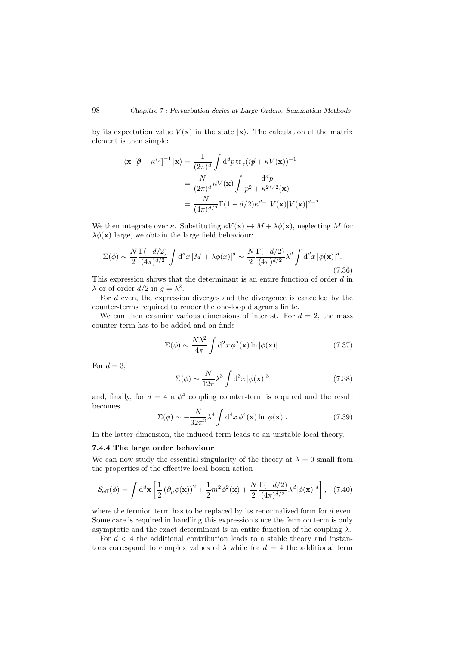by its expectation value  $V(\mathbf{x})$  in the state  $|\mathbf{x}\rangle$ . The calculation of the matrix element is then simple:

$$
\langle \mathbf{x} | [\partial \theta + \kappa V]^{-1} | \mathbf{x} \rangle = \frac{1}{(2\pi)^d} \int d^d p \operatorname{tr}_{\gamma} (i p \theta + \kappa V(\mathbf{x}))^{-1}
$$
  

$$
= \frac{N}{(2\pi)^d} \kappa V(\mathbf{x}) \int \frac{d^d p}{p^2 + \kappa^2 V^2(\mathbf{x})}
$$
  

$$
= \frac{N}{(4\pi)^{d/2}} \Gamma(1 - d/2) \kappa^{d-1} V(\mathbf{x}) |V(\mathbf{x})|^{d-2}.
$$

We then integrate over κ. Substituting  $\kappa V(\mathbf{x}) \mapsto M + \lambda \phi(\mathbf{x})$ , neglecting M for  $\lambda \phi(\mathbf{x})$  large, we obtain the large field behaviour:

$$
\Sigma(\phi) \sim \frac{N}{2} \frac{\Gamma(-d/2)}{(4\pi)^{d/2}} \int \mathrm{d}^d x \, |M + \lambda \phi(x)|^d \sim \frac{N}{2} \frac{\Gamma(-d/2)}{(4\pi)^{d/2}} \lambda^d \int \mathrm{d}^d x \, |\phi(\mathbf{x})|^d. \tag{7.36}
$$

This expression shows that the determinant is an entire function of order d in  $\lambda$  or of order  $d/2$  in  $g = \lambda^2$ .

For  $d$  even, the expression diverges and the divergence is cancelled by the counter-terms required to render the one-loop diagrams finite.

We can then examine various dimensions of interest. For  $d = 2$ , the mass counter-term has to be added and on finds

$$
\Sigma(\phi) \sim \frac{N\lambda^2}{4\pi} \int d^2x \,\phi^2(\mathbf{x}) \ln|\phi(\mathbf{x})|.\tag{7.37}
$$

For  $d = 3$ .

$$
\Sigma(\phi) \sim \frac{N}{12\pi} \lambda^3 \int d^3x \, |\phi(\mathbf{x})|^3 \tag{7.38}
$$

and, finally, for  $d = 4$  a  $\phi^4$  coupling counter-term is required and the result becomes

$$
\Sigma(\phi) \sim -\frac{N}{32\pi^2} \lambda^4 \int d^4x \, \phi^4(\mathbf{x}) \ln|\phi(\mathbf{x})|.
$$
 (7.39)

In the latter dimension, the induced term leads to an unstable local theory.

#### 7.4.4 The large order behaviour

We can now study the essential singularity of the theory at  $\lambda = 0$  small from the properties of the effective local boson action

$$
\mathcal{S}_{\text{eff}}(\phi) = \int d^d \mathbf{x} \left[ \frac{1}{2} \left( \partial_\mu \phi(\mathbf{x}) \right)^2 + \frac{1}{2} m^2 \phi^2(\mathbf{x}) + \frac{N}{2} \frac{\Gamma(-d/2)}{(4\pi)^{d/2}} \lambda^d |\phi(\mathbf{x})|^d \right], \tag{7.40}
$$

where the fermion term has to be replaced by its renormalized form for  $d$  even. Some care is required in handling this expression since the fermion term is only asymptotic and the exact determinant is an entire function of the coupling  $\lambda$ .

For  $d < 4$  the additional contribution leads to a stable theory and instantons correspond to complex values of  $\lambda$  while for  $d = 4$  the additional term

<span id="page-99-0"></span>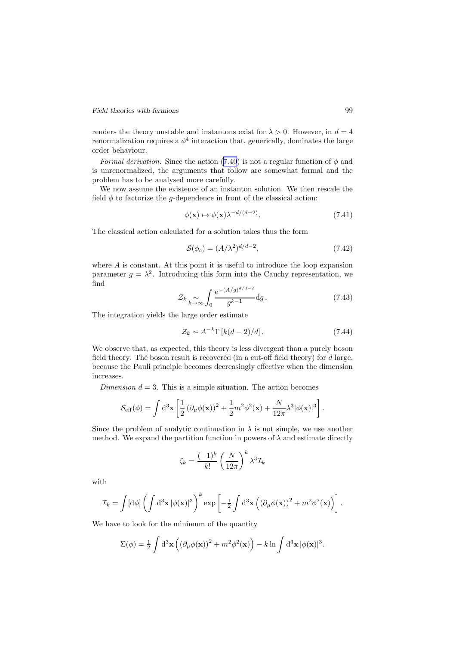<span id="page-100-0"></span>renders the theory unstable and instantons exist for  $\lambda > 0$ . However, in  $d = 4$ renormalization requires a  $\phi^4$  interaction that, generically, dominates the large order behaviour.

Formal derivation. Since the action (7.[40](#page-99-0)) is not a regular function of  $\phi$  and is unrenormalized, the arguments that follow are somewhat formal and the problem has to be analysed more carefully.

We now assume the existence of an instanton solution. We then rescale the field  $\phi$  to factorize the *q*-dependence in front of the classical action:

$$
\phi(\mathbf{x}) \mapsto \phi(\mathbf{x}) \lambda^{-d/(d-2)}.\tag{7.41}
$$

The classical action calculated for a solution takes thus the form

$$
\mathcal{S}(\phi_c) = (A/\lambda^2)^{d/d - 2},\tag{7.42}
$$

where A is constant. At this point it is useful to introduce the loop expansion parameter  $g = \lambda^2$ . Introducing this form into the Cauchy representation, we find  $\ldots$ 

$$
\mathcal{Z}_k \underset{k \to \infty}{\sim} \int_0 \frac{\mathrm{e}^{-(A/g)^{d/d - 2}}}{g^{k - 1}} \mathrm{d}g \,. \tag{7.43}
$$

The integration yields the large order estimate

$$
\mathcal{Z}_k \sim A^{-k} \Gamma \left[ k(d-2)/d \right]. \tag{7.44}
$$

We observe that, as expected, this theory is less divergent than a purely boson field theory. The boson result is recovered (in a cut-off field theory) for  $d$  large, because the Pauli principle becomes decreasingly effective when the dimension increases.

Dimension  $d = 3$ . This is a simple situation. The action becomes

$$
\mathcal{S}_{\text{eff}}(\phi) = \int d^3 \mathbf{x} \left[ \frac{1}{2} \left( \partial_\mu \phi(\mathbf{x}) \right)^2 + \frac{1}{2} m^2 \phi^2(\mathbf{x}) + \frac{N}{12\pi} \lambda^3 |\phi(\mathbf{x})|^3 \right].
$$

Since the problem of analytic continuation in  $\lambda$  is not simple, we use another method. We expand the partition function in powers of  $\lambda$  and estimate directly

$$
\zeta_k = \frac{(-1)^k}{k!} \left(\frac{N}{12\pi}\right)^k \lambda^3 \mathcal{I}_k
$$

with

$$
\mathcal{I}_k = \int [\mathrm{d}\phi] \left( \int \mathrm{d}^3 \mathbf{x} \, |\phi(\mathbf{x})|^3 \right)^k \exp \left[ -\frac{1}{2} \int \mathrm{d}^3 \mathbf{x} \left( \left( \partial_\mu \phi(\mathbf{x}) \right)^2 + m^2 \phi^2(\mathbf{x}) \right) \right].
$$

We have to look for the minimum of the quantity

$$
\Sigma(\phi) = \frac{1}{2} \int d^3 \mathbf{x} \left( (\partial_\mu \phi(\mathbf{x}))^2 + m^2 \phi^2(\mathbf{x}) \right) - k \ln \int d^3 \mathbf{x} |\phi(\mathbf{x})|^3.
$$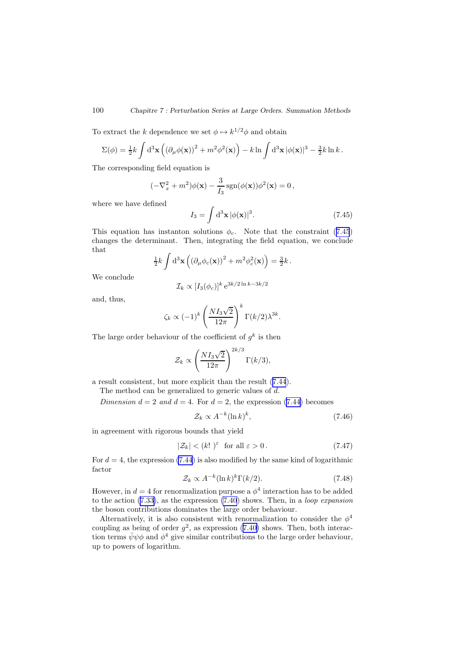To extract the k dependence we set  $\phi \mapsto k^{1/2}\phi$  and obtain

$$
\Sigma(\phi) = \frac{1}{2}k \int d^3 \mathbf{x} \left( (\partial_\mu \phi(\mathbf{x}))^2 + m^2 \phi^2(\mathbf{x}) \right) - k \ln \int d^3 \mathbf{x} |\phi(\mathbf{x})|^3 - \frac{3}{2}k \ln k.
$$

The corresponding field equation is

$$
(-\nabla_x^2 + m^2)\phi(\mathbf{x}) - \frac{3}{I_3}\operatorname{sgn}(\phi(\mathbf{x}))\phi^2(\mathbf{x}) = 0,
$$

where we have defined

$$
I_3 = \int \mathrm{d}^3 \mathbf{x} \, |\phi(\mathbf{x})|^3. \tag{7.45}
$$

This equation has instanton solutions  $\phi_c$ . Note that the constraint (7.45) changes the determinant. Then, integrating the field equation, we conclude that

$$
\frac{1}{2}k\int\mathrm{d}^3\mathbf{x}\left(\left(\partial_\mu\phi_c(\mathbf{x})\right)^2+m^2\phi_c^2(\mathbf{x})\right)=\tfrac{3}{2}k\,.
$$

We conclude

$$
\mathcal{I}_k \propto [I_3(\phi_c)]^k e^{3k/2 \ln k - 3k/2}
$$

and, thus,

$$
\zeta_k \propto (-1)^k \left(\frac{NI_3\sqrt{2}}{12\pi}\right)^k \Gamma(k/2) \lambda^{3k}.
$$

The large order behaviour of the coefficient of  $g^k$  is then

$$
\mathcal{Z}_k \propto \left(\frac{NI_3\sqrt{2}}{12\pi}\right)^{2k/3} \Gamma(k/3),
$$

a result consistent, but more explicit than the result (7.[44](#page-100-0)).

The method can be generalized to generic values of d.

Dimension  $d = 2$  and  $d = 4$ . For  $d = 2$ , the expression (7.[44\)](#page-100-0) becomes

$$
\mathcal{Z}_k \propto A^{-k} (\ln k)^k,\tag{7.46}
$$

in agreement with rigorous bounds that yield

$$
|\mathcal{Z}_k| < (k!)^{\varepsilon} \quad \text{for all } \varepsilon > 0. \tag{7.47}
$$

For  $d = 4$ , the expression (7.[44](#page-100-0)) is also modified by the same kind of logarithmic factor

$$
\mathcal{Z}_k \propto A^{-k} (\ln k)^k \Gamma(k/2). \tag{7.48}
$$

However, in  $d = 4$  for renormalization purpose a  $\phi^4$  interaction has to be added to the action (7.[33\)](#page-96-0), as the expression (7.[40](#page-99-0)) shows. Then, in a loop expansion the boson contributions dominates the large order behaviour.

Alternatively, it is also consistent with renormalization to consider the  $\phi^4$ coupling as being of order  $g^2$ , as expression (7.[40\)](#page-99-0) shows. Then, both interaction terms  $\bar{\psi}\psi\phi$  and  $\phi^4$  give similar contributions to the large order behaviour, up to powers of logarithm.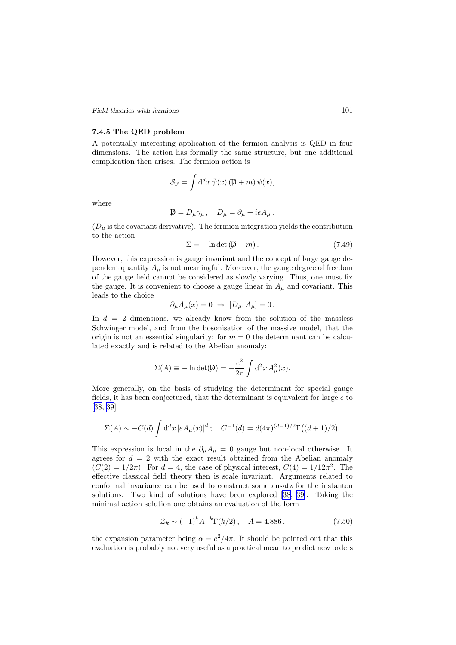*Field theories with fermions* 101

## 7.4.5 The QED problem

A potentially interesting application of the fermion analysis is QED in four dimensions. The action has formally the same structure, but one additional complication then arises. The fermion action is

$$
S_{\rm F} = \int d^d x \,\overline{\psi}(x) \, (\not\!\!D + m) \psi(x),
$$

where

$$
\not{\!\!\!D} = D_\mu \gamma_\mu \,, \quad D_\mu = \partial_\mu + ieA_\mu \,.
$$

 $(D_{\mu}$  is the covariant derivative). The fermion integration yields the contribution to the action

$$
\Sigma = -\ln \det (\not\!\!\!D + m). \tag{7.49}
$$

However, this expression is gauge invariant and the concept of large gauge dependent quantity  $A_{\mu}$  is not meaningful. Moreover, the gauge degree of freedom of the gauge field cannot be considered as slowly varying. Thus, one must fix the gauge. It is convenient to choose a gauge linear in  $A_{\mu}$  and covariant. This leads to the choice

$$
\partial_{\mu}A_{\mu}(x) = 0 \Rightarrow [D_{\mu}, A_{\mu}] = 0.
$$

In  $d = 2$  dimensions, we already know from the solution of the massless Schwinger model, and from the bosonisation of the massive model, that the origin is not an essential singularity: for  $m = 0$  the determinant can be calculated exactly and is related to the Abelian anomaly:

$$
\Sigma(A) \equiv -\ln \det(\mathcal{D}) = -\frac{e^2}{2\pi} \int d^2x A^2_\mu(x).
$$

More generally, on the basis of studying the determinant for special gauge fields, it has been conjectured, that the determinant is equivalent for large e to [[38](#page-113-0), [39](#page-113-0)]

$$
\Sigma(A) \sim -C(d) \int d^d x \left| e A_\mu(x) \right|^d; \quad C^{-1}(d) = d(4\pi)^{(d-1)/2} \Gamma((d+1)/2).
$$

This expression is local in the  $\partial_{\mu}A_{\mu} = 0$  gauge but non-local otherwise. It agrees for  $d = 2$  with the exact result obtained from the Abelian anomaly  $(C(2) = 1/2\pi)$ . For  $d = 4$ , the case of physical interest,  $C(4) = 1/12\pi^2$ . The effective classical field theory then is scale invariant. Arguments related to conformal invariance can be used to construct some ansatz for the instanton solutions. Two kind of solutions have been explored [\[38](#page-113-0), [39\]](#page-113-0). Taking the minimal action solution one obtains an evaluation of the form

$$
\mathcal{Z}_k \sim (-1)^k A^{-k} \Gamma(k/2), \quad A = 4.886\,,\tag{7.50}
$$

the expansion parameter being  $\alpha = e^2/4\pi$ . It should be pointed out that this evaluation is probably not very useful as a practical mean to predict new orders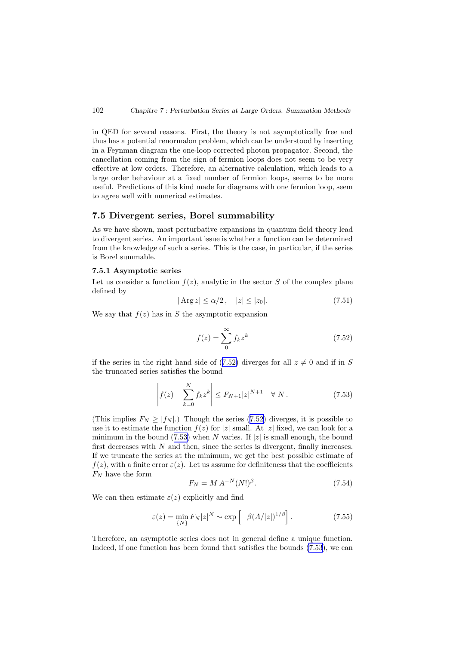<span id="page-103-0"></span>in QED for several reasons. First, the theory is not asymptotically free and thus has a potential renormalon problem, which can be understood by inserting in a Feynman diagram the one-loop corrected photon propagator. Second, the cancellation coming from the sign of fermion loops does not seem to be very effective at low orders. Therefore, an alternative calculation, which leads to a large order behaviour at a fixed number of fermion loops, seems to be more useful. Predictions of this kind made for diagrams with one fermion loop, seem to agree well with numerical estimates.

## 7.5 Divergent series, Borel summability

As we have shown, most perturbative expansions in quantum field theory lead to divergent series. An important issue is whether a function can be determined from the knowledge of such a series. This is the case, in particular, if the series is Borel summable.

#### 7.5.1 Asymptotic series

Let us consider a function  $f(z)$ , analytic in the sector S of the complex plane defined by

$$
|\operatorname{Arg} z| \le \alpha/2, \quad |z| \le |z_0|. \tag{7.51}
$$

We say that  $f(z)$  has in S the asymptotic expansion

$$
f(z) = \sum_{0}^{\infty} f_k z^k
$$
 (7.52)

if the series in the right hand side of (7.52) diverges for all  $z \neq 0$  and if in S the truncated series satisfies the bound

$$
\left| f(z) - \sum_{k=0}^{N} f_k z^k \right| \le F_{N+1} |z|^{N+1} \quad \forall N.
$$
 (7.53)

(This implies  $F_N \ge |f_N|$ .) Though the series (7.52) diverges, it is possible to use it to estimate the function  $f(z)$  for  $|z|$  small. At  $|z|$  fixed, we can look for a minimum in the bound (7.53) when N varies. If  $|z|$  is small enough, the bound first decreases with  $N$  and then, since the series is divergent, finally increases. If we truncate the series at the minimum, we get the best possible estimate of  $f(z)$ , with a finite error  $\varepsilon(z)$ . Let us assume for definiteness that the coefficients  $F_N$  have the form

$$
F_N = M A^{-N} (N!)^{\beta}.
$$
 (7.54)

We can then estimate  $\varepsilon(z)$  explicitly and find

$$
\varepsilon(z) = \min_{\{N\}} F_N |z|^N \sim \exp\left[-\beta (A/|z|)^{1/\beta}\right]. \tag{7.55}
$$

Therefore, an asymptotic series does not in general define a unique function. Indeed, if one function has been found that satisfies the bounds (7.53), we can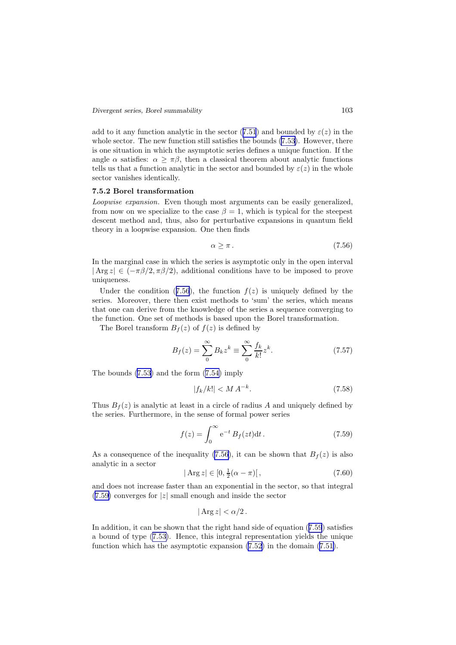<span id="page-104-0"></span>add to it any function analytic in the sector (7.[51](#page-103-0)) and bounded by  $\varepsilon(z)$  in the whole sector. The new function still satisfies the bounds  $(7.53)$  $(7.53)$ . However, there is one situation in which the asymptotic series defines a unique function. If the angle  $\alpha$  satisfies:  $\alpha \geq \pi \beta$ , then a classical theorem about analytic functions tells us that a function analytic in the sector and bounded by  $\varepsilon(z)$  in the whole sector vanishes identically.

### 7.5.2 Borel transformation

Loopwise expansion. Even though most arguments can be easily generalized, from now on we specialize to the case  $\beta = 1$ , which is typical for the steepest descent method and, thus, also for perturbative expansions in quantum field theory in a loopwise expansion. One then finds

$$
\alpha \ge \pi \,. \tag{7.56}
$$

In the marginal case in which the series is asymptotic only in the open interval  $|\text{Arg } z| \in (-\pi \beta/2, \pi \beta/2)$ , additional conditions have to be imposed to prove uniqueness.

Under the condition (7.56), the function  $f(z)$  is uniquely defined by the series. Moreover, there then exist methods to 'sum' the series, which means that one can derive from the knowledge of the series a sequence converging to the function. One set of methods is based upon the Borel transformation.

The Borel transform  $B_f(z)$  of  $f(z)$  is defined by

$$
B_f(z) = \sum_{0}^{\infty} B_k z^k \equiv \sum_{0}^{\infty} \frac{f_k}{k!} z^k.
$$
 (7.57)

The bounds (7.[53\)](#page-103-0) and the form (7.[54\)](#page-103-0) imply

$$
|f_k/k| < M A^{-k}.\tag{7.58}
$$

Thus  $B_f(z)$  is analytic at least in a circle of radius A and uniquely defined by the series. Furthermore, in the sense of formal power series

$$
f(z) = \int_0^\infty e^{-t} B_f(zt) dt.
$$
 (7.59)

As a consequence of the inequality (7.56), it can be shown that  $B_f(z)$  is also analytic in a sector

$$
|\operatorname{Arg} z| \in [0, \frac{1}{2}(\alpha - \pi)[\,,\tag{7.60}
$$

and does not increase faster than an exponential in the sector, so that integral  $(7.59)$  converges for |z| small enough and inside the sector

$$
|\operatorname{Arg} z| < \alpha/2.
$$

In addition, it can be shown that the right hand side of equation (7.59) satisfies a bound of type (7.[53\)](#page-103-0). Hence, this integral representation yields the unique function which has the asymptotic expansion (7.[52\)](#page-103-0) in the domain (7.[51\)](#page-103-0).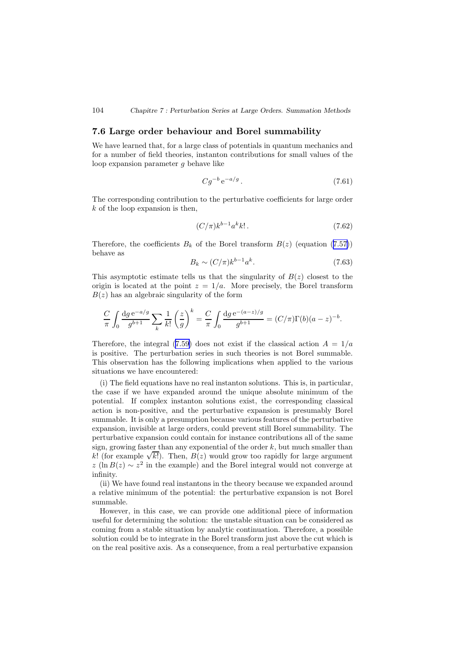#### <span id="page-105-0"></span>104 *Chapitre 7 : Perturbation Series at Large Orders. Summation Methods*

## 7.6 Large order behaviour and Borel summability

We have learned that, for a large class of potentials in quantum mechanics and for a number of field theories, instanton contributions for small values of the loop expansion parameter g behave like

$$
Cg^{-b}e^{-a/g}.
$$
\n
$$
(7.61)
$$

The corresponding contribution to the perturbative coefficients for large order  $k$  of the loop expansion is then,

$$
(C/\pi)k^{b-1}a^k k! \tag{7.62}
$$

Therefore, the coefficients  $B_k$  of the Borel transform  $B(z)$  (equation (7.[57\)](#page-104-0)) behave as

$$
B_k \sim (C/\pi)k^{b-1}a^k. \tag{7.63}
$$

This asymptotic estimate tells us that the singularity of  $B(z)$  closest to the origin is located at the point  $z = 1/a$ . More precisely, the Borel transform  $B(z)$  has an algebraic singularity of the form

$$
\frac{C}{\pi} \int_0 \frac{\mathrm{d}g \,\mathrm{e}^{-a/g}}{g^{b+1}} \sum_k \frac{1}{k!} \left(\frac{z}{g}\right)^k = \frac{C}{\pi} \int_0 \frac{\mathrm{d}g \,\mathrm{e}^{-(a-z)/g}}{g^{b+1}} = (C/\pi) \Gamma(b) (a-z)^{-b}.
$$

Therefore, the integral (7.[59\)](#page-104-0) does not exist if the classical action  $A = 1/a$ is positive. The perturbation series in such theories is not Borel summable. This observation has the following implications when applied to the various situations we have encountered:

(i) The field equations have no real instanton solutions. This is, in particular, the case if we have expanded around the unique absolute minimum of the potential. If complex instanton solutions exist, the corresponding classical action is non-positive, and the perturbative expansion is presumably Borel summable. It is only a presumption because various features of the perturbative expansion, invisible at large orders, could prevent still Borel summability. The perturbative expansion could contain for instance contributions all of the same sign, growing faster than any exponential of the order  $k$ , but much smaller than  $k!$  (for example  $\sqrt{k!}$ ). Then,  $B(z)$  would grow too rapidly for large argument  $z(\ln B(z) \sim z^2$  in the example) and the Borel integral would not converge at infinity.

(ii) We have found real instantons in the theory because we expanded around a relative minimum of the potential: the perturbative expansion is not Borel summable.

However, in this case, we can provide one additional piece of information useful for determining the solution: the unstable situation can be considered as coming from a stable situation by analytic continuation. Therefore, a possible solution could be to integrate in the Borel transform just above the cut which is on the real positive axis. As a consequence, from a real perturbative expansion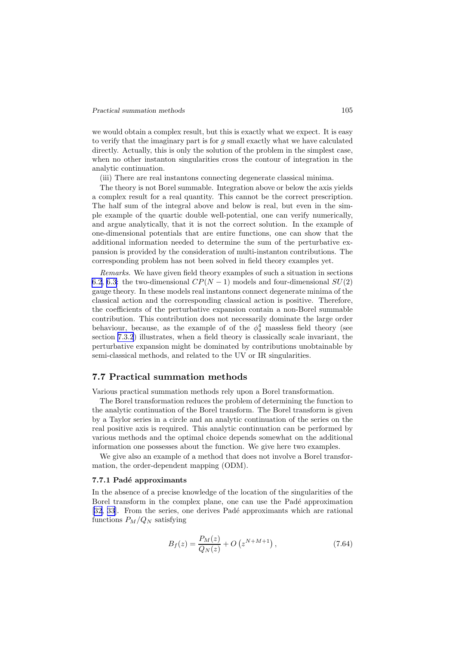#### *Practical summation methods* 105

we would obtain a complex result, but this is exactly what we expect. It is easy to verify that the imaginary part is for g small exactly what we have calculated directly. Actually, this is only the solution of the problem in the simplest case, when no other instanton singularities cross the contour of integration in the analytic continuation.

(iii) There are real instantons connecting degenerate classical minima.

The theory is not Borel summable. Integration above or below the axis yields a complex result for a real quantity. This cannot be the correct prescription. The half sum of the integral above and below is real, but even in the simple example of the quartic double well-potential, one can verify numerically, and argue analytically, that it is not the correct solution. In the example of one-dimensional potentials that are entire functions, one can show that the additional information needed to determine the sum of the perturbative expansion is provided by the consideration of multi-instanton contributions. The corresponding problem has not been solved in field theory examples yet.

Remarks. We have given field theory examples of such a situation in sections [6.2](#page-74-0), [6.3](#page-79-0): the two-dimensional  $CP(N-1)$  models and four-dimensional  $SU(2)$ gauge theory. In these models real instantons connect degenerate minima of the classical action and the corresponding classical action is positive. Therefore, the coefficients of the perturbative expansion contain a non-Borel summable contribution. This contribution does not necessarily dominate the large order behaviour, because, as the example of of the  $\phi_4^4$  massless field theory (see section [7.3.2](#page-93-0)) illustrates, when a field theory is classically scale invariant, the perturbative expansion might be dominated by contributions unobtainable by semi-classical methods, and related to the UV or IR singularities.

## 7.7 Practical summation methods

Various practical summation methods rely upon a Borel transformation.

The Borel transformation reduces the problem of determining the function to the analytic continuation of the Borel transform. The Borel transform is given by a Taylor series in a circle and an analytic continuation of the series on the real positive axis is required. This analytic continuation can be performed by various methods and the optimal choice depends somewhat on the additional information one possesses about the function. We give here two examples.

We give also an example of a method that does not involve a Borel transformation, the order-dependent mapping (ODM).

#### 7.7.1 Padé approximants

In the absence of a precise knowledge of the location of the singularities of the Borel transform in the complex plane, one can use the Padé approximation [[32](#page-112-0), [33\]](#page-112-0). From the series, one derives Padé approximants which are rational functions  $P_M/Q_N$  satisfying

$$
B_f(z) = \frac{P_M(z)}{Q_N(z)} + O\left(z^{N+M+1}\right),\tag{7.64}
$$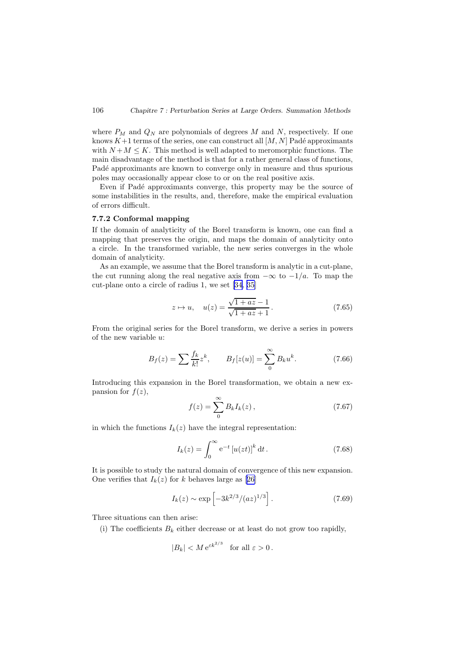where  $P_M$  and  $Q_N$  are polynomials of degrees M and N, respectively. If one knows  $K+1$  terms of the series, one can construct all  $[M, N]$  Padé approximants with  $N + M \leq K$ . This method is well adapted to meromorphic functions. The main disadvantage of the method is that for a rather general class of functions, Padé approximants are known to converge only in measure and thus spurious poles may occasionally appear close to or on the real positive axis.

Even if Padé approximants converge, this property may be the source of some instabilities in the results, and, therefore, make the empirical evaluation of errors difficult.

#### 7.7.2 Conformal mapping

If the domain of analyticity of the Borel transform is known, one can find a mapping that preserves the origin, and maps the domain of analyticity onto a circle. In the transformed variable, the new series converges in the whole domain of analyticity.

As an example, we assume that the Borel transform is analytic in a cut-plane, the cut running along the real negative axis from  $-\infty$  to  $-1/a$ . To map the cut-plane onto a circle of radius 1, we set[[34](#page-113-0), [35](#page-113-0)]

$$
z \mapsto u
$$
,  $u(z) = \frac{\sqrt{1+az}-1}{\sqrt{1+az}+1}$ . (7.65)

From the original series for the Borel transform, we derive a series in powers of the new variable u:

$$
B_f(z) = \sum \frac{f_k}{k!} z^k, \qquad B_f[z(u)] = \sum_{0}^{\infty} B_k u^k. \tag{7.66}
$$

Introducing this expansion in the Borel transformation, we obtain a new expansion for  $f(z)$ ,

$$
f(z) = \sum_{0}^{\infty} B_k I_k(z), \qquad (7.67)
$$

in which the functions  $I_k(z)$  have the integral representation:

$$
I_k(z) = \int_0^\infty e^{-t} [u(zt)]^k dt.
$$
 (7.68)

It is possible to study the natural domain of convergence of this new expansion. One verifies that  $I_k(z)$  for k behaves large as [\[26](#page-112-0)]

$$
I_k(z) \sim \exp\left[-3k^{2/3}/(az)^{1/3}\right].
$$
 (7.69)

Three situations can then arise:

(i) The coefficients  $B_k$  either decrease or at least do not grow too rapidly,

$$
|B_k| < M e^{\varepsilon k^{2/3}} \quad \text{for all } \varepsilon > 0 \,.
$$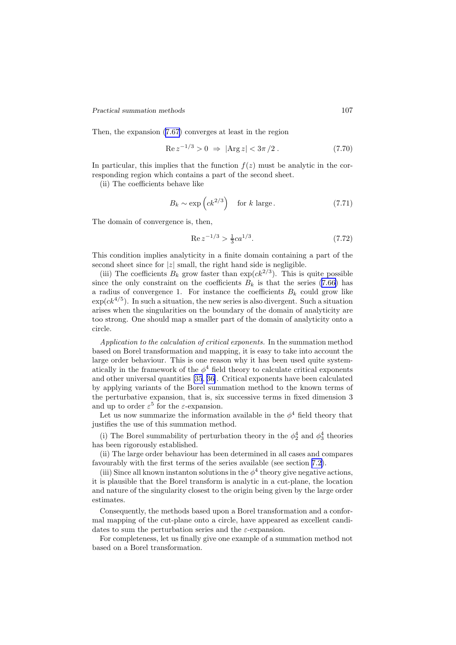*Practical summation methods* 107

Then, the expansion (7.[67](#page-107-0)) converges at least in the region

$$
\operatorname{Re} z^{-1/3} > 0 \implies |\operatorname{Arg} z| < 3\pi/2. \tag{7.70}
$$

In particular, this implies that the function  $f(z)$  must be analytic in the corresponding region which contains a part of the second sheet.

(ii) The coefficients behave like

$$
B_k \sim \exp\left(ck^{2/3}\right) \quad \text{for } k \text{ large.} \tag{7.71}
$$

The domain of convergence is, then,

$$
\operatorname{Re} z^{-1/3} > \frac{1}{3} c a^{1/3}.\tag{7.72}
$$

This condition implies analyticity in a finite domain containing a part of the second sheet since for  $|z|$  small, the right hand side is negligible.

(iii) The coefficients  $B_k$  grow faster than  $\exp(ck^{2/3})$ . This is quite possible since the only constraint on the coefficients  $B_k$  is that the series (7.[66\)](#page-107-0) has a radius of convergence 1. For instance the coefficients  $B_k$  could grow like  $\exp(ck^{4/5})$ . In such a situation, the new series is also divergent. Such a situation arises when the singularities on the boundary of the domain of analyticity are too strong. One should map a smaller part of the domain of analyticity onto a circle.

Application to the calculation of critical exponents. In the summation method based on Borel transformation and mapping, it is easy to take into account the large order behaviour. This is one reason why it has been used quite systematically in the framework of the  $\phi^4$  field theory to calculate critical exponents and other universal quantities [\[35](#page-113-0), [36\]](#page-113-0). Critical exponents have been calculated by applying variants of the Borel summation method to the known terms of the perturbative expansion, that is, six successive terms in fixed dimension 3 and up to order  $\varepsilon^5$  for the  $\varepsilon$ -expansion.

Let us now summarize the information available in the  $\phi^4$  field theory that justifies the use of this summation method.

(i) The Borel summability of perturbation theory in the  $\phi_2^4$  and  $\phi_3^4$  theories has been rigorously established.

(ii) The large order behaviour has been determined in all cases and compares favourably with the first terms of the series available (see section [7.2\)](#page-90-0).

(iii) Since all known instanton solutions in the  $\phi^4$  theory give negative actions, it is plausible that the Borel transform is analytic in a cut-plane, the location and nature of the singularity closest to the origin being given by the large order estimates.

Consequently, the methods based upon a Borel transformation and a conformal mapping of the cut-plane onto a circle, have appeared as excellent candidates to sum the perturbation series and the  $\varepsilon$ -expansion.

For completeness, let us finally give one example of a summation method not based on a Borel transformation.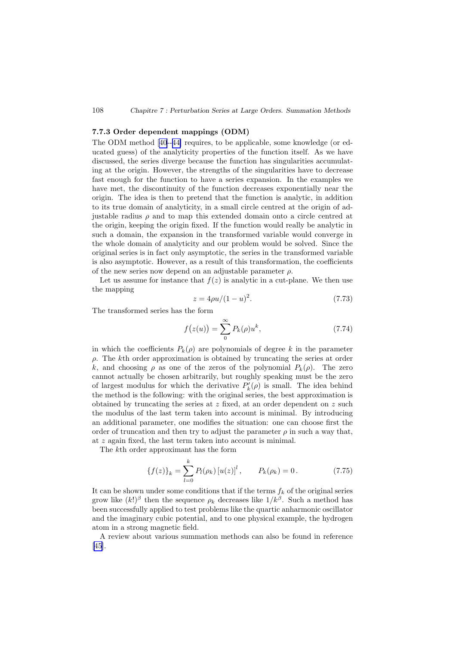## 108 *Chapitre 7 : Perturbation Series at Large Orders. Summation Methods*

## 7.7.3 Order dependent mappings (ODM)

The ODM method[[40](#page-113-0)--[44\]](#page-113-0) requires, to be applicable, some knowledge (or educated guess) of the analyticity properties of the function itself. As we have discussed, the series diverge because the function has singularities accumulating at the origin. However, the strengths of the singularities have to decrease fast enough for the function to have a series expansion. In the examples we have met, the discontinuity of the function decreases exponentially near the origin. The idea is then to pretend that the function is analytic, in addition to its true domain of analyticity, in a small circle centred at the origin of adjustable radius  $\rho$  and to map this extended domain onto a circle centred at the origin, keeping the origin fixed. If the function would really be analytic in such a domain, the expansion in the transformed variable would converge in the whole domain of analyticity and our problem would be solved. Since the original series is in fact only asymptotic, the series in the transformed variable is also asymptotic. However, as a result of this transformation, the coefficients of the new series now depend on an adjustable parameter  $\rho$ .

Let us assume for instance that  $f(z)$  is analytic in a cut-plane. We then use the mapping

$$
z = 4\rho u/(1-u)^2.
$$
 (7.73)

The transformed series has the form

$$
f(z(u)) = \sum_{0}^{\infty} P_k(\rho) u^k, \qquad (7.74)
$$

in which the coefficients  $P_k(\rho)$  are polynomials of degree k in the parameter  $\rho$ . The kth order approximation is obtained by truncating the series at order k, and choosing  $\rho$  as one of the zeros of the polynomial  $P_k(\rho)$ . The zero cannot actually be chosen arbitrarily, but roughly speaking must be the zero of largest modulus for which the derivative  $P'_{k}(\rho)$  is small. The idea behind the method is the following: with the original series, the best approximation is obtained by truncating the series at  $z$  fixed, at an order dependent on  $z$  such the modulus of the last term taken into account is minimal. By introducing an additional parameter, one modifies the situation: one can choose first the order of truncation and then try to adjust the parameter  $\rho$  in such a way that, at z again fixed, the last term taken into account is minimal.

The kth order approximant has the form

$$
\{f(z)\}_k = \sum_{l=0}^k P_l(\rho_k) [u(z)]^l, \qquad P_k(\rho_k) = 0.
$$
 (7.75)

It can be shown under some conditions that if the terms  $f_k$  of the original series grow like  $(k!)^{\beta}$  then the sequence  $\rho_k$  decreases like  $1/k^{\beta}$ . Such a method has been successfully applied to test problems like the quartic anharmonic oscillator and the imaginary cubic potential, and to one physical example, the hydrogen atom in a strong magnetic field.

A review about various summation methods can also be found in reference [\[45](#page-113-0)].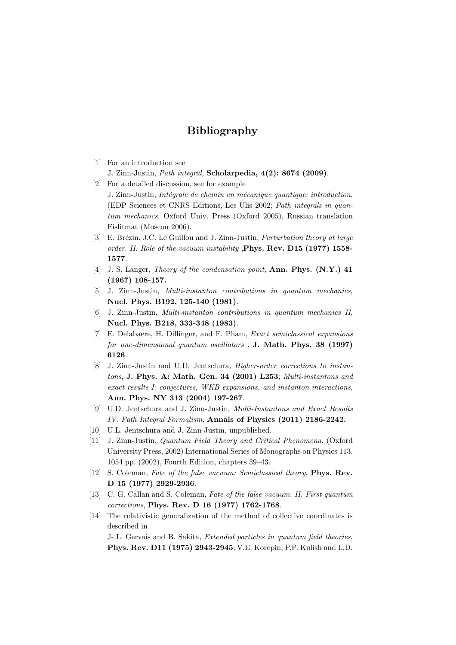## Bibliography

- [1] For an introduction see
	- J. Zinn-Justin, Path integral, Scholarpedia, 4(2): 8674 (2009).
- [2] For a detailed discussion, see for example J. Zinn-Justin, *Intégrale de chemin en mécanique quantique: introduction*, (EDP Sciences et CNRS Editions, Les Ulis 2002; Path integrals in quantum mechanics, Oxford Univ. Press (Oxford 2005), Russian translation Fislitmat (Moscou 2006).
- [3] E. Brézin, J.C. Le Guillou and J. Zinn-Justin, *Perturbation theory at large* order. II. Role of the vacuum instability , Phys. Rev. D15 (1977) 1558-1577.
- [4] J. S. Langer, Theory of the condensation point, Ann. Phys. (N.Y.) 41 (1967) 108-157.
- [5] J. Zinn-Justin, Multi-instanton contributions in quantum mechanics, Nucl. Phys. B192, 125-140 (1981).
- [6] J. Zinn-Justin, Multi-instanton contributions in quantum mechanics II, Nucl. Phys. B218, 333-348 (1983).
- [7] E. Delabaere, H. Dillinger, and F. Pham, Exact semiclassical expansions for one-dimensional quantum oscillators , J. Math. Phys. 38 (1997) 6126.
- [8] J. Zinn-Justin and U.D. Jentschura, Higher-order corrections to instantons, J. Phys. A: Math. Gen. 34 (2001) L253; Multi-instantons and exact results I: conjectures, WKB expansions, and instanton interactions, Ann. Phys. NY 313 (2004) 197-267.
- [9] U.D. Jentschura and J. Zinn-Justin, Multi-Instantons and Exact Results IV: Path Integral Formalism, Annals of Physics (2011) 2186-2242.
- [10] U.L. Jentschura and J. Zinn-Justin, unpublished.
- [11] J. Zinn-Justin, Quantum Field Theory and Critical Phenomena, (Oxford University Press, 2002) International Series of Monographs on Physics 113, 1054 pp. (2002), Fourth Edition, chapters 39–43.
- [12] S. Coleman, Fate of the false vacuum: Semiclassical theory, Phys. Rev. D 15 (1977) 2929-2936.
- [13] C. G. Callan and S. Coleman, Fate of the false vacuum. II. First quantum corrections, Phys. Rev. D 16 (1977) 1762-1768.
- [14] The relativistic generalization of the method of collective coordinates is described in

J-.L. Gervais and B. Sakita, Extended particles in quantum field theories, Phys. Rev. D11 (1975) 2943-2945; V.E. Korepin, P.P. Kulish and L.D.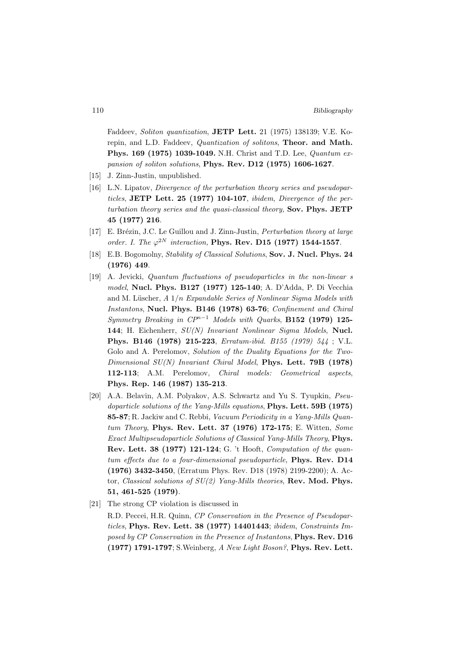Faddeev, Soliton quantization, JETP Lett. 21 (1975) 138139; V.E. Korepin, and L.D. Faddeev, Quantization of solitons, Theor. and Math. Phys. 169 (1975) 1039-1049. N.H. Christ and T.D. Lee, Quantum expansion of soliton solutions, Phys. Rev. D12 (1975) 1606-1627.

- [15] J. Zinn-Justin, unpublished.
- [16] L.N. Lipatov, *Divergence of the perturbation theory series and pseudopar*ticles, JETP Lett. 25 (1977) 104-107, ibidem, Divergence of the perturbation theory series and the quasi-classical theory, Sov. Phys. JETP 45 (1977) 216.
- [17] E. Brézin, J.C. Le Guillou and J. Zinn-Justin, *Perturbation theory at large* order. I. The  $\varphi^{2N}$  interaction, **Phys. Rev. D15** (1977) 1544-1557.
- [18] E.B. Bogomolny, Stability of Classical Solutions, Sov. J. Nucl. Phys. 24 (1976) 449.
- [19] A. Jevicki, Quantum fluctuations of pseudoparticles in the non-linear s model, Nucl. Phys. B127 (1977) 125-140; A. D'Adda, P. Di Vecchia and M. Lüscher,  $A \frac{1}{n}$  Expandable Series of Nonlinear Sigma Models with Instantons, Nucl. Phys. B146 (1978) 63-76; Confinement and Chiral Symmetry Breaking in  $\mathbb{CP}^{n-1}$  Models with Quarks, **B152 (1979) 125-**144; H. Eichenherr, SU(N) Invariant Nonlinear Sigma Models, Nucl. Phys. B146 (1978) 215-223, Erratum-ibid. B155 (1979) 544 ; V.L. Golo and A. Perelomov, Solution of the Duality Equations for the Two-Dimensional  $SU(N)$  Invariant Chiral Model, Phys. Lett. 79B (1978) 112-113; A.M. Perelomov, Chiral models: Geometrical aspects, Phys. Rep. 146 (1987) 135-213.
- [20] A.A. Belavin, A.M. Polyakov, A.S. Schwartz and Yu S. Tyupkin, Pseudoparticle solutions of the Yang-Mills equations, Phys. Lett. 59B (1975) 85-87; R. Jackiw and C. Rebbi, Vacuum Periodicity in a Yang-Mills Quantum Theory, Phys. Rev. Lett. 37 (1976) 172-175; E. Witten, Some Exact Multipseudoparticle Solutions of Classical Yang-Mills Theory, Phys. Rev. Lett. 38 (1977) 121-124; G. 't Hooft, Computation of the quantum effects due to a four-dimensional pseudoparticle, **Phys. Rev. D14** (1976) 3432-3450, (Erratum Phys. Rev. D18 (1978) 2199-2200); A. Actor, Classical solutions of  $SU(2)$  Yang-Mills theories, Rev. Mod. Phys. 51, 461-525 (1979).
- [21] The strong CP violation is discussed in

R.D. Peccei, H.R. Quinn, CP Conservation in the Presence of Pseudoparticles, Phys. Rev. Lett. 38 (1977) 14401443; ibidem, Constraints Imposed by CP Conservation in the Presence of Instantons, Phys. Rev. D16 (1977) 1791-1797; S.Weinberg, A New Light Boson?, Phys. Rev. Lett.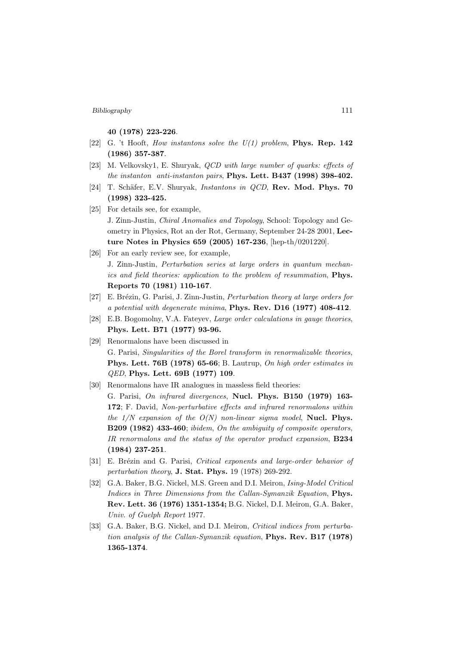40 (1978) 223-226.

- [22] G. 't Hooft, How instantons solve the  $U(1)$  problem, **Phys. Rep. 142** (1986) 357-387.
- [23] M. Velkovsky1, E. Shuryak, QCD with large number of quarks: effects of the instanton anti-instanton pairs, Phys. Lett. B437 (1998) 398-402.
- [24] T. Schäfer, E.V. Shuryak, *Instantons in OCD*, Rev. Mod. Phys. 70 (1998) 323-425.
- [25] For details see, for example, J. Zinn-Justin, Chiral Anomalies and Topology, School: Topology and Geometry in Physics, Rot an der Rot, Germany, September 24-28 2001, Lecture Notes in Physics 659 (2005) 167-236, [hep-th/0201220].
- [26] For an early review see, for example,

J. Zinn-Justin, Perturbation series at large orders in quantum mechanics and field theories: application to the problem of resummation, Phys. Reports 70 (1981) 110-167.

- [27] E. Brézin, G. Parisi, J. Zinn-Justin, Perturbation theory at large orders for a potential with degenerate minima, Phys. Rev. D16 (1977) 408-412.
- [28] E.B. Bogomolny, V.A. Fateyev, Large order calculations in gauge theories, Phys. Lett. B71 (1977) 93-96.
- [29] Renormalons have been discussed in G. Parisi, Singularities of the Borel transform in renormalizable theories, Phys. Lett. 76B (1978) 65-66; B. Lautrup, On high order estimates in QED, Phys. Lett. 69B (1977) 109.
- [30] Renormalons have IR analogues in massless field theories: G. Parisi, On infrared divergences, Nucl. Phys. B150 (1979) 163- 172; F. David, Non-perturbative effects and infrared renormalons within the  $1/N$  expansion of the  $O(N)$  non-linear sigma model, Nucl. Phys. B209 (1982) 433-460; ibidem, On the ambiguity of composite operators, IR renormalons and the status of the operator product expansion,  $B234$ (1984) 237-251.
- [31] E. Brézin and G. Parisi, Critical exponents and large-order behavior of perturbation theory, J. Stat. Phys. 19 (1978) 269-292.
- [32] G.A. Baker, B.G. Nickel, M.S. Green and D.I. Meiron, Ising-Model Critical Indices in Three Dimensions from the Callan-Symanzik Equation, Phys. Rev. Lett. 36 (1976) 1351-1354; B.G. Nickel, D.I. Meiron, G.A. Baker, Univ. of Guelph Report 1977.
- [33] G.A. Baker, B.G. Nickel, and D.I. Meiron, Critical indices from perturbation analysis of the Callan-Symanzik equation, Phys. Rev. B17 (1978) 1365-1374.